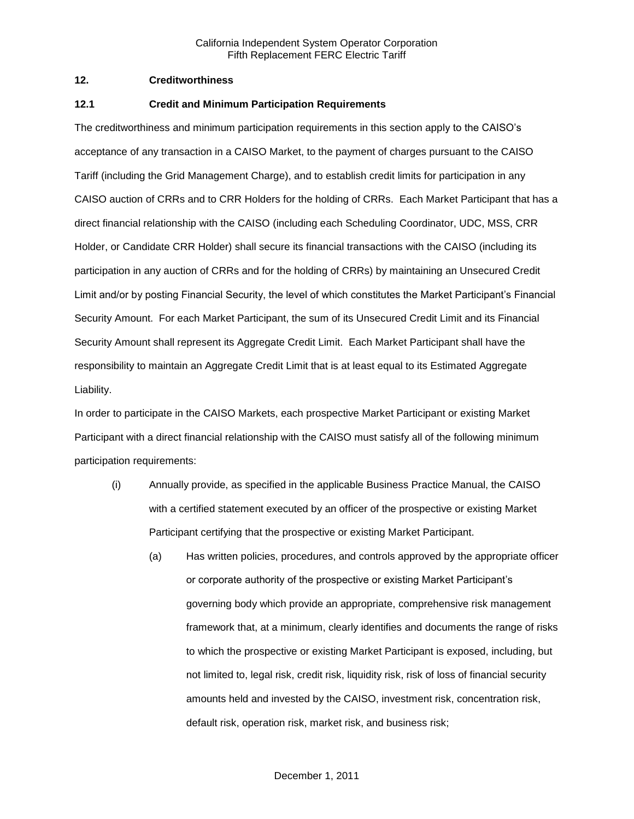## **12. Creditworthiness**

#### **12.1 Credit and Minimum Participation Requirements**

The creditworthiness and minimum participation requirements in this section apply to the CAISO's acceptance of any transaction in a CAISO Market, to the payment of charges pursuant to the CAISO Tariff (including the Grid Management Charge), and to establish credit limits for participation in any CAISO auction of CRRs and to CRR Holders for the holding of CRRs. Each Market Participant that has a direct financial relationship with the CAISO (including each Scheduling Coordinator, UDC, MSS, CRR Holder, or Candidate CRR Holder) shall secure its financial transactions with the CAISO (including its participation in any auction of CRRs and for the holding of CRRs) by maintaining an Unsecured Credit Limit and/or by posting Financial Security, the level of which constitutes the Market Participant's Financial Security Amount. For each Market Participant, the sum of its Unsecured Credit Limit and its Financial Security Amount shall represent its Aggregate Credit Limit. Each Market Participant shall have the responsibility to maintain an Aggregate Credit Limit that is at least equal to its Estimated Aggregate Liability.

In order to participate in the CAISO Markets, each prospective Market Participant or existing Market Participant with a direct financial relationship with the CAISO must satisfy all of the following minimum participation requirements:

- (i) Annually provide, as specified in the applicable Business Practice Manual, the CAISO with a certified statement executed by an officer of the prospective or existing Market Participant certifying that the prospective or existing Market Participant.
	- (a) Has written policies, procedures, and controls approved by the appropriate officer or corporate authority of the prospective or existing Market Participant's governing body which provide an appropriate, comprehensive risk management framework that, at a minimum, clearly identifies and documents the range of risks to which the prospective or existing Market Participant is exposed, including, but not limited to, legal risk, credit risk, liquidity risk, risk of loss of financial security amounts held and invested by the CAISO, investment risk, concentration risk, default risk, operation risk, market risk, and business risk;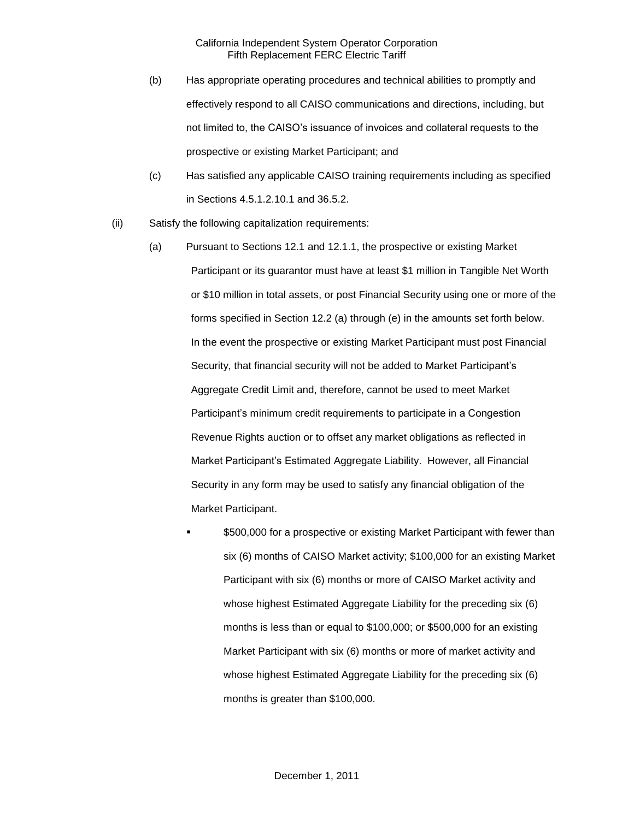- (b) Has appropriate operating procedures and technical abilities to promptly and effectively respond to all CAISO communications and directions, including, but not limited to, the CAISO's issuance of invoices and collateral requests to the prospective or existing Market Participant; and
- (c) Has satisfied any applicable CAISO training requirements including as specified in Sections 4.5.1.2.10.1 and 36.5.2.
- (ii) Satisfy the following capitalization requirements:
	- (a) Pursuant to Sections 12.1 and 12.1.1, the prospective or existing Market Participant or its guarantor must have at least \$1 million in Tangible Net Worth or \$10 million in total assets, or post Financial Security using one or more of the forms specified in Section 12.2 (a) through (e) in the amounts set forth below. In the event the prospective or existing Market Participant must post Financial Security, that financial security will not be added to Market Participant's Aggregate Credit Limit and, therefore, cannot be used to meet Market Participant's minimum credit requirements to participate in a Congestion Revenue Rights auction or to offset any market obligations as reflected in Market Participant's Estimated Aggregate Liability. However, all Financial Security in any form may be used to satisfy any financial obligation of the Market Participant.
		- \$500,000 for a prospective or existing Market Participant with fewer than six (6) months of CAISO Market activity; \$100,000 for an existing Market Participant with six (6) months or more of CAISO Market activity and whose highest Estimated Aggregate Liability for the preceding six (6) months is less than or equal to \$100,000; or \$500,000 for an existing Market Participant with six (6) months or more of market activity and whose highest Estimated Aggregate Liability for the preceding six (6) months is greater than \$100,000.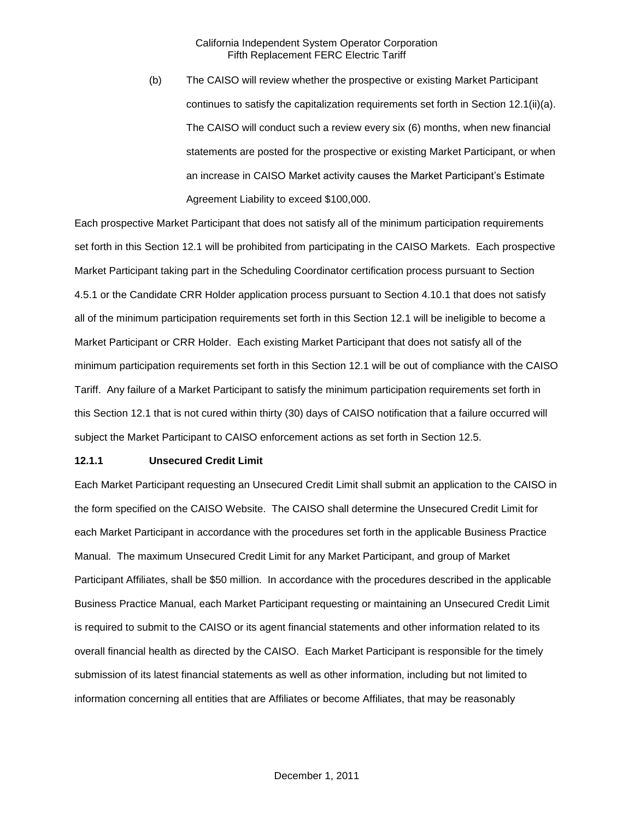(b) The CAISO will review whether the prospective or existing Market Participant continues to satisfy the capitalization requirements set forth in Section 12.1(ii)(a). The CAISO will conduct such a review every six (6) months, when new financial statements are posted for the prospective or existing Market Participant, or when an increase in CAISO Market activity causes the Market Participant's Estimate Agreement Liability to exceed \$100,000.

Each prospective Market Participant that does not satisfy all of the minimum participation requirements set forth in this Section 12.1 will be prohibited from participating in the CAISO Markets. Each prospective Market Participant taking part in the Scheduling Coordinator certification process pursuant to Section 4.5.1 or the Candidate CRR Holder application process pursuant to Section 4.10.1 that does not satisfy all of the minimum participation requirements set forth in this Section 12.1 will be ineligible to become a Market Participant or CRR Holder. Each existing Market Participant that does not satisfy all of the minimum participation requirements set forth in this Section 12.1 will be out of compliance with the CAISO Tariff. Any failure of a Market Participant to satisfy the minimum participation requirements set forth in this Section 12.1 that is not cured within thirty (30) days of CAISO notification that a failure occurred will subject the Market Participant to CAISO enforcement actions as set forth in Section 12.5.

#### **12.1.1 Unsecured Credit Limit**

Each Market Participant requesting an Unsecured Credit Limit shall submit an application to the CAISO in the form specified on the CAISO Website. The CAISO shall determine the Unsecured Credit Limit for each Market Participant in accordance with the procedures set forth in the applicable Business Practice Manual. The maximum Unsecured Credit Limit for any Market Participant, and group of Market Participant Affiliates, shall be \$50 million. In accordance with the procedures described in the applicable Business Practice Manual, each Market Participant requesting or maintaining an Unsecured Credit Limit is required to submit to the CAISO or its agent financial statements and other information related to its overall financial health as directed by the CAISO. Each Market Participant is responsible for the timely submission of its latest financial statements as well as other information, including but not limited to information concerning all entities that are Affiliates or become Affiliates, that may be reasonably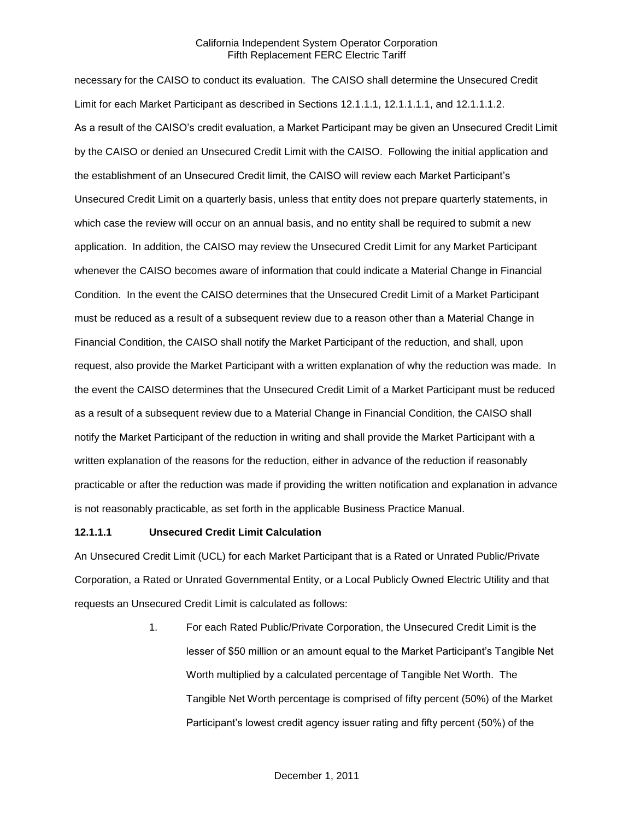necessary for the CAISO to conduct its evaluation. The CAISO shall determine the Unsecured Credit Limit for each Market Participant as described in Sections 12.1.1.1, 12.1.1.1.1, and 12.1.1.1.2. As a result of the CAISO's credit evaluation, a Market Participant may be given an Unsecured Credit Limit by the CAISO or denied an Unsecured Credit Limit with the CAISO. Following the initial application and the establishment of an Unsecured Credit limit, the CAISO will review each Market Participant's Unsecured Credit Limit on a quarterly basis, unless that entity does not prepare quarterly statements, in which case the review will occur on an annual basis, and no entity shall be required to submit a new application. In addition, the CAISO may review the Unsecured Credit Limit for any Market Participant whenever the CAISO becomes aware of information that could indicate a Material Change in Financial Condition. In the event the CAISO determines that the Unsecured Credit Limit of a Market Participant must be reduced as a result of a subsequent review due to a reason other than a Material Change in Financial Condition, the CAISO shall notify the Market Participant of the reduction, and shall, upon request, also provide the Market Participant with a written explanation of why the reduction was made. In the event the CAISO determines that the Unsecured Credit Limit of a Market Participant must be reduced as a result of a subsequent review due to a Material Change in Financial Condition, the CAISO shall notify the Market Participant of the reduction in writing and shall provide the Market Participant with a written explanation of the reasons for the reduction, either in advance of the reduction if reasonably practicable or after the reduction was made if providing the written notification and explanation in advance is not reasonably practicable, as set forth in the applicable Business Practice Manual.

#### **12.1.1.1 Unsecured Credit Limit Calculation**

An Unsecured Credit Limit (UCL) for each Market Participant that is a Rated or Unrated Public/Private Corporation, a Rated or Unrated Governmental Entity, or a Local Publicly Owned Electric Utility and that requests an Unsecured Credit Limit is calculated as follows:

> 1. For each Rated Public/Private Corporation, the Unsecured Credit Limit is the lesser of \$50 million or an amount equal to the Market Participant's Tangible Net Worth multiplied by a calculated percentage of Tangible Net Worth. The Tangible Net Worth percentage is comprised of fifty percent (50%) of the Market Participant's lowest credit agency issuer rating and fifty percent (50%) of the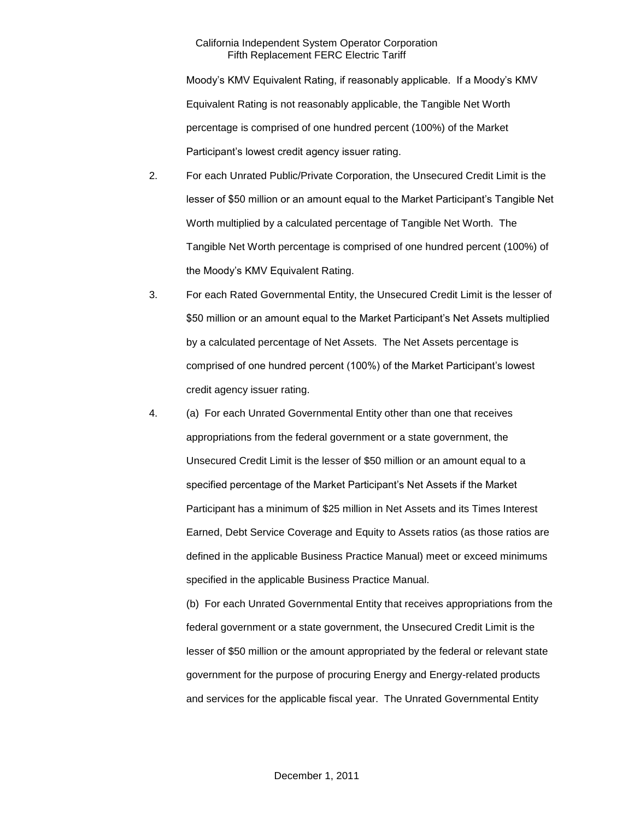Moody's KMV Equivalent Rating, if reasonably applicable. If a Moody's KMV Equivalent Rating is not reasonably applicable, the Tangible Net Worth percentage is comprised of one hundred percent (100%) of the Market Participant's lowest credit agency issuer rating.

- 2. For each Unrated Public/Private Corporation, the Unsecured Credit Limit is the lesser of \$50 million or an amount equal to the Market Participant's Tangible Net Worth multiplied by a calculated percentage of Tangible Net Worth. The Tangible Net Worth percentage is comprised of one hundred percent (100%) of the Moody's KMV Equivalent Rating.
- 3. For each Rated Governmental Entity, the Unsecured Credit Limit is the lesser of \$50 million or an amount equal to the Market Participant's Net Assets multiplied by a calculated percentage of Net Assets. The Net Assets percentage is comprised of one hundred percent (100%) of the Market Participant's lowest credit agency issuer rating.
- 4. (a) For each Unrated Governmental Entity other than one that receives appropriations from the federal government or a state government, the Unsecured Credit Limit is the lesser of \$50 million or an amount equal to a specified percentage of the Market Participant's Net Assets if the Market Participant has a minimum of \$25 million in Net Assets and its Times Interest Earned, Debt Service Coverage and Equity to Assets ratios (as those ratios are defined in the applicable Business Practice Manual) meet or exceed minimums specified in the applicable Business Practice Manual.

(b) For each Unrated Governmental Entity that receives appropriations from the federal government or a state government, the Unsecured Credit Limit is the lesser of \$50 million or the amount appropriated by the federal or relevant state government for the purpose of procuring Energy and Energy-related products and services for the applicable fiscal year. The Unrated Governmental Entity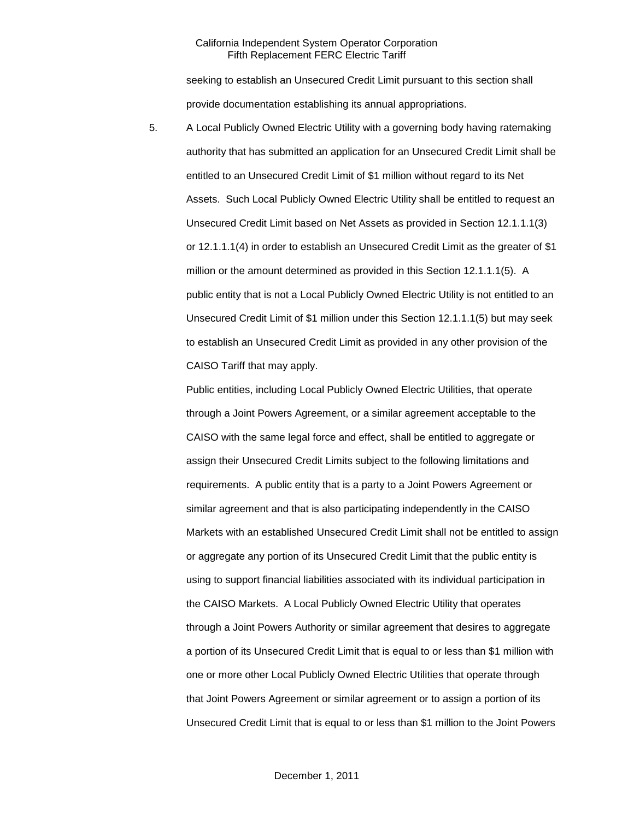seeking to establish an Unsecured Credit Limit pursuant to this section shall provide documentation establishing its annual appropriations.

5. A Local Publicly Owned Electric Utility with a governing body having ratemaking authority that has submitted an application for an Unsecured Credit Limit shall be entitled to an Unsecured Credit Limit of \$1 million without regard to its Net Assets. Such Local Publicly Owned Electric Utility shall be entitled to request an Unsecured Credit Limit based on Net Assets as provided in Section 12.1.1.1(3) or 12.1.1.1(4) in order to establish an Unsecured Credit Limit as the greater of \$1 million or the amount determined as provided in this Section 12.1.1.1(5). A public entity that is not a Local Publicly Owned Electric Utility is not entitled to an Unsecured Credit Limit of \$1 million under this Section 12.1.1.1(5) but may seek to establish an Unsecured Credit Limit as provided in any other provision of the CAISO Tariff that may apply.

Public entities, including Local Publicly Owned Electric Utilities, that operate through a Joint Powers Agreement, or a similar agreement acceptable to the CAISO with the same legal force and effect, shall be entitled to aggregate or assign their Unsecured Credit Limits subject to the following limitations and requirements. A public entity that is a party to a Joint Powers Agreement or similar agreement and that is also participating independently in the CAISO Markets with an established Unsecured Credit Limit shall not be entitled to assign or aggregate any portion of its Unsecured Credit Limit that the public entity is using to support financial liabilities associated with its individual participation in the CAISO Markets. A Local Publicly Owned Electric Utility that operates through a Joint Powers Authority or similar agreement that desires to aggregate a portion of its Unsecured Credit Limit that is equal to or less than \$1 million with one or more other Local Publicly Owned Electric Utilities that operate through that Joint Powers Agreement or similar agreement or to assign a portion of its Unsecured Credit Limit that is equal to or less than \$1 million to the Joint Powers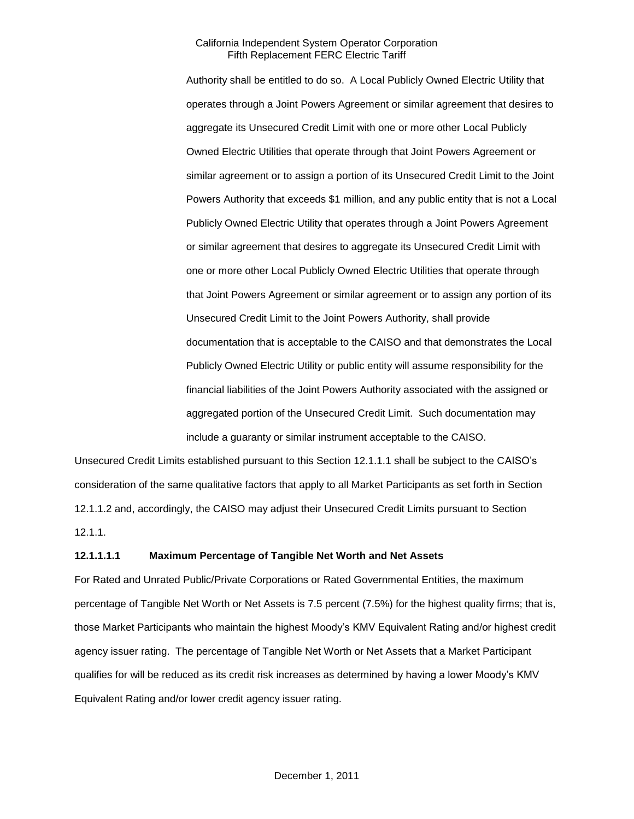Authority shall be entitled to do so. A Local Publicly Owned Electric Utility that operates through a Joint Powers Agreement or similar agreement that desires to aggregate its Unsecured Credit Limit with one or more other Local Publicly Owned Electric Utilities that operate through that Joint Powers Agreement or similar agreement or to assign a portion of its Unsecured Credit Limit to the Joint Powers Authority that exceeds \$1 million, and any public entity that is not a Local Publicly Owned Electric Utility that operates through a Joint Powers Agreement or similar agreement that desires to aggregate its Unsecured Credit Limit with one or more other Local Publicly Owned Electric Utilities that operate through that Joint Powers Agreement or similar agreement or to assign any portion of its Unsecured Credit Limit to the Joint Powers Authority, shall provide documentation that is acceptable to the CAISO and that demonstrates the Local Publicly Owned Electric Utility or public entity will assume responsibility for the financial liabilities of the Joint Powers Authority associated with the assigned or aggregated portion of the Unsecured Credit Limit. Such documentation may include a guaranty or similar instrument acceptable to the CAISO.

Unsecured Credit Limits established pursuant to this Section 12.1.1.1 shall be subject to the CAISO's consideration of the same qualitative factors that apply to all Market Participants as set forth in Section 12.1.1.2 and, accordingly, the CAISO may adjust their Unsecured Credit Limits pursuant to Section 12.1.1.

#### **12.1.1.1.1 Maximum Percentage of Tangible Net Worth and Net Assets**

For Rated and Unrated Public/Private Corporations or Rated Governmental Entities, the maximum percentage of Tangible Net Worth or Net Assets is 7.5 percent (7.5%) for the highest quality firms; that is, those Market Participants who maintain the highest Moody's KMV Equivalent Rating and/or highest credit agency issuer rating. The percentage of Tangible Net Worth or Net Assets that a Market Participant qualifies for will be reduced as its credit risk increases as determined by having a lower Moody's KMV Equivalent Rating and/or lower credit agency issuer rating.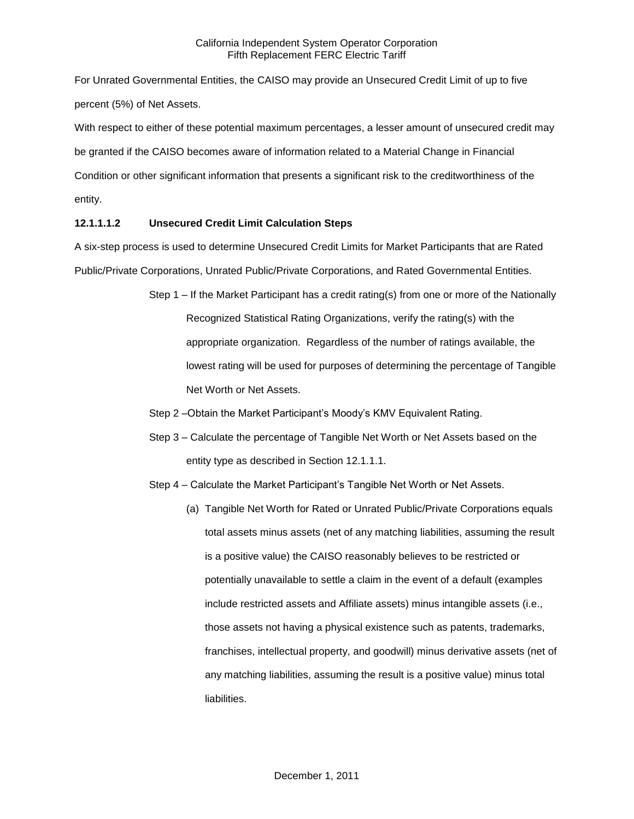For Unrated Governmental Entities, the CAISO may provide an Unsecured Credit Limit of up to five percent (5%) of Net Assets.

With respect to either of these potential maximum percentages, a lesser amount of unsecured credit may be granted if the CAISO becomes aware of information related to a Material Change in Financial Condition or other significant information that presents a significant risk to the creditworthiness of the entity.

# **12.1.1.1.2 Unsecured Credit Limit Calculation Steps**

A six-step process is used to determine Unsecured Credit Limits for Market Participants that are Rated Public/Private Corporations, Unrated Public/Private Corporations, and Rated Governmental Entities.

- Step 1 If the Market Participant has a credit rating(s) from one or more of the Nationally Recognized Statistical Rating Organizations, verify the rating(s) with the appropriate organization. Regardless of the number of ratings available, the lowest rating will be used for purposes of determining the percentage of Tangible Net Worth or Net Assets.
- Step 2 –Obtain the Market Participant's Moody's KMV Equivalent Rating.
- Step 3 Calculate the percentage of Tangible Net Worth or Net Assets based on the entity type as described in Section 12.1.1.1.
- Step 4 Calculate the Market Participant's Tangible Net Worth or Net Assets.
	- (a) Tangible Net Worth for Rated or Unrated Public/Private Corporations equals total assets minus assets (net of any matching liabilities, assuming the result is a positive value) the CAISO reasonably believes to be restricted or potentially unavailable to settle a claim in the event of a default (examples include restricted assets and Affiliate assets) minus intangible assets (i.e., those assets not having a physical existence such as patents, trademarks, franchises, intellectual property, and goodwill) minus derivative assets (net of any matching liabilities, assuming the result is a positive value) minus total liabilities.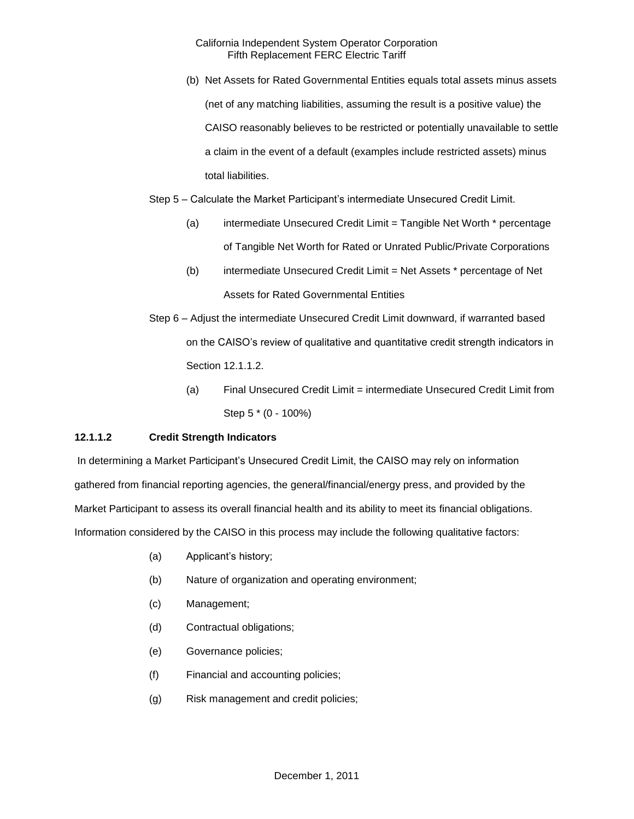(b) Net Assets for Rated Governmental Entities equals total assets minus assets (net of any matching liabilities, assuming the result is a positive value) the CAISO reasonably believes to be restricted or potentially unavailable to settle a claim in the event of a default (examples include restricted assets) minus total liabilities.

Step 5 – Calculate the Market Participant's intermediate Unsecured Credit Limit.

- (a) intermediate Unsecured Credit Limit = Tangible Net Worth \* percentage of Tangible Net Worth for Rated or Unrated Public/Private Corporations
- (b) intermediate Unsecured Credit Limit = Net Assets \* percentage of Net Assets for Rated Governmental Entities
- Step 6 Adjust the intermediate Unsecured Credit Limit downward, if warranted based on the CAISO's review of qualitative and quantitative credit strength indicators in Section 12.1.1.2.
	- (a) Final Unsecured Credit Limit = intermediate Unsecured Credit Limit from Step 5 \* (0 - 100%)

# **12.1.1.2 Credit Strength Indicators**

In determining a Market Participant's Unsecured Credit Limit, the CAISO may rely on information gathered from financial reporting agencies, the general/financial/energy press, and provided by the Market Participant to assess its overall financial health and its ability to meet its financial obligations. Information considered by the CAISO in this process may include the following qualitative factors:

- (a) Applicant's history;
- (b) Nature of organization and operating environment;
- (c) Management;
- (d) Contractual obligations;
- (e) Governance policies;
- (f) Financial and accounting policies;
- (g) Risk management and credit policies;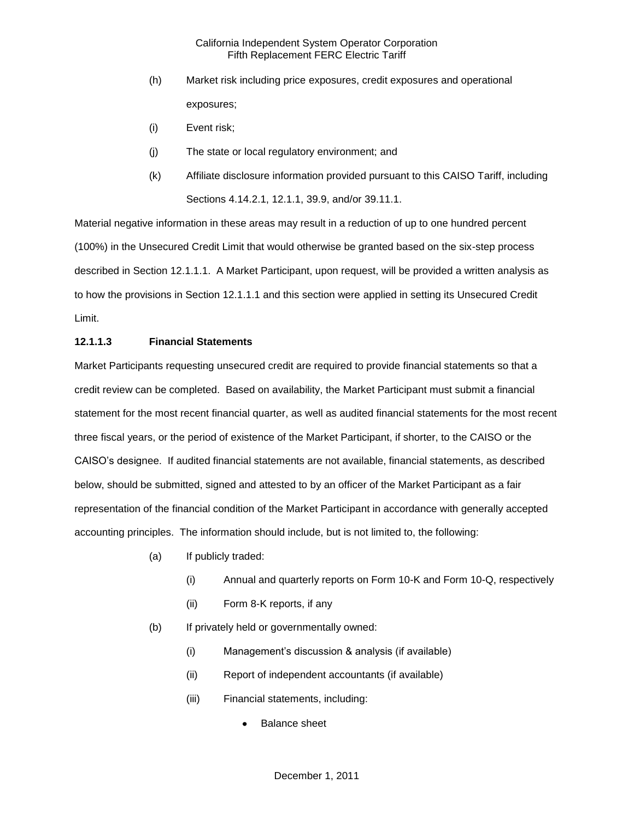- (h) Market risk including price exposures, credit exposures and operational exposures;
- (i) Event risk;
- (j) The state or local regulatory environment; and
- (k) Affiliate disclosure information provided pursuant to this CAISO Tariff, including Sections 4.14.2.1, 12.1.1, 39.9, and/or 39.11.1.

Material negative information in these areas may result in a reduction of up to one hundred percent (100%) in the Unsecured Credit Limit that would otherwise be granted based on the six-step process described in Section 12.1.1.1. A Market Participant, upon request, will be provided a written analysis as to how the provisions in Section 12.1.1.1 and this section were applied in setting its Unsecured Credit Limit.

#### **12.1.1.3 Financial Statements**

Market Participants requesting unsecured credit are required to provide financial statements so that a credit review can be completed. Based on availability, the Market Participant must submit a financial statement for the most recent financial quarter, as well as audited financial statements for the most recent three fiscal years, or the period of existence of the Market Participant, if shorter, to the CAISO or the CAISO's designee. If audited financial statements are not available, financial statements, as described below, should be submitted, signed and attested to by an officer of the Market Participant as a fair representation of the financial condition of the Market Participant in accordance with generally accepted accounting principles. The information should include, but is not limited to, the following:

- (a) If publicly traded:
	- (i) Annual and quarterly reports on Form 10-K and Form 10-Q, respectively
	- (ii) Form 8-K reports, if any
- (b) If privately held or governmentally owned:
	- (i) Management's discussion & analysis (if available)
	- (ii) Report of independent accountants (if available)
	- (iii) Financial statements, including:
		- Balance sheet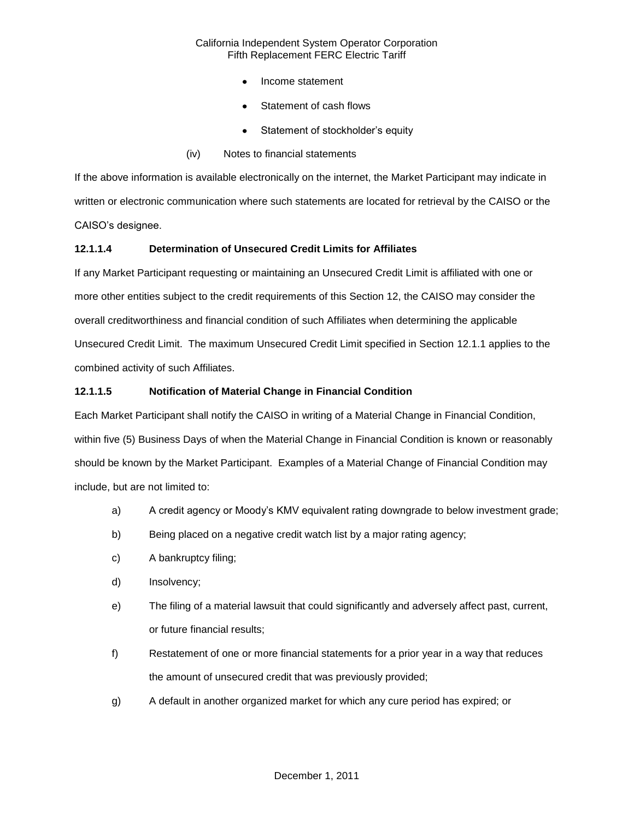- Income statement
- Statement of cash flows
- Statement of stockholder's equity
- (iv) Notes to financial statements

If the above information is available electronically on the internet, the Market Participant may indicate in written or electronic communication where such statements are located for retrieval by the CAISO or the CAISO's designee.

## **12.1.1.4 Determination of Unsecured Credit Limits for Affiliates**

If any Market Participant requesting or maintaining an Unsecured Credit Limit is affiliated with one or more other entities subject to the credit requirements of this Section 12, the CAISO may consider the overall creditworthiness and financial condition of such Affiliates when determining the applicable Unsecured Credit Limit. The maximum Unsecured Credit Limit specified in Section 12.1.1 applies to the combined activity of such Affiliates.

# **12.1.1.5 Notification of Material Change in Financial Condition**

Each Market Participant shall notify the CAISO in writing of a Material Change in Financial Condition, within five (5) Business Days of when the Material Change in Financial Condition is known or reasonably should be known by the Market Participant. Examples of a Material Change of Financial Condition may include, but are not limited to:

- a) A credit agency or Moody's KMV equivalent rating downgrade to below investment grade;
- b) Being placed on a negative credit watch list by a major rating agency;
- c) A bankruptcy filing;
- d) Insolvency;
- e) The filing of a material lawsuit that could significantly and adversely affect past, current, or future financial results;
- f) Restatement of one or more financial statements for a prior year in a way that reduces the amount of unsecured credit that was previously provided;
- g) A default in another organized market for which any cure period has expired; or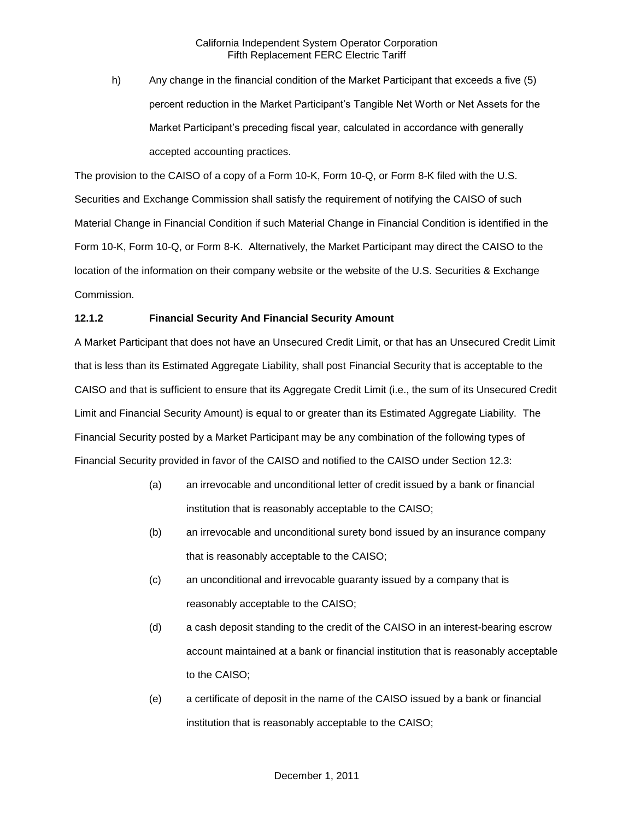h) Any change in the financial condition of the Market Participant that exceeds a five (5) percent reduction in the Market Participant's Tangible Net Worth or Net Assets for the Market Participant's preceding fiscal year, calculated in accordance with generally accepted accounting practices.

The provision to the CAISO of a copy of a Form 10-K, Form 10-Q, or Form 8-K filed with the U.S. Securities and Exchange Commission shall satisfy the requirement of notifying the CAISO of such Material Change in Financial Condition if such Material Change in Financial Condition is identified in the Form 10-K, Form 10-Q, or Form 8-K. Alternatively, the Market Participant may direct the CAISO to the location of the information on their company website or the website of the U.S. Securities & Exchange Commission.

# **12.1.2 Financial Security And Financial Security Amount**

A Market Participant that does not have an Unsecured Credit Limit, or that has an Unsecured Credit Limit that is less than its Estimated Aggregate Liability, shall post Financial Security that is acceptable to the CAISO and that is sufficient to ensure that its Aggregate Credit Limit (i.e., the sum of its Unsecured Credit Limit and Financial Security Amount) is equal to or greater than its Estimated Aggregate Liability. The Financial Security posted by a Market Participant may be any combination of the following types of Financial Security provided in favor of the CAISO and notified to the CAISO under Section 12.3:

- (a) an irrevocable and unconditional letter of credit issued by a bank or financial institution that is reasonably acceptable to the CAISO;
- (b) an irrevocable and unconditional surety bond issued by an insurance company that is reasonably acceptable to the CAISO;
- (c) an unconditional and irrevocable guaranty issued by a company that is reasonably acceptable to the CAISO;
- (d) a cash deposit standing to the credit of the CAISO in an interest-bearing escrow account maintained at a bank or financial institution that is reasonably acceptable to the CAISO;
- (e) a certificate of deposit in the name of the CAISO issued by a bank or financial institution that is reasonably acceptable to the CAISO;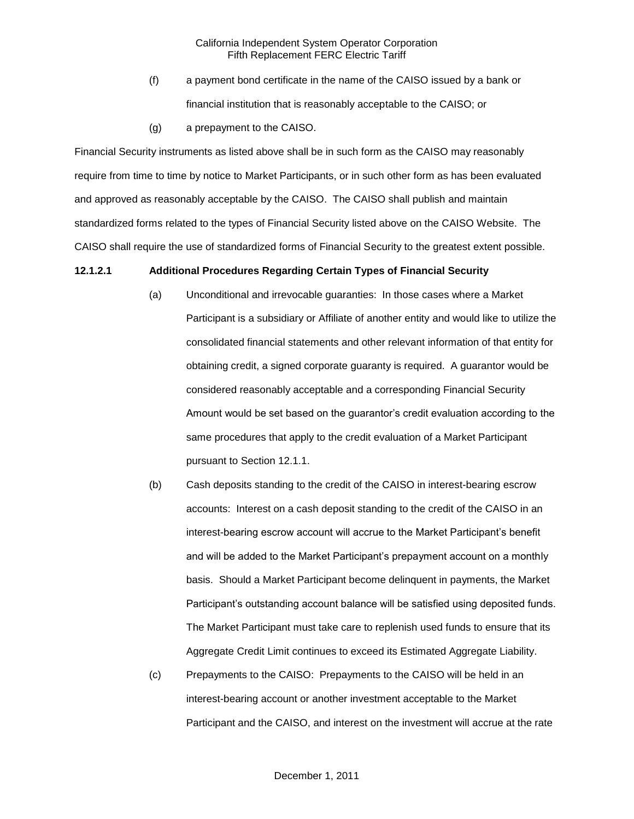- (f) a payment bond certificate in the name of the CAISO issued by a bank or financial institution that is reasonably acceptable to the CAISO; or
- (g) a prepayment to the CAISO.

Financial Security instruments as listed above shall be in such form as the CAISO may reasonably require from time to time by notice to Market Participants, or in such other form as has been evaluated and approved as reasonably acceptable by the CAISO. The CAISO shall publish and maintain standardized forms related to the types of Financial Security listed above on the CAISO Website. The CAISO shall require the use of standardized forms of Financial Security to the greatest extent possible.

#### **12.1.2.1 Additional Procedures Regarding Certain Types of Financial Security**

- (a) Unconditional and irrevocable guaranties: In those cases where a Market Participant is a subsidiary or Affiliate of another entity and would like to utilize the consolidated financial statements and other relevant information of that entity for obtaining credit, a signed corporate guaranty is required. A guarantor would be considered reasonably acceptable and a corresponding Financial Security Amount would be set based on the guarantor's credit evaluation according to the same procedures that apply to the credit evaluation of a Market Participant pursuant to Section 12.1.1.
- (b) Cash deposits standing to the credit of the CAISO in interest-bearing escrow accounts: Interest on a cash deposit standing to the credit of the CAISO in an interest-bearing escrow account will accrue to the Market Participant's benefit and will be added to the Market Participant's prepayment account on a monthly basis. Should a Market Participant become delinquent in payments, the Market Participant's outstanding account balance will be satisfied using deposited funds. The Market Participant must take care to replenish used funds to ensure that its Aggregate Credit Limit continues to exceed its Estimated Aggregate Liability.
- (c) Prepayments to the CAISO: Prepayments to the CAISO will be held in an interest-bearing account or another investment acceptable to the Market Participant and the CAISO, and interest on the investment will accrue at the rate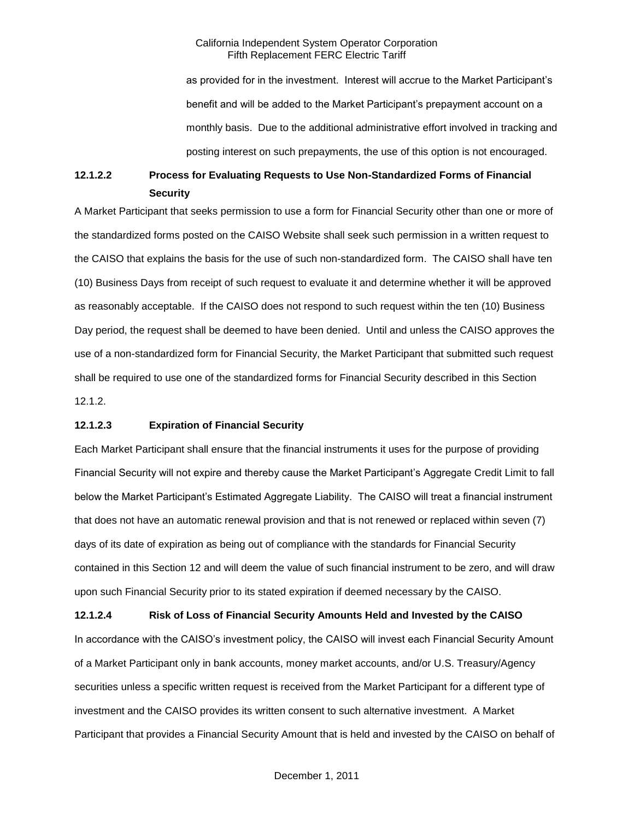as provided for in the investment. Interest will accrue to the Market Participant's benefit and will be added to the Market Participant's prepayment account on a monthly basis. Due to the additional administrative effort involved in tracking and posting interest on such prepayments, the use of this option is not encouraged.

# **12.1.2.2 Process for Evaluating Requests to Use Non-Standardized Forms of Financial Security**

A Market Participant that seeks permission to use a form for Financial Security other than one or more of the standardized forms posted on the CAISO Website shall seek such permission in a written request to the CAISO that explains the basis for the use of such non-standardized form. The CAISO shall have ten (10) Business Days from receipt of such request to evaluate it and determine whether it will be approved as reasonably acceptable. If the CAISO does not respond to such request within the ten (10) Business Day period, the request shall be deemed to have been denied. Until and unless the CAISO approves the use of a non-standardized form for Financial Security, the Market Participant that submitted such request shall be required to use one of the standardized forms for Financial Security described in this Section 12.1.2.

#### **12.1.2.3 Expiration of Financial Security**

Each Market Participant shall ensure that the financial instruments it uses for the purpose of providing Financial Security will not expire and thereby cause the Market Participant's Aggregate Credit Limit to fall below the Market Participant's Estimated Aggregate Liability. The CAISO will treat a financial instrument that does not have an automatic renewal provision and that is not renewed or replaced within seven (7) days of its date of expiration as being out of compliance with the standards for Financial Security contained in this Section 12 and will deem the value of such financial instrument to be zero, and will draw upon such Financial Security prior to its stated expiration if deemed necessary by the CAISO.

**12.1.2.4 Risk of Loss of Financial Security Amounts Held and Invested by the CAISO** In accordance with the CAISO's investment policy, the CAISO will invest each Financial Security Amount of a Market Participant only in bank accounts, money market accounts, and/or U.S. Treasury/Agency securities unless a specific written request is received from the Market Participant for a different type of investment and the CAISO provides its written consent to such alternative investment. A Market Participant that provides a Financial Security Amount that is held and invested by the CAISO on behalf of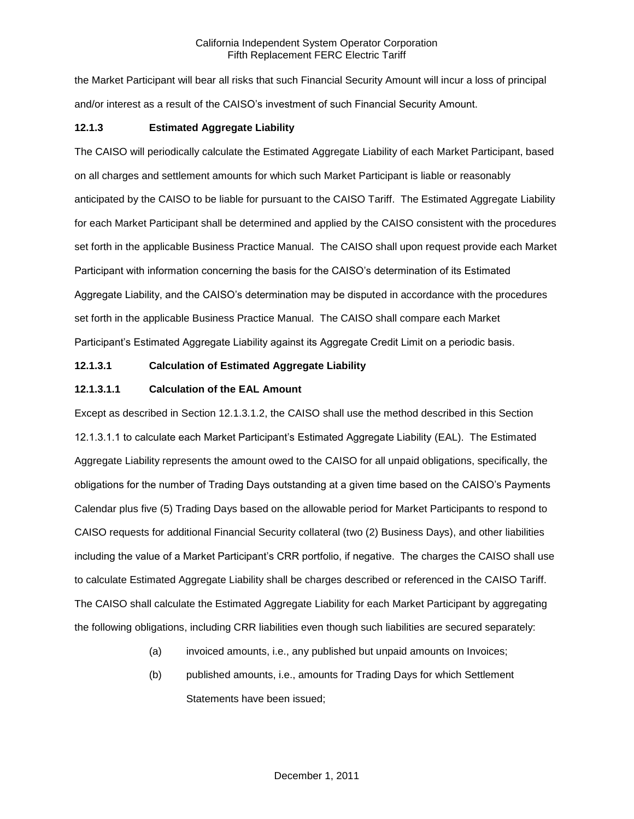the Market Participant will bear all risks that such Financial Security Amount will incur a loss of principal and/or interest as a result of the CAISO's investment of such Financial Security Amount.

## **12.1.3 Estimated Aggregate Liability**

The CAISO will periodically calculate the Estimated Aggregate Liability of each Market Participant, based on all charges and settlement amounts for which such Market Participant is liable or reasonably anticipated by the CAISO to be liable for pursuant to the CAISO Tariff. The Estimated Aggregate Liability for each Market Participant shall be determined and applied by the CAISO consistent with the procedures set forth in the applicable Business Practice Manual. The CAISO shall upon request provide each Market Participant with information concerning the basis for the CAISO's determination of its Estimated Aggregate Liability, and the CAISO's determination may be disputed in accordance with the procedures set forth in the applicable Business Practice Manual. The CAISO shall compare each Market Participant's Estimated Aggregate Liability against its Aggregate Credit Limit on a periodic basis.

#### **12.1.3.1 Calculation of Estimated Aggregate Liability**

#### **12.1.3.1.1 Calculation of the EAL Amount**

Except as described in Section 12.1.3.1.2, the CAISO shall use the method described in this Section 12.1.3.1.1 to calculate each Market Participant's Estimated Aggregate Liability (EAL). The Estimated Aggregate Liability represents the amount owed to the CAISO for all unpaid obligations, specifically, the obligations for the number of Trading Days outstanding at a given time based on the CAISO's Payments Calendar plus five (5) Trading Days based on the allowable period for Market Participants to respond to CAISO requests for additional Financial Security collateral (two (2) Business Days), and other liabilities including the value of a Market Participant's CRR portfolio, if negative. The charges the CAISO shall use to calculate Estimated Aggregate Liability shall be charges described or referenced in the CAISO Tariff. The CAISO shall calculate the Estimated Aggregate Liability for each Market Participant by aggregating the following obligations, including CRR liabilities even though such liabilities are secured separately:

- (a) invoiced amounts, i.e., any published but unpaid amounts on Invoices;
- (b) published amounts, i.e., amounts for Trading Days for which Settlement Statements have been issued;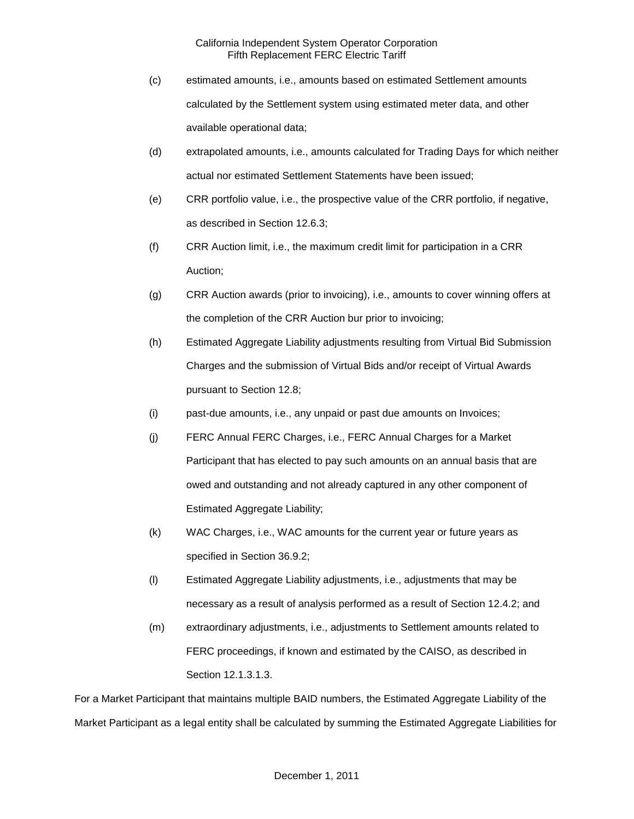- (c) estimated amounts, i.e., amounts based on estimated Settlement amounts calculated by the Settlement system using estimated meter data, and other available operational data;
- (d) extrapolated amounts, i.e., amounts calculated for Trading Days for which neither actual nor estimated Settlement Statements have been issued;
- (e) CRR portfolio value, i.e., the prospective value of the CRR portfolio, if negative, as described in Section 12.6.3;
- (f) CRR Auction limit, i.e., the maximum credit limit for participation in a CRR Auction;
- (g) CRR Auction awards (prior to invoicing), i.e., amounts to cover winning offers at the completion of the CRR Auction bur prior to invoicing;
- (h) Estimated Aggregate Liability adjustments resulting from Virtual Bid Submission Charges and the submission of Virtual Bids and/or receipt of Virtual Awards pursuant to Section 12.8;
- (i) past-due amounts, i.e., any unpaid or past due amounts on Invoices;
- (j) FERC Annual FERC Charges, i.e., FERC Annual Charges for a Market Participant that has elected to pay such amounts on an annual basis that are owed and outstanding and not already captured in any other component of Estimated Aggregate Liability;
- (k) WAC Charges, i.e., WAC amounts for the current year or future years as specified in Section 36.9.2;
- (l) Estimated Aggregate Liability adjustments, i.e., adjustments that may be necessary as a result of analysis performed as a result of Section 12.4.2; and
- (m) extraordinary adjustments, i.e., adjustments to Settlement amounts related to FERC proceedings, if known and estimated by the CAISO, as described in Section 12.1.3.1.3.

For a Market Participant that maintains multiple BAID numbers, the Estimated Aggregate Liability of the Market Participant as a legal entity shall be calculated by summing the Estimated Aggregate Liabilities for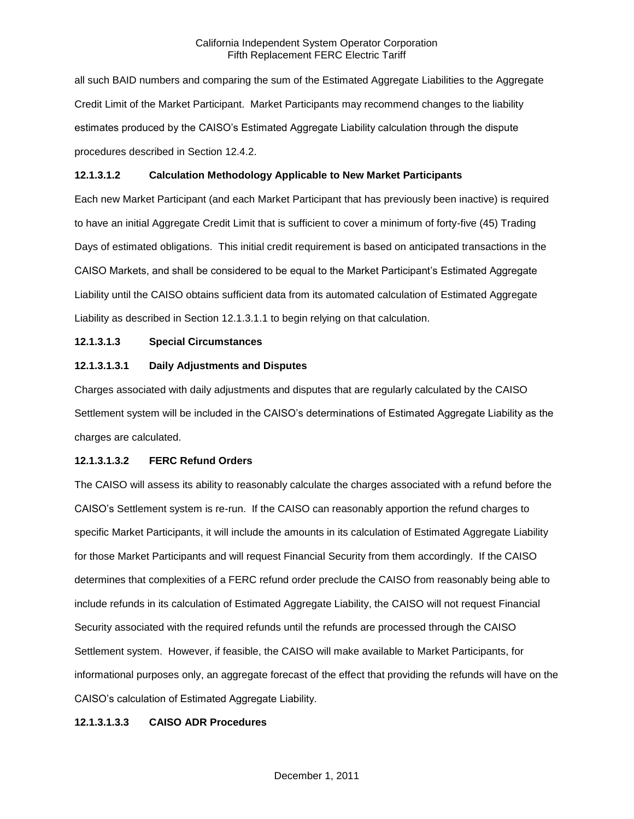all such BAID numbers and comparing the sum of the Estimated Aggregate Liabilities to the Aggregate Credit Limit of the Market Participant. Market Participants may recommend changes to the liability estimates produced by the CAISO's Estimated Aggregate Liability calculation through the dispute procedures described in Section 12.4.2.

## **12.1.3.1.2 Calculation Methodology Applicable to New Market Participants**

Each new Market Participant (and each Market Participant that has previously been inactive) is required to have an initial Aggregate Credit Limit that is sufficient to cover a minimum of forty-five (45) Trading Days of estimated obligations. This initial credit requirement is based on anticipated transactions in the CAISO Markets, and shall be considered to be equal to the Market Participant's Estimated Aggregate Liability until the CAISO obtains sufficient data from its automated calculation of Estimated Aggregate Liability as described in Section 12.1.3.1.1 to begin relying on that calculation.

# **12.1.3.1.3 Special Circumstances**

## **12.1.3.1.3.1 Daily Adjustments and Disputes**

Charges associated with daily adjustments and disputes that are regularly calculated by the CAISO Settlement system will be included in the CAISO's determinations of Estimated Aggregate Liability as the charges are calculated.

#### **12.1.3.1.3.2 FERC Refund Orders**

The CAISO will assess its ability to reasonably calculate the charges associated with a refund before the CAISO's Settlement system is re-run. If the CAISO can reasonably apportion the refund charges to specific Market Participants, it will include the amounts in its calculation of Estimated Aggregate Liability for those Market Participants and will request Financial Security from them accordingly. If the CAISO determines that complexities of a FERC refund order preclude the CAISO from reasonably being able to include refunds in its calculation of Estimated Aggregate Liability, the CAISO will not request Financial Security associated with the required refunds until the refunds are processed through the CAISO Settlement system. However, if feasible, the CAISO will make available to Market Participants, for informational purposes only, an aggregate forecast of the effect that providing the refunds will have on the CAISO's calculation of Estimated Aggregate Liability.

#### **12.1.3.1.3.3 CAISO ADR Procedures**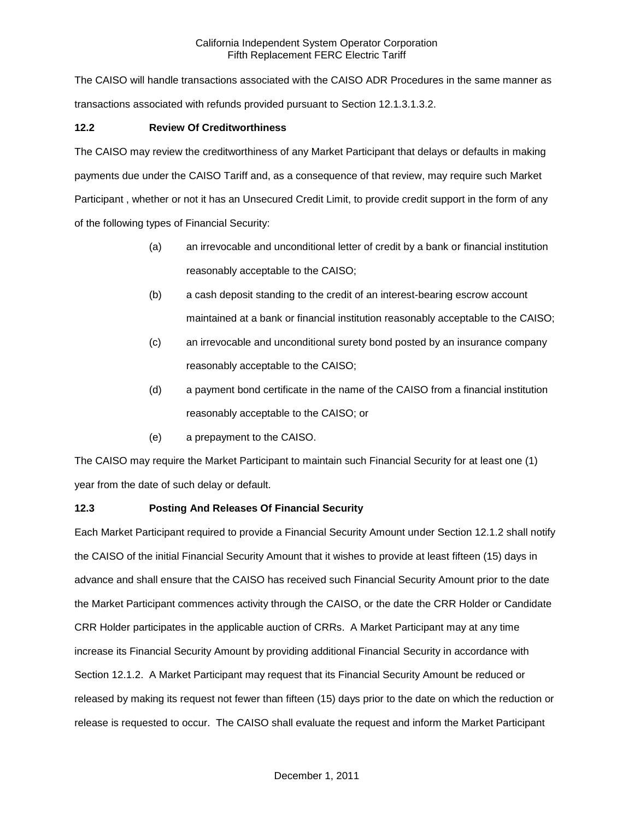The CAISO will handle transactions associated with the CAISO ADR Procedures in the same manner as transactions associated with refunds provided pursuant to Section 12.1.3.1.3.2.

# **12.2 Review Of Creditworthiness**

The CAISO may review the creditworthiness of any Market Participant that delays or defaults in making payments due under the CAISO Tariff and, as a consequence of that review, may require such Market Participant , whether or not it has an Unsecured Credit Limit, to provide credit support in the form of any of the following types of Financial Security:

- (a) an irrevocable and unconditional letter of credit by a bank or financial institution reasonably acceptable to the CAISO;
- (b) a cash deposit standing to the credit of an interest-bearing escrow account maintained at a bank or financial institution reasonably acceptable to the CAISO;
- (c) an irrevocable and unconditional surety bond posted by an insurance company reasonably acceptable to the CAISO;
- (d) a payment bond certificate in the name of the CAISO from a financial institution reasonably acceptable to the CAISO; or
- (e) a prepayment to the CAISO.

The CAISO may require the Market Participant to maintain such Financial Security for at least one (1) year from the date of such delay or default.

# **12.3 Posting And Releases Of Financial Security**

Each Market Participant required to provide a Financial Security Amount under Section 12.1.2 shall notify the CAISO of the initial Financial Security Amount that it wishes to provide at least fifteen (15) days in advance and shall ensure that the CAISO has received such Financial Security Amount prior to the date the Market Participant commences activity through the CAISO, or the date the CRR Holder or Candidate CRR Holder participates in the applicable auction of CRRs. A Market Participant may at any time increase its Financial Security Amount by providing additional Financial Security in accordance with Section 12.1.2. A Market Participant may request that its Financial Security Amount be reduced or released by making its request not fewer than fifteen (15) days prior to the date on which the reduction or release is requested to occur. The CAISO shall evaluate the request and inform the Market Participant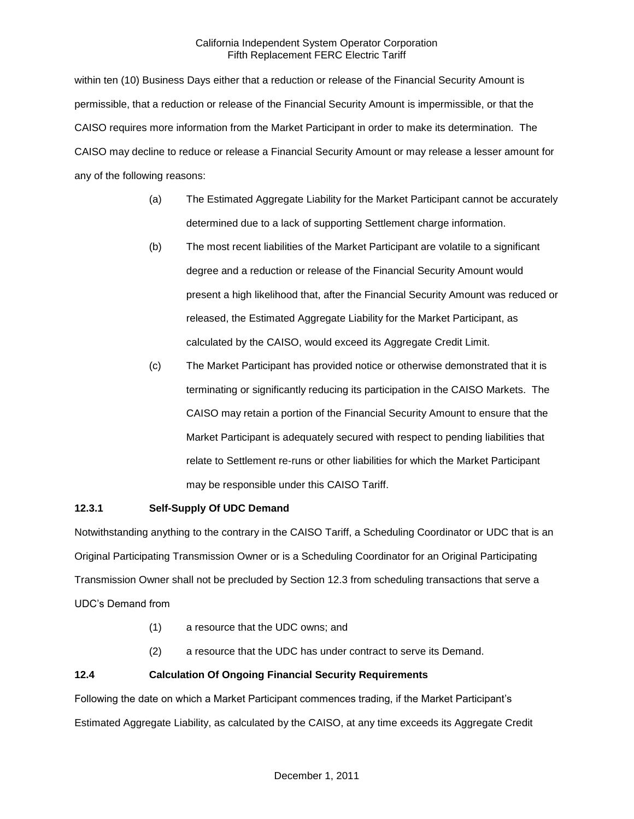within ten (10) Business Days either that a reduction or release of the Financial Security Amount is permissible, that a reduction or release of the Financial Security Amount is impermissible, or that the CAISO requires more information from the Market Participant in order to make its determination. The CAISO may decline to reduce or release a Financial Security Amount or may release a lesser amount for any of the following reasons:

- (a) The Estimated Aggregate Liability for the Market Participant cannot be accurately determined due to a lack of supporting Settlement charge information.
- (b) The most recent liabilities of the Market Participant are volatile to a significant degree and a reduction or release of the Financial Security Amount would present a high likelihood that, after the Financial Security Amount was reduced or released, the Estimated Aggregate Liability for the Market Participant, as calculated by the CAISO, would exceed its Aggregate Credit Limit.
- (c) The Market Participant has provided notice or otherwise demonstrated that it is terminating or significantly reducing its participation in the CAISO Markets. The CAISO may retain a portion of the Financial Security Amount to ensure that the Market Participant is adequately secured with respect to pending liabilities that relate to Settlement re-runs or other liabilities for which the Market Participant may be responsible under this CAISO Tariff.

# **12.3.1 Self-Supply Of UDC Demand**

Notwithstanding anything to the contrary in the CAISO Tariff, a Scheduling Coordinator or UDC that is an Original Participating Transmission Owner or is a Scheduling Coordinator for an Original Participating Transmission Owner shall not be precluded by Section 12.3 from scheduling transactions that serve a UDC's Demand from

- (1) a resource that the UDC owns; and
- (2) a resource that the UDC has under contract to serve its Demand.

# **12.4 Calculation Of Ongoing Financial Security Requirements**

Following the date on which a Market Participant commences trading, if the Market Participant's Estimated Aggregate Liability, as calculated by the CAISO, at any time exceeds its Aggregate Credit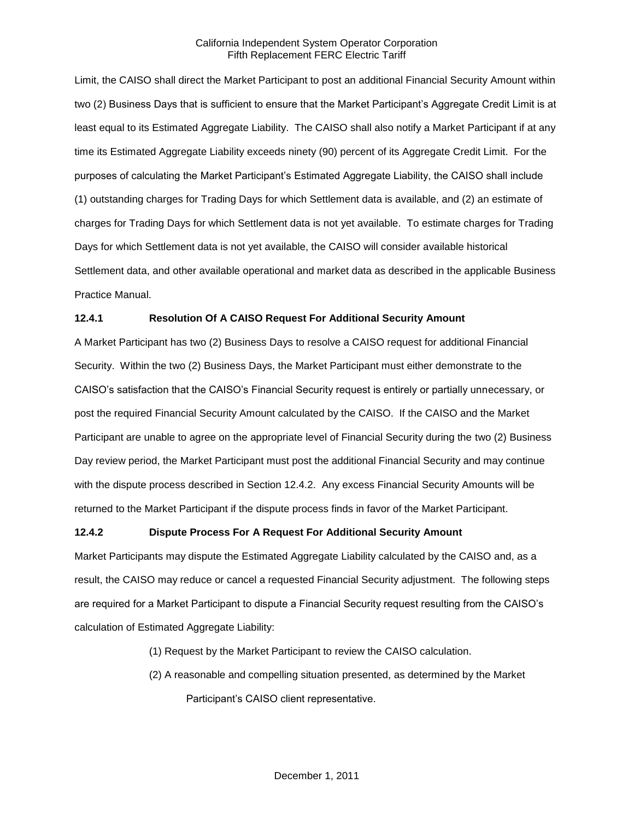Limit, the CAISO shall direct the Market Participant to post an additional Financial Security Amount within two (2) Business Days that is sufficient to ensure that the Market Participant's Aggregate Credit Limit is at least equal to its Estimated Aggregate Liability. The CAISO shall also notify a Market Participant if at any time its Estimated Aggregate Liability exceeds ninety (90) percent of its Aggregate Credit Limit. For the purposes of calculating the Market Participant's Estimated Aggregate Liability, the CAISO shall include (1) outstanding charges for Trading Days for which Settlement data is available, and (2) an estimate of charges for Trading Days for which Settlement data is not yet available. To estimate charges for Trading Days for which Settlement data is not yet available, the CAISO will consider available historical Settlement data, and other available operational and market data as described in the applicable Business Practice Manual.

## **12.4.1 Resolution Of A CAISO Request For Additional Security Amount**

A Market Participant has two (2) Business Days to resolve a CAISO request for additional Financial Security. Within the two (2) Business Days, the Market Participant must either demonstrate to the CAISO's satisfaction that the CAISO's Financial Security request is entirely or partially unnecessary, or post the required Financial Security Amount calculated by the CAISO. If the CAISO and the Market Participant are unable to agree on the appropriate level of Financial Security during the two (2) Business Day review period, the Market Participant must post the additional Financial Security and may continue with the dispute process described in Section 12.4.2. Any excess Financial Security Amounts will be returned to the Market Participant if the dispute process finds in favor of the Market Participant.

#### **12.4.2 Dispute Process For A Request For Additional Security Amount**

Market Participants may dispute the Estimated Aggregate Liability calculated by the CAISO and, as a result, the CAISO may reduce or cancel a requested Financial Security adjustment. The following steps are required for a Market Participant to dispute a Financial Security request resulting from the CAISO's calculation of Estimated Aggregate Liability:

- (1) Request by the Market Participant to review the CAISO calculation.
- (2) A reasonable and compelling situation presented, as determined by the Market Participant's CAISO client representative.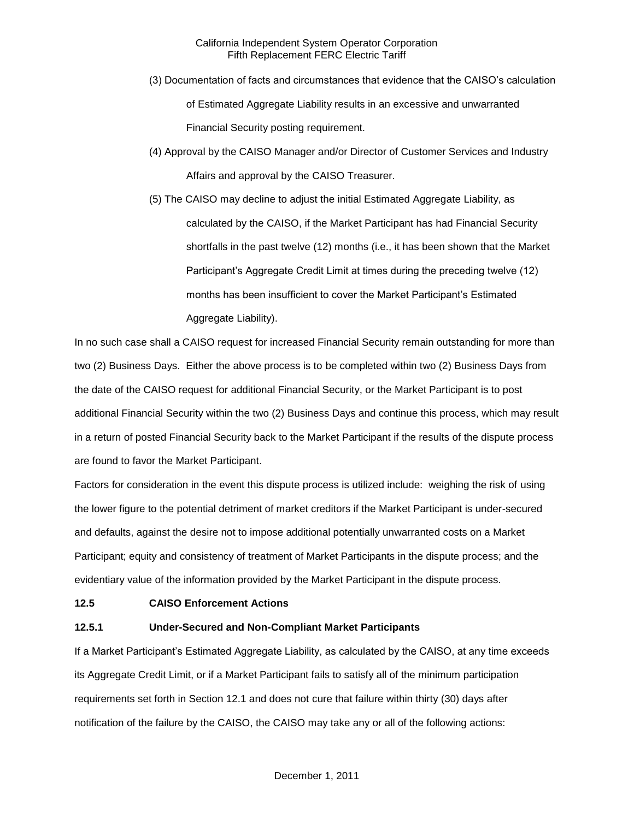- (3) Documentation of facts and circumstances that evidence that the CAISO's calculation of Estimated Aggregate Liability results in an excessive and unwarranted Financial Security posting requirement.
- (4) Approval by the CAISO Manager and/or Director of Customer Services and Industry Affairs and approval by the CAISO Treasurer.
- (5) The CAISO may decline to adjust the initial Estimated Aggregate Liability, as calculated by the CAISO, if the Market Participant has had Financial Security shortfalls in the past twelve (12) months (i.e., it has been shown that the Market Participant's Aggregate Credit Limit at times during the preceding twelve (12) months has been insufficient to cover the Market Participant's Estimated Aggregate Liability).

In no such case shall a CAISO request for increased Financial Security remain outstanding for more than two (2) Business Days. Either the above process is to be completed within two (2) Business Days from the date of the CAISO request for additional Financial Security, or the Market Participant is to post additional Financial Security within the two (2) Business Days and continue this process, which may result in a return of posted Financial Security back to the Market Participant if the results of the dispute process are found to favor the Market Participant.

Factors for consideration in the event this dispute process is utilized include: weighing the risk of using the lower figure to the potential detriment of market creditors if the Market Participant is under-secured and defaults, against the desire not to impose additional potentially unwarranted costs on a Market Participant; equity and consistency of treatment of Market Participants in the dispute process; and the evidentiary value of the information provided by the Market Participant in the dispute process.

#### **12.5 CAISO Enforcement Actions**

# **12.5.1 Under-Secured and Non-Compliant Market Participants**

If a Market Participant's Estimated Aggregate Liability, as calculated by the CAISO, at any time exceeds its Aggregate Credit Limit, or if a Market Participant fails to satisfy all of the minimum participation requirements set forth in Section 12.1 and does not cure that failure within thirty (30) days after notification of the failure by the CAISO, the CAISO may take any or all of the following actions: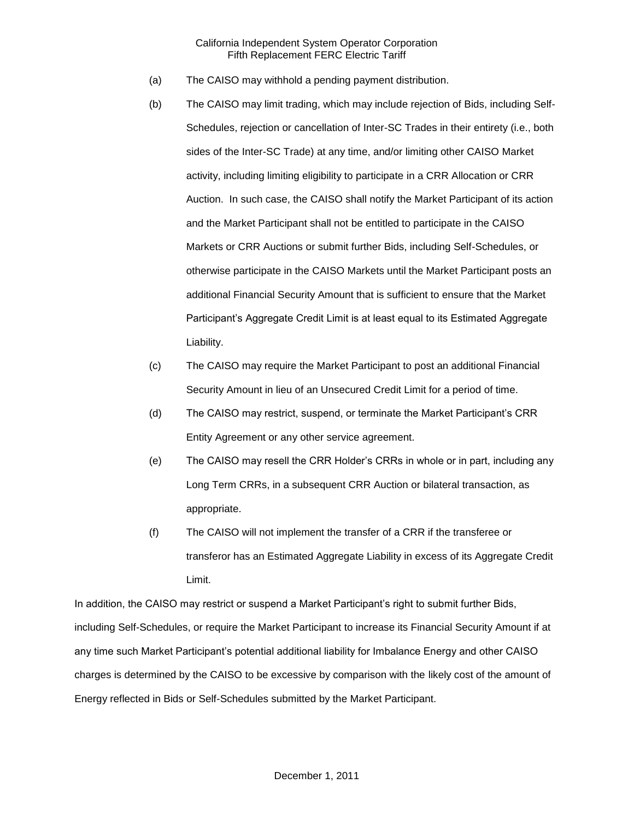- (a) The CAISO may withhold a pending payment distribution.
- (b) The CAISO may limit trading, which may include rejection of Bids, including Self-Schedules, rejection or cancellation of Inter-SC Trades in their entirety (i.e., both sides of the Inter-SC Trade) at any time, and/or limiting other CAISO Market activity, including limiting eligibility to participate in a CRR Allocation or CRR Auction. In such case, the CAISO shall notify the Market Participant of its action and the Market Participant shall not be entitled to participate in the CAISO Markets or CRR Auctions or submit further Bids, including Self-Schedules, or otherwise participate in the CAISO Markets until the Market Participant posts an additional Financial Security Amount that is sufficient to ensure that the Market Participant's Aggregate Credit Limit is at least equal to its Estimated Aggregate Liability.
- (c) The CAISO may require the Market Participant to post an additional Financial Security Amount in lieu of an Unsecured Credit Limit for a period of time.
- (d) The CAISO may restrict, suspend, or terminate the Market Participant's CRR Entity Agreement or any other service agreement.
- (e) The CAISO may resell the CRR Holder's CRRs in whole or in part, including any Long Term CRRs, in a subsequent CRR Auction or bilateral transaction, as appropriate.
- (f) The CAISO will not implement the transfer of a CRR if the transferee or transferor has an Estimated Aggregate Liability in excess of its Aggregate Credit Limit.

In addition, the CAISO may restrict or suspend a Market Participant's right to submit further Bids, including Self-Schedules, or require the Market Participant to increase its Financial Security Amount if at any time such Market Participant's potential additional liability for Imbalance Energy and other CAISO charges is determined by the CAISO to be excessive by comparison with the likely cost of the amount of Energy reflected in Bids or Self-Schedules submitted by the Market Participant.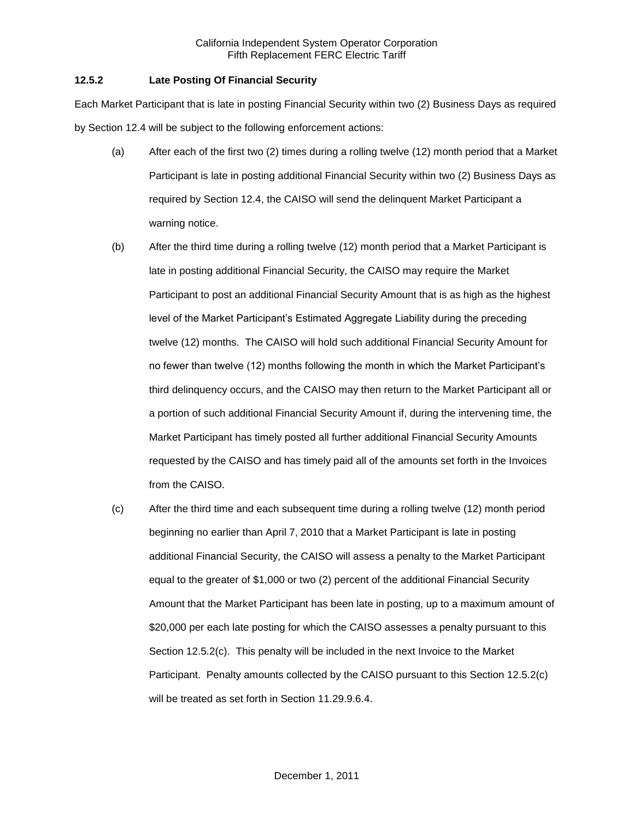## **12.5.2 Late Posting Of Financial Security**

Each Market Participant that is late in posting Financial Security within two (2) Business Days as required by Section 12.4 will be subject to the following enforcement actions:

- (a) After each of the first two (2) times during a rolling twelve (12) month period that a Market Participant is late in posting additional Financial Security within two (2) Business Days as required by Section 12.4, the CAISO will send the delinquent Market Participant a warning notice.
- (b) After the third time during a rolling twelve (12) month period that a Market Participant is late in posting additional Financial Security, the CAISO may require the Market Participant to post an additional Financial Security Amount that is as high as the highest level of the Market Participant's Estimated Aggregate Liability during the preceding twelve (12) months. The CAISO will hold such additional Financial Security Amount for no fewer than twelve (12) months following the month in which the Market Participant's third delinquency occurs, and the CAISO may then return to the Market Participant all or a portion of such additional Financial Security Amount if, during the intervening time, the Market Participant has timely posted all further additional Financial Security Amounts requested by the CAISO and has timely paid all of the amounts set forth in the Invoices from the CAISO.
- (c) After the third time and each subsequent time during a rolling twelve (12) month period beginning no earlier than April 7, 2010 that a Market Participant is late in posting additional Financial Security, the CAISO will assess a penalty to the Market Participant equal to the greater of \$1,000 or two (2) percent of the additional Financial Security Amount that the Market Participant has been late in posting, up to a maximum amount of \$20,000 per each late posting for which the CAISO assesses a penalty pursuant to this Section 12.5.2(c). This penalty will be included in the next Invoice to the Market Participant. Penalty amounts collected by the CAISO pursuant to this Section 12.5.2(c) will be treated as set forth in Section 11.29.9.6.4.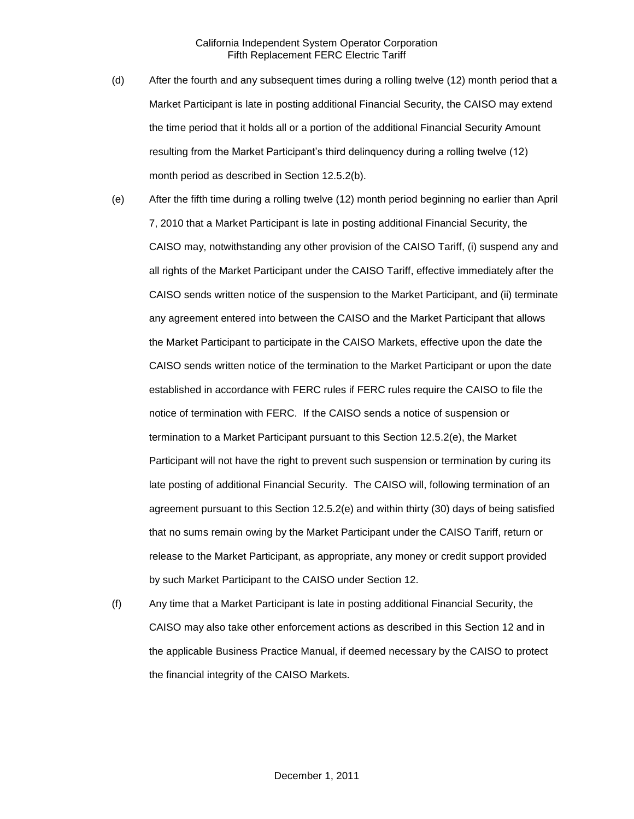- (d) After the fourth and any subsequent times during a rolling twelve (12) month period that a Market Participant is late in posting additional Financial Security, the CAISO may extend the time period that it holds all or a portion of the additional Financial Security Amount resulting from the Market Participant's third delinquency during a rolling twelve (12) month period as described in Section 12.5.2(b).
- (e) After the fifth time during a rolling twelve (12) month period beginning no earlier than April 7, 2010 that a Market Participant is late in posting additional Financial Security, the CAISO may, notwithstanding any other provision of the CAISO Tariff, (i) suspend any and all rights of the Market Participant under the CAISO Tariff, effective immediately after the CAISO sends written notice of the suspension to the Market Participant, and (ii) terminate any agreement entered into between the CAISO and the Market Participant that allows the Market Participant to participate in the CAISO Markets, effective upon the date the CAISO sends written notice of the termination to the Market Participant or upon the date established in accordance with FERC rules if FERC rules require the CAISO to file the notice of termination with FERC. If the CAISO sends a notice of suspension or termination to a Market Participant pursuant to this Section 12.5.2(e), the Market Participant will not have the right to prevent such suspension or termination by curing its late posting of additional Financial Security. The CAISO will, following termination of an agreement pursuant to this Section 12.5.2(e) and within thirty (30) days of being satisfied that no sums remain owing by the Market Participant under the CAISO Tariff, return or release to the Market Participant, as appropriate, any money or credit support provided by such Market Participant to the CAISO under Section 12.
- (f) Any time that a Market Participant is late in posting additional Financial Security, the CAISO may also take other enforcement actions as described in this Section 12 and in the applicable Business Practice Manual, if deemed necessary by the CAISO to protect the financial integrity of the CAISO Markets.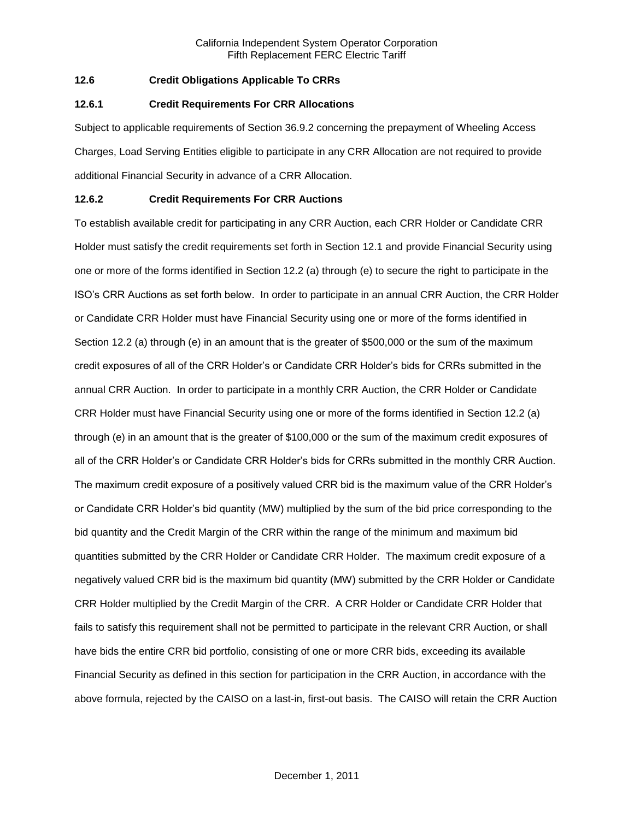## **12.6 Credit Obligations Applicable To CRRs**

#### **12.6.1 Credit Requirements For CRR Allocations**

Subject to applicable requirements of Section 36.9.2 concerning the prepayment of Wheeling Access Charges, Load Serving Entities eligible to participate in any CRR Allocation are not required to provide additional Financial Security in advance of a CRR Allocation.

## **12.6.2 Credit Requirements For CRR Auctions**

To establish available credit for participating in any CRR Auction, each CRR Holder or Candidate CRR Holder must satisfy the credit requirements set forth in Section 12.1 and provide Financial Security using one or more of the forms identified in Section 12.2 (a) through (e) to secure the right to participate in the ISO's CRR Auctions as set forth below. In order to participate in an annual CRR Auction, the CRR Holder or Candidate CRR Holder must have Financial Security using one or more of the forms identified in Section 12.2 (a) through (e) in an amount that is the greater of \$500,000 or the sum of the maximum credit exposures of all of the CRR Holder's or Candidate CRR Holder's bids for CRRs submitted in the annual CRR Auction. In order to participate in a monthly CRR Auction, the CRR Holder or Candidate CRR Holder must have Financial Security using one or more of the forms identified in Section 12.2 (a) through (e) in an amount that is the greater of \$100,000 or the sum of the maximum credit exposures of all of the CRR Holder's or Candidate CRR Holder's bids for CRRs submitted in the monthly CRR Auction. The maximum credit exposure of a positively valued CRR bid is the maximum value of the CRR Holder's or Candidate CRR Holder's bid quantity (MW) multiplied by the sum of the bid price corresponding to the bid quantity and the Credit Margin of the CRR within the range of the minimum and maximum bid quantities submitted by the CRR Holder or Candidate CRR Holder. The maximum credit exposure of a negatively valued CRR bid is the maximum bid quantity (MW) submitted by the CRR Holder or Candidate CRR Holder multiplied by the Credit Margin of the CRR. A CRR Holder or Candidate CRR Holder that fails to satisfy this requirement shall not be permitted to participate in the relevant CRR Auction, or shall have bids the entire CRR bid portfolio, consisting of one or more CRR bids, exceeding its available Financial Security as defined in this section for participation in the CRR Auction, in accordance with the above formula, rejected by the CAISO on a last-in, first-out basis. The CAISO will retain the CRR Auction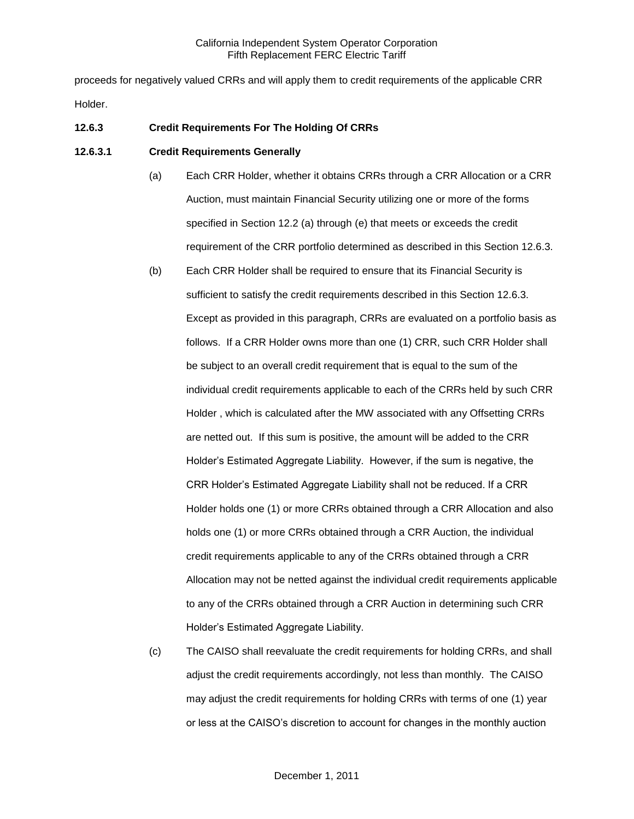proceeds for negatively valued CRRs and will apply them to credit requirements of the applicable CRR Holder.

## **12.6.3 Credit Requirements For The Holding Of CRRs**

#### **12.6.3.1 Credit Requirements Generally**

- (a) Each CRR Holder, whether it obtains CRRs through a CRR Allocation or a CRR Auction, must maintain Financial Security utilizing one or more of the forms specified in Section 12.2 (a) through (e) that meets or exceeds the credit requirement of the CRR portfolio determined as described in this Section 12.6.3.
- (b) Each CRR Holder shall be required to ensure that its Financial Security is sufficient to satisfy the credit requirements described in this Section 12.6.3. Except as provided in this paragraph, CRRs are evaluated on a portfolio basis as follows. If a CRR Holder owns more than one (1) CRR, such CRR Holder shall be subject to an overall credit requirement that is equal to the sum of the individual credit requirements applicable to each of the CRRs held by such CRR Holder , which is calculated after the MW associated with any Offsetting CRRs are netted out. If this sum is positive, the amount will be added to the CRR Holder's Estimated Aggregate Liability. However, if the sum is negative, the CRR Holder's Estimated Aggregate Liability shall not be reduced. If a CRR Holder holds one (1) or more CRRs obtained through a CRR Allocation and also holds one (1) or more CRRs obtained through a CRR Auction, the individual credit requirements applicable to any of the CRRs obtained through a CRR Allocation may not be netted against the individual credit requirements applicable to any of the CRRs obtained through a CRR Auction in determining such CRR Holder's Estimated Aggregate Liability.
- (c) The CAISO shall reevaluate the credit requirements for holding CRRs, and shall adjust the credit requirements accordingly, not less than monthly. The CAISO may adjust the credit requirements for holding CRRs with terms of one (1) year or less at the CAISO's discretion to account for changes in the monthly auction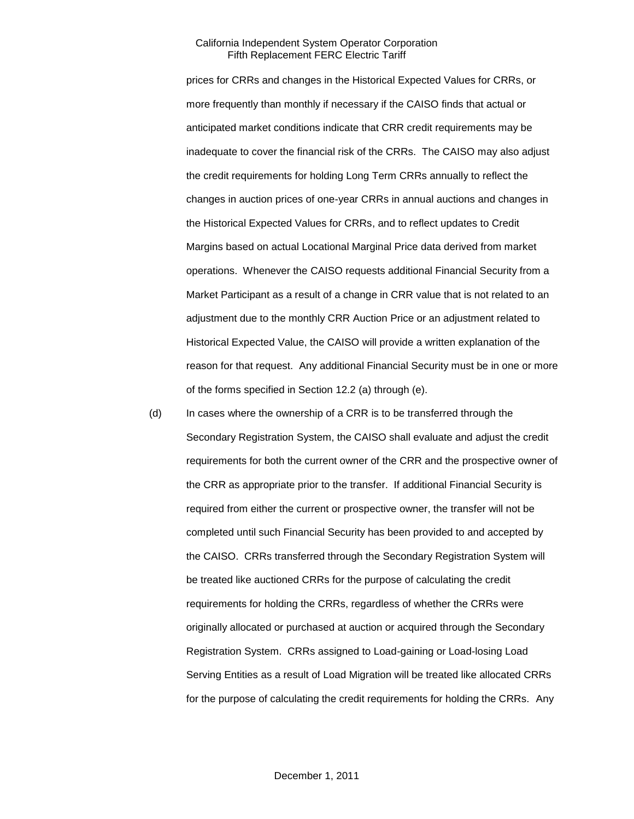prices for CRRs and changes in the Historical Expected Values for CRRs, or more frequently than monthly if necessary if the CAISO finds that actual or anticipated market conditions indicate that CRR credit requirements may be inadequate to cover the financial risk of the CRRs. The CAISO may also adjust the credit requirements for holding Long Term CRRs annually to reflect the changes in auction prices of one-year CRRs in annual auctions and changes in the Historical Expected Values for CRRs, and to reflect updates to Credit Margins based on actual Locational Marginal Price data derived from market operations. Whenever the CAISO requests additional Financial Security from a Market Participant as a result of a change in CRR value that is not related to an adjustment due to the monthly CRR Auction Price or an adjustment related to Historical Expected Value, the CAISO will provide a written explanation of the reason for that request. Any additional Financial Security must be in one or more of the forms specified in Section 12.2 (a) through (e).

(d) In cases where the ownership of a CRR is to be transferred through the Secondary Registration System, the CAISO shall evaluate and adjust the credit requirements for both the current owner of the CRR and the prospective owner of the CRR as appropriate prior to the transfer. If additional Financial Security is required from either the current or prospective owner, the transfer will not be completed until such Financial Security has been provided to and accepted by the CAISO. CRRs transferred through the Secondary Registration System will be treated like auctioned CRRs for the purpose of calculating the credit requirements for holding the CRRs, regardless of whether the CRRs were originally allocated or purchased at auction or acquired through the Secondary Registration System. CRRs assigned to Load-gaining or Load-losing Load Serving Entities as a result of Load Migration will be treated like allocated CRRs for the purpose of calculating the credit requirements for holding the CRRs. Any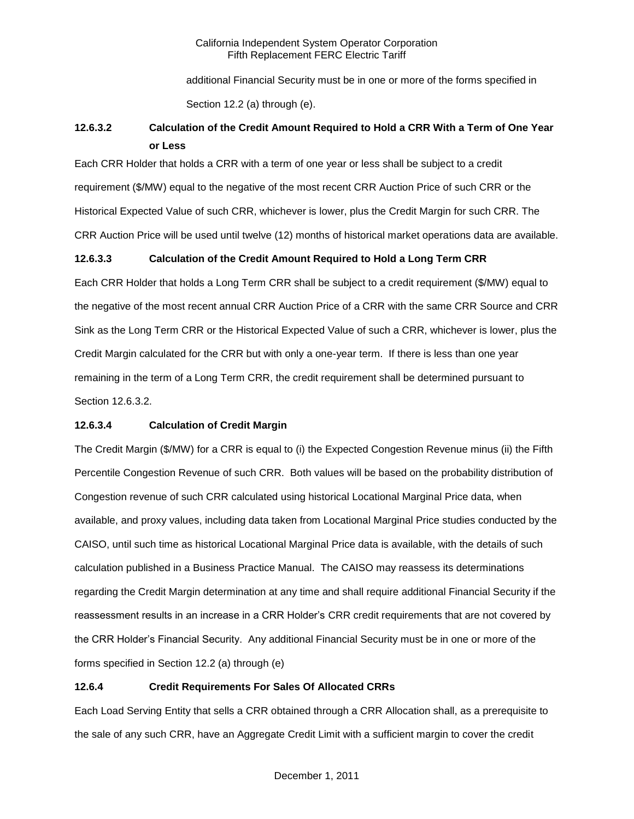additional Financial Security must be in one or more of the forms specified in Section 12.2 (a) through (e).

# **12.6.3.2 Calculation of the Credit Amount Required to Hold a CRR With a Term of One Year or Less**

Each CRR Holder that holds a CRR with a term of one year or less shall be subject to a credit requirement (\$/MW) equal to the negative of the most recent CRR Auction Price of such CRR or the Historical Expected Value of such CRR, whichever is lower, plus the Credit Margin for such CRR. The CRR Auction Price will be used until twelve (12) months of historical market operations data are available.

# **12.6.3.3 Calculation of the Credit Amount Required to Hold a Long Term CRR**

Each CRR Holder that holds a Long Term CRR shall be subject to a credit requirement (\$/MW) equal to the negative of the most recent annual CRR Auction Price of a CRR with the same CRR Source and CRR Sink as the Long Term CRR or the Historical Expected Value of such a CRR, whichever is lower, plus the Credit Margin calculated for the CRR but with only a one-year term. If there is less than one year remaining in the term of a Long Term CRR, the credit requirement shall be determined pursuant to Section 12.6.3.2.

# **12.6.3.4 Calculation of Credit Margin**

The Credit Margin (\$/MW) for a CRR is equal to (i) the Expected Congestion Revenue minus (ii) the Fifth Percentile Congestion Revenue of such CRR. Both values will be based on the probability distribution of Congestion revenue of such CRR calculated using historical Locational Marginal Price data, when available, and proxy values, including data taken from Locational Marginal Price studies conducted by the CAISO, until such time as historical Locational Marginal Price data is available, with the details of such calculation published in a Business Practice Manual. The CAISO may reassess its determinations regarding the Credit Margin determination at any time and shall require additional Financial Security if the reassessment results in an increase in a CRR Holder's CRR credit requirements that are not covered by the CRR Holder's Financial Security. Any additional Financial Security must be in one or more of the forms specified in Section 12.2 (a) through (e)

# **12.6.4 Credit Requirements For Sales Of Allocated CRRs**

Each Load Serving Entity that sells a CRR obtained through a CRR Allocation shall, as a prerequisite to the sale of any such CRR, have an Aggregate Credit Limit with a sufficient margin to cover the credit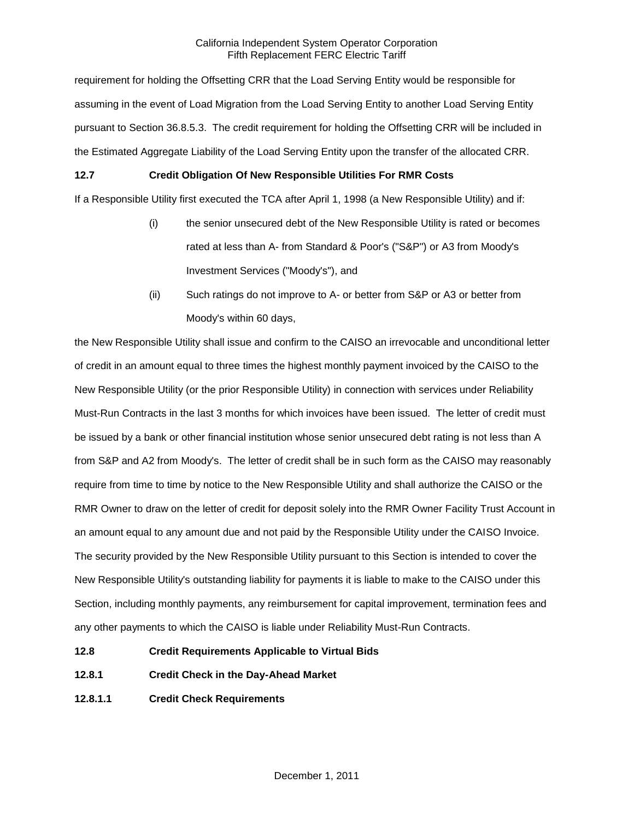requirement for holding the Offsetting CRR that the Load Serving Entity would be responsible for assuming in the event of Load Migration from the Load Serving Entity to another Load Serving Entity pursuant to Section 36.8.5.3. The credit requirement for holding the Offsetting CRR will be included in the Estimated Aggregate Liability of the Load Serving Entity upon the transfer of the allocated CRR.

# **12.7 Credit Obligation Of New Responsible Utilities For RMR Costs**

If a Responsible Utility first executed the TCA after April 1, 1998 (a New Responsible Utility) and if:

- (i) the senior unsecured debt of the New Responsible Utility is rated or becomes rated at less than A- from Standard & Poor's ("S&P") or A3 from Moody's Investment Services ("Moody's"), and
- (ii) Such ratings do not improve to A- or better from S&P or A3 or better from Moody's within 60 days,

the New Responsible Utility shall issue and confirm to the CAISO an irrevocable and unconditional letter of credit in an amount equal to three times the highest monthly payment invoiced by the CAISO to the New Responsible Utility (or the prior Responsible Utility) in connection with services under Reliability Must-Run Contracts in the last 3 months for which invoices have been issued. The letter of credit must be issued by a bank or other financial institution whose senior unsecured debt rating is not less than A from S&P and A2 from Moody's. The letter of credit shall be in such form as the CAISO may reasonably require from time to time by notice to the New Responsible Utility and shall authorize the CAISO or the RMR Owner to draw on the letter of credit for deposit solely into the RMR Owner Facility Trust Account in an amount equal to any amount due and not paid by the Responsible Utility under the CAISO Invoice. The security provided by the New Responsible Utility pursuant to this Section is intended to cover the New Responsible Utility's outstanding liability for payments it is liable to make to the CAISO under this Section, including monthly payments, any reimbursement for capital improvement, termination fees and any other payments to which the CAISO is liable under Reliability Must-Run Contracts.

- **12.8 Credit Requirements Applicable to Virtual Bids**
- **12.8.1 Credit Check in the Day-Ahead Market**
- **12.8.1.1 Credit Check Requirements**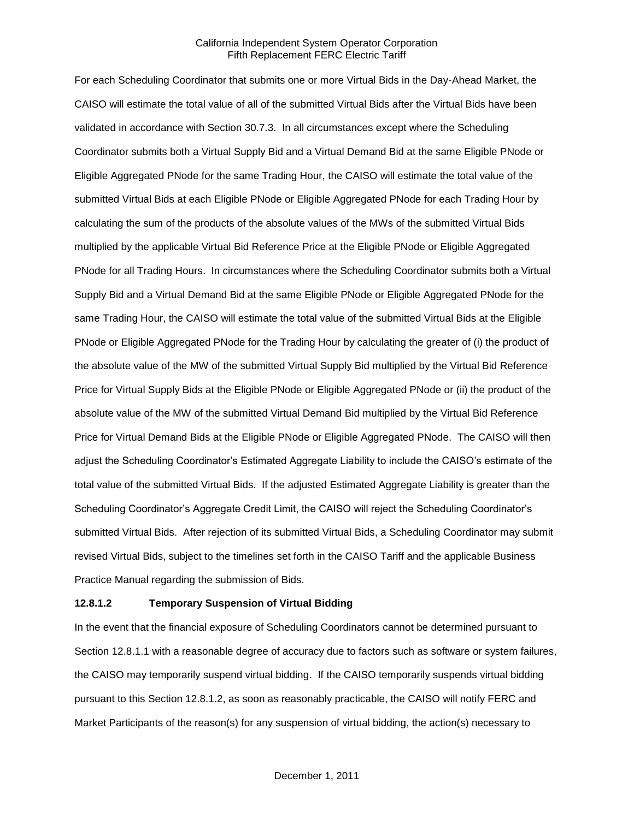For each Scheduling Coordinator that submits one or more Virtual Bids in the Day-Ahead Market, the CAISO will estimate the total value of all of the submitted Virtual Bids after the Virtual Bids have been validated in accordance with Section 30.7.3. In all circumstances except where the Scheduling Coordinator submits both a Virtual Supply Bid and a Virtual Demand Bid at the same Eligible PNode or Eligible Aggregated PNode for the same Trading Hour, the CAISO will estimate the total value of the submitted Virtual Bids at each Eligible PNode or Eligible Aggregated PNode for each Trading Hour by calculating the sum of the products of the absolute values of the MWs of the submitted Virtual Bids multiplied by the applicable Virtual Bid Reference Price at the Eligible PNode or Eligible Aggregated PNode for all Trading Hours. In circumstances where the Scheduling Coordinator submits both a Virtual Supply Bid and a Virtual Demand Bid at the same Eligible PNode or Eligible Aggregated PNode for the same Trading Hour, the CAISO will estimate the total value of the submitted Virtual Bids at the Eligible PNode or Eligible Aggregated PNode for the Trading Hour by calculating the greater of (i) the product of the absolute value of the MW of the submitted Virtual Supply Bid multiplied by the Virtual Bid Reference Price for Virtual Supply Bids at the Eligible PNode or Eligible Aggregated PNode or (ii) the product of the absolute value of the MW of the submitted Virtual Demand Bid multiplied by the Virtual Bid Reference Price for Virtual Demand Bids at the Eligible PNode or Eligible Aggregated PNode. The CAISO will then adjust the Scheduling Coordinator's Estimated Aggregate Liability to include the CAISO's estimate of the total value of the submitted Virtual Bids. If the adjusted Estimated Aggregate Liability is greater than the Scheduling Coordinator's Aggregate Credit Limit, the CAISO will reject the Scheduling Coordinator's submitted Virtual Bids. After rejection of its submitted Virtual Bids, a Scheduling Coordinator may submit revised Virtual Bids, subject to the timelines set forth in the CAISO Tariff and the applicable Business Practice Manual regarding the submission of Bids.

#### **12.8.1.2 Temporary Suspension of Virtual Bidding**

In the event that the financial exposure of Scheduling Coordinators cannot be determined pursuant to Section 12.8.1.1 with a reasonable degree of accuracy due to factors such as software or system failures, the CAISO may temporarily suspend virtual bidding. If the CAISO temporarily suspends virtual bidding pursuant to this Section 12.8.1.2, as soon as reasonably practicable, the CAISO will notify FERC and Market Participants of the reason(s) for any suspension of virtual bidding, the action(s) necessary to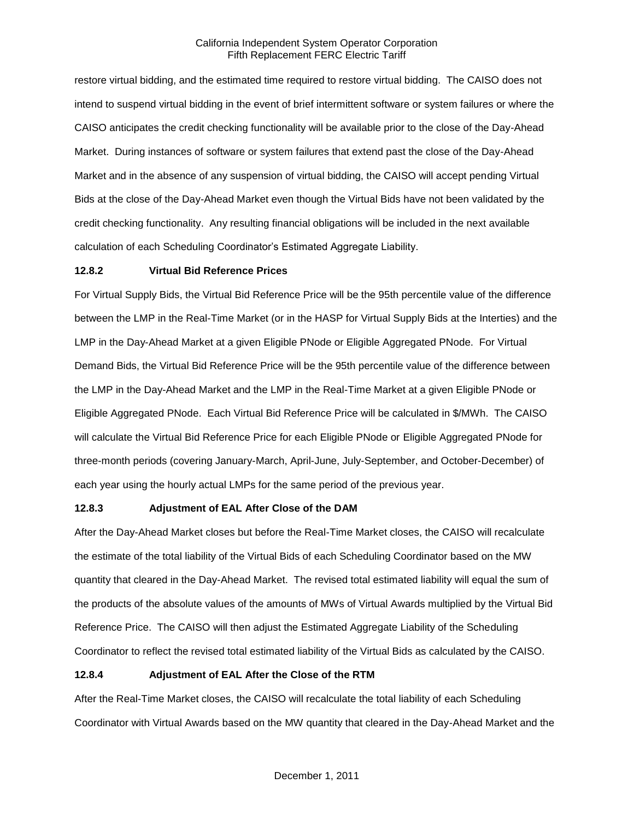restore virtual bidding, and the estimated time required to restore virtual bidding. The CAISO does not intend to suspend virtual bidding in the event of brief intermittent software or system failures or where the CAISO anticipates the credit checking functionality will be available prior to the close of the Day-Ahead Market. During instances of software or system failures that extend past the close of the Day-Ahead Market and in the absence of any suspension of virtual bidding, the CAISO will accept pending Virtual Bids at the close of the Day-Ahead Market even though the Virtual Bids have not been validated by the credit checking functionality. Any resulting financial obligations will be included in the next available calculation of each Scheduling Coordinator's Estimated Aggregate Liability.

## **12.8.2 Virtual Bid Reference Prices**

For Virtual Supply Bids, the Virtual Bid Reference Price will be the 95th percentile value of the difference between the LMP in the Real-Time Market (or in the HASP for Virtual Supply Bids at the Interties) and the LMP in the Day-Ahead Market at a given Eligible PNode or Eligible Aggregated PNode. For Virtual Demand Bids, the Virtual Bid Reference Price will be the 95th percentile value of the difference between the LMP in the Day-Ahead Market and the LMP in the Real-Time Market at a given Eligible PNode or Eligible Aggregated PNode. Each Virtual Bid Reference Price will be calculated in \$/MWh. The CAISO will calculate the Virtual Bid Reference Price for each Eligible PNode or Eligible Aggregated PNode for three-month periods (covering January-March, April-June, July-September, and October-December) of each year using the hourly actual LMPs for the same period of the previous year.

#### **12.8.3 Adjustment of EAL After Close of the DAM**

After the Day-Ahead Market closes but before the Real-Time Market closes, the CAISO will recalculate the estimate of the total liability of the Virtual Bids of each Scheduling Coordinator based on the MW quantity that cleared in the Day-Ahead Market. The revised total estimated liability will equal the sum of the products of the absolute values of the amounts of MWs of Virtual Awards multiplied by the Virtual Bid Reference Price. The CAISO will then adjust the Estimated Aggregate Liability of the Scheduling Coordinator to reflect the revised total estimated liability of the Virtual Bids as calculated by the CAISO.

#### **12.8.4 Adjustment of EAL After the Close of the RTM**

After the Real-Time Market closes, the CAISO will recalculate the total liability of each Scheduling Coordinator with Virtual Awards based on the MW quantity that cleared in the Day-Ahead Market and the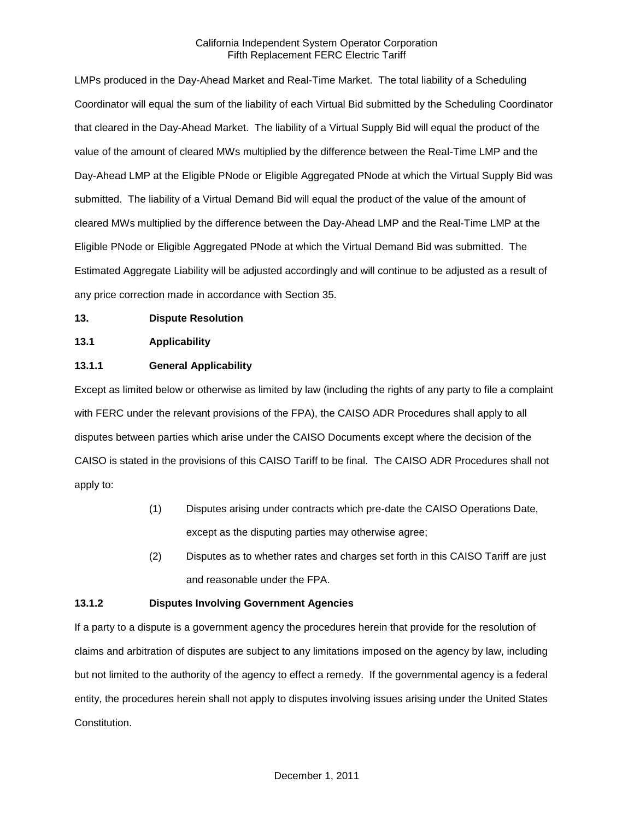LMPs produced in the Day-Ahead Market and Real-Time Market. The total liability of a Scheduling Coordinator will equal the sum of the liability of each Virtual Bid submitted by the Scheduling Coordinator that cleared in the Day-Ahead Market. The liability of a Virtual Supply Bid will equal the product of the value of the amount of cleared MWs multiplied by the difference between the Real-Time LMP and the Day-Ahead LMP at the Eligible PNode or Eligible Aggregated PNode at which the Virtual Supply Bid was submitted. The liability of a Virtual Demand Bid will equal the product of the value of the amount of cleared MWs multiplied by the difference between the Day-Ahead LMP and the Real-Time LMP at the Eligible PNode or Eligible Aggregated PNode at which the Virtual Demand Bid was submitted. The Estimated Aggregate Liability will be adjusted accordingly and will continue to be adjusted as a result of any price correction made in accordance with Section 35.

## **13. Dispute Resolution**

## **13.1 Applicability**

# **13.1.1 General Applicability**

Except as limited below or otherwise as limited by law (including the rights of any party to file a complaint with FERC under the relevant provisions of the FPA), the CAISO ADR Procedures shall apply to all disputes between parties which arise under the CAISO Documents except where the decision of the CAISO is stated in the provisions of this CAISO Tariff to be final. The CAISO ADR Procedures shall not apply to:

- (1) Disputes arising under contracts which pre-date the CAISO Operations Date, except as the disputing parties may otherwise agree;
- (2) Disputes as to whether rates and charges set forth in this CAISO Tariff are just and reasonable under the FPA.

# **13.1.2 Disputes Involving Government Agencies**

If a party to a dispute is a government agency the procedures herein that provide for the resolution of claims and arbitration of disputes are subject to any limitations imposed on the agency by law, including but not limited to the authority of the agency to effect a remedy. If the governmental agency is a federal entity, the procedures herein shall not apply to disputes involving issues arising under the United States Constitution.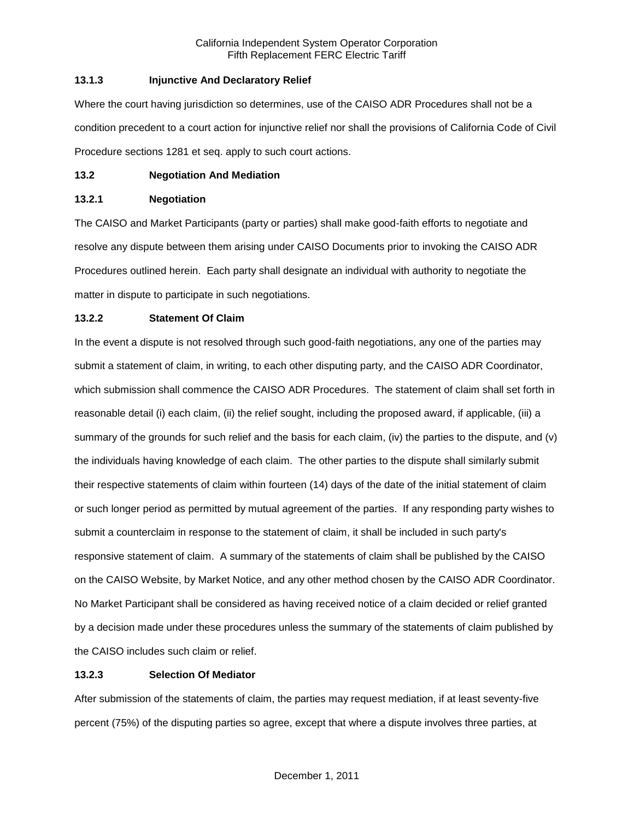# **13.1.3 Injunctive And Declaratory Relief**

Where the court having jurisdiction so determines, use of the CAISO ADR Procedures shall not be a condition precedent to a court action for injunctive relief nor shall the provisions of California Code of Civil Procedure sections 1281 et seq. apply to such court actions.

## **13.2 Negotiation And Mediation**

## **13.2.1 Negotiation**

The CAISO and Market Participants (party or parties) shall make good-faith efforts to negotiate and resolve any dispute between them arising under CAISO Documents prior to invoking the CAISO ADR Procedures outlined herein. Each party shall designate an individual with authority to negotiate the matter in dispute to participate in such negotiations.

# **13.2.2 Statement Of Claim**

In the event a dispute is not resolved through such good-faith negotiations, any one of the parties may submit a statement of claim, in writing, to each other disputing party, and the CAISO ADR Coordinator, which submission shall commence the CAISO ADR Procedures. The statement of claim shall set forth in reasonable detail (i) each claim, (ii) the relief sought, including the proposed award, if applicable, (iii) a summary of the grounds for such relief and the basis for each claim, (iv) the parties to the dispute, and (v) the individuals having knowledge of each claim. The other parties to the dispute shall similarly submit their respective statements of claim within fourteen (14) days of the date of the initial statement of claim or such longer period as permitted by mutual agreement of the parties. If any responding party wishes to submit a counterclaim in response to the statement of claim, it shall be included in such party's responsive statement of claim. A summary of the statements of claim shall be published by the CAISO on the CAISO Website, by Market Notice, and any other method chosen by the CAISO ADR Coordinator. No Market Participant shall be considered as having received notice of a claim decided or relief granted by a decision made under these procedures unless the summary of the statements of claim published by the CAISO includes such claim or relief.

# **13.2.3 Selection Of Mediator**

After submission of the statements of claim, the parties may request mediation, if at least seventy-five percent (75%) of the disputing parties so agree, except that where a dispute involves three parties, at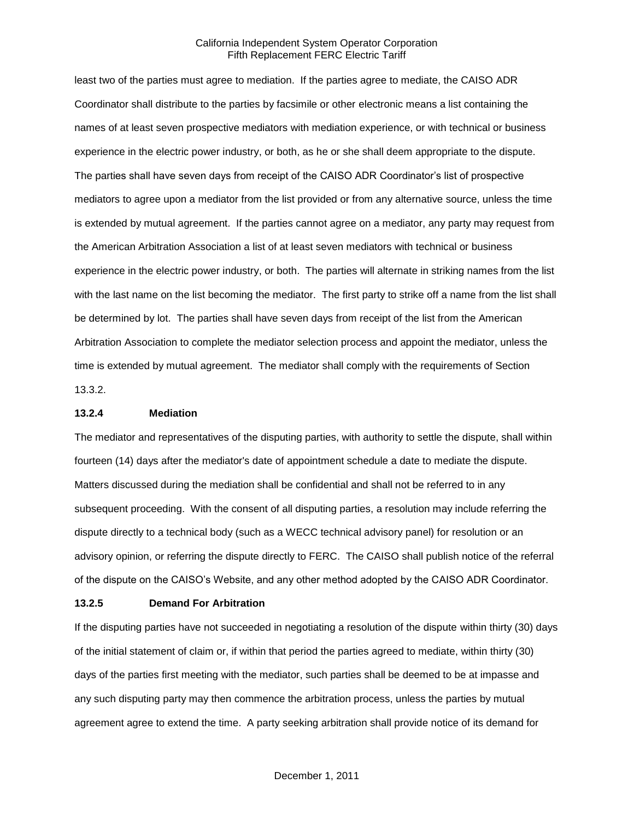least two of the parties must agree to mediation. If the parties agree to mediate, the CAISO ADR Coordinator shall distribute to the parties by facsimile or other electronic means a list containing the names of at least seven prospective mediators with mediation experience, or with technical or business experience in the electric power industry, or both, as he or she shall deem appropriate to the dispute. The parties shall have seven days from receipt of the CAISO ADR Coordinator's list of prospective mediators to agree upon a mediator from the list provided or from any alternative source, unless the time is extended by mutual agreement. If the parties cannot agree on a mediator, any party may request from the American Arbitration Association a list of at least seven mediators with technical or business experience in the electric power industry, or both. The parties will alternate in striking names from the list with the last name on the list becoming the mediator. The first party to strike off a name from the list shall be determined by lot. The parties shall have seven days from receipt of the list from the American Arbitration Association to complete the mediator selection process and appoint the mediator, unless the time is extended by mutual agreement. The mediator shall comply with the requirements of Section 13.3.2.

#### **13.2.4 Mediation**

The mediator and representatives of the disputing parties, with authority to settle the dispute, shall within fourteen (14) days after the mediator's date of appointment schedule a date to mediate the dispute. Matters discussed during the mediation shall be confidential and shall not be referred to in any subsequent proceeding. With the consent of all disputing parties, a resolution may include referring the dispute directly to a technical body (such as a WECC technical advisory panel) for resolution or an advisory opinion, or referring the dispute directly to FERC. The CAISO shall publish notice of the referral of the dispute on the CAISO's Website, and any other method adopted by the CAISO ADR Coordinator.

#### **13.2.5 Demand For Arbitration**

If the disputing parties have not succeeded in negotiating a resolution of the dispute within thirty (30) days of the initial statement of claim or, if within that period the parties agreed to mediate, within thirty (30) days of the parties first meeting with the mediator, such parties shall be deemed to be at impasse and any such disputing party may then commence the arbitration process, unless the parties by mutual agreement agree to extend the time. A party seeking arbitration shall provide notice of its demand for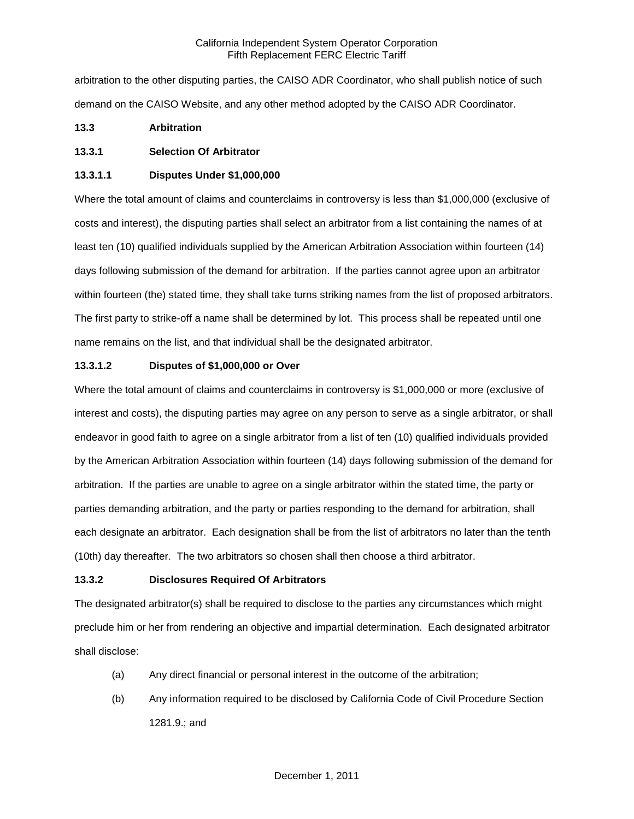arbitration to the other disputing parties, the CAISO ADR Coordinator, who shall publish notice of such demand on the CAISO Website, and any other method adopted by the CAISO ADR Coordinator.

# **13.3 Arbitration**

# **13.3.1 Selection Of Arbitrator**

## **13.3.1.1 Disputes Under \$1,000,000**

Where the total amount of claims and counterclaims in controversy is less than \$1,000,000 (exclusive of costs and interest), the disputing parties shall select an arbitrator from a list containing the names of at least ten (10) qualified individuals supplied by the American Arbitration Association within fourteen (14) days following submission of the demand for arbitration. If the parties cannot agree upon an arbitrator within fourteen (the) stated time, they shall take turns striking names from the list of proposed arbitrators. The first party to strike-off a name shall be determined by lot. This process shall be repeated until one name remains on the list, and that individual shall be the designated arbitrator.

# **13.3.1.2 Disputes of \$1,000,000 or Over**

Where the total amount of claims and counterclaims in controversy is \$1,000,000 or more (exclusive of interest and costs), the disputing parties may agree on any person to serve as a single arbitrator, or shall endeavor in good faith to agree on a single arbitrator from a list of ten (10) qualified individuals provided by the American Arbitration Association within fourteen (14) days following submission of the demand for arbitration. If the parties are unable to agree on a single arbitrator within the stated time, the party or parties demanding arbitration, and the party or parties responding to the demand for arbitration, shall each designate an arbitrator. Each designation shall be from the list of arbitrators no later than the tenth (10th) day thereafter. The two arbitrators so chosen shall then choose a third arbitrator.

# **13.3.2 Disclosures Required Of Arbitrators**

The designated arbitrator(s) shall be required to disclose to the parties any circumstances which might preclude him or her from rendering an objective and impartial determination. Each designated arbitrator shall disclose:

- (a) Any direct financial or personal interest in the outcome of the arbitration;
- (b) Any information required to be disclosed by California Code of Civil Procedure Section 1281.9.; and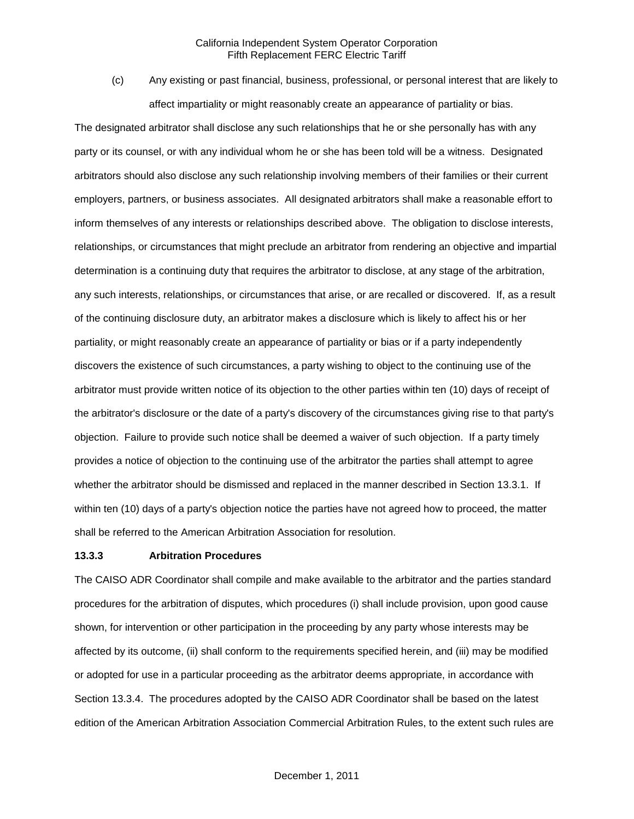(c) Any existing or past financial, business, professional, or personal interest that are likely to affect impartiality or might reasonably create an appearance of partiality or bias.

The designated arbitrator shall disclose any such relationships that he or she personally has with any party or its counsel, or with any individual whom he or she has been told will be a witness. Designated arbitrators should also disclose any such relationship involving members of their families or their current employers, partners, or business associates. All designated arbitrators shall make a reasonable effort to inform themselves of any interests or relationships described above. The obligation to disclose interests, relationships, or circumstances that might preclude an arbitrator from rendering an objective and impartial determination is a continuing duty that requires the arbitrator to disclose, at any stage of the arbitration, any such interests, relationships, or circumstances that arise, or are recalled or discovered. If, as a result of the continuing disclosure duty, an arbitrator makes a disclosure which is likely to affect his or her partiality, or might reasonably create an appearance of partiality or bias or if a party independently discovers the existence of such circumstances, a party wishing to object to the continuing use of the arbitrator must provide written notice of its objection to the other parties within ten (10) days of receipt of the arbitrator's disclosure or the date of a party's discovery of the circumstances giving rise to that party's objection. Failure to provide such notice shall be deemed a waiver of such objection. If a party timely provides a notice of objection to the continuing use of the arbitrator the parties shall attempt to agree whether the arbitrator should be dismissed and replaced in the manner described in Section 13.3.1. If within ten (10) days of a party's objection notice the parties have not agreed how to proceed, the matter shall be referred to the American Arbitration Association for resolution.

#### **13.3.3 Arbitration Procedures**

The CAISO ADR Coordinator shall compile and make available to the arbitrator and the parties standard procedures for the arbitration of disputes, which procedures (i) shall include provision, upon good cause shown, for intervention or other participation in the proceeding by any party whose interests may be affected by its outcome, (ii) shall conform to the requirements specified herein, and (iii) may be modified or adopted for use in a particular proceeding as the arbitrator deems appropriate, in accordance with Section 13.3.4. The procedures adopted by the CAISO ADR Coordinator shall be based on the latest edition of the American Arbitration Association Commercial Arbitration Rules, to the extent such rules are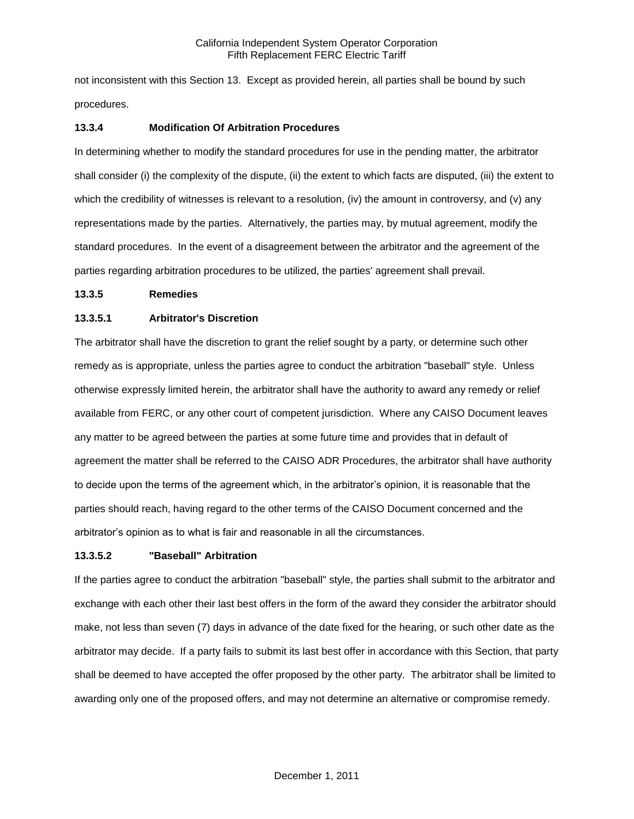not inconsistent with this Section 13. Except as provided herein, all parties shall be bound by such procedures.

## **13.3.4 Modification Of Arbitration Procedures**

In determining whether to modify the standard procedures for use in the pending matter, the arbitrator shall consider (i) the complexity of the dispute, (ii) the extent to which facts are disputed, (iii) the extent to which the credibility of witnesses is relevant to a resolution, (iv) the amount in controversy, and (v) any representations made by the parties. Alternatively, the parties may, by mutual agreement, modify the standard procedures. In the event of a disagreement between the arbitrator and the agreement of the parties regarding arbitration procedures to be utilized, the parties' agreement shall prevail.

### **13.3.5 Remedies**

## **13.3.5.1 Arbitrator's Discretion**

The arbitrator shall have the discretion to grant the relief sought by a party, or determine such other remedy as is appropriate, unless the parties agree to conduct the arbitration "baseball" style. Unless otherwise expressly limited herein, the arbitrator shall have the authority to award any remedy or relief available from FERC, or any other court of competent jurisdiction. Where any CAISO Document leaves any matter to be agreed between the parties at some future time and provides that in default of agreement the matter shall be referred to the CAISO ADR Procedures, the arbitrator shall have authority to decide upon the terms of the agreement which, in the arbitrator's opinion, it is reasonable that the parties should reach, having regard to the other terms of the CAISO Document concerned and the arbitrator's opinion as to what is fair and reasonable in all the circumstances.

### **13.3.5.2 "Baseball" Arbitration**

If the parties agree to conduct the arbitration "baseball" style, the parties shall submit to the arbitrator and exchange with each other their last best offers in the form of the award they consider the arbitrator should make, not less than seven (7) days in advance of the date fixed for the hearing, or such other date as the arbitrator may decide. If a party fails to submit its last best offer in accordance with this Section, that party shall be deemed to have accepted the offer proposed by the other party. The arbitrator shall be limited to awarding only one of the proposed offers, and may not determine an alternative or compromise remedy.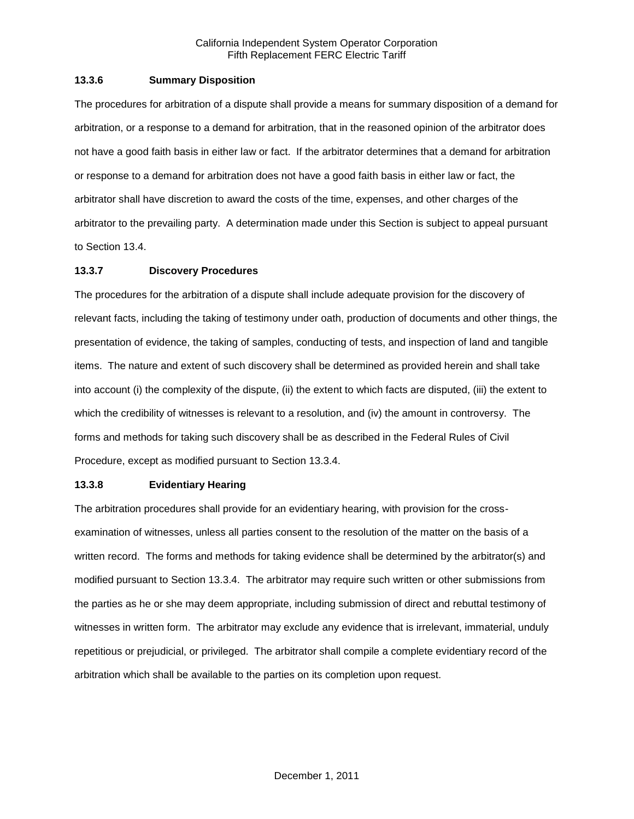### **13.3.6 Summary Disposition**

The procedures for arbitration of a dispute shall provide a means for summary disposition of a demand for arbitration, or a response to a demand for arbitration, that in the reasoned opinion of the arbitrator does not have a good faith basis in either law or fact. If the arbitrator determines that a demand for arbitration or response to a demand for arbitration does not have a good faith basis in either law or fact, the arbitrator shall have discretion to award the costs of the time, expenses, and other charges of the arbitrator to the prevailing party. A determination made under this Section is subject to appeal pursuant to Section 13.4.

## **13.3.7 Discovery Procedures**

The procedures for the arbitration of a dispute shall include adequate provision for the discovery of relevant facts, including the taking of testimony under oath, production of documents and other things, the presentation of evidence, the taking of samples, conducting of tests, and inspection of land and tangible items. The nature and extent of such discovery shall be determined as provided herein and shall take into account (i) the complexity of the dispute, (ii) the extent to which facts are disputed, (iii) the extent to which the credibility of witnesses is relevant to a resolution, and (iv) the amount in controversy. The forms and methods for taking such discovery shall be as described in the Federal Rules of Civil Procedure, except as modified pursuant to Section 13.3.4.

### **13.3.8 Evidentiary Hearing**

The arbitration procedures shall provide for an evidentiary hearing, with provision for the crossexamination of witnesses, unless all parties consent to the resolution of the matter on the basis of a written record. The forms and methods for taking evidence shall be determined by the arbitrator(s) and modified pursuant to Section 13.3.4. The arbitrator may require such written or other submissions from the parties as he or she may deem appropriate, including submission of direct and rebuttal testimony of witnesses in written form. The arbitrator may exclude any evidence that is irrelevant, immaterial, unduly repetitious or prejudicial, or privileged. The arbitrator shall compile a complete evidentiary record of the arbitration which shall be available to the parties on its completion upon request.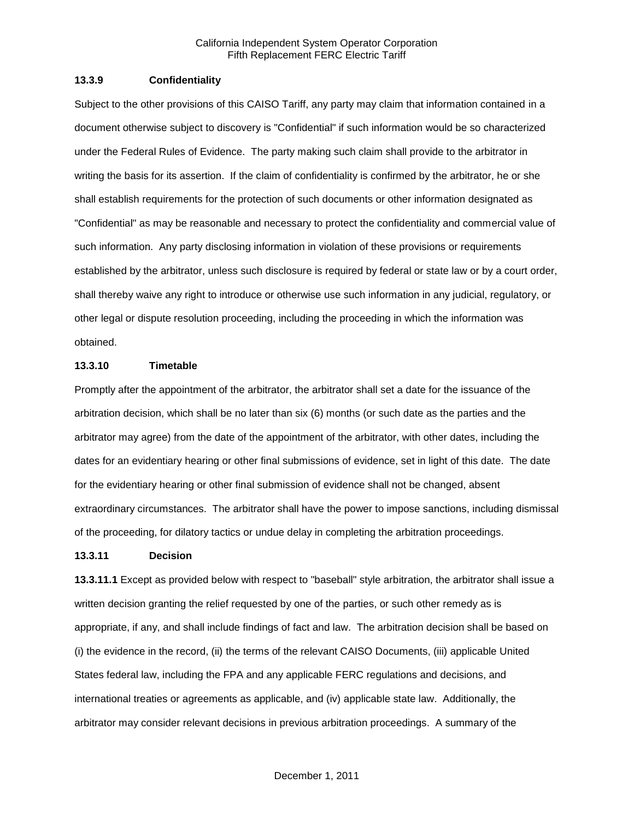### **13.3.9 Confidentiality**

Subject to the other provisions of this CAISO Tariff, any party may claim that information contained in a document otherwise subject to discovery is "Confidential" if such information would be so characterized under the Federal Rules of Evidence. The party making such claim shall provide to the arbitrator in writing the basis for its assertion. If the claim of confidentiality is confirmed by the arbitrator, he or she shall establish requirements for the protection of such documents or other information designated as "Confidential" as may be reasonable and necessary to protect the confidentiality and commercial value of such information. Any party disclosing information in violation of these provisions or requirements established by the arbitrator, unless such disclosure is required by federal or state law or by a court order, shall thereby waive any right to introduce or otherwise use such information in any judicial, regulatory, or other legal or dispute resolution proceeding, including the proceeding in which the information was obtained.

### **13.3.10 Timetable**

Promptly after the appointment of the arbitrator, the arbitrator shall set a date for the issuance of the arbitration decision, which shall be no later than six (6) months (or such date as the parties and the arbitrator may agree) from the date of the appointment of the arbitrator, with other dates, including the dates for an evidentiary hearing or other final submissions of evidence, set in light of this date. The date for the evidentiary hearing or other final submission of evidence shall not be changed, absent extraordinary circumstances. The arbitrator shall have the power to impose sanctions, including dismissal of the proceeding, for dilatory tactics or undue delay in completing the arbitration proceedings.

#### **13.3.11 Decision**

**13.3.11.1** Except as provided below with respect to "baseball" style arbitration, the arbitrator shall issue a written decision granting the relief requested by one of the parties, or such other remedy as is appropriate, if any, and shall include findings of fact and law. The arbitration decision shall be based on (i) the evidence in the record, (ii) the terms of the relevant CAISO Documents, (iii) applicable United States federal law, including the FPA and any applicable FERC regulations and decisions, and international treaties or agreements as applicable, and (iv) applicable state law. Additionally, the arbitrator may consider relevant decisions in previous arbitration proceedings. A summary of the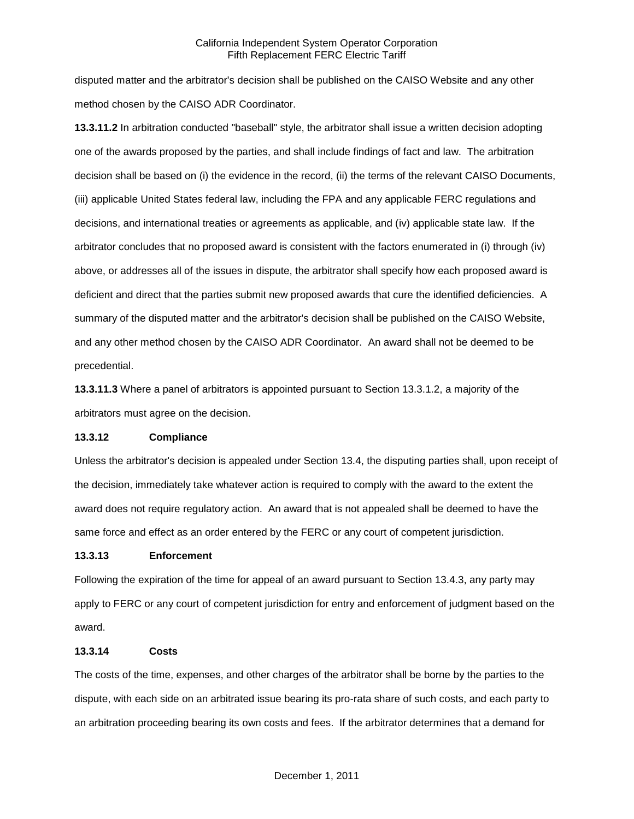disputed matter and the arbitrator's decision shall be published on the CAISO Website and any other method chosen by the CAISO ADR Coordinator.

**13.3.11.2** In arbitration conducted "baseball" style, the arbitrator shall issue a written decision adopting one of the awards proposed by the parties, and shall include findings of fact and law. The arbitration decision shall be based on (i) the evidence in the record, (ii) the terms of the relevant CAISO Documents, (iii) applicable United States federal law, including the FPA and any applicable FERC regulations and decisions, and international treaties or agreements as applicable, and (iv) applicable state law. If the arbitrator concludes that no proposed award is consistent with the factors enumerated in (i) through (iv) above, or addresses all of the issues in dispute, the arbitrator shall specify how each proposed award is deficient and direct that the parties submit new proposed awards that cure the identified deficiencies. A summary of the disputed matter and the arbitrator's decision shall be published on the CAISO Website, and any other method chosen by the CAISO ADR Coordinator. An award shall not be deemed to be precedential.

**13.3.11.3** Where a panel of arbitrators is appointed pursuant to Section 13.3.1.2, a majority of the arbitrators must agree on the decision.

### **13.3.12 Compliance**

Unless the arbitrator's decision is appealed under Section 13.4, the disputing parties shall, upon receipt of the decision, immediately take whatever action is required to comply with the award to the extent the award does not require regulatory action. An award that is not appealed shall be deemed to have the same force and effect as an order entered by the FERC or any court of competent jurisdiction.

### **13.3.13 Enforcement**

Following the expiration of the time for appeal of an award pursuant to Section 13.4.3, any party may apply to FERC or any court of competent jurisdiction for entry and enforcement of judgment based on the award.

### **13.3.14 Costs**

The costs of the time, expenses, and other charges of the arbitrator shall be borne by the parties to the dispute, with each side on an arbitrated issue bearing its pro-rata share of such costs, and each party to an arbitration proceeding bearing its own costs and fees. If the arbitrator determines that a demand for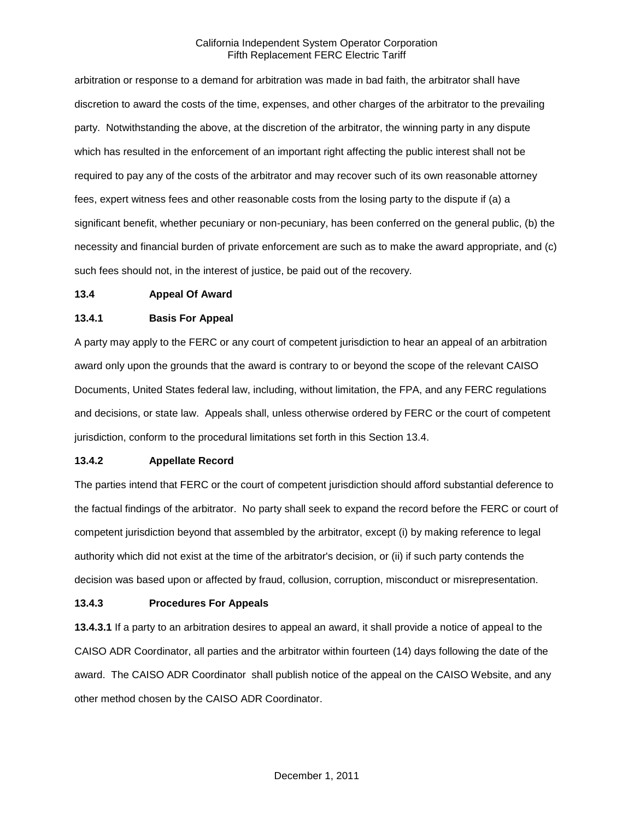arbitration or response to a demand for arbitration was made in bad faith, the arbitrator shall have discretion to award the costs of the time, expenses, and other charges of the arbitrator to the prevailing party. Notwithstanding the above, at the discretion of the arbitrator, the winning party in any dispute which has resulted in the enforcement of an important right affecting the public interest shall not be required to pay any of the costs of the arbitrator and may recover such of its own reasonable attorney fees, expert witness fees and other reasonable costs from the losing party to the dispute if (a) a significant benefit, whether pecuniary or non-pecuniary, has been conferred on the general public, (b) the necessity and financial burden of private enforcement are such as to make the award appropriate, and (c) such fees should not, in the interest of justice, be paid out of the recovery.

#### **13.4 Appeal Of Award**

### **13.4.1 Basis For Appeal**

A party may apply to the FERC or any court of competent jurisdiction to hear an appeal of an arbitration award only upon the grounds that the award is contrary to or beyond the scope of the relevant CAISO Documents, United States federal law, including, without limitation, the FPA, and any FERC regulations and decisions, or state law. Appeals shall, unless otherwise ordered by FERC or the court of competent jurisdiction, conform to the procedural limitations set forth in this Section 13.4.

### **13.4.2 Appellate Record**

The parties intend that FERC or the court of competent jurisdiction should afford substantial deference to the factual findings of the arbitrator. No party shall seek to expand the record before the FERC or court of competent jurisdiction beyond that assembled by the arbitrator, except (i) by making reference to legal authority which did not exist at the time of the arbitrator's decision, or (ii) if such party contends the decision was based upon or affected by fraud, collusion, corruption, misconduct or misrepresentation.

### **13.4.3 Procedures For Appeals**

**13.4.3.1** If a party to an arbitration desires to appeal an award, it shall provide a notice of appeal to the CAISO ADR Coordinator, all parties and the arbitrator within fourteen (14) days following the date of the award. The CAISO ADR Coordinator shall publish notice of the appeal on the CAISO Website, and any other method chosen by the CAISO ADR Coordinator.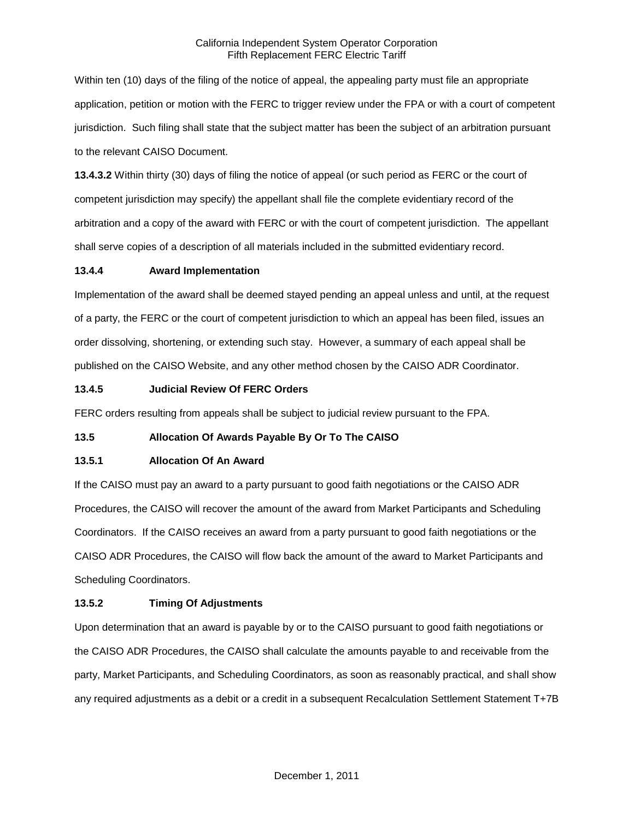Within ten (10) days of the filing of the notice of appeal, the appealing party must file an appropriate application, petition or motion with the FERC to trigger review under the FPA or with a court of competent jurisdiction. Such filing shall state that the subject matter has been the subject of an arbitration pursuant to the relevant CAISO Document.

**13.4.3.2** Within thirty (30) days of filing the notice of appeal (or such period as FERC or the court of competent jurisdiction may specify) the appellant shall file the complete evidentiary record of the arbitration and a copy of the award with FERC or with the court of competent jurisdiction. The appellant shall serve copies of a description of all materials included in the submitted evidentiary record.

# **13.4.4 Award Implementation**

Implementation of the award shall be deemed stayed pending an appeal unless and until, at the request of a party, the FERC or the court of competent jurisdiction to which an appeal has been filed, issues an order dissolving, shortening, or extending such stay. However, a summary of each appeal shall be published on the CAISO Website, and any other method chosen by the CAISO ADR Coordinator.

## **13.4.5 Judicial Review Of FERC Orders**

FERC orders resulting from appeals shall be subject to judicial review pursuant to the FPA.

# **13.5 Allocation Of Awards Payable By Or To The CAISO**

### **13.5.1 Allocation Of An Award**

If the CAISO must pay an award to a party pursuant to good faith negotiations or the CAISO ADR Procedures, the CAISO will recover the amount of the award from Market Participants and Scheduling Coordinators. If the CAISO receives an award from a party pursuant to good faith negotiations or the CAISO ADR Procedures, the CAISO will flow back the amount of the award to Market Participants and Scheduling Coordinators.

# **13.5.2 Timing Of Adjustments**

Upon determination that an award is payable by or to the CAISO pursuant to good faith negotiations or the CAISO ADR Procedures, the CAISO shall calculate the amounts payable to and receivable from the party, Market Participants, and Scheduling Coordinators, as soon as reasonably practical, and shall show any required adjustments as a debit or a credit in a subsequent Recalculation Settlement Statement T+7B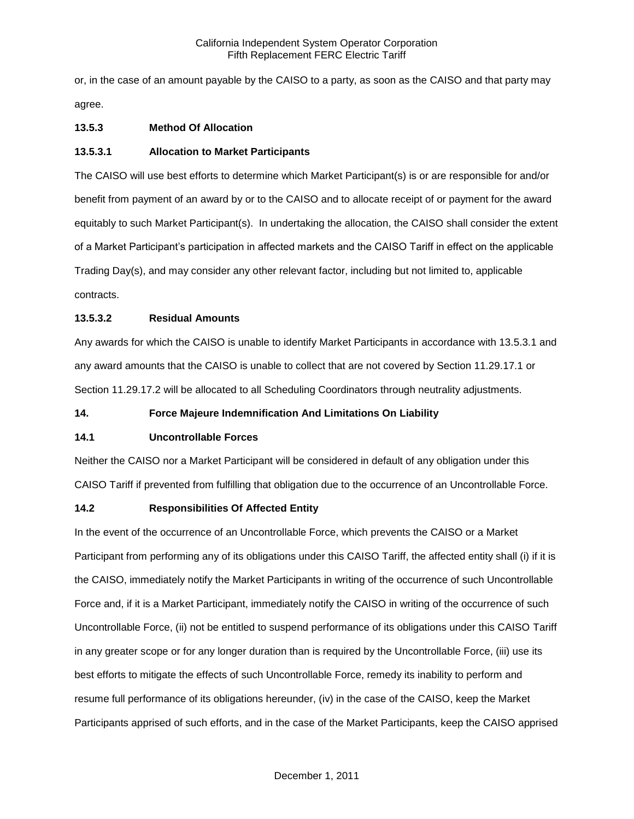or, in the case of an amount payable by the CAISO to a party, as soon as the CAISO and that party may agree.

# **13.5.3 Method Of Allocation**

### **13.5.3.1 Allocation to Market Participants**

The CAISO will use best efforts to determine which Market Participant(s) is or are responsible for and/or benefit from payment of an award by or to the CAISO and to allocate receipt of or payment for the award equitably to such Market Participant(s). In undertaking the allocation, the CAISO shall consider the extent of a Market Participant's participation in affected markets and the CAISO Tariff in effect on the applicable Trading Day(s), and may consider any other relevant factor, including but not limited to, applicable contracts.

# **13.5.3.2 Residual Amounts**

Any awards for which the CAISO is unable to identify Market Participants in accordance with 13.5.3.1 and any award amounts that the CAISO is unable to collect that are not covered by Section 11.29.17.1 or Section 11.29.17.2 will be allocated to all Scheduling Coordinators through neutrality adjustments.

### **14. Force Majeure Indemnification And Limitations On Liability**

### **14.1 Uncontrollable Forces**

Neither the CAISO nor a Market Participant will be considered in default of any obligation under this CAISO Tariff if prevented from fulfilling that obligation due to the occurrence of an Uncontrollable Force.

### **14.2 Responsibilities Of Affected Entity**

In the event of the occurrence of an Uncontrollable Force, which prevents the CAISO or a Market Participant from performing any of its obligations under this CAISO Tariff, the affected entity shall (i) if it is the CAISO, immediately notify the Market Participants in writing of the occurrence of such Uncontrollable Force and, if it is a Market Participant, immediately notify the CAISO in writing of the occurrence of such Uncontrollable Force, (ii) not be entitled to suspend performance of its obligations under this CAISO Tariff in any greater scope or for any longer duration than is required by the Uncontrollable Force, (iii) use its best efforts to mitigate the effects of such Uncontrollable Force, remedy its inability to perform and resume full performance of its obligations hereunder, (iv) in the case of the CAISO, keep the Market Participants apprised of such efforts, and in the case of the Market Participants, keep the CAISO apprised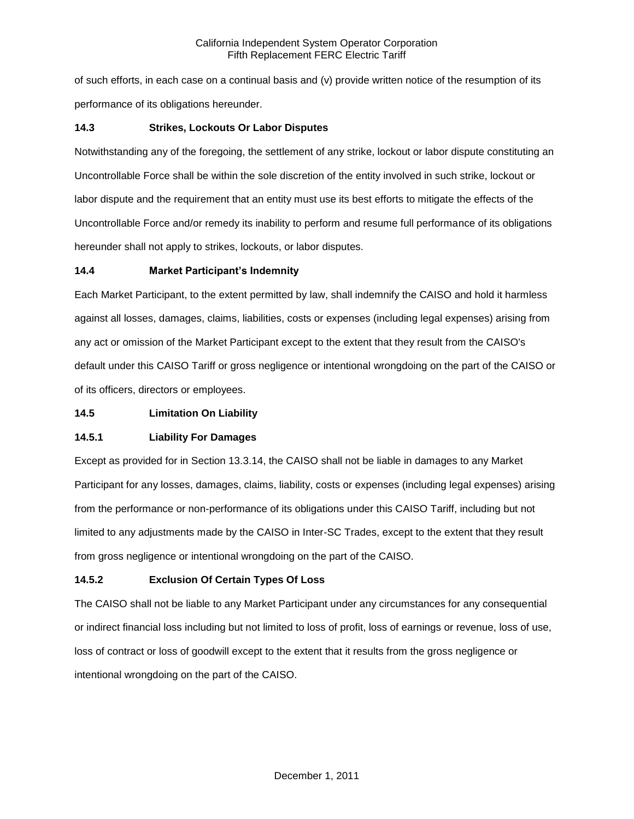of such efforts, in each case on a continual basis and (v) provide written notice of the resumption of its performance of its obligations hereunder.

# **14.3 Strikes, Lockouts Or Labor Disputes**

Notwithstanding any of the foregoing, the settlement of any strike, lockout or labor dispute constituting an Uncontrollable Force shall be within the sole discretion of the entity involved in such strike, lockout or labor dispute and the requirement that an entity must use its best efforts to mitigate the effects of the Uncontrollable Force and/or remedy its inability to perform and resume full performance of its obligations hereunder shall not apply to strikes, lockouts, or labor disputes.

# **14.4 Market Participant's Indemnity**

Each Market Participant, to the extent permitted by law, shall indemnify the CAISO and hold it harmless against all losses, damages, claims, liabilities, costs or expenses (including legal expenses) arising from any act or omission of the Market Participant except to the extent that they result from the CAISO's default under this CAISO Tariff or gross negligence or intentional wrongdoing on the part of the CAISO or of its officers, directors or employees.

# **14.5 Limitation On Liability**

# **14.5.1 Liability For Damages**

Except as provided for in Section 13.3.14, the CAISO shall not be liable in damages to any Market Participant for any losses, damages, claims, liability, costs or expenses (including legal expenses) arising from the performance or non-performance of its obligations under this CAISO Tariff, including but not limited to any adjustments made by the CAISO in Inter-SC Trades, except to the extent that they result from gross negligence or intentional wrongdoing on the part of the CAISO.

# **14.5.2 Exclusion Of Certain Types Of Loss**

The CAISO shall not be liable to any Market Participant under any circumstances for any consequential or indirect financial loss including but not limited to loss of profit, loss of earnings or revenue, loss of use, loss of contract or loss of goodwill except to the extent that it results from the gross negligence or intentional wrongdoing on the part of the CAISO.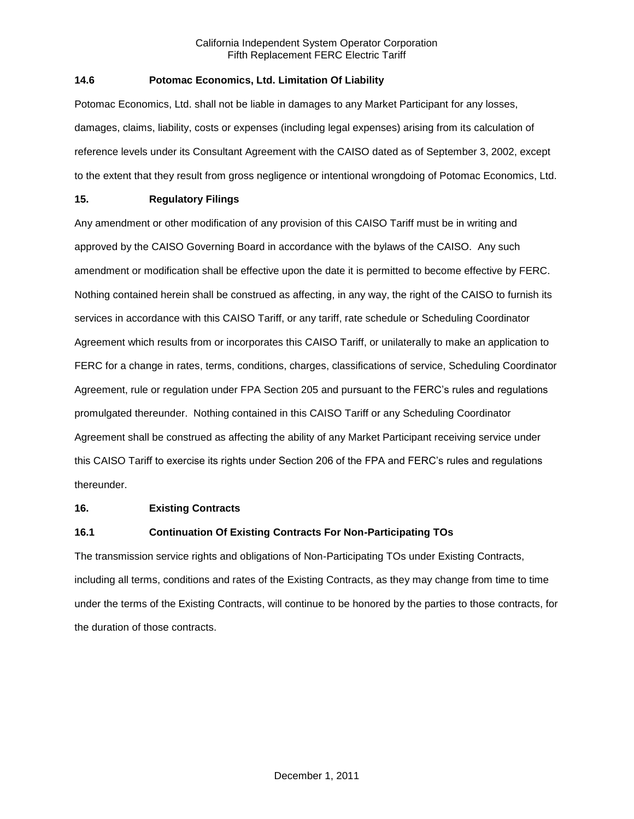# **14.6 Potomac Economics, Ltd. Limitation Of Liability**

Potomac Economics, Ltd. shall not be liable in damages to any Market Participant for any losses, damages, claims, liability, costs or expenses (including legal expenses) arising from its calculation of reference levels under its Consultant Agreement with the CAISO dated as of September 3, 2002, except to the extent that they result from gross negligence or intentional wrongdoing of Potomac Economics, Ltd.

## **15. Regulatory Filings**

Any amendment or other modification of any provision of this CAISO Tariff must be in writing and approved by the CAISO Governing Board in accordance with the bylaws of the CAISO. Any such amendment or modification shall be effective upon the date it is permitted to become effective by FERC. Nothing contained herein shall be construed as affecting, in any way, the right of the CAISO to furnish its services in accordance with this CAISO Tariff, or any tariff, rate schedule or Scheduling Coordinator Agreement which results from or incorporates this CAISO Tariff, or unilaterally to make an application to FERC for a change in rates, terms, conditions, charges, classifications of service, Scheduling Coordinator Agreement, rule or regulation under FPA Section 205 and pursuant to the FERC's rules and regulations promulgated thereunder. Nothing contained in this CAISO Tariff or any Scheduling Coordinator Agreement shall be construed as affecting the ability of any Market Participant receiving service under this CAISO Tariff to exercise its rights under Section 206 of the FPA and FERC's rules and regulations thereunder.

### **16. Existing Contracts**

# **16.1 Continuation Of Existing Contracts For Non-Participating TOs**

The transmission service rights and obligations of Non-Participating TOs under Existing Contracts, including all terms, conditions and rates of the Existing Contracts, as they may change from time to time under the terms of the Existing Contracts, will continue to be honored by the parties to those contracts, for the duration of those contracts.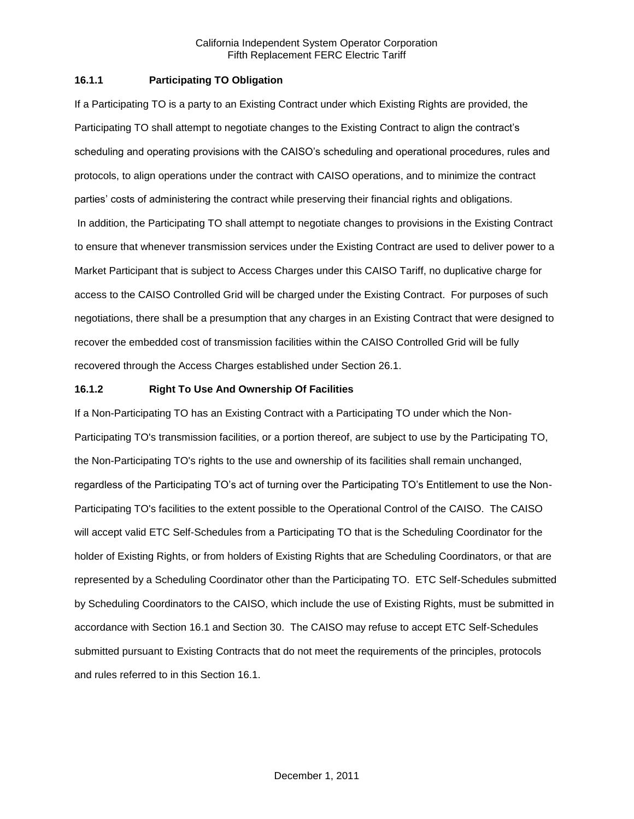## **16.1.1 Participating TO Obligation**

If a Participating TO is a party to an Existing Contract under which Existing Rights are provided, the Participating TO shall attempt to negotiate changes to the Existing Contract to align the contract's scheduling and operating provisions with the CAISO's scheduling and operational procedures, rules and protocols, to align operations under the contract with CAISO operations, and to minimize the contract parties' costs of administering the contract while preserving their financial rights and obligations. In addition, the Participating TO shall attempt to negotiate changes to provisions in the Existing Contract to ensure that whenever transmission services under the Existing Contract are used to deliver power to a Market Participant that is subject to Access Charges under this CAISO Tariff, no duplicative charge for access to the CAISO Controlled Grid will be charged under the Existing Contract. For purposes of such negotiations, there shall be a presumption that any charges in an Existing Contract that were designed to recover the embedded cost of transmission facilities within the CAISO Controlled Grid will be fully recovered through the Access Charges established under Section 26.1.

## **16.1.2 Right To Use And Ownership Of Facilities**

If a Non-Participating TO has an Existing Contract with a Participating TO under which the Non-Participating TO's transmission facilities, or a portion thereof, are subject to use by the Participating TO, the Non-Participating TO's rights to the use and ownership of its facilities shall remain unchanged, regardless of the Participating TO's act of turning over the Participating TO's Entitlement to use the Non-Participating TO's facilities to the extent possible to the Operational Control of the CAISO. The CAISO will accept valid ETC Self-Schedules from a Participating TO that is the Scheduling Coordinator for the holder of Existing Rights, or from holders of Existing Rights that are Scheduling Coordinators, or that are represented by a Scheduling Coordinator other than the Participating TO. ETC Self-Schedules submitted by Scheduling Coordinators to the CAISO, which include the use of Existing Rights, must be submitted in accordance with Section 16.1 and Section 30. The CAISO may refuse to accept ETC Self-Schedules submitted pursuant to Existing Contracts that do not meet the requirements of the principles, protocols and rules referred to in this Section 16.1.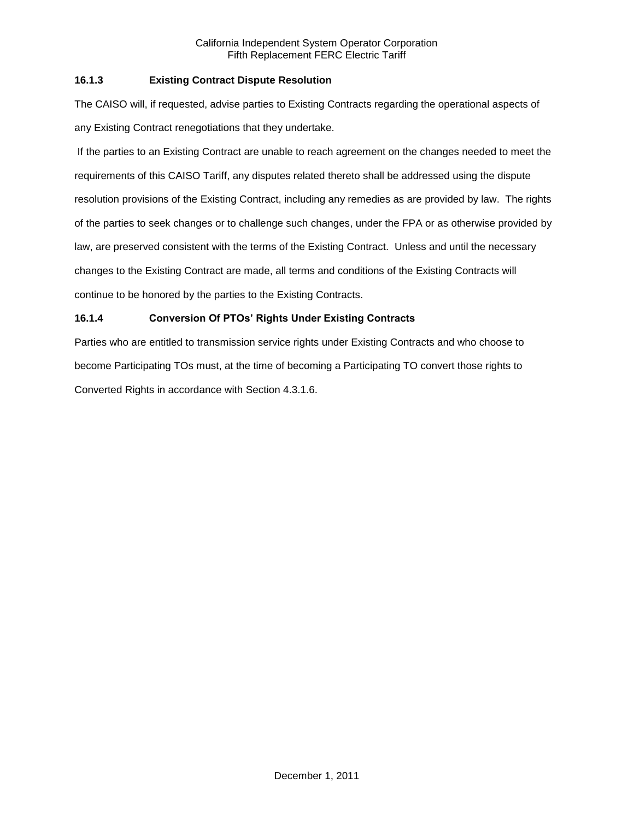# **16.1.3 Existing Contract Dispute Resolution**

The CAISO will, if requested, advise parties to Existing Contracts regarding the operational aspects of any Existing Contract renegotiations that they undertake.

If the parties to an Existing Contract are unable to reach agreement on the changes needed to meet the requirements of this CAISO Tariff, any disputes related thereto shall be addressed using the dispute resolution provisions of the Existing Contract, including any remedies as are provided by law. The rights of the parties to seek changes or to challenge such changes, under the FPA or as otherwise provided by law, are preserved consistent with the terms of the Existing Contract. Unless and until the necessary changes to the Existing Contract are made, all terms and conditions of the Existing Contracts will continue to be honored by the parties to the Existing Contracts.

# **16.1.4 Conversion Of PTOs' Rights Under Existing Contracts**

Parties who are entitled to transmission service rights under Existing Contracts and who choose to become Participating TOs must, at the time of becoming a Participating TO convert those rights to Converted Rights in accordance with Section 4.3.1.6.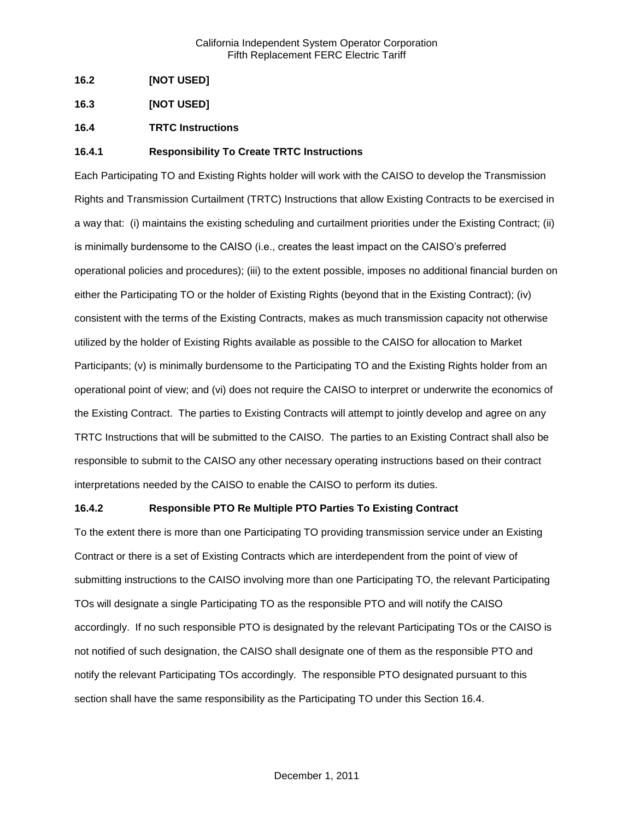- **16.2 [NOT USED]**
- **16.3 [NOT USED]**
- **16.4 TRTC Instructions**

## **16.4.1 Responsibility To Create TRTC Instructions**

Each Participating TO and Existing Rights holder will work with the CAISO to develop the Transmission Rights and Transmission Curtailment (TRTC) Instructions that allow Existing Contracts to be exercised in a way that: (i) maintains the existing scheduling and curtailment priorities under the Existing Contract; (ii) is minimally burdensome to the CAISO (i.e., creates the least impact on the CAISO's preferred operational policies and procedures); (iii) to the extent possible, imposes no additional financial burden on either the Participating TO or the holder of Existing Rights (beyond that in the Existing Contract); (iv) consistent with the terms of the Existing Contracts, makes as much transmission capacity not otherwise utilized by the holder of Existing Rights available as possible to the CAISO for allocation to Market Participants; (v) is minimally burdensome to the Participating TO and the Existing Rights holder from an operational point of view; and (vi) does not require the CAISO to interpret or underwrite the economics of the Existing Contract. The parties to Existing Contracts will attempt to jointly develop and agree on any TRTC Instructions that will be submitted to the CAISO. The parties to an Existing Contract shall also be responsible to submit to the CAISO any other necessary operating instructions based on their contract interpretations needed by the CAISO to enable the CAISO to perform its duties.

### **16.4.2 Responsible PTO Re Multiple PTO Parties To Existing Contract**

To the extent there is more than one Participating TO providing transmission service under an Existing Contract or there is a set of Existing Contracts which are interdependent from the point of view of submitting instructions to the CAISO involving more than one Participating TO, the relevant Participating TOs will designate a single Participating TO as the responsible PTO and will notify the CAISO accordingly. If no such responsible PTO is designated by the relevant Participating TOs or the CAISO is not notified of such designation, the CAISO shall designate one of them as the responsible PTO and notify the relevant Participating TOs accordingly. The responsible PTO designated pursuant to this section shall have the same responsibility as the Participating TO under this Section 16.4.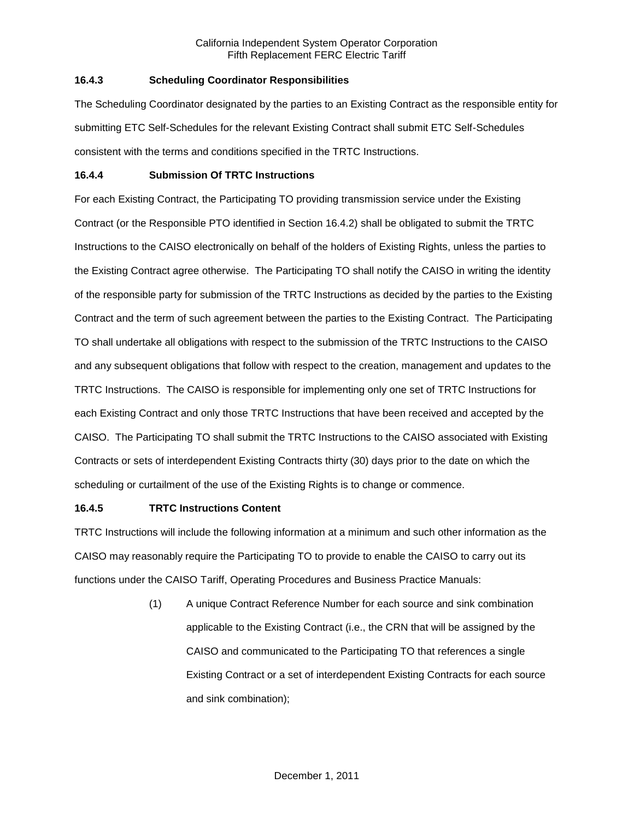# **16.4.3 Scheduling Coordinator Responsibilities**

The Scheduling Coordinator designated by the parties to an Existing Contract as the responsible entity for submitting ETC Self-Schedules for the relevant Existing Contract shall submit ETC Self-Schedules consistent with the terms and conditions specified in the TRTC Instructions.

## **16.4.4 Submission Of TRTC Instructions**

For each Existing Contract, the Participating TO providing transmission service under the Existing Contract (or the Responsible PTO identified in Section 16.4.2) shall be obligated to submit the TRTC Instructions to the CAISO electronically on behalf of the holders of Existing Rights, unless the parties to the Existing Contract agree otherwise. The Participating TO shall notify the CAISO in writing the identity of the responsible party for submission of the TRTC Instructions as decided by the parties to the Existing Contract and the term of such agreement between the parties to the Existing Contract. The Participating TO shall undertake all obligations with respect to the submission of the TRTC Instructions to the CAISO and any subsequent obligations that follow with respect to the creation, management and updates to the TRTC Instructions. The CAISO is responsible for implementing only one set of TRTC Instructions for each Existing Contract and only those TRTC Instructions that have been received and accepted by the CAISO. The Participating TO shall submit the TRTC Instructions to the CAISO associated with Existing Contracts or sets of interdependent Existing Contracts thirty (30) days prior to the date on which the scheduling or curtailment of the use of the Existing Rights is to change or commence.

# **16.4.5 TRTC Instructions Content**

TRTC Instructions will include the following information at a minimum and such other information as the CAISO may reasonably require the Participating TO to provide to enable the CAISO to carry out its functions under the CAISO Tariff, Operating Procedures and Business Practice Manuals:

> (1) A unique Contract Reference Number for each source and sink combination applicable to the Existing Contract (i.e., the CRN that will be assigned by the CAISO and communicated to the Participating TO that references a single Existing Contract or a set of interdependent Existing Contracts for each source and sink combination);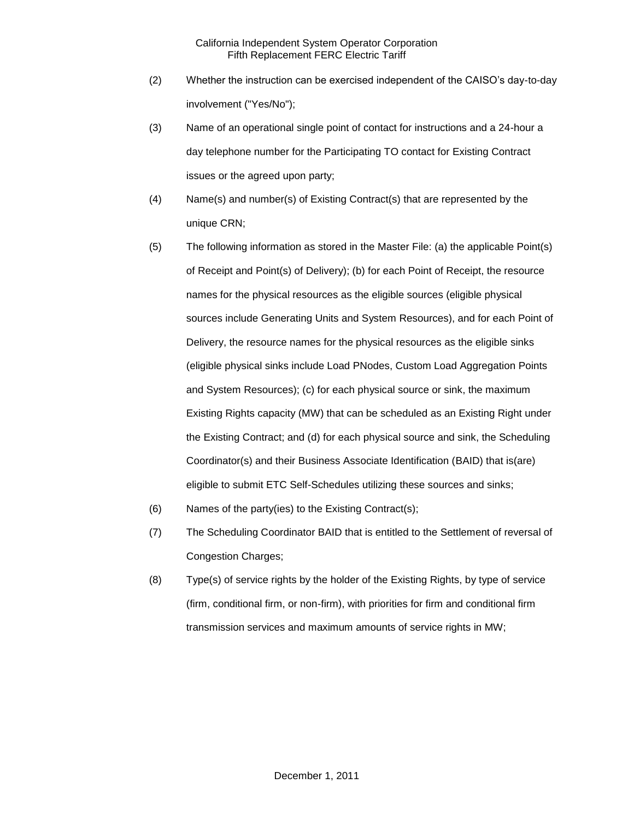- (2) Whether the instruction can be exercised independent of the CAISO's day-to-day involvement ("Yes/No");
- (3) Name of an operational single point of contact for instructions and a 24-hour a day telephone number for the Participating TO contact for Existing Contract issues or the agreed upon party;
- (4) Name(s) and number(s) of Existing Contract(s) that are represented by the unique CRN;
- (5) The following information as stored in the Master File: (a) the applicable Point(s) of Receipt and Point(s) of Delivery); (b) for each Point of Receipt, the resource names for the physical resources as the eligible sources (eligible physical sources include Generating Units and System Resources), and for each Point of Delivery, the resource names for the physical resources as the eligible sinks (eligible physical sinks include Load PNodes, Custom Load Aggregation Points and System Resources); (c) for each physical source or sink, the maximum Existing Rights capacity (MW) that can be scheduled as an Existing Right under the Existing Contract; and (d) for each physical source and sink, the Scheduling Coordinator(s) and their Business Associate Identification (BAID) that is(are) eligible to submit ETC Self-Schedules utilizing these sources and sinks;
- (6) Names of the party(ies) to the Existing Contract(s);
- (7) The Scheduling Coordinator BAID that is entitled to the Settlement of reversal of Congestion Charges;
- (8) Type(s) of service rights by the holder of the Existing Rights, by type of service (firm, conditional firm, or non-firm), with priorities for firm and conditional firm transmission services and maximum amounts of service rights in MW;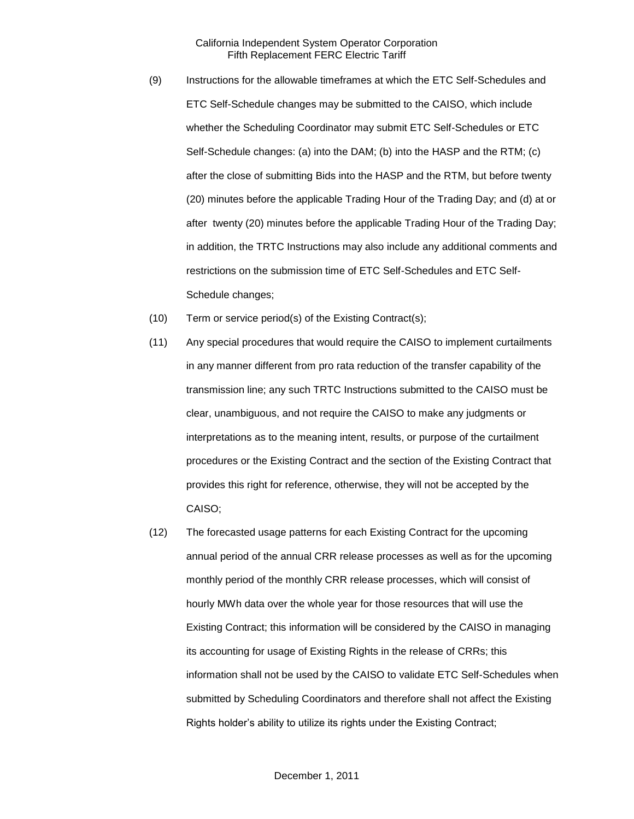- (9) Instructions for the allowable timeframes at which the ETC Self-Schedules and ETC Self-Schedule changes may be submitted to the CAISO, which include whether the Scheduling Coordinator may submit ETC Self-Schedules or ETC Self-Schedule changes: (a) into the DAM; (b) into the HASP and the RTM; (c) after the close of submitting Bids into the HASP and the RTM, but before twenty (20) minutes before the applicable Trading Hour of the Trading Day; and (d) at or after twenty (20) minutes before the applicable Trading Hour of the Trading Day; in addition, the TRTC Instructions may also include any additional comments and restrictions on the submission time of ETC Self-Schedules and ETC Self-Schedule changes;
- (10) Term or service period(s) of the Existing Contract(s);
- (11) Any special procedures that would require the CAISO to implement curtailments in any manner different from pro rata reduction of the transfer capability of the transmission line; any such TRTC Instructions submitted to the CAISO must be clear, unambiguous, and not require the CAISO to make any judgments or interpretations as to the meaning intent, results, or purpose of the curtailment procedures or the Existing Contract and the section of the Existing Contract that provides this right for reference, otherwise, they will not be accepted by the CAISO;
- (12) The forecasted usage patterns for each Existing Contract for the upcoming annual period of the annual CRR release processes as well as for the upcoming monthly period of the monthly CRR release processes, which will consist of hourly MWh data over the whole year for those resources that will use the Existing Contract; this information will be considered by the CAISO in managing its accounting for usage of Existing Rights in the release of CRRs; this information shall not be used by the CAISO to validate ETC Self-Schedules when submitted by Scheduling Coordinators and therefore shall not affect the Existing Rights holder's ability to utilize its rights under the Existing Contract;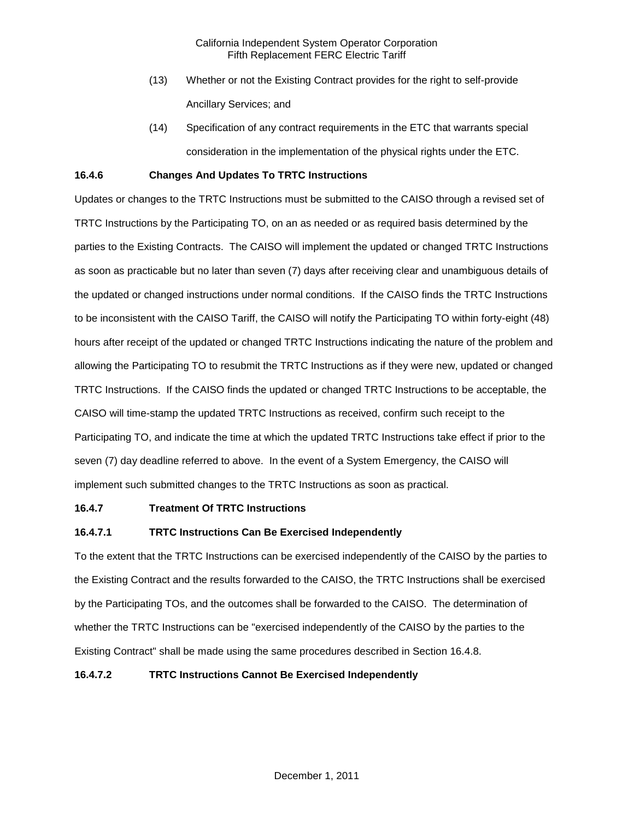- (13) Whether or not the Existing Contract provides for the right to self-provide Ancillary Services; and
- (14) Specification of any contract requirements in the ETC that warrants special consideration in the implementation of the physical rights under the ETC.

### **16.4.6 Changes And Updates To TRTC Instructions**

Updates or changes to the TRTC Instructions must be submitted to the CAISO through a revised set of TRTC Instructions by the Participating TO, on an as needed or as required basis determined by the parties to the Existing Contracts. The CAISO will implement the updated or changed TRTC Instructions as soon as practicable but no later than seven (7) days after receiving clear and unambiguous details of the updated or changed instructions under normal conditions. If the CAISO finds the TRTC Instructions to be inconsistent with the CAISO Tariff, the CAISO will notify the Participating TO within forty-eight (48) hours after receipt of the updated or changed TRTC Instructions indicating the nature of the problem and allowing the Participating TO to resubmit the TRTC Instructions as if they were new, updated or changed TRTC Instructions. If the CAISO finds the updated or changed TRTC Instructions to be acceptable, the CAISO will time-stamp the updated TRTC Instructions as received, confirm such receipt to the Participating TO, and indicate the time at which the updated TRTC Instructions take effect if prior to the seven (7) day deadline referred to above. In the event of a System Emergency, the CAISO will implement such submitted changes to the TRTC Instructions as soon as practical.

### **16.4.7 Treatment Of TRTC Instructions**

# **16.4.7.1 TRTC Instructions Can Be Exercised Independently**

To the extent that the TRTC Instructions can be exercised independently of the CAISO by the parties to the Existing Contract and the results forwarded to the CAISO, the TRTC Instructions shall be exercised by the Participating TOs, and the outcomes shall be forwarded to the CAISO. The determination of whether the TRTC Instructions can be "exercised independently of the CAISO by the parties to the Existing Contract" shall be made using the same procedures described in Section 16.4.8.

## **16.4.7.2 TRTC Instructions Cannot Be Exercised Independently**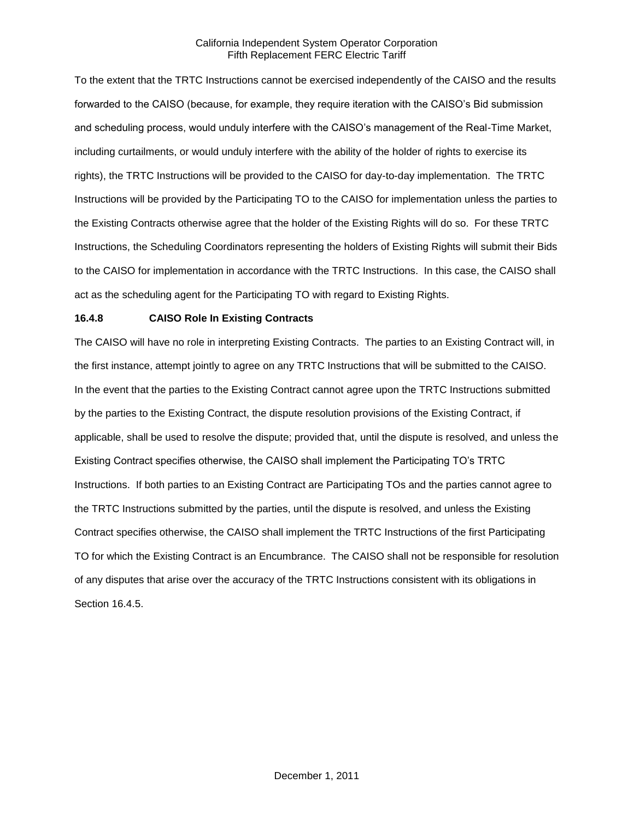To the extent that the TRTC Instructions cannot be exercised independently of the CAISO and the results forwarded to the CAISO (because, for example, they require iteration with the CAISO's Bid submission and scheduling process, would unduly interfere with the CAISO's management of the Real-Time Market, including curtailments, or would unduly interfere with the ability of the holder of rights to exercise its rights), the TRTC Instructions will be provided to the CAISO for day-to-day implementation. The TRTC Instructions will be provided by the Participating TO to the CAISO for implementation unless the parties to the Existing Contracts otherwise agree that the holder of the Existing Rights will do so. For these TRTC Instructions, the Scheduling Coordinators representing the holders of Existing Rights will submit their Bids to the CAISO for implementation in accordance with the TRTC Instructions. In this case, the CAISO shall act as the scheduling agent for the Participating TO with regard to Existing Rights.

## **16.4.8 CAISO Role In Existing Contracts**

The CAISO will have no role in interpreting Existing Contracts. The parties to an Existing Contract will, in the first instance, attempt jointly to agree on any TRTC Instructions that will be submitted to the CAISO. In the event that the parties to the Existing Contract cannot agree upon the TRTC Instructions submitted by the parties to the Existing Contract, the dispute resolution provisions of the Existing Contract, if applicable, shall be used to resolve the dispute; provided that, until the dispute is resolved, and unless the Existing Contract specifies otherwise, the CAISO shall implement the Participating TO's TRTC Instructions. If both parties to an Existing Contract are Participating TOs and the parties cannot agree to the TRTC Instructions submitted by the parties, until the dispute is resolved, and unless the Existing Contract specifies otherwise, the CAISO shall implement the TRTC Instructions of the first Participating TO for which the Existing Contract is an Encumbrance. The CAISO shall not be responsible for resolution of any disputes that arise over the accuracy of the TRTC Instructions consistent with its obligations in Section 16.4.5.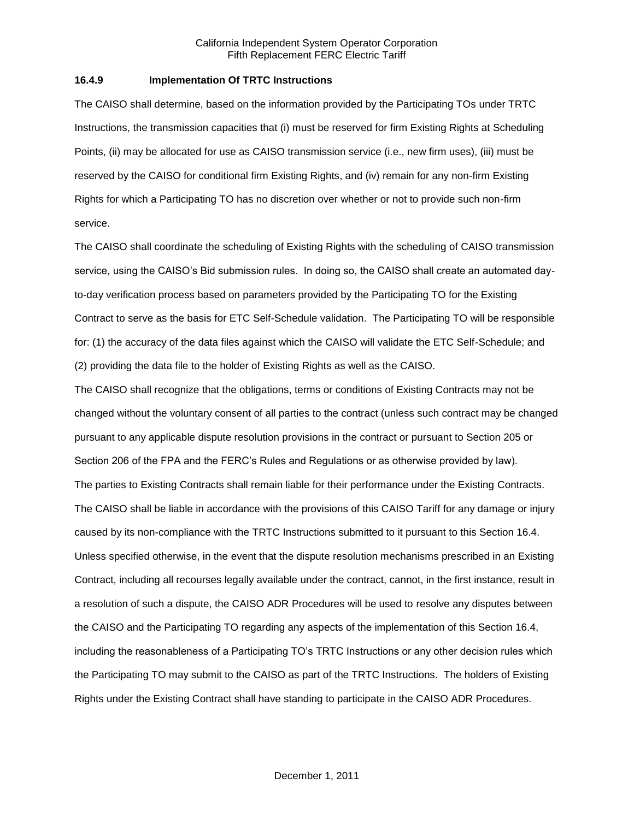### **16.4.9 Implementation Of TRTC Instructions**

The CAISO shall determine, based on the information provided by the Participating TOs under TRTC Instructions, the transmission capacities that (i) must be reserved for firm Existing Rights at Scheduling Points, (ii) may be allocated for use as CAISO transmission service (i.e., new firm uses), (iii) must be reserved by the CAISO for conditional firm Existing Rights, and (iv) remain for any non-firm Existing Rights for which a Participating TO has no discretion over whether or not to provide such non-firm service.

The CAISO shall coordinate the scheduling of Existing Rights with the scheduling of CAISO transmission service, using the CAISO's Bid submission rules. In doing so, the CAISO shall create an automated dayto-day verification process based on parameters provided by the Participating TO for the Existing Contract to serve as the basis for ETC Self-Schedule validation. The Participating TO will be responsible for: (1) the accuracy of the data files against which the CAISO will validate the ETC Self-Schedule; and (2) providing the data file to the holder of Existing Rights as well as the CAISO.

The CAISO shall recognize that the obligations, terms or conditions of Existing Contracts may not be changed without the voluntary consent of all parties to the contract (unless such contract may be changed pursuant to any applicable dispute resolution provisions in the contract or pursuant to Section 205 or Section 206 of the FPA and the FERC's Rules and Regulations or as otherwise provided by law). The parties to Existing Contracts shall remain liable for their performance under the Existing Contracts. The CAISO shall be liable in accordance with the provisions of this CAISO Tariff for any damage or injury caused by its non-compliance with the TRTC Instructions submitted to it pursuant to this Section 16.4. Unless specified otherwise, in the event that the dispute resolution mechanisms prescribed in an Existing Contract, including all recourses legally available under the contract, cannot, in the first instance, result in a resolution of such a dispute, the CAISO ADR Procedures will be used to resolve any disputes between the CAISO and the Participating TO regarding any aspects of the implementation of this Section 16.4, including the reasonableness of a Participating TO's TRTC Instructions or any other decision rules which the Participating TO may submit to the CAISO as part of the TRTC Instructions. The holders of Existing Rights under the Existing Contract shall have standing to participate in the CAISO ADR Procedures.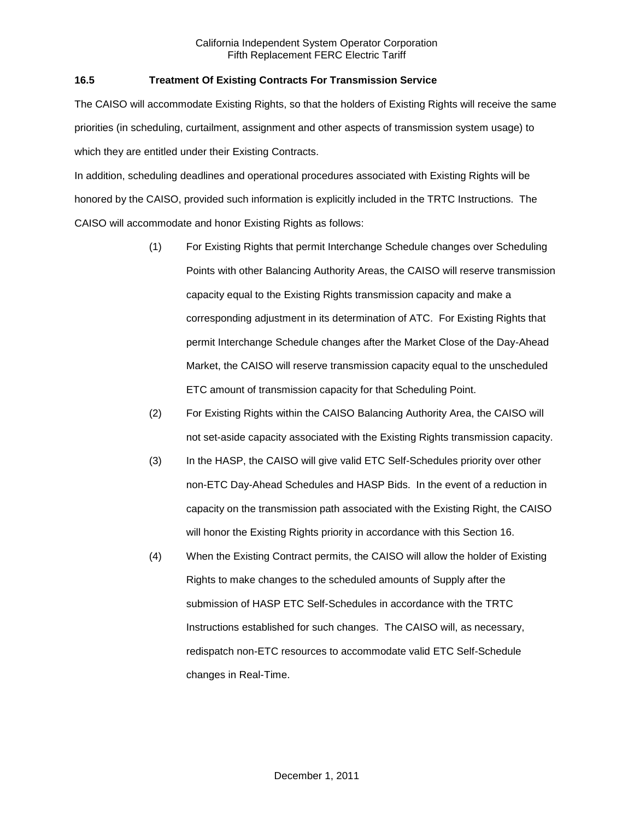## **16.5 Treatment Of Existing Contracts For Transmission Service**

The CAISO will accommodate Existing Rights, so that the holders of Existing Rights will receive the same priorities (in scheduling, curtailment, assignment and other aspects of transmission system usage) to which they are entitled under their Existing Contracts.

In addition, scheduling deadlines and operational procedures associated with Existing Rights will be honored by the CAISO, provided such information is explicitly included in the TRTC Instructions. The CAISO will accommodate and honor Existing Rights as follows:

- (1) For Existing Rights that permit Interchange Schedule changes over Scheduling Points with other Balancing Authority Areas, the CAISO will reserve transmission capacity equal to the Existing Rights transmission capacity and make a corresponding adjustment in its determination of ATC. For Existing Rights that permit Interchange Schedule changes after the Market Close of the Day-Ahead Market, the CAISO will reserve transmission capacity equal to the unscheduled ETC amount of transmission capacity for that Scheduling Point.
- (2) For Existing Rights within the CAISO Balancing Authority Area, the CAISO will not set-aside capacity associated with the Existing Rights transmission capacity.
- (3) In the HASP, the CAISO will give valid ETC Self-Schedules priority over other non-ETC Day-Ahead Schedules and HASP Bids. In the event of a reduction in capacity on the transmission path associated with the Existing Right, the CAISO will honor the Existing Rights priority in accordance with this Section 16.
- (4) When the Existing Contract permits, the CAISO will allow the holder of Existing Rights to make changes to the scheduled amounts of Supply after the submission of HASP ETC Self-Schedules in accordance with the TRTC Instructions established for such changes. The CAISO will, as necessary, redispatch non-ETC resources to accommodate valid ETC Self-Schedule changes in Real-Time.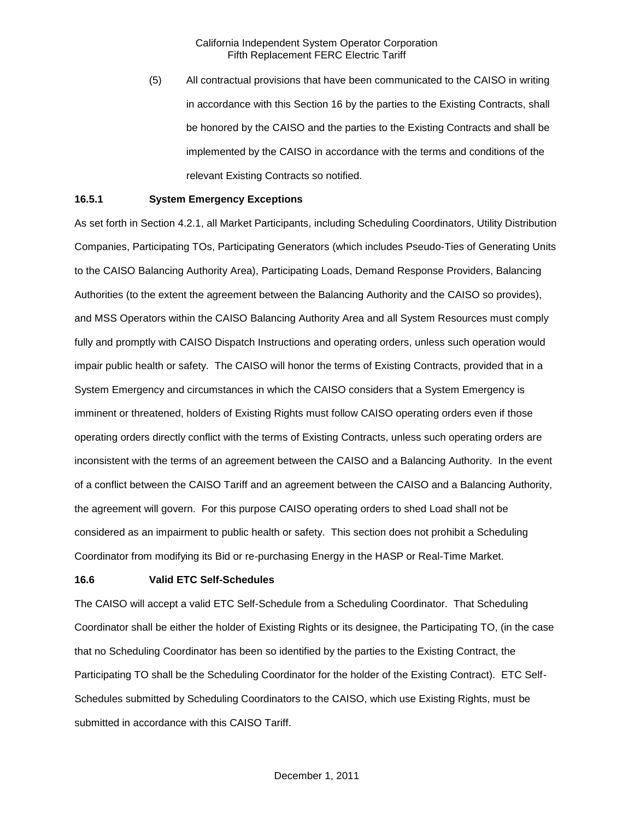(5) All contractual provisions that have been communicated to the CAISO in writing in accordance with this Section 16 by the parties to the Existing Contracts, shall be honored by the CAISO and the parties to the Existing Contracts and shall be implemented by the CAISO in accordance with the terms and conditions of the relevant Existing Contracts so notified.

#### **16.5.1 System Emergency Exceptions**

As set forth in Section 4.2.1, all Market Participants, including Scheduling Coordinators, Utility Distribution Companies, Participating TOs, Participating Generators (which includes Pseudo-Ties of Generating Units to the CAISO Balancing Authority Area), Participating Loads, Demand Response Providers, Balancing Authorities (to the extent the agreement between the Balancing Authority and the CAISO so provides), and MSS Operators within the CAISO Balancing Authority Area and all System Resources must comply fully and promptly with CAISO Dispatch Instructions and operating orders, unless such operation would impair public health or safety. The CAISO will honor the terms of Existing Contracts, provided that in a System Emergency and circumstances in which the CAISO considers that a System Emergency is imminent or threatened, holders of Existing Rights must follow CAISO operating orders even if those operating orders directly conflict with the terms of Existing Contracts, unless such operating orders are inconsistent with the terms of an agreement between the CAISO and a Balancing Authority. In the event of a conflict between the CAISO Tariff and an agreement between the CAISO and a Balancing Authority, the agreement will govern. For this purpose CAISO operating orders to shed Load shall not be considered as an impairment to public health or safety. This section does not prohibit a Scheduling Coordinator from modifying its Bid or re-purchasing Energy in the HASP or Real-Time Market.

#### **16.6 Valid ETC Self-Schedules**

The CAISO will accept a valid ETC Self-Schedule from a Scheduling Coordinator. That Scheduling Coordinator shall be either the holder of Existing Rights or its designee, the Participating TO, (in the case that no Scheduling Coordinator has been so identified by the parties to the Existing Contract, the Participating TO shall be the Scheduling Coordinator for the holder of the Existing Contract). ETC Self-Schedules submitted by Scheduling Coordinators to the CAISO, which use Existing Rights, must be submitted in accordance with this CAISO Tariff.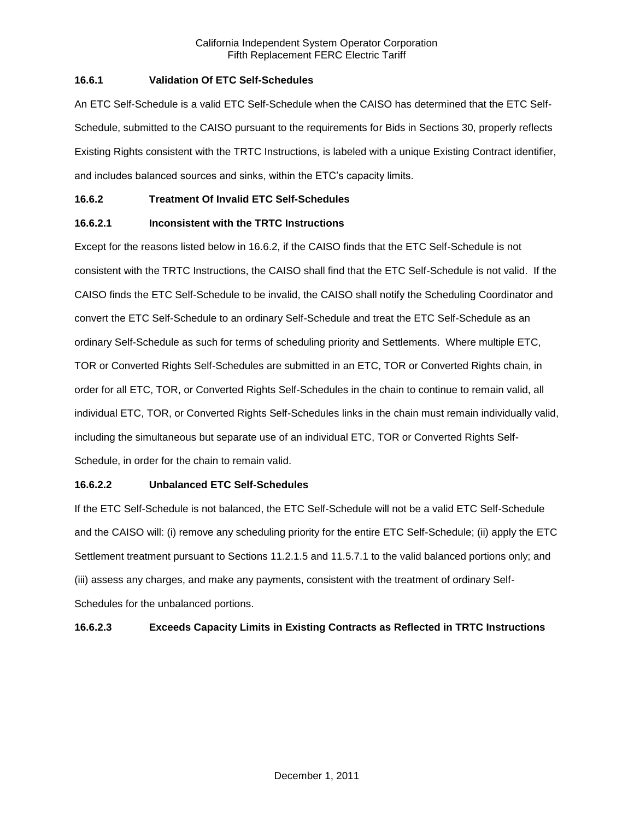## **16.6.1 Validation Of ETC Self-Schedules**

An ETC Self-Schedule is a valid ETC Self-Schedule when the CAISO has determined that the ETC Self-Schedule, submitted to the CAISO pursuant to the requirements for Bids in Sections 30, properly reflects Existing Rights consistent with the TRTC Instructions, is labeled with a unique Existing Contract identifier, and includes balanced sources and sinks, within the ETC's capacity limits.

## **16.6.2 Treatment Of Invalid ETC Self-Schedules**

# **16.6.2.1 Inconsistent with the TRTC Instructions**

Except for the reasons listed below in 16.6.2, if the CAISO finds that the ETC Self-Schedule is not consistent with the TRTC Instructions, the CAISO shall find that the ETC Self-Schedule is not valid. If the CAISO finds the ETC Self-Schedule to be invalid, the CAISO shall notify the Scheduling Coordinator and convert the ETC Self-Schedule to an ordinary Self-Schedule and treat the ETC Self-Schedule as an ordinary Self-Schedule as such for terms of scheduling priority and Settlements. Where multiple ETC, TOR or Converted Rights Self-Schedules are submitted in an ETC, TOR or Converted Rights chain, in order for all ETC, TOR, or Converted Rights Self-Schedules in the chain to continue to remain valid, all individual ETC, TOR, or Converted Rights Self-Schedules links in the chain must remain individually valid, including the simultaneous but separate use of an individual ETC, TOR or Converted Rights Self-Schedule, in order for the chain to remain valid.

### **16.6.2.2 Unbalanced ETC Self-Schedules**

If the ETC Self-Schedule is not balanced, the ETC Self-Schedule will not be a valid ETC Self-Schedule and the CAISO will: (i) remove any scheduling priority for the entire ETC Self-Schedule; (ii) apply the ETC Settlement treatment pursuant to Sections 11.2.1.5 and 11.5.7.1 to the valid balanced portions only; and (iii) assess any charges, and make any payments, consistent with the treatment of ordinary Self-Schedules for the unbalanced portions.

# **16.6.2.3 Exceeds Capacity Limits in Existing Contracts as Reflected in TRTC Instructions**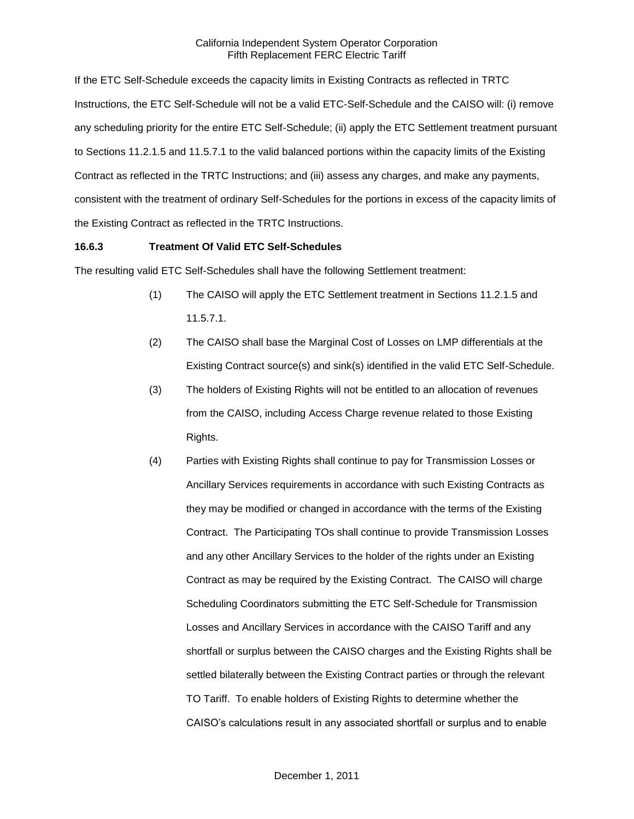If the ETC Self-Schedule exceeds the capacity limits in Existing Contracts as reflected in TRTC Instructions, the ETC Self-Schedule will not be a valid ETC-Self-Schedule and the CAISO will: (i) remove any scheduling priority for the entire ETC Self-Schedule; (ii) apply the ETC Settlement treatment pursuant to Sections 11.2.1.5 and 11.5.7.1 to the valid balanced portions within the capacity limits of the Existing Contract as reflected in the TRTC Instructions; and (iii) assess any charges, and make any payments, consistent with the treatment of ordinary Self-Schedules for the portions in excess of the capacity limits of the Existing Contract as reflected in the TRTC Instructions.

## **16.6.3 Treatment Of Valid ETC Self-Schedules**

The resulting valid ETC Self-Schedules shall have the following Settlement treatment:

- (1) The CAISO will apply the ETC Settlement treatment in Sections 11.2.1.5 and 11.5.7.1.
- (2) The CAISO shall base the Marginal Cost of Losses on LMP differentials at the Existing Contract source(s) and sink(s) identified in the valid ETC Self-Schedule.
- (3) The holders of Existing Rights will not be entitled to an allocation of revenues from the CAISO, including Access Charge revenue related to those Existing Rights.
- (4) Parties with Existing Rights shall continue to pay for Transmission Losses or Ancillary Services requirements in accordance with such Existing Contracts as they may be modified or changed in accordance with the terms of the Existing Contract. The Participating TOs shall continue to provide Transmission Losses and any other Ancillary Services to the holder of the rights under an Existing Contract as may be required by the Existing Contract. The CAISO will charge Scheduling Coordinators submitting the ETC Self-Schedule for Transmission Losses and Ancillary Services in accordance with the CAISO Tariff and any shortfall or surplus between the CAISO charges and the Existing Rights shall be settled bilaterally between the Existing Contract parties or through the relevant TO Tariff. To enable holders of Existing Rights to determine whether the CAISO's calculations result in any associated shortfall or surplus and to enable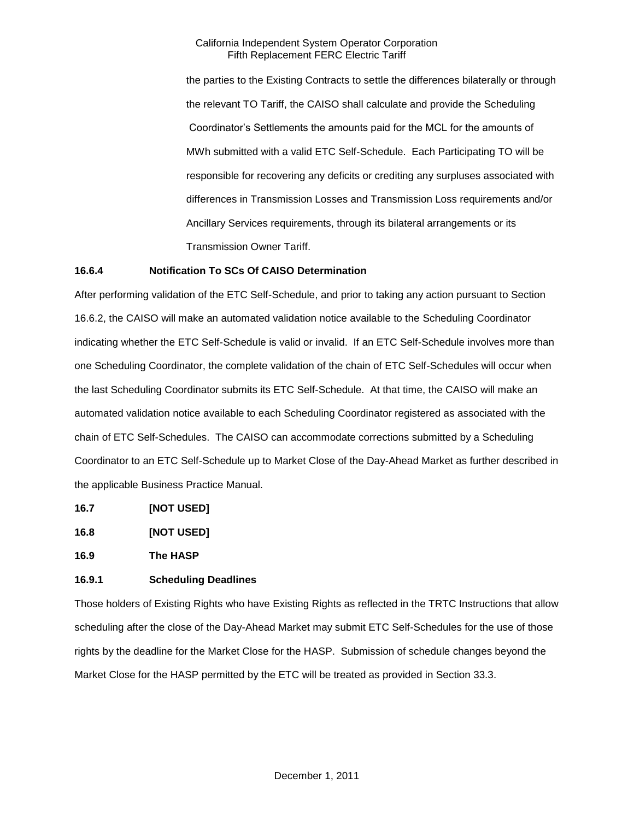the parties to the Existing Contracts to settle the differences bilaterally or through the relevant TO Tariff, the CAISO shall calculate and provide the Scheduling Coordinator's Settlements the amounts paid for the MCL for the amounts of MWh submitted with a valid ETC Self-Schedule. Each Participating TO will be responsible for recovering any deficits or crediting any surpluses associated with differences in Transmission Losses and Transmission Loss requirements and/or Ancillary Services requirements, through its bilateral arrangements or its Transmission Owner Tariff.

## **16.6.4 Notification To SCs Of CAISO Determination**

After performing validation of the ETC Self-Schedule, and prior to taking any action pursuant to Section 16.6.2, the CAISO will make an automated validation notice available to the Scheduling Coordinator indicating whether the ETC Self-Schedule is valid or invalid. If an ETC Self-Schedule involves more than one Scheduling Coordinator, the complete validation of the chain of ETC Self-Schedules will occur when the last Scheduling Coordinator submits its ETC Self-Schedule. At that time, the CAISO will make an automated validation notice available to each Scheduling Coordinator registered as associated with the chain of ETC Self-Schedules. The CAISO can accommodate corrections submitted by a Scheduling Coordinator to an ETC Self-Schedule up to Market Close of the Day-Ahead Market as further described in the applicable Business Practice Manual.

- **16.7 [NOT USED]**
- **16.8 [NOT USED]**

**16.9 The HASP**

### **16.9.1 Scheduling Deadlines**

Those holders of Existing Rights who have Existing Rights as reflected in the TRTC Instructions that allow scheduling after the close of the Day-Ahead Market may submit ETC Self-Schedules for the use of those rights by the deadline for the Market Close for the HASP. Submission of schedule changes beyond the Market Close for the HASP permitted by the ETC will be treated as provided in Section 33.3.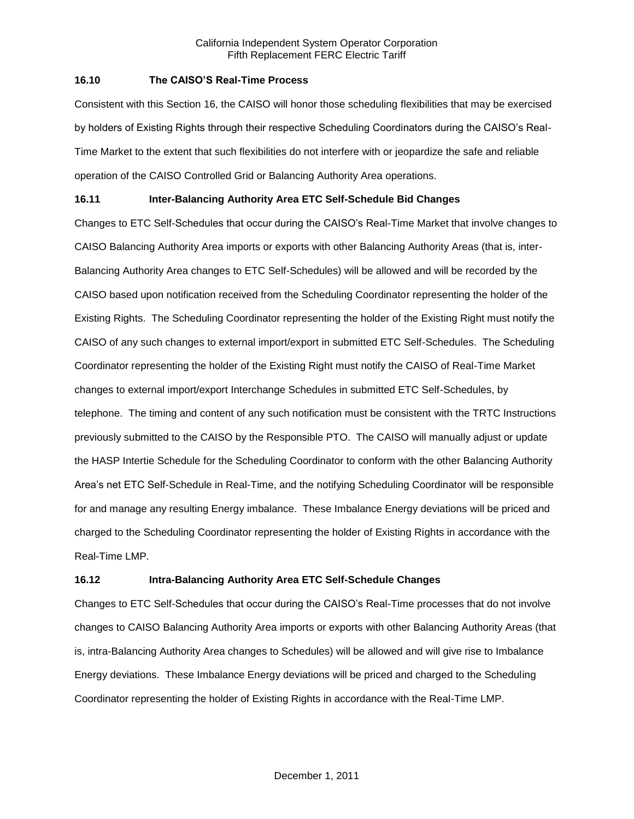## **16.10 The CAISO'S Real-Time Process**

Consistent with this Section 16, the CAISO will honor those scheduling flexibilities that may be exercised by holders of Existing Rights through their respective Scheduling Coordinators during the CAISO's Real-Time Market to the extent that such flexibilities do not interfere with or jeopardize the safe and reliable operation of the CAISO Controlled Grid or Balancing Authority Area operations.

# **16.11 Inter-Balancing Authority Area ETC Self-Schedule Bid Changes**

Changes to ETC Self-Schedules that occur during the CAISO's Real-Time Market that involve changes to CAISO Balancing Authority Area imports or exports with other Balancing Authority Areas (that is, inter-Balancing Authority Area changes to ETC Self-Schedules) will be allowed and will be recorded by the CAISO based upon notification received from the Scheduling Coordinator representing the holder of the Existing Rights. The Scheduling Coordinator representing the holder of the Existing Right must notify the CAISO of any such changes to external import/export in submitted ETC Self-Schedules. The Scheduling Coordinator representing the holder of the Existing Right must notify the CAISO of Real-Time Market changes to external import/export Interchange Schedules in submitted ETC Self-Schedules, by telephone. The timing and content of any such notification must be consistent with the TRTC Instructions previously submitted to the CAISO by the Responsible PTO. The CAISO will manually adjust or update the HASP Intertie Schedule for the Scheduling Coordinator to conform with the other Balancing Authority Area's net ETC Self-Schedule in Real-Time, and the notifying Scheduling Coordinator will be responsible for and manage any resulting Energy imbalance. These Imbalance Energy deviations will be priced and charged to the Scheduling Coordinator representing the holder of Existing Rights in accordance with the Real-Time LMP.

# **16.12 Intra-Balancing Authority Area ETC Self-Schedule Changes**

Changes to ETC Self-Schedules that occur during the CAISO's Real-Time processes that do not involve changes to CAISO Balancing Authority Area imports or exports with other Balancing Authority Areas (that is, intra-Balancing Authority Area changes to Schedules) will be allowed and will give rise to Imbalance Energy deviations. These Imbalance Energy deviations will be priced and charged to the Scheduling Coordinator representing the holder of Existing Rights in accordance with the Real-Time LMP.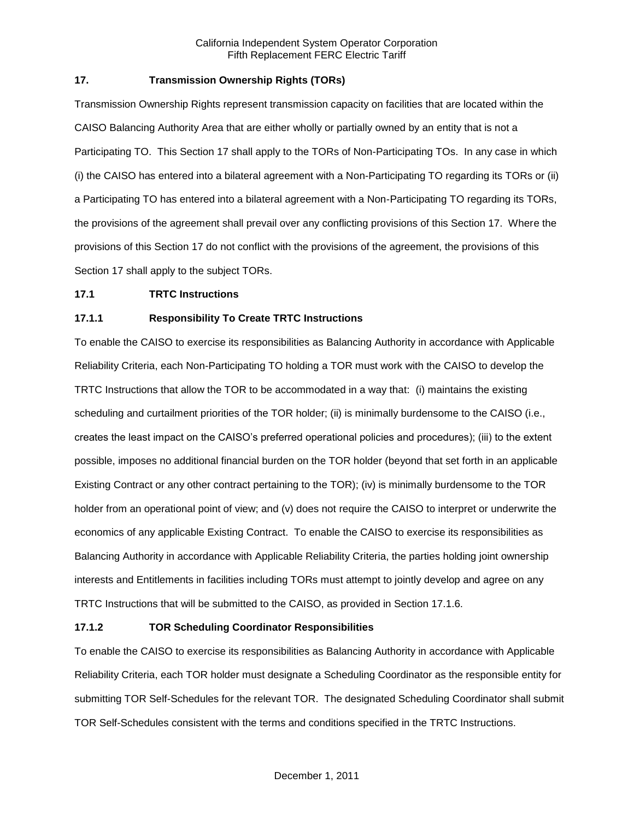# **17. Transmission Ownership Rights (TORs)**

Transmission Ownership Rights represent transmission capacity on facilities that are located within the CAISO Balancing Authority Area that are either wholly or partially owned by an entity that is not a Participating TO. This Section 17 shall apply to the TORs of Non-Participating TOs. In any case in which (i) the CAISO has entered into a bilateral agreement with a Non-Participating TO regarding its TORs or (ii) a Participating TO has entered into a bilateral agreement with a Non-Participating TO regarding its TORs, the provisions of the agreement shall prevail over any conflicting provisions of this Section 17. Where the provisions of this Section 17 do not conflict with the provisions of the agreement, the provisions of this Section 17 shall apply to the subject TORs.

### **17.1 TRTC Instructions**

## **17.1.1 Responsibility To Create TRTC Instructions**

To enable the CAISO to exercise its responsibilities as Balancing Authority in accordance with Applicable Reliability Criteria, each Non-Participating TO holding a TOR must work with the CAISO to develop the TRTC Instructions that allow the TOR to be accommodated in a way that: (i) maintains the existing scheduling and curtailment priorities of the TOR holder; (ii) is minimally burdensome to the CAISO (i.e., creates the least impact on the CAISO's preferred operational policies and procedures); (iii) to the extent possible, imposes no additional financial burden on the TOR holder (beyond that set forth in an applicable Existing Contract or any other contract pertaining to the TOR); (iv) is minimally burdensome to the TOR holder from an operational point of view; and (v) does not require the CAISO to interpret or underwrite the economics of any applicable Existing Contract. To enable the CAISO to exercise its responsibilities as Balancing Authority in accordance with Applicable Reliability Criteria, the parties holding joint ownership interests and Entitlements in facilities including TORs must attempt to jointly develop and agree on any TRTC Instructions that will be submitted to the CAISO, as provided in Section 17.1.6.

### **17.1.2 TOR Scheduling Coordinator Responsibilities**

To enable the CAISO to exercise its responsibilities as Balancing Authority in accordance with Applicable Reliability Criteria, each TOR holder must designate a Scheduling Coordinator as the responsible entity for submitting TOR Self-Schedules for the relevant TOR. The designated Scheduling Coordinator shall submit TOR Self-Schedules consistent with the terms and conditions specified in the TRTC Instructions.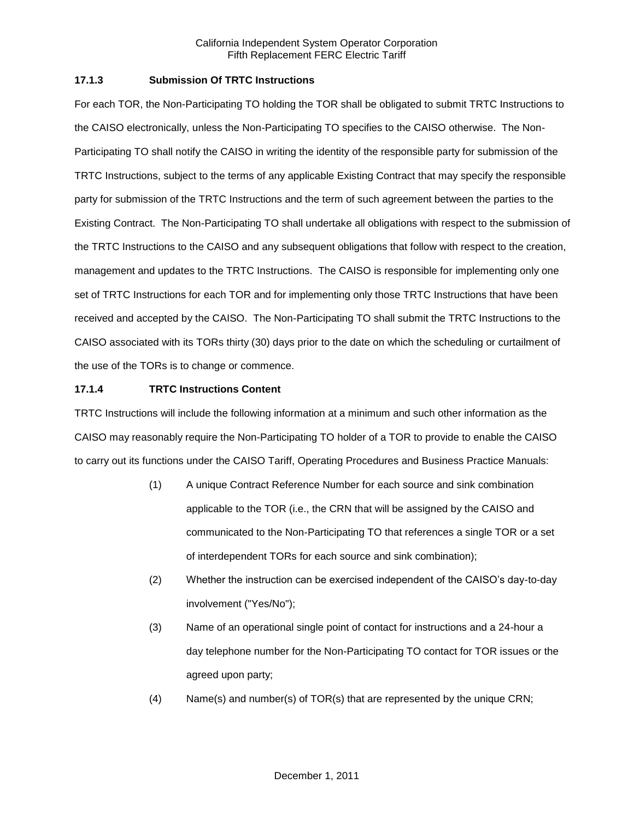## **17.1.3 Submission Of TRTC Instructions**

For each TOR, the Non-Participating TO holding the TOR shall be obligated to submit TRTC Instructions to the CAISO electronically, unless the Non-Participating TO specifies to the CAISO otherwise. The Non-Participating TO shall notify the CAISO in writing the identity of the responsible party for submission of the TRTC Instructions, subject to the terms of any applicable Existing Contract that may specify the responsible party for submission of the TRTC Instructions and the term of such agreement between the parties to the Existing Contract. The Non-Participating TO shall undertake all obligations with respect to the submission of the TRTC Instructions to the CAISO and any subsequent obligations that follow with respect to the creation, management and updates to the TRTC Instructions. The CAISO is responsible for implementing only one set of TRTC Instructions for each TOR and for implementing only those TRTC Instructions that have been received and accepted by the CAISO. The Non-Participating TO shall submit the TRTC Instructions to the CAISO associated with its TORs thirty (30) days prior to the date on which the scheduling or curtailment of the use of the TORs is to change or commence.

## **17.1.4 TRTC Instructions Content**

TRTC Instructions will include the following information at a minimum and such other information as the CAISO may reasonably require the Non-Participating TO holder of a TOR to provide to enable the CAISO to carry out its functions under the CAISO Tariff, Operating Procedures and Business Practice Manuals:

- (1) A unique Contract Reference Number for each source and sink combination applicable to the TOR (i.e., the CRN that will be assigned by the CAISO and communicated to the Non-Participating TO that references a single TOR or a set of interdependent TORs for each source and sink combination);
- (2) Whether the instruction can be exercised independent of the CAISO's day-to-day involvement ("Yes/No");
- (3) Name of an operational single point of contact for instructions and a 24-hour a day telephone number for the Non-Participating TO contact for TOR issues or the agreed upon party;
- (4) Name(s) and number(s) of TOR(s) that are represented by the unique CRN;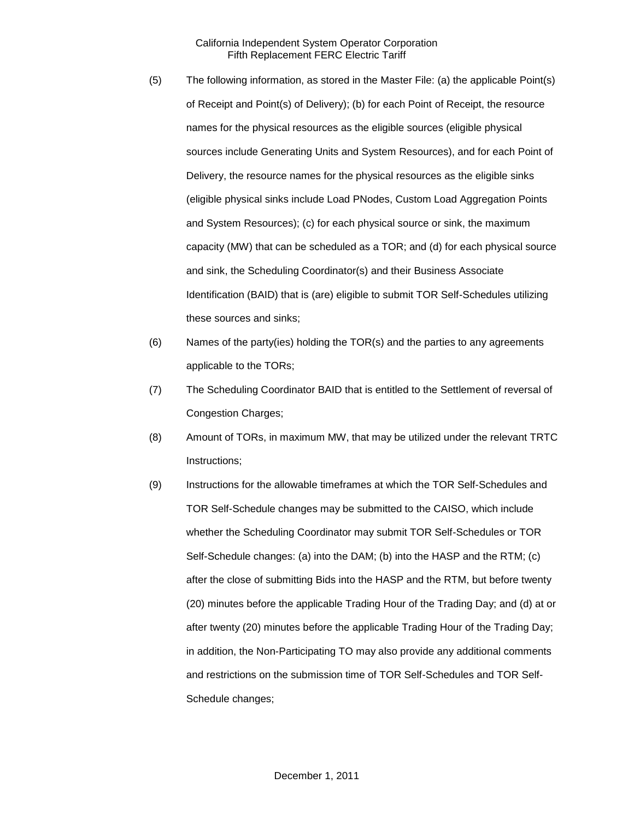- (5) The following information, as stored in the Master File: (a) the applicable Point(s) of Receipt and Point(s) of Delivery); (b) for each Point of Receipt, the resource names for the physical resources as the eligible sources (eligible physical sources include Generating Units and System Resources), and for each Point of Delivery, the resource names for the physical resources as the eligible sinks (eligible physical sinks include Load PNodes, Custom Load Aggregation Points and System Resources); (c) for each physical source or sink, the maximum capacity (MW) that can be scheduled as a TOR; and (d) for each physical source and sink, the Scheduling Coordinator(s) and their Business Associate Identification (BAID) that is (are) eligible to submit TOR Self-Schedules utilizing these sources and sinks;
- (6) Names of the party(ies) holding the TOR(s) and the parties to any agreements applicable to the TORs;
- (7) The Scheduling Coordinator BAID that is entitled to the Settlement of reversal of Congestion Charges;
- (8) Amount of TORs, in maximum MW, that may be utilized under the relevant TRTC Instructions;
- (9) Instructions for the allowable timeframes at which the TOR Self-Schedules and TOR Self-Schedule changes may be submitted to the CAISO, which include whether the Scheduling Coordinator may submit TOR Self-Schedules or TOR Self-Schedule changes: (a) into the DAM; (b) into the HASP and the RTM; (c) after the close of submitting Bids into the HASP and the RTM, but before twenty (20) minutes before the applicable Trading Hour of the Trading Day; and (d) at or after twenty (20) minutes before the applicable Trading Hour of the Trading Day; in addition, the Non-Participating TO may also provide any additional comments and restrictions on the submission time of TOR Self-Schedules and TOR Self-Schedule changes;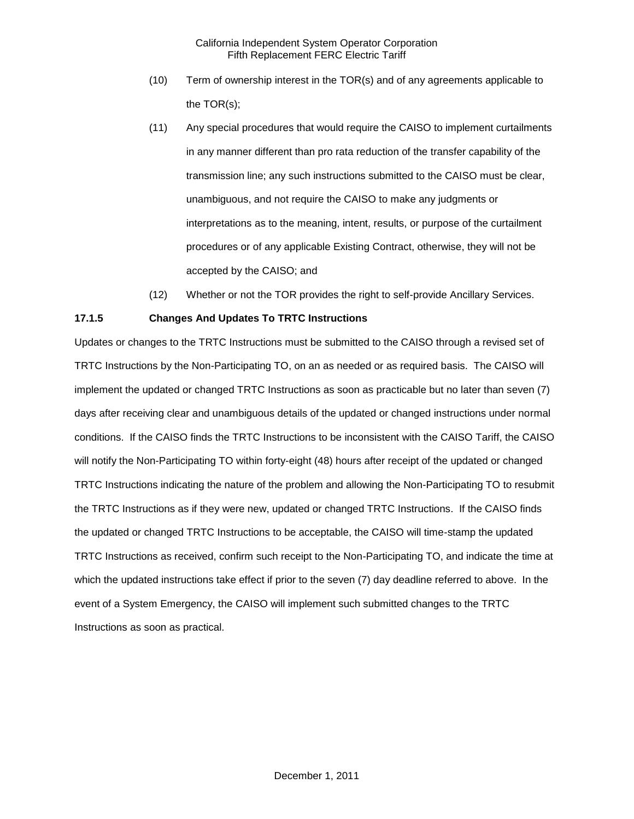- (10) Term of ownership interest in the TOR(s) and of any agreements applicable to the TOR(s);
- (11) Any special procedures that would require the CAISO to implement curtailments in any manner different than pro rata reduction of the transfer capability of the transmission line; any such instructions submitted to the CAISO must be clear, unambiguous, and not require the CAISO to make any judgments or interpretations as to the meaning, intent, results, or purpose of the curtailment procedures or of any applicable Existing Contract, otherwise, they will not be accepted by the CAISO; and
- (12) Whether or not the TOR provides the right to self-provide Ancillary Services.

## **17.1.5 Changes And Updates To TRTC Instructions**

Updates or changes to the TRTC Instructions must be submitted to the CAISO through a revised set of TRTC Instructions by the Non-Participating TO, on an as needed or as required basis. The CAISO will implement the updated or changed TRTC Instructions as soon as practicable but no later than seven (7) days after receiving clear and unambiguous details of the updated or changed instructions under normal conditions. If the CAISO finds the TRTC Instructions to be inconsistent with the CAISO Tariff, the CAISO will notify the Non-Participating TO within forty-eight (48) hours after receipt of the updated or changed TRTC Instructions indicating the nature of the problem and allowing the Non-Participating TO to resubmit the TRTC Instructions as if they were new, updated or changed TRTC Instructions. If the CAISO finds the updated or changed TRTC Instructions to be acceptable, the CAISO will time-stamp the updated TRTC Instructions as received, confirm such receipt to the Non-Participating TO, and indicate the time at which the updated instructions take effect if prior to the seven (7) day deadline referred to above. In the event of a System Emergency, the CAISO will implement such submitted changes to the TRTC Instructions as soon as practical.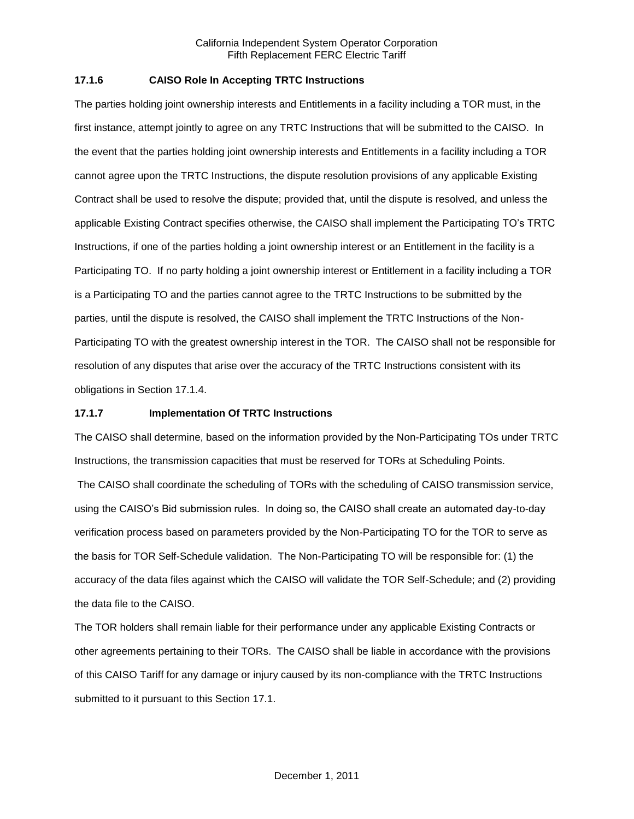## **17.1.6 CAISO Role In Accepting TRTC Instructions**

The parties holding joint ownership interests and Entitlements in a facility including a TOR must, in the first instance, attempt jointly to agree on any TRTC Instructions that will be submitted to the CAISO. In the event that the parties holding joint ownership interests and Entitlements in a facility including a TOR cannot agree upon the TRTC Instructions, the dispute resolution provisions of any applicable Existing Contract shall be used to resolve the dispute; provided that, until the dispute is resolved, and unless the applicable Existing Contract specifies otherwise, the CAISO shall implement the Participating TO's TRTC Instructions, if one of the parties holding a joint ownership interest or an Entitlement in the facility is a Participating TO. If no party holding a joint ownership interest or Entitlement in a facility including a TOR is a Participating TO and the parties cannot agree to the TRTC Instructions to be submitted by the parties, until the dispute is resolved, the CAISO shall implement the TRTC Instructions of the Non-Participating TO with the greatest ownership interest in the TOR. The CAISO shall not be responsible for resolution of any disputes that arise over the accuracy of the TRTC Instructions consistent with its obligations in Section 17.1.4.

### **17.1.7 Implementation Of TRTC Instructions**

The CAISO shall determine, based on the information provided by the Non-Participating TOs under TRTC Instructions, the transmission capacities that must be reserved for TORs at Scheduling Points.

The CAISO shall coordinate the scheduling of TORs with the scheduling of CAISO transmission service, using the CAISO's Bid submission rules. In doing so, the CAISO shall create an automated day-to-day verification process based on parameters provided by the Non-Participating TO for the TOR to serve as the basis for TOR Self-Schedule validation. The Non-Participating TO will be responsible for: (1) the accuracy of the data files against which the CAISO will validate the TOR Self-Schedule; and (2) providing the data file to the CAISO.

The TOR holders shall remain liable for their performance under any applicable Existing Contracts or other agreements pertaining to their TORs. The CAISO shall be liable in accordance with the provisions of this CAISO Tariff for any damage or injury caused by its non-compliance with the TRTC Instructions submitted to it pursuant to this Section 17.1.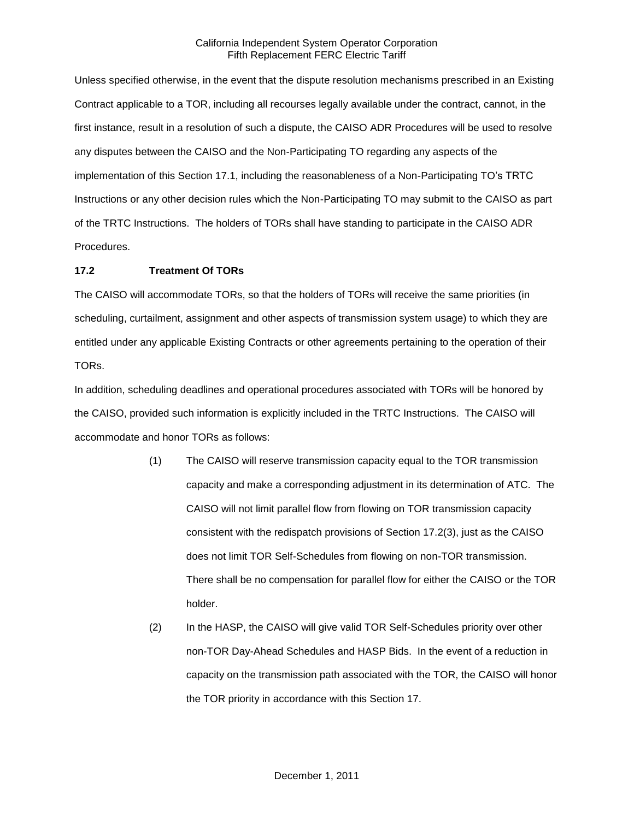Unless specified otherwise, in the event that the dispute resolution mechanisms prescribed in an Existing Contract applicable to a TOR, including all recourses legally available under the contract, cannot, in the first instance, result in a resolution of such a dispute, the CAISO ADR Procedures will be used to resolve any disputes between the CAISO and the Non-Participating TO regarding any aspects of the implementation of this Section 17.1, including the reasonableness of a Non-Participating TO's TRTC Instructions or any other decision rules which the Non-Participating TO may submit to the CAISO as part of the TRTC Instructions. The holders of TORs shall have standing to participate in the CAISO ADR Procedures.

# **17.2 Treatment Of TORs**

The CAISO will accommodate TORs, so that the holders of TORs will receive the same priorities (in scheduling, curtailment, assignment and other aspects of transmission system usage) to which they are entitled under any applicable Existing Contracts or other agreements pertaining to the operation of their TORs.

In addition, scheduling deadlines and operational procedures associated with TORs will be honored by the CAISO, provided such information is explicitly included in the TRTC Instructions. The CAISO will accommodate and honor TORs as follows:

- (1) The CAISO will reserve transmission capacity equal to the TOR transmission capacity and make a corresponding adjustment in its determination of ATC. The CAISO will not limit parallel flow from flowing on TOR transmission capacity consistent with the redispatch provisions of Section 17.2(3), just as the CAISO does not limit TOR Self-Schedules from flowing on non-TOR transmission. There shall be no compensation for parallel flow for either the CAISO or the TOR holder.
- (2) In the HASP, the CAISO will give valid TOR Self-Schedules priority over other non-TOR Day-Ahead Schedules and HASP Bids. In the event of a reduction in capacity on the transmission path associated with the TOR, the CAISO will honor the TOR priority in accordance with this Section 17.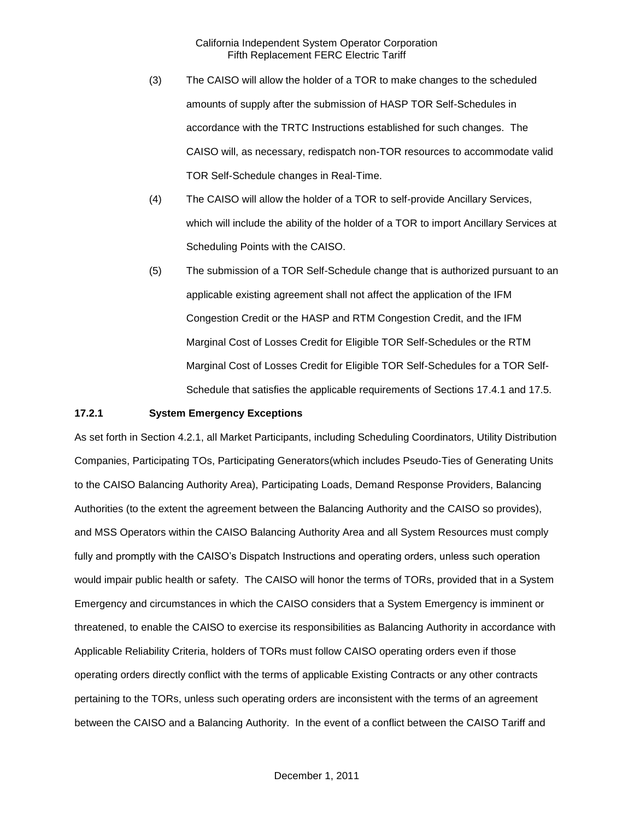- (3) The CAISO will allow the holder of a TOR to make changes to the scheduled amounts of supply after the submission of HASP TOR Self-Schedules in accordance with the TRTC Instructions established for such changes. The CAISO will, as necessary, redispatch non-TOR resources to accommodate valid TOR Self-Schedule changes in Real-Time.
- (4) The CAISO will allow the holder of a TOR to self-provide Ancillary Services, which will include the ability of the holder of a TOR to import Ancillary Services at Scheduling Points with the CAISO.
- (5) The submission of a TOR Self-Schedule change that is authorized pursuant to an applicable existing agreement shall not affect the application of the IFM Congestion Credit or the HASP and RTM Congestion Credit, and the IFM Marginal Cost of Losses Credit for Eligible TOR Self-Schedules or the RTM Marginal Cost of Losses Credit for Eligible TOR Self-Schedules for a TOR Self-Schedule that satisfies the applicable requirements of Sections 17.4.1 and 17.5.

#### **17.2.1 System Emergency Exceptions**

As set forth in Section 4.2.1, all Market Participants, including Scheduling Coordinators, Utility Distribution Companies, Participating TOs, Participating Generators(which includes Pseudo-Ties of Generating Units to the CAISO Balancing Authority Area), Participating Loads, Demand Response Providers, Balancing Authorities (to the extent the agreement between the Balancing Authority and the CAISO so provides), and MSS Operators within the CAISO Balancing Authority Area and all System Resources must comply fully and promptly with the CAISO's Dispatch Instructions and operating orders, unless such operation would impair public health or safety. The CAISO will honor the terms of TORs, provided that in a System Emergency and circumstances in which the CAISO considers that a System Emergency is imminent or threatened, to enable the CAISO to exercise its responsibilities as Balancing Authority in accordance with Applicable Reliability Criteria, holders of TORs must follow CAISO operating orders even if those operating orders directly conflict with the terms of applicable Existing Contracts or any other contracts pertaining to the TORs, unless such operating orders are inconsistent with the terms of an agreement between the CAISO and a Balancing Authority. In the event of a conflict between the CAISO Tariff and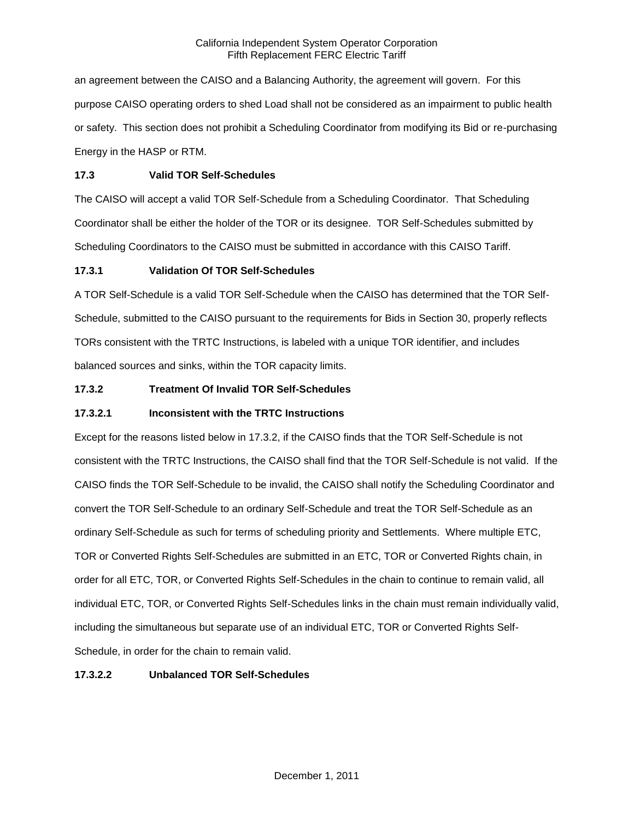an agreement between the CAISO and a Balancing Authority, the agreement will govern. For this purpose CAISO operating orders to shed Load shall not be considered as an impairment to public health or safety. This section does not prohibit a Scheduling Coordinator from modifying its Bid or re-purchasing Energy in the HASP or RTM.

## **17.3 Valid TOR Self-Schedules**

The CAISO will accept a valid TOR Self-Schedule from a Scheduling Coordinator. That Scheduling Coordinator shall be either the holder of the TOR or its designee. TOR Self-Schedules submitted by Scheduling Coordinators to the CAISO must be submitted in accordance with this CAISO Tariff.

# **17.3.1 Validation Of TOR Self-Schedules**

A TOR Self-Schedule is a valid TOR Self-Schedule when the CAISO has determined that the TOR Self-Schedule, submitted to the CAISO pursuant to the requirements for Bids in Section 30, properly reflects TORs consistent with the TRTC Instructions, is labeled with a unique TOR identifier, and includes balanced sources and sinks, within the TOR capacity limits.

# **17.3.2 Treatment Of Invalid TOR Self-Schedules**

## **17.3.2.1 Inconsistent with the TRTC Instructions**

Except for the reasons listed below in 17.3.2, if the CAISO finds that the TOR Self-Schedule is not consistent with the TRTC Instructions, the CAISO shall find that the TOR Self-Schedule is not valid. If the CAISO finds the TOR Self-Schedule to be invalid, the CAISO shall notify the Scheduling Coordinator and convert the TOR Self-Schedule to an ordinary Self-Schedule and treat the TOR Self-Schedule as an ordinary Self-Schedule as such for terms of scheduling priority and Settlements. Where multiple ETC, TOR or Converted Rights Self-Schedules are submitted in an ETC, TOR or Converted Rights chain, in order for all ETC, TOR, or Converted Rights Self-Schedules in the chain to continue to remain valid, all individual ETC, TOR, or Converted Rights Self-Schedules links in the chain must remain individually valid, including the simultaneous but separate use of an individual ETC, TOR or Converted Rights Self-Schedule, in order for the chain to remain valid.

# **17.3.2.2 Unbalanced TOR Self-Schedules**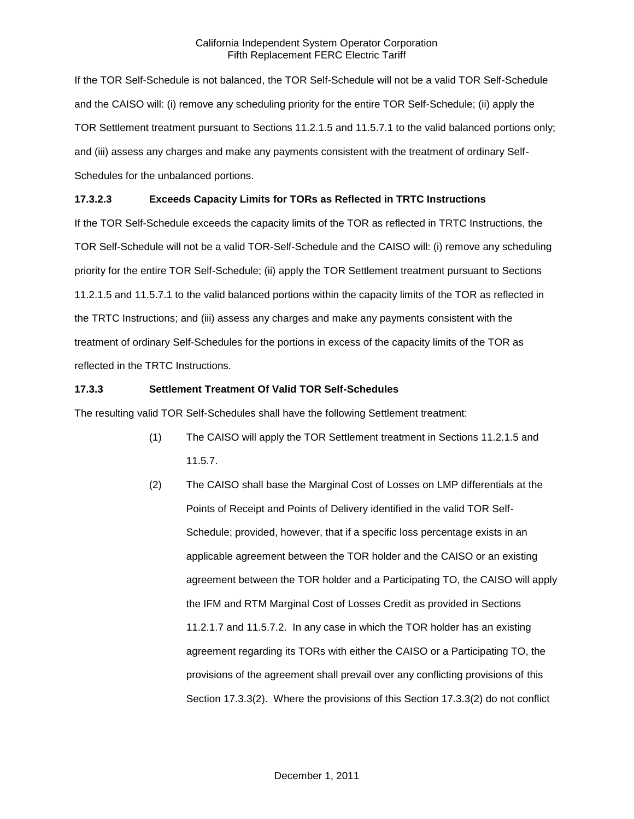If the TOR Self-Schedule is not balanced, the TOR Self-Schedule will not be a valid TOR Self-Schedule and the CAISO will: (i) remove any scheduling priority for the entire TOR Self-Schedule; (ii) apply the TOR Settlement treatment pursuant to Sections 11.2.1.5 and 11.5.7.1 to the valid balanced portions only; and (iii) assess any charges and make any payments consistent with the treatment of ordinary Self-Schedules for the unbalanced portions.

# **17.3.2.3 Exceeds Capacity Limits for TORs as Reflected in TRTC Instructions**

If the TOR Self-Schedule exceeds the capacity limits of the TOR as reflected in TRTC Instructions, the TOR Self-Schedule will not be a valid TOR-Self-Schedule and the CAISO will: (i) remove any scheduling priority for the entire TOR Self-Schedule; (ii) apply the TOR Settlement treatment pursuant to Sections 11.2.1.5 and 11.5.7.1 to the valid balanced portions within the capacity limits of the TOR as reflected in the TRTC Instructions; and (iii) assess any charges and make any payments consistent with the treatment of ordinary Self-Schedules for the portions in excess of the capacity limits of the TOR as reflected in the TRTC Instructions.

# **17.3.3 Settlement Treatment Of Valid TOR Self-Schedules**

The resulting valid TOR Self-Schedules shall have the following Settlement treatment:

- (1) The CAISO will apply the TOR Settlement treatment in Sections 11.2.1.5 and 11.5.7.
- (2) The CAISO shall base the Marginal Cost of Losses on LMP differentials at the Points of Receipt and Points of Delivery identified in the valid TOR Self-Schedule; provided, however, that if a specific loss percentage exists in an applicable agreement between the TOR holder and the CAISO or an existing agreement between the TOR holder and a Participating TO, the CAISO will apply the IFM and RTM Marginal Cost of Losses Credit as provided in Sections 11.2.1.7 and 11.5.7.2. In any case in which the TOR holder has an existing agreement regarding its TORs with either the CAISO or a Participating TO, the provisions of the agreement shall prevail over any conflicting provisions of this Section 17.3.3(2). Where the provisions of this Section 17.3.3(2) do not conflict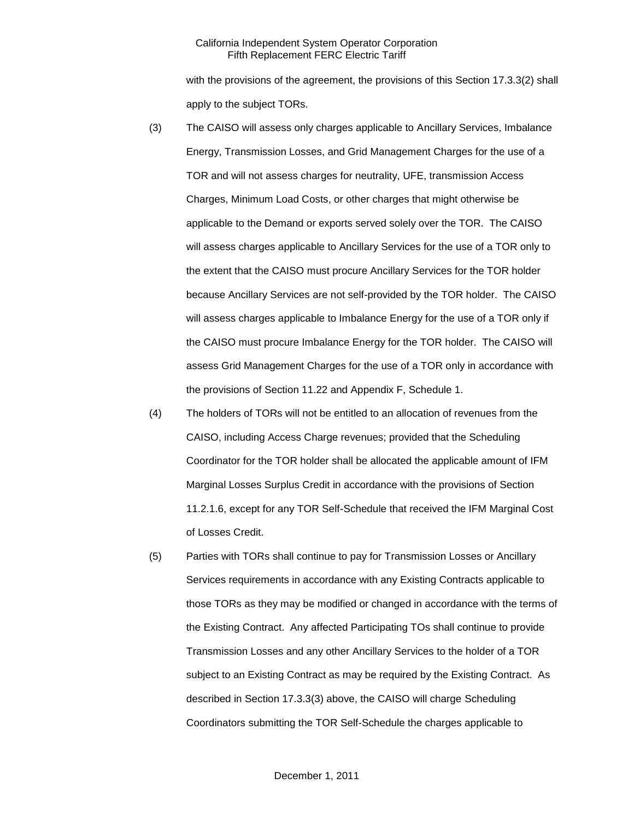with the provisions of the agreement, the provisions of this Section 17.3.3(2) shall apply to the subject TORs.

- (3) The CAISO will assess only charges applicable to Ancillary Services, Imbalance Energy, Transmission Losses, and Grid Management Charges for the use of a TOR and will not assess charges for neutrality, UFE, transmission Access Charges, Minimum Load Costs, or other charges that might otherwise be applicable to the Demand or exports served solely over the TOR. The CAISO will assess charges applicable to Ancillary Services for the use of a TOR only to the extent that the CAISO must procure Ancillary Services for the TOR holder because Ancillary Services are not self-provided by the TOR holder. The CAISO will assess charges applicable to Imbalance Energy for the use of a TOR only if the CAISO must procure Imbalance Energy for the TOR holder. The CAISO will assess Grid Management Charges for the use of a TOR only in accordance with the provisions of Section 11.22 and Appendix F, Schedule 1.
- (4) The holders of TORs will not be entitled to an allocation of revenues from the CAISO, including Access Charge revenues; provided that the Scheduling Coordinator for the TOR holder shall be allocated the applicable amount of IFM Marginal Losses Surplus Credit in accordance with the provisions of Section 11.2.1.6, except for any TOR Self-Schedule that received the IFM Marginal Cost of Losses Credit.
- (5) Parties with TORs shall continue to pay for Transmission Losses or Ancillary Services requirements in accordance with any Existing Contracts applicable to those TORs as they may be modified or changed in accordance with the terms of the Existing Contract. Any affected Participating TOs shall continue to provide Transmission Losses and any other Ancillary Services to the holder of a TOR subject to an Existing Contract as may be required by the Existing Contract. As described in Section 17.3.3(3) above, the CAISO will charge Scheduling Coordinators submitting the TOR Self-Schedule the charges applicable to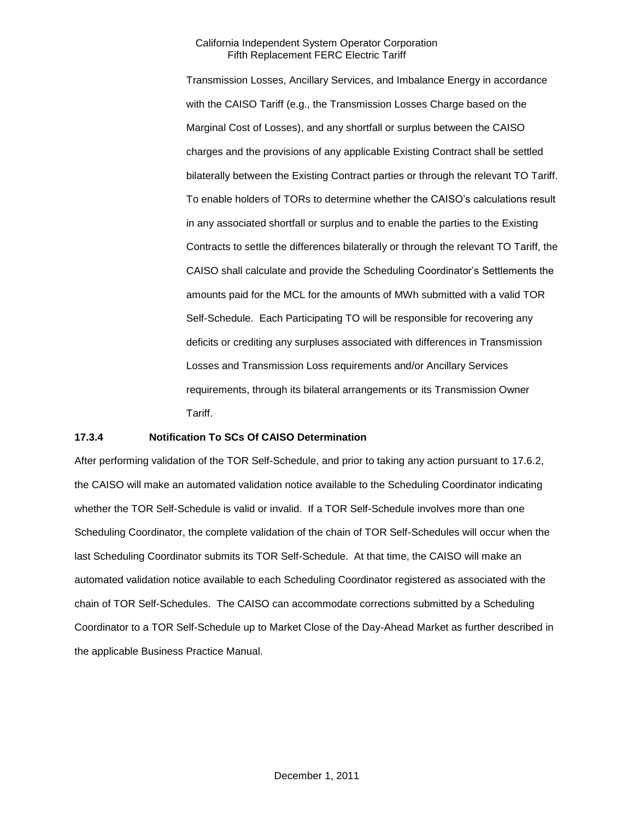Transmission Losses, Ancillary Services, and Imbalance Energy in accordance with the CAISO Tariff (e.g., the Transmission Losses Charge based on the Marginal Cost of Losses), and any shortfall or surplus between the CAISO charges and the provisions of any applicable Existing Contract shall be settled bilaterally between the Existing Contract parties or through the relevant TO Tariff. To enable holders of TORs to determine whether the CAISO's calculations result in any associated shortfall or surplus and to enable the parties to the Existing Contracts to settle the differences bilaterally or through the relevant TO Tariff, the CAISO shall calculate and provide the Scheduling Coordinator's Settlements the amounts paid for the MCL for the amounts of MWh submitted with a valid TOR Self-Schedule. Each Participating TO will be responsible for recovering any deficits or crediting any surpluses associated with differences in Transmission Losses and Transmission Loss requirements and/or Ancillary Services requirements, through its bilateral arrangements or its Transmission Owner Tariff.

### **17.3.4 Notification To SCs Of CAISO Determination**

After performing validation of the TOR Self-Schedule, and prior to taking any action pursuant to 17.6.2, the CAISO will make an automated validation notice available to the Scheduling Coordinator indicating whether the TOR Self-Schedule is valid or invalid. If a TOR Self-Schedule involves more than one Scheduling Coordinator, the complete validation of the chain of TOR Self-Schedules will occur when the last Scheduling Coordinator submits its TOR Self-Schedule. At that time, the CAISO will make an automated validation notice available to each Scheduling Coordinator registered as associated with the chain of TOR Self-Schedules. The CAISO can accommodate corrections submitted by a Scheduling Coordinator to a TOR Self-Schedule up to Market Close of the Day-Ahead Market as further described in the applicable Business Practice Manual.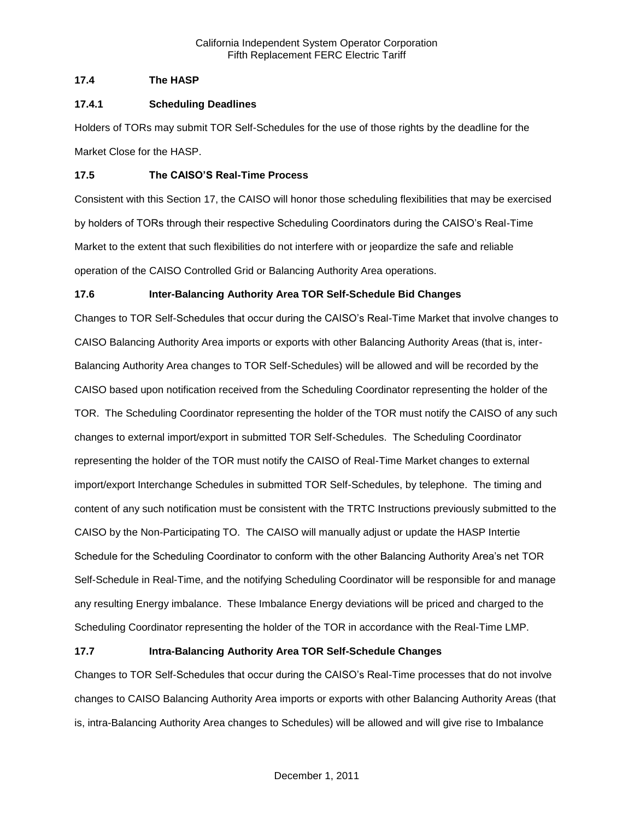# **17.4 The HASP**

## **17.4.1 Scheduling Deadlines**

Holders of TORs may submit TOR Self-Schedules for the use of those rights by the deadline for the Market Close for the HASP.

## **17.5 The CAISO'S Real-Time Process**

Consistent with this Section 17, the CAISO will honor those scheduling flexibilities that may be exercised by holders of TORs through their respective Scheduling Coordinators during the CAISO's Real-Time Market to the extent that such flexibilities do not interfere with or jeopardize the safe and reliable operation of the CAISO Controlled Grid or Balancing Authority Area operations.

# **17.6 Inter-Balancing Authority Area TOR Self-Schedule Bid Changes**

Changes to TOR Self-Schedules that occur during the CAISO's Real-Time Market that involve changes to CAISO Balancing Authority Area imports or exports with other Balancing Authority Areas (that is, inter-Balancing Authority Area changes to TOR Self-Schedules) will be allowed and will be recorded by the CAISO based upon notification received from the Scheduling Coordinator representing the holder of the TOR. The Scheduling Coordinator representing the holder of the TOR must notify the CAISO of any such changes to external import/export in submitted TOR Self-Schedules. The Scheduling Coordinator representing the holder of the TOR must notify the CAISO of Real-Time Market changes to external import/export Interchange Schedules in submitted TOR Self-Schedules, by telephone. The timing and content of any such notification must be consistent with the TRTC Instructions previously submitted to the CAISO by the Non-Participating TO. The CAISO will manually adjust or update the HASP Intertie Schedule for the Scheduling Coordinator to conform with the other Balancing Authority Area's net TOR Self-Schedule in Real-Time, and the notifying Scheduling Coordinator will be responsible for and manage any resulting Energy imbalance. These Imbalance Energy deviations will be priced and charged to the Scheduling Coordinator representing the holder of the TOR in accordance with the Real-Time LMP.

# **17.7 Intra-Balancing Authority Area TOR Self-Schedule Changes**

Changes to TOR Self-Schedules that occur during the CAISO's Real-Time processes that do not involve changes to CAISO Balancing Authority Area imports or exports with other Balancing Authority Areas (that is, intra-Balancing Authority Area changes to Schedules) will be allowed and will give rise to Imbalance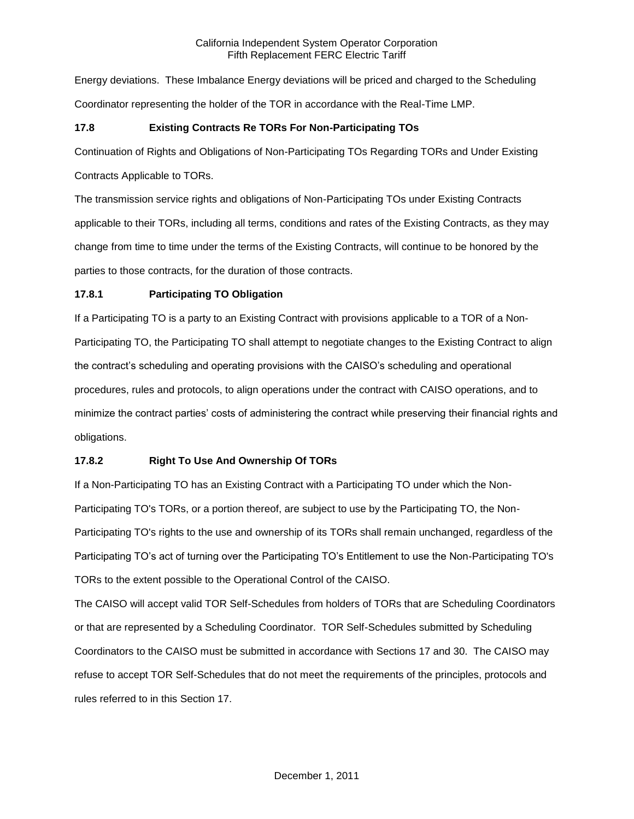Energy deviations. These Imbalance Energy deviations will be priced and charged to the Scheduling Coordinator representing the holder of the TOR in accordance with the Real-Time LMP.

## **17.8 Existing Contracts Re TORs For Non-Participating TOs**

Continuation of Rights and Obligations of Non-Participating TOs Regarding TORs and Under Existing

Contracts Applicable to TORs.

The transmission service rights and obligations of Non-Participating TOs under Existing Contracts applicable to their TORs, including all terms, conditions and rates of the Existing Contracts, as they may change from time to time under the terms of the Existing Contracts, will continue to be honored by the parties to those contracts, for the duration of those contracts.

# **17.8.1 Participating TO Obligation**

If a Participating TO is a party to an Existing Contract with provisions applicable to a TOR of a Non-Participating TO, the Participating TO shall attempt to negotiate changes to the Existing Contract to align the contract's scheduling and operating provisions with the CAISO's scheduling and operational procedures, rules and protocols, to align operations under the contract with CAISO operations, and to minimize the contract parties' costs of administering the contract while preserving their financial rights and obligations.

# **17.8.2 Right To Use And Ownership Of TORs**

If a Non-Participating TO has an Existing Contract with a Participating TO under which the Non-Participating TO's TORs, or a portion thereof, are subject to use by the Participating TO, the Non-Participating TO's rights to the use and ownership of its TORs shall remain unchanged, regardless of the Participating TO's act of turning over the Participating TO's Entitlement to use the Non-Participating TO's TORs to the extent possible to the Operational Control of the CAISO.

The CAISO will accept valid TOR Self-Schedules from holders of TORs that are Scheduling Coordinators or that are represented by a Scheduling Coordinator. TOR Self-Schedules submitted by Scheduling Coordinators to the CAISO must be submitted in accordance with Sections 17 and 30. The CAISO may refuse to accept TOR Self-Schedules that do not meet the requirements of the principles, protocols and rules referred to in this Section 17.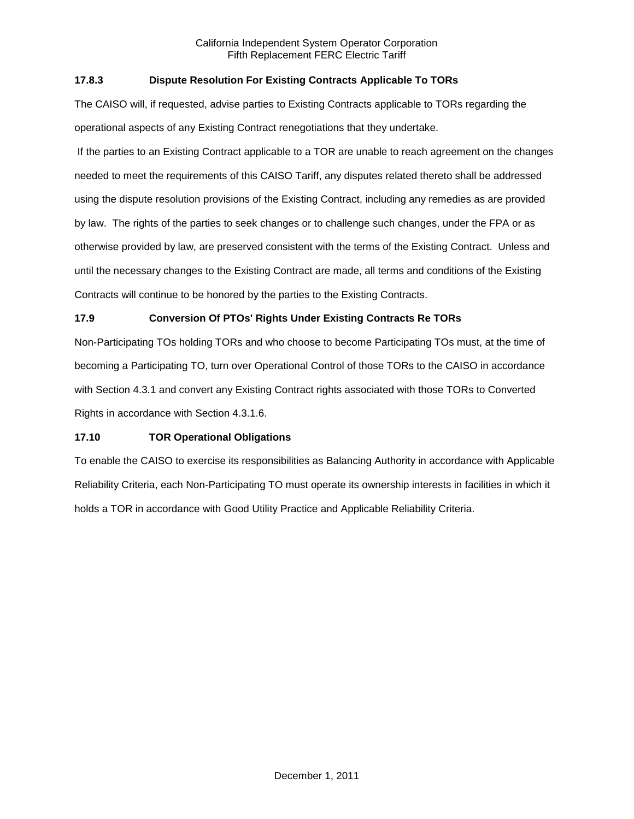## **17.8.3 Dispute Resolution For Existing Contracts Applicable To TORs**

The CAISO will, if requested, advise parties to Existing Contracts applicable to TORs regarding the operational aspects of any Existing Contract renegotiations that they undertake.

If the parties to an Existing Contract applicable to a TOR are unable to reach agreement on the changes needed to meet the requirements of this CAISO Tariff, any disputes related thereto shall be addressed using the dispute resolution provisions of the Existing Contract, including any remedies as are provided by law. The rights of the parties to seek changes or to challenge such changes, under the FPA or as otherwise provided by law, are preserved consistent with the terms of the Existing Contract. Unless and until the necessary changes to the Existing Contract are made, all terms and conditions of the Existing Contracts will continue to be honored by the parties to the Existing Contracts.

## **17.9 Conversion Of PTOs' Rights Under Existing Contracts Re TORs**

Non-Participating TOs holding TORs and who choose to become Participating TOs must, at the time of becoming a Participating TO, turn over Operational Control of those TORs to the CAISO in accordance with Section 4.3.1 and convert any Existing Contract rights associated with those TORs to Converted Rights in accordance with Section 4.3.1.6.

## **17.10 TOR Operational Obligations**

To enable the CAISO to exercise its responsibilities as Balancing Authority in accordance with Applicable Reliability Criteria, each Non-Participating TO must operate its ownership interests in facilities in which it holds a TOR in accordance with Good Utility Practice and Applicable Reliability Criteria.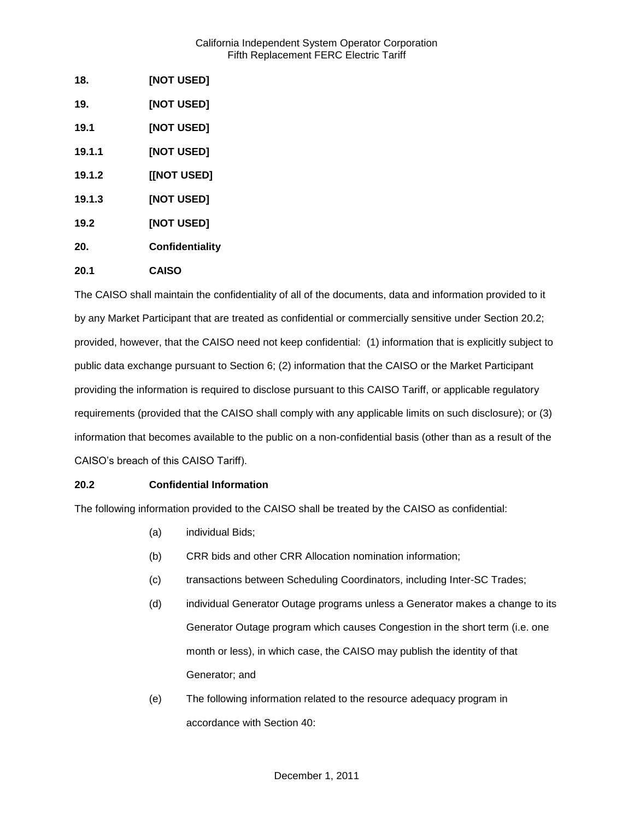| 18.    | [NOT USED]        |
|--------|-------------------|
| 19.    | <b>[NOT USED]</b> |
| 19.1   | [NOT USED]        |
| 19.1.1 | <b>[NOT USED]</b> |
| 19.1.2 | [[NOT USED]       |
| 19.1.3 | <b>[NOT USED]</b> |
| 19.2   | [NOT USED]        |
| 20.    | Confidentiality   |
| 20.1   | <b>CAISO</b>      |

The CAISO shall maintain the confidentiality of all of the documents, data and information provided to it by any Market Participant that are treated as confidential or commercially sensitive under Section 20.2; provided, however, that the CAISO need not keep confidential: (1) information that is explicitly subject to public data exchange pursuant to Section 6; (2) information that the CAISO or the Market Participant providing the information is required to disclose pursuant to this CAISO Tariff, or applicable regulatory requirements (provided that the CAISO shall comply with any applicable limits on such disclosure); or (3) information that becomes available to the public on a non-confidential basis (other than as a result of the CAISO's breach of this CAISO Tariff).

## **20.2 Confidential Information**

The following information provided to the CAISO shall be treated by the CAISO as confidential:

- (a) individual Bids;
- (b) CRR bids and other CRR Allocation nomination information;
- (c) transactions between Scheduling Coordinators, including Inter-SC Trades;
- (d) individual Generator Outage programs unless a Generator makes a change to its Generator Outage program which causes Congestion in the short term (i.e. one month or less), in which case, the CAISO may publish the identity of that Generator; and
- (e) The following information related to the resource adequacy program in accordance with Section 40: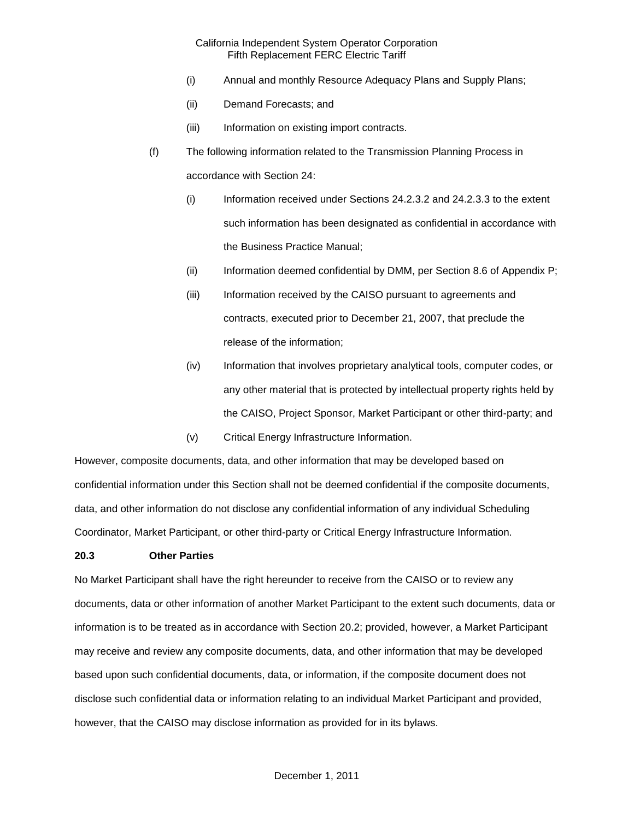- (i) Annual and monthly Resource Adequacy Plans and Supply Plans;
- (ii) Demand Forecasts; and
- (iii) Information on existing import contracts.
- (f) The following information related to the Transmission Planning Process in accordance with Section 24:
	- (i) Information received under Sections 24.2.3.2 and 24.2.3.3 to the extent such information has been designated as confidential in accordance with the Business Practice Manual;
	- (ii) Information deemed confidential by DMM, per Section 8.6 of Appendix P;
	- (iii) Information received by the CAISO pursuant to agreements and contracts, executed prior to December 21, 2007, that preclude the release of the information;
	- (iv) Information that involves proprietary analytical tools, computer codes, or any other material that is protected by intellectual property rights held by the CAISO, Project Sponsor, Market Participant or other third-party; and
	- (v) Critical Energy Infrastructure Information.

However, composite documents, data, and other information that may be developed based on confidential information under this Section shall not be deemed confidential if the composite documents, data, and other information do not disclose any confidential information of any individual Scheduling Coordinator, Market Participant, or other third-party or Critical Energy Infrastructure Information.

### **20.3 Other Parties**

No Market Participant shall have the right hereunder to receive from the CAISO or to review any documents, data or other information of another Market Participant to the extent such documents, data or information is to be treated as in accordance with Section 20.2; provided, however, a Market Participant may receive and review any composite documents, data, and other information that may be developed based upon such confidential documents, data, or information, if the composite document does not disclose such confidential data or information relating to an individual Market Participant and provided, however, that the CAISO may disclose information as provided for in its bylaws.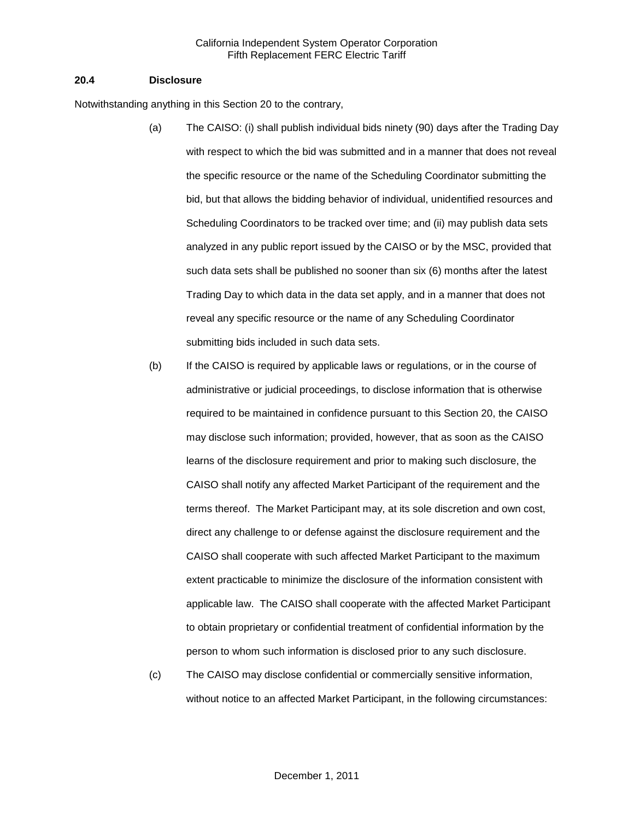#### **20.4 Disclosure**

Notwithstanding anything in this Section 20 to the contrary,

- (a) The CAISO: (i) shall publish individual bids ninety (90) days after the Trading Day with respect to which the bid was submitted and in a manner that does not reveal the specific resource or the name of the Scheduling Coordinator submitting the bid, but that allows the bidding behavior of individual, unidentified resources and Scheduling Coordinators to be tracked over time; and (ii) may publish data sets analyzed in any public report issued by the CAISO or by the MSC, provided that such data sets shall be published no sooner than six (6) months after the latest Trading Day to which data in the data set apply, and in a manner that does not reveal any specific resource or the name of any Scheduling Coordinator submitting bids included in such data sets.
- (b) If the CAISO is required by applicable laws or regulations, or in the course of administrative or judicial proceedings, to disclose information that is otherwise required to be maintained in confidence pursuant to this Section 20, the CAISO may disclose such information; provided, however, that as soon as the CAISO learns of the disclosure requirement and prior to making such disclosure, the CAISO shall notify any affected Market Participant of the requirement and the terms thereof. The Market Participant may, at its sole discretion and own cost, direct any challenge to or defense against the disclosure requirement and the CAISO shall cooperate with such affected Market Participant to the maximum extent practicable to minimize the disclosure of the information consistent with applicable law. The CAISO shall cooperate with the affected Market Participant to obtain proprietary or confidential treatment of confidential information by the person to whom such information is disclosed prior to any such disclosure.
- (c) The CAISO may disclose confidential or commercially sensitive information, without notice to an affected Market Participant, in the following circumstances: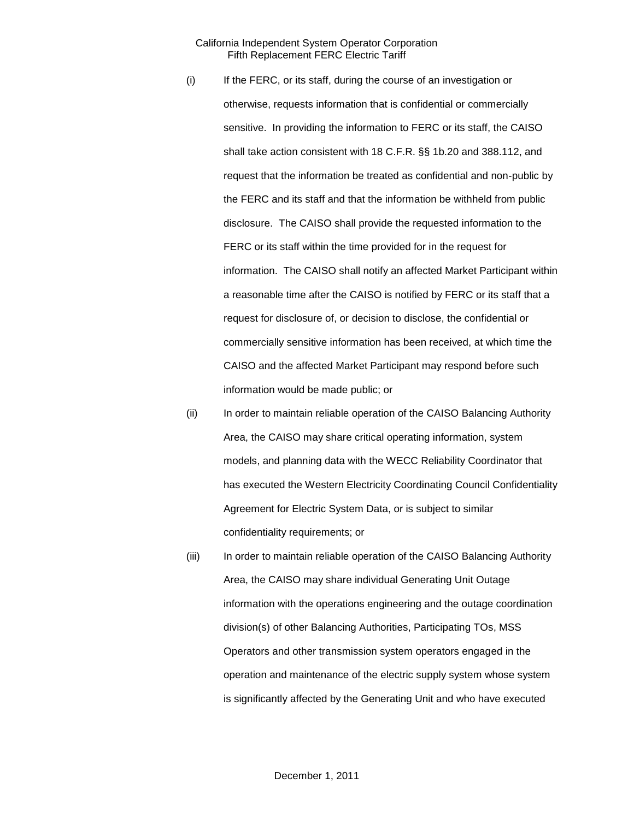- (i) If the FERC, or its staff, during the course of an investigation or otherwise, requests information that is confidential or commercially sensitive. In providing the information to FERC or its staff, the CAISO shall take action consistent with 18 C.F.R. §§ 1b.20 and 388.112, and request that the information be treated as confidential and non-public by the FERC and its staff and that the information be withheld from public disclosure. The CAISO shall provide the requested information to the FERC or its staff within the time provided for in the request for information. The CAISO shall notify an affected Market Participant within a reasonable time after the CAISO is notified by FERC or its staff that a request for disclosure of, or decision to disclose, the confidential or commercially sensitive information has been received, at which time the CAISO and the affected Market Participant may respond before such information would be made public; or
- (ii) In order to maintain reliable operation of the CAISO Balancing Authority Area, the CAISO may share critical operating information, system models, and planning data with the WECC Reliability Coordinator that has executed the Western Electricity Coordinating Council Confidentiality Agreement for Electric System Data, or is subject to similar confidentiality requirements; or
- (iii) In order to maintain reliable operation of the CAISO Balancing Authority Area, the CAISO may share individual Generating Unit Outage information with the operations engineering and the outage coordination division(s) of other Balancing Authorities, Participating TOs, MSS Operators and other transmission system operators engaged in the operation and maintenance of the electric supply system whose system is significantly affected by the Generating Unit and who have executed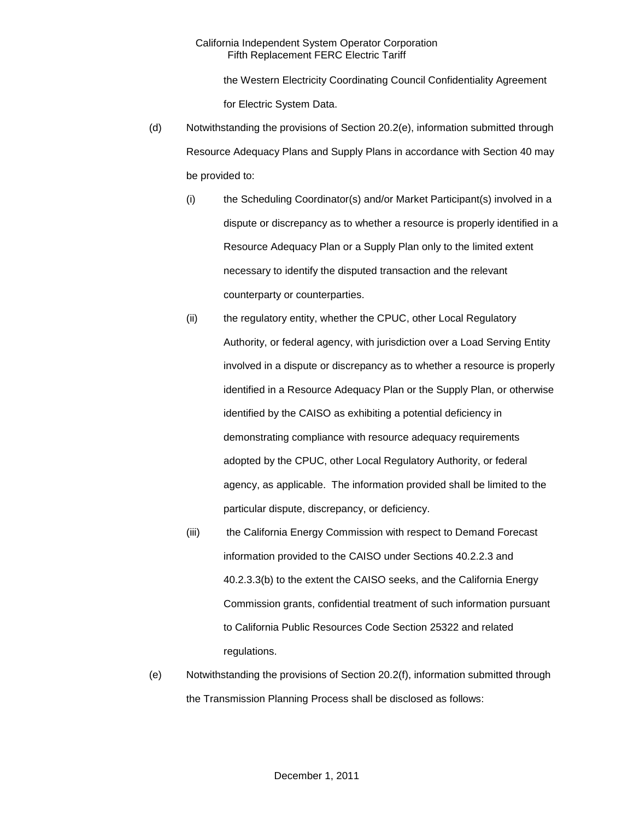the Western Electricity Coordinating Council Confidentiality Agreement for Electric System Data.

- (d) Notwithstanding the provisions of Section 20.2(e), information submitted through Resource Adequacy Plans and Supply Plans in accordance with Section 40 may be provided to:
	- (i) the Scheduling Coordinator(s) and/or Market Participant(s) involved in a dispute or discrepancy as to whether a resource is properly identified in a Resource Adequacy Plan or a Supply Plan only to the limited extent necessary to identify the disputed transaction and the relevant counterparty or counterparties.
	- (ii) the regulatory entity, whether the CPUC, other Local Regulatory Authority, or federal agency, with jurisdiction over a Load Serving Entity involved in a dispute or discrepancy as to whether a resource is properly identified in a Resource Adequacy Plan or the Supply Plan, or otherwise identified by the CAISO as exhibiting a potential deficiency in demonstrating compliance with resource adequacy requirements adopted by the CPUC, other Local Regulatory Authority, or federal agency, as applicable. The information provided shall be limited to the particular dispute, discrepancy, or deficiency.
	- (iii) the California Energy Commission with respect to Demand Forecast information provided to the CAISO under Sections 40.2.2.3 and 40.2.3.3(b) to the extent the CAISO seeks, and the California Energy Commission grants, confidential treatment of such information pursuant to California Public Resources Code Section 25322 and related regulations.
- (e) Notwithstanding the provisions of Section 20.2(f), information submitted through the Transmission Planning Process shall be disclosed as follows: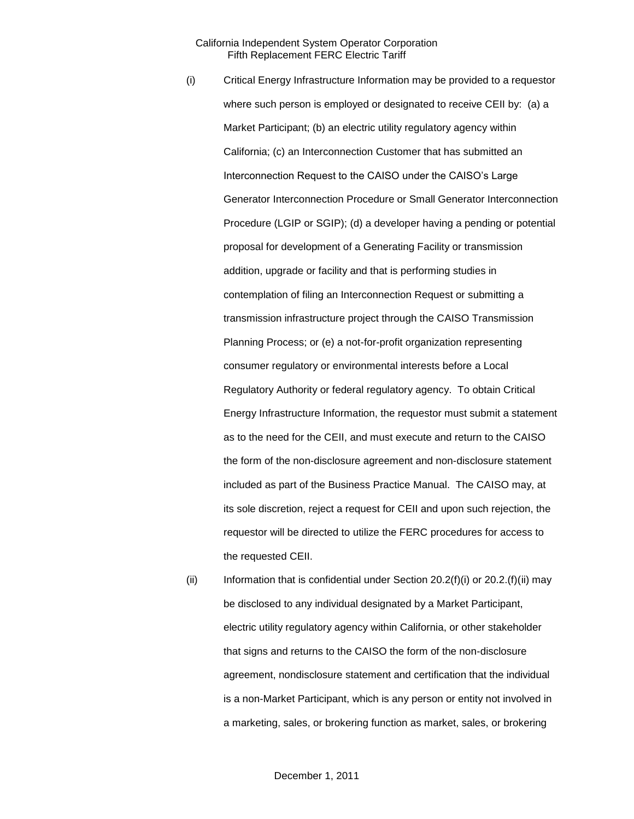- (i) Critical Energy Infrastructure Information may be provided to a requestor where such person is employed or designated to receive CEII by: (a) a Market Participant; (b) an electric utility regulatory agency within California; (c) an Interconnection Customer that has submitted an Interconnection Request to the CAISO under the CAISO's Large Generator Interconnection Procedure or Small Generator Interconnection Procedure (LGIP or SGIP); (d) a developer having a pending or potential proposal for development of a Generating Facility or transmission addition, upgrade or facility and that is performing studies in contemplation of filing an Interconnection Request or submitting a transmission infrastructure project through the CAISO Transmission Planning Process; or (e) a not-for-profit organization representing consumer regulatory or environmental interests before a Local Regulatory Authority or federal regulatory agency. To obtain Critical Energy Infrastructure Information, the requestor must submit a statement as to the need for the CEII, and must execute and return to the CAISO the form of the non-disclosure agreement and non-disclosure statement included as part of the Business Practice Manual. The CAISO may, at its sole discretion, reject a request for CEII and upon such rejection, the requestor will be directed to utilize the FERC procedures for access to the requested CEII.
- (ii) Information that is confidential under Section  $20.2(f)(i)$  or  $20.2(f)(ii)$  may be disclosed to any individual designated by a Market Participant, electric utility regulatory agency within California, or other stakeholder that signs and returns to the CAISO the form of the non-disclosure agreement, nondisclosure statement and certification that the individual is a non-Market Participant, which is any person or entity not involved in a marketing, sales, or brokering function as market, sales, or brokering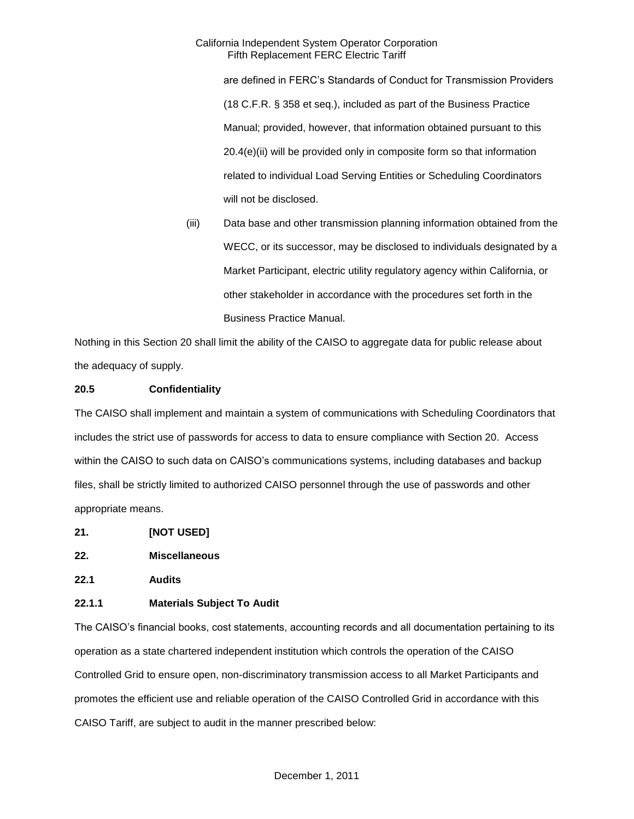are defined in FERC's Standards of Conduct for Transmission Providers (18 C.F.R. § 358 et seq.), included as part of the Business Practice Manual; provided, however, that information obtained pursuant to this 20.4(e)(ii) will be provided only in composite form so that information related to individual Load Serving Entities or Scheduling Coordinators will not be disclosed.

(iii) Data base and other transmission planning information obtained from the WECC, or its successor, may be disclosed to individuals designated by a Market Participant, electric utility regulatory agency within California, or other stakeholder in accordance with the procedures set forth in the Business Practice Manual.

Nothing in this Section 20 shall limit the ability of the CAISO to aggregate data for public release about the adequacy of supply.

## **20.5 Confidentiality**

The CAISO shall implement and maintain a system of communications with Scheduling Coordinators that includes the strict use of passwords for access to data to ensure compliance with Section 20. Access within the CAISO to such data on CAISO's communications systems, including databases and backup files, shall be strictly limited to authorized CAISO personnel through the use of passwords and other appropriate means.

- **21. [NOT USED]**
- **22. Miscellaneous**
- **22.1 Audits**

## **22.1.1 Materials Subject To Audit**

The CAISO's financial books, cost statements, accounting records and all documentation pertaining to its operation as a state chartered independent institution which controls the operation of the CAISO Controlled Grid to ensure open, non-discriminatory transmission access to all Market Participants and promotes the efficient use and reliable operation of the CAISO Controlled Grid in accordance with this CAISO Tariff, are subject to audit in the manner prescribed below: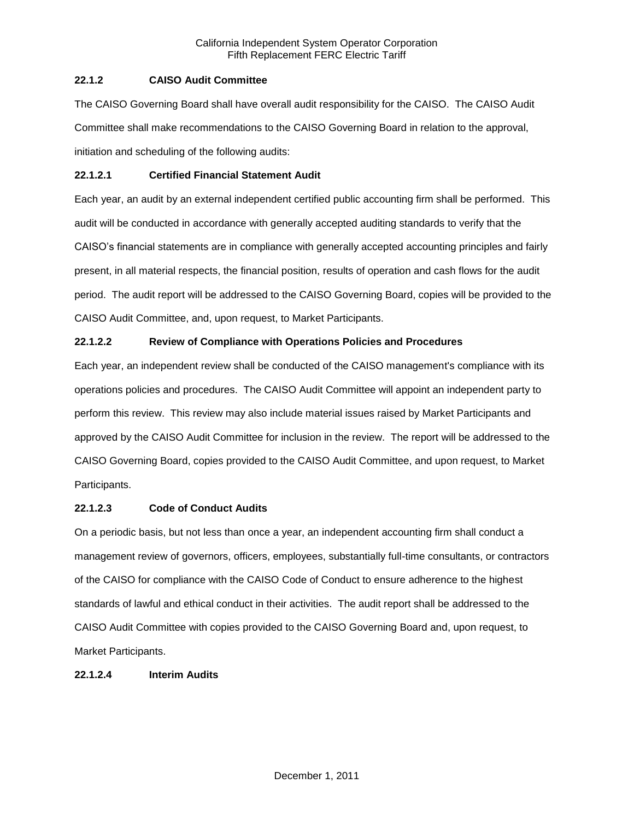## **22.1.2 CAISO Audit Committee**

The CAISO Governing Board shall have overall audit responsibility for the CAISO. The CAISO Audit Committee shall make recommendations to the CAISO Governing Board in relation to the approval, initiation and scheduling of the following audits:

## **22.1.2.1 Certified Financial Statement Audit**

Each year, an audit by an external independent certified public accounting firm shall be performed. This audit will be conducted in accordance with generally accepted auditing standards to verify that the CAISO's financial statements are in compliance with generally accepted accounting principles and fairly present, in all material respects, the financial position, results of operation and cash flows for the audit period. The audit report will be addressed to the CAISO Governing Board, copies will be provided to the CAISO Audit Committee, and, upon request, to Market Participants.

# **22.1.2.2 Review of Compliance with Operations Policies and Procedures**

Each year, an independent review shall be conducted of the CAISO management's compliance with its operations policies and procedures. The CAISO Audit Committee will appoint an independent party to perform this review. This review may also include material issues raised by Market Participants and approved by the CAISO Audit Committee for inclusion in the review. The report will be addressed to the CAISO Governing Board, copies provided to the CAISO Audit Committee, and upon request, to Market Participants.

## **22.1.2.3 Code of Conduct Audits**

On a periodic basis, but not less than once a year, an independent accounting firm shall conduct a management review of governors, officers, employees, substantially full-time consultants, or contractors of the CAISO for compliance with the CAISO Code of Conduct to ensure adherence to the highest standards of lawful and ethical conduct in their activities. The audit report shall be addressed to the CAISO Audit Committee with copies provided to the CAISO Governing Board and, upon request, to Market Participants.

## **22.1.2.4 Interim Audits**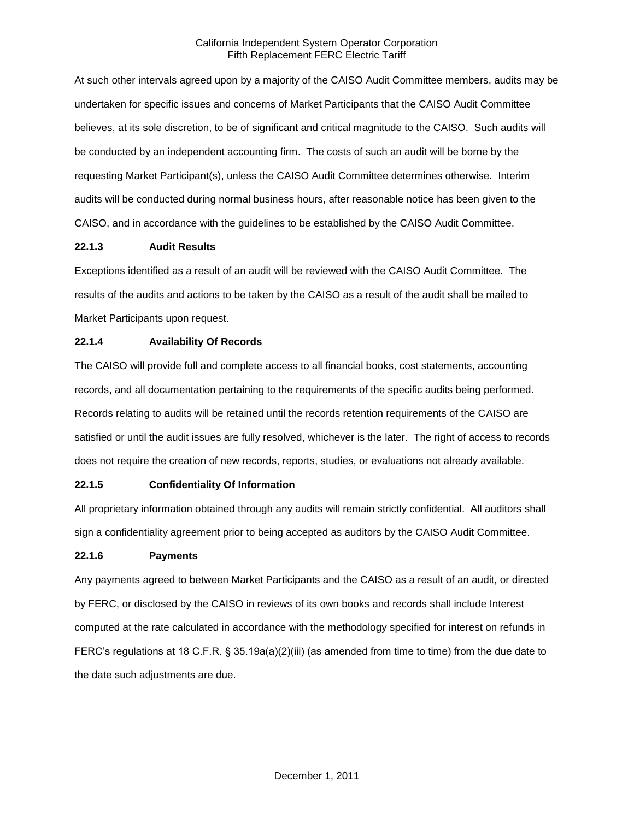At such other intervals agreed upon by a majority of the CAISO Audit Committee members, audits may be undertaken for specific issues and concerns of Market Participants that the CAISO Audit Committee believes, at its sole discretion, to be of significant and critical magnitude to the CAISO. Such audits will be conducted by an independent accounting firm. The costs of such an audit will be borne by the requesting Market Participant(s), unless the CAISO Audit Committee determines otherwise. Interim audits will be conducted during normal business hours, after reasonable notice has been given to the CAISO, and in accordance with the guidelines to be established by the CAISO Audit Committee.

## **22.1.3 Audit Results**

Exceptions identified as a result of an audit will be reviewed with the CAISO Audit Committee. The results of the audits and actions to be taken by the CAISO as a result of the audit shall be mailed to Market Participants upon request.

## **22.1.4 Availability Of Records**

The CAISO will provide full and complete access to all financial books, cost statements, accounting records, and all documentation pertaining to the requirements of the specific audits being performed. Records relating to audits will be retained until the records retention requirements of the CAISO are satisfied or until the audit issues are fully resolved, whichever is the later. The right of access to records does not require the creation of new records, reports, studies, or evaluations not already available.

# **22.1.5 Confidentiality Of Information**

All proprietary information obtained through any audits will remain strictly confidential. All auditors shall sign a confidentiality agreement prior to being accepted as auditors by the CAISO Audit Committee.

## **22.1.6 Payments**

Any payments agreed to between Market Participants and the CAISO as a result of an audit, or directed by FERC, or disclosed by the CAISO in reviews of its own books and records shall include Interest computed at the rate calculated in accordance with the methodology specified for interest on refunds in FERC's regulations at 18 C.F.R. § 35.19a(a)(2)(iii) (as amended from time to time) from the due date to the date such adjustments are due.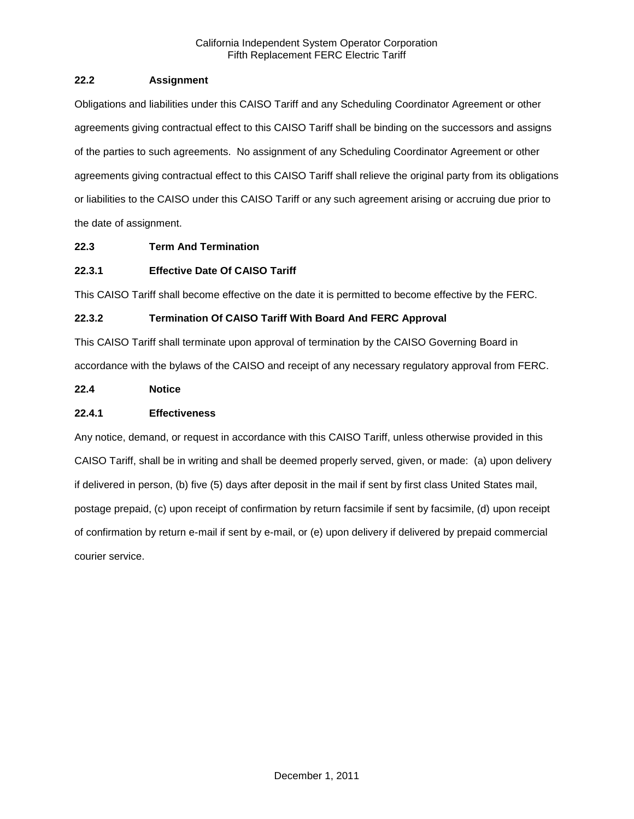## **22.2 Assignment**

Obligations and liabilities under this CAISO Tariff and any Scheduling Coordinator Agreement or other agreements giving contractual effect to this CAISO Tariff shall be binding on the successors and assigns of the parties to such agreements. No assignment of any Scheduling Coordinator Agreement or other agreements giving contractual effect to this CAISO Tariff shall relieve the original party from its obligations or liabilities to the CAISO under this CAISO Tariff or any such agreement arising or accruing due prior to the date of assignment.

# **22.3 Term And Termination**

# **22.3.1 Effective Date Of CAISO Tariff**

This CAISO Tariff shall become effective on the date it is permitted to become effective by the FERC.

# **22.3.2 Termination Of CAISO Tariff With Board And FERC Approval**

This CAISO Tariff shall terminate upon approval of termination by the CAISO Governing Board in accordance with the bylaws of the CAISO and receipt of any necessary regulatory approval from FERC.

## **22.4 Notice**

## **22.4.1 Effectiveness**

Any notice, demand, or request in accordance with this CAISO Tariff, unless otherwise provided in this CAISO Tariff, shall be in writing and shall be deemed properly served, given, or made: (a) upon delivery if delivered in person, (b) five (5) days after deposit in the mail if sent by first class United States mail, postage prepaid, (c) upon receipt of confirmation by return facsimile if sent by facsimile, (d) upon receipt of confirmation by return e-mail if sent by e-mail, or (e) upon delivery if delivered by prepaid commercial courier service.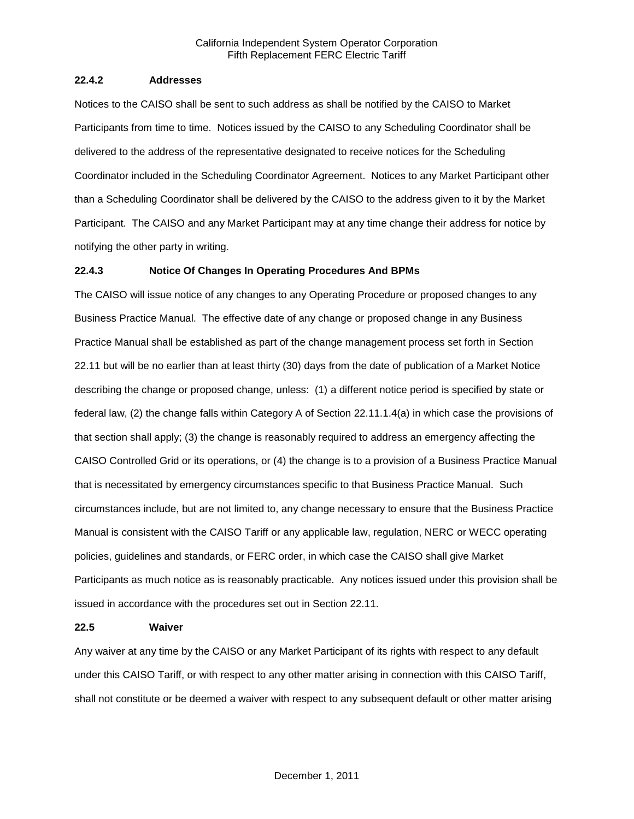### **22.4.2 Addresses**

Notices to the CAISO shall be sent to such address as shall be notified by the CAISO to Market Participants from time to time. Notices issued by the CAISO to any Scheduling Coordinator shall be delivered to the address of the representative designated to receive notices for the Scheduling Coordinator included in the Scheduling Coordinator Agreement. Notices to any Market Participant other than a Scheduling Coordinator shall be delivered by the CAISO to the address given to it by the Market Participant. The CAISO and any Market Participant may at any time change their address for notice by notifying the other party in writing.

### **22.4.3 Notice Of Changes In Operating Procedures And BPMs**

The CAISO will issue notice of any changes to any Operating Procedure or proposed changes to any Business Practice Manual. The effective date of any change or proposed change in any Business Practice Manual shall be established as part of the change management process set forth in Section 22.11 but will be no earlier than at least thirty (30) days from the date of publication of a Market Notice describing the change or proposed change, unless: (1) a different notice period is specified by state or federal law, (2) the change falls within Category A of Section 22.11.1.4(a) in which case the provisions of that section shall apply; (3) the change is reasonably required to address an emergency affecting the CAISO Controlled Grid or its operations, or (4) the change is to a provision of a Business Practice Manual that is necessitated by emergency circumstances specific to that Business Practice Manual. Such circumstances include, but are not limited to, any change necessary to ensure that the Business Practice Manual is consistent with the CAISO Tariff or any applicable law, regulation, NERC or WECC operating policies, guidelines and standards, or FERC order, in which case the CAISO shall give Market Participants as much notice as is reasonably practicable. Any notices issued under this provision shall be issued in accordance with the procedures set out in Section 22.11.

#### **22.5 Waiver**

Any waiver at any time by the CAISO or any Market Participant of its rights with respect to any default under this CAISO Tariff, or with respect to any other matter arising in connection with this CAISO Tariff, shall not constitute or be deemed a waiver with respect to any subsequent default or other matter arising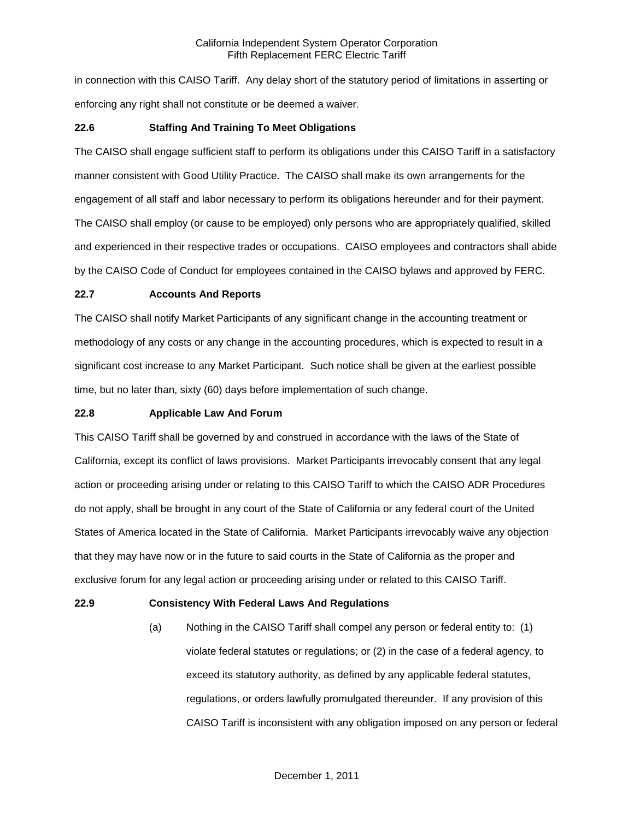in connection with this CAISO Tariff. Any delay short of the statutory period of limitations in asserting or enforcing any right shall not constitute or be deemed a waiver.

## **22.6 Staffing And Training To Meet Obligations**

The CAISO shall engage sufficient staff to perform its obligations under this CAISO Tariff in a satisfactory manner consistent with Good Utility Practice. The CAISO shall make its own arrangements for the engagement of all staff and labor necessary to perform its obligations hereunder and for their payment. The CAISO shall employ (or cause to be employed) only persons who are appropriately qualified, skilled and experienced in their respective trades or occupations. CAISO employees and contractors shall abide by the CAISO Code of Conduct for employees contained in the CAISO bylaws and approved by FERC.

### **22.7 Accounts And Reports**

The CAISO shall notify Market Participants of any significant change in the accounting treatment or methodology of any costs or any change in the accounting procedures, which is expected to result in a significant cost increase to any Market Participant. Such notice shall be given at the earliest possible time, but no later than, sixty (60) days before implementation of such change.

## **22.8 Applicable Law And Forum**

This CAISO Tariff shall be governed by and construed in accordance with the laws of the State of California, except its conflict of laws provisions. Market Participants irrevocably consent that any legal action or proceeding arising under or relating to this CAISO Tariff to which the CAISO ADR Procedures do not apply, shall be brought in any court of the State of California or any federal court of the United States of America located in the State of California. Market Participants irrevocably waive any objection that they may have now or in the future to said courts in the State of California as the proper and exclusive forum for any legal action or proceeding arising under or related to this CAISO Tariff.

### **22.9 Consistency With Federal Laws And Regulations**

(a) Nothing in the CAISO Tariff shall compel any person or federal entity to: (1) violate federal statutes or regulations; or (2) in the case of a federal agency, to exceed its statutory authority, as defined by any applicable federal statutes, regulations, or orders lawfully promulgated thereunder. If any provision of this CAISO Tariff is inconsistent with any obligation imposed on any person or federal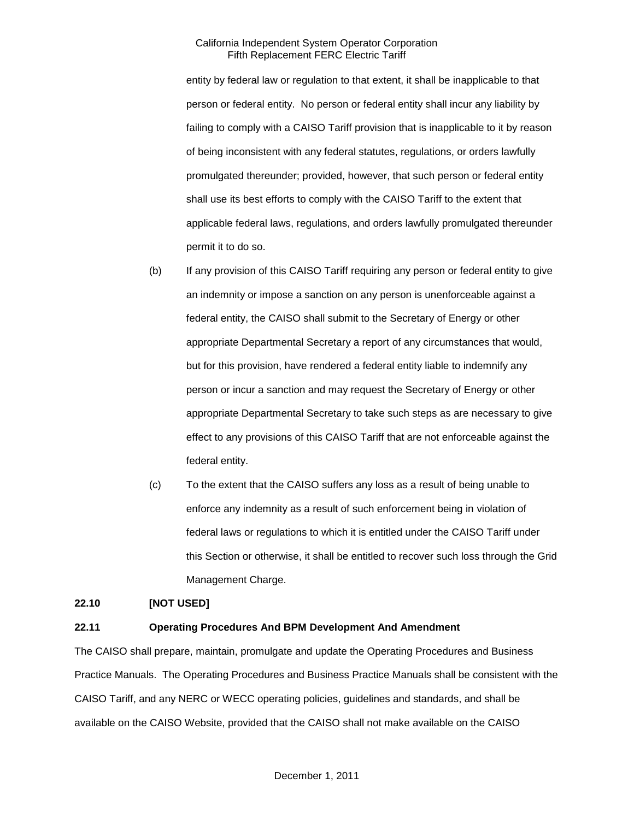entity by federal law or regulation to that extent, it shall be inapplicable to that person or federal entity. No person or federal entity shall incur any liability by failing to comply with a CAISO Tariff provision that is inapplicable to it by reason of being inconsistent with any federal statutes, regulations, or orders lawfully promulgated thereunder; provided, however, that such person or federal entity shall use its best efforts to comply with the CAISO Tariff to the extent that applicable federal laws, regulations, and orders lawfully promulgated thereunder permit it to do so.

- (b) If any provision of this CAISO Tariff requiring any person or federal entity to give an indemnity or impose a sanction on any person is unenforceable against a federal entity, the CAISO shall submit to the Secretary of Energy or other appropriate Departmental Secretary a report of any circumstances that would, but for this provision, have rendered a federal entity liable to indemnify any person or incur a sanction and may request the Secretary of Energy or other appropriate Departmental Secretary to take such steps as are necessary to give effect to any provisions of this CAISO Tariff that are not enforceable against the federal entity.
- (c) To the extent that the CAISO suffers any loss as a result of being unable to enforce any indemnity as a result of such enforcement being in violation of federal laws or regulations to which it is entitled under the CAISO Tariff under this Section or otherwise, it shall be entitled to recover such loss through the Grid Management Charge.

### **22.10 [NOT USED]**

## **22.11 Operating Procedures And BPM Development And Amendment**

The CAISO shall prepare, maintain, promulgate and update the Operating Procedures and Business Practice Manuals. The Operating Procedures and Business Practice Manuals shall be consistent with the CAISO Tariff, and any NERC or WECC operating policies, guidelines and standards, and shall be available on the CAISO Website, provided that the CAISO shall not make available on the CAISO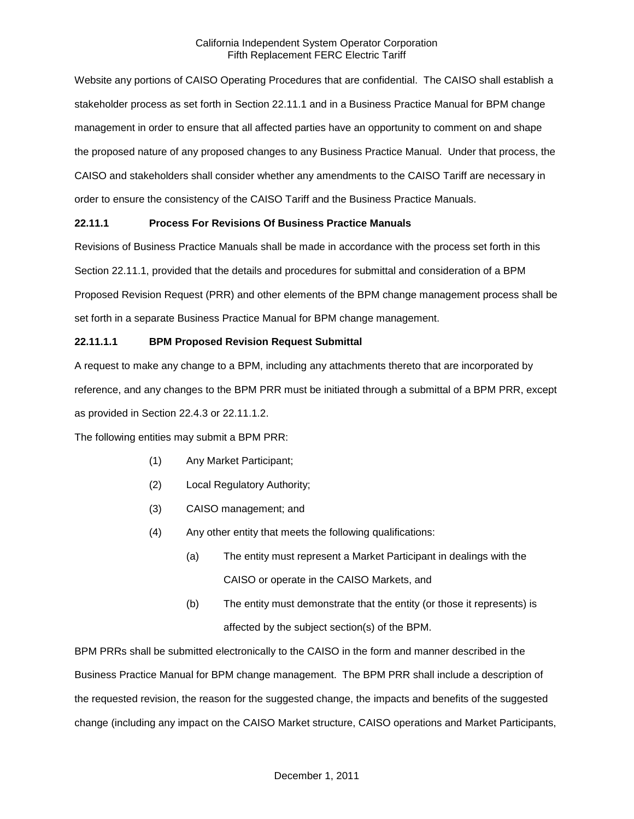Website any portions of CAISO Operating Procedures that are confidential. The CAISO shall establish a stakeholder process as set forth in Section 22.11.1 and in a Business Practice Manual for BPM change management in order to ensure that all affected parties have an opportunity to comment on and shape the proposed nature of any proposed changes to any Business Practice Manual. Under that process, the CAISO and stakeholders shall consider whether any amendments to the CAISO Tariff are necessary in order to ensure the consistency of the CAISO Tariff and the Business Practice Manuals.

## **22.11.1 Process For Revisions Of Business Practice Manuals**

Revisions of Business Practice Manuals shall be made in accordance with the process set forth in this Section 22.11.1, provided that the details and procedures for submittal and consideration of a BPM Proposed Revision Request (PRR) and other elements of the BPM change management process shall be set forth in a separate Business Practice Manual for BPM change management.

## **22.11.1.1 BPM Proposed Revision Request Submittal**

A request to make any change to a BPM, including any attachments thereto that are incorporated by reference, and any changes to the BPM PRR must be initiated through a submittal of a BPM PRR, except as provided in Section 22.4.3 or 22.11.1.2.

The following entities may submit a BPM PRR:

- (1) Any Market Participant;
- (2) Local Regulatory Authority;
- (3) CAISO management; and
- (4) Any other entity that meets the following qualifications:
	- (a) The entity must represent a Market Participant in dealings with the CAISO or operate in the CAISO Markets, and
	- (b) The entity must demonstrate that the entity (or those it represents) is affected by the subject section(s) of the BPM.

BPM PRRs shall be submitted electronically to the CAISO in the form and manner described in the Business Practice Manual for BPM change management. The BPM PRR shall include a description of the requested revision, the reason for the suggested change, the impacts and benefits of the suggested change (including any impact on the CAISO Market structure, CAISO operations and Market Participants,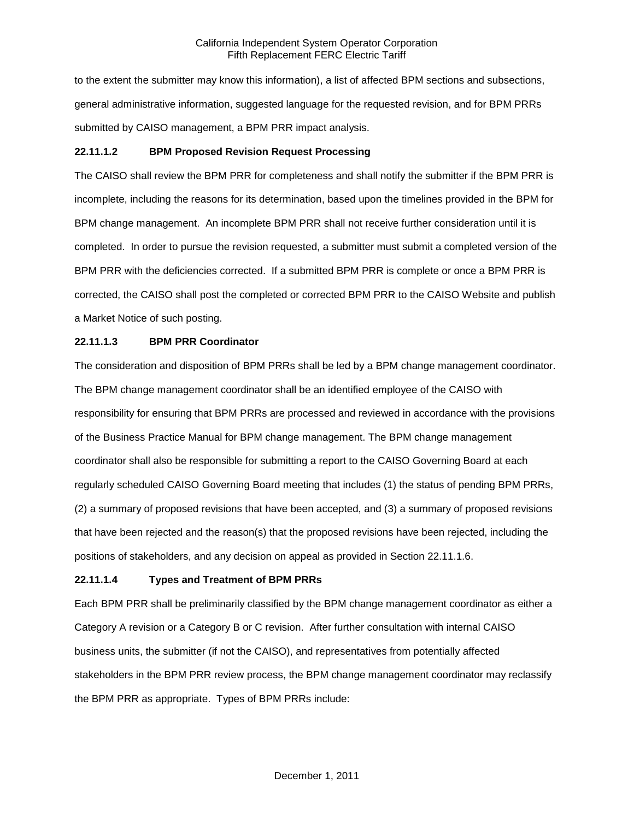to the extent the submitter may know this information), a list of affected BPM sections and subsections, general administrative information, suggested language for the requested revision, and for BPM PRRs submitted by CAISO management, a BPM PRR impact analysis.

## **22.11.1.2 BPM Proposed Revision Request Processing**

The CAISO shall review the BPM PRR for completeness and shall notify the submitter if the BPM PRR is incomplete, including the reasons for its determination, based upon the timelines provided in the BPM for BPM change management. An incomplete BPM PRR shall not receive further consideration until it is completed. In order to pursue the revision requested, a submitter must submit a completed version of the BPM PRR with the deficiencies corrected. If a submitted BPM PRR is complete or once a BPM PRR is corrected, the CAISO shall post the completed or corrected BPM PRR to the CAISO Website and publish a Market Notice of such posting.

## **22.11.1.3 BPM PRR Coordinator**

The consideration and disposition of BPM PRRs shall be led by a BPM change management coordinator. The BPM change management coordinator shall be an identified employee of the CAISO with responsibility for ensuring that BPM PRRs are processed and reviewed in accordance with the provisions of the Business Practice Manual for BPM change management. The BPM change management coordinator shall also be responsible for submitting a report to the CAISO Governing Board at each regularly scheduled CAISO Governing Board meeting that includes (1) the status of pending BPM PRRs, (2) a summary of proposed revisions that have been accepted, and (3) a summary of proposed revisions that have been rejected and the reason(s) that the proposed revisions have been rejected, including the positions of stakeholders, and any decision on appeal as provided in Section 22.11.1.6.

## **22.11.1.4 Types and Treatment of BPM PRRs**

Each BPM PRR shall be preliminarily classified by the BPM change management coordinator as either a Category A revision or a Category B or C revision. After further consultation with internal CAISO business units, the submitter (if not the CAISO), and representatives from potentially affected stakeholders in the BPM PRR review process, the BPM change management coordinator may reclassify the BPM PRR as appropriate. Types of BPM PRRs include: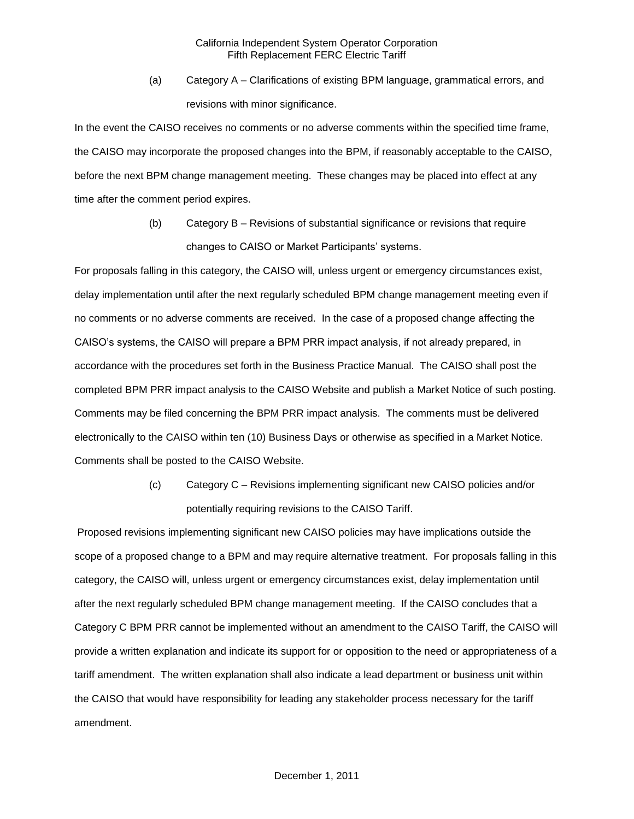(a) Category A – Clarifications of existing BPM language, grammatical errors, and revisions with minor significance.

In the event the CAISO receives no comments or no adverse comments within the specified time frame, the CAISO may incorporate the proposed changes into the BPM, if reasonably acceptable to the CAISO, before the next BPM change management meeting. These changes may be placed into effect at any time after the comment period expires.

> (b) Category B – Revisions of substantial significance or revisions that require changes to CAISO or Market Participants' systems.

For proposals falling in this category, the CAISO will, unless urgent or emergency circumstances exist, delay implementation until after the next regularly scheduled BPM change management meeting even if no comments or no adverse comments are received. In the case of a proposed change affecting the CAISO's systems, the CAISO will prepare a BPM PRR impact analysis, if not already prepared, in accordance with the procedures set forth in the Business Practice Manual. The CAISO shall post the completed BPM PRR impact analysis to the CAISO Website and publish a Market Notice of such posting. Comments may be filed concerning the BPM PRR impact analysis. The comments must be delivered electronically to the CAISO within ten (10) Business Days or otherwise as specified in a Market Notice. Comments shall be posted to the CAISO Website.

> (c) Category C – Revisions implementing significant new CAISO policies and/or potentially requiring revisions to the CAISO Tariff.

Proposed revisions implementing significant new CAISO policies may have implications outside the scope of a proposed change to a BPM and may require alternative treatment. For proposals falling in this category, the CAISO will, unless urgent or emergency circumstances exist, delay implementation until after the next regularly scheduled BPM change management meeting. If the CAISO concludes that a Category C BPM PRR cannot be implemented without an amendment to the CAISO Tariff, the CAISO will provide a written explanation and indicate its support for or opposition to the need or appropriateness of a tariff amendment. The written explanation shall also indicate a lead department or business unit within the CAISO that would have responsibility for leading any stakeholder process necessary for the tariff amendment.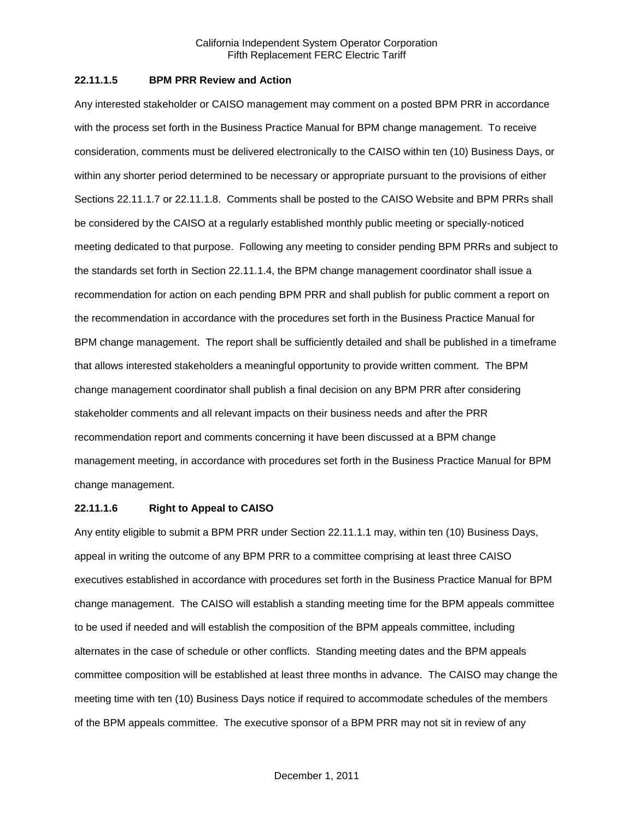### **22.11.1.5 BPM PRR Review and Action**

Any interested stakeholder or CAISO management may comment on a posted BPM PRR in accordance with the process set forth in the Business Practice Manual for BPM change management. To receive consideration, comments must be delivered electronically to the CAISO within ten (10) Business Days, or within any shorter period determined to be necessary or appropriate pursuant to the provisions of either Sections 22.11.1.7 or 22.11.1.8. Comments shall be posted to the CAISO Website and BPM PRRs shall be considered by the CAISO at a regularly established monthly public meeting or specially-noticed meeting dedicated to that purpose. Following any meeting to consider pending BPM PRRs and subject to the standards set forth in Section 22.11.1.4, the BPM change management coordinator shall issue a recommendation for action on each pending BPM PRR and shall publish for public comment a report on the recommendation in accordance with the procedures set forth in the Business Practice Manual for BPM change management. The report shall be sufficiently detailed and shall be published in a timeframe that allows interested stakeholders a meaningful opportunity to provide written comment. The BPM change management coordinator shall publish a final decision on any BPM PRR after considering stakeholder comments and all relevant impacts on their business needs and after the PRR recommendation report and comments concerning it have been discussed at a BPM change management meeting, in accordance with procedures set forth in the Business Practice Manual for BPM change management.

#### **22.11.1.6 Right to Appeal to CAISO**

Any entity eligible to submit a BPM PRR under Section 22.11.1.1 may, within ten (10) Business Days, appeal in writing the outcome of any BPM PRR to a committee comprising at least three CAISO executives established in accordance with procedures set forth in the Business Practice Manual for BPM change management. The CAISO will establish a standing meeting time for the BPM appeals committee to be used if needed and will establish the composition of the BPM appeals committee, including alternates in the case of schedule or other conflicts. Standing meeting dates and the BPM appeals committee composition will be established at least three months in advance. The CAISO may change the meeting time with ten (10) Business Days notice if required to accommodate schedules of the members of the BPM appeals committee. The executive sponsor of a BPM PRR may not sit in review of any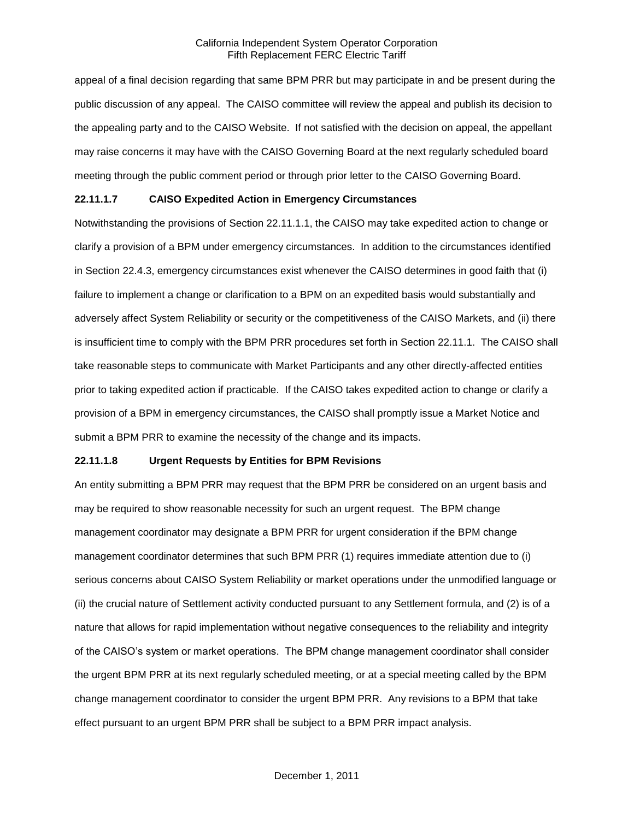appeal of a final decision regarding that same BPM PRR but may participate in and be present during the public discussion of any appeal. The CAISO committee will review the appeal and publish its decision to the appealing party and to the CAISO Website. If not satisfied with the decision on appeal, the appellant may raise concerns it may have with the CAISO Governing Board at the next regularly scheduled board meeting through the public comment period or through prior letter to the CAISO Governing Board.

#### **22.11.1.7 CAISO Expedited Action in Emergency Circumstances**

Notwithstanding the provisions of Section 22.11.1.1, the CAISO may take expedited action to change or clarify a provision of a BPM under emergency circumstances. In addition to the circumstances identified in Section 22.4.3, emergency circumstances exist whenever the CAISO determines in good faith that (i) failure to implement a change or clarification to a BPM on an expedited basis would substantially and adversely affect System Reliability or security or the competitiveness of the CAISO Markets, and (ii) there is insufficient time to comply with the BPM PRR procedures set forth in Section 22.11.1. The CAISO shall take reasonable steps to communicate with Market Participants and any other directly-affected entities prior to taking expedited action if practicable. If the CAISO takes expedited action to change or clarify a provision of a BPM in emergency circumstances, the CAISO shall promptly issue a Market Notice and submit a BPM PRR to examine the necessity of the change and its impacts.

### **22.11.1.8 Urgent Requests by Entities for BPM Revisions**

An entity submitting a BPM PRR may request that the BPM PRR be considered on an urgent basis and may be required to show reasonable necessity for such an urgent request. The BPM change management coordinator may designate a BPM PRR for urgent consideration if the BPM change management coordinator determines that such BPM PRR (1) requires immediate attention due to (i) serious concerns about CAISO System Reliability or market operations under the unmodified language or (ii) the crucial nature of Settlement activity conducted pursuant to any Settlement formula, and (2) is of a nature that allows for rapid implementation without negative consequences to the reliability and integrity of the CAISO's system or market operations. The BPM change management coordinator shall consider the urgent BPM PRR at its next regularly scheduled meeting, or at a special meeting called by the BPM change management coordinator to consider the urgent BPM PRR. Any revisions to a BPM that take effect pursuant to an urgent BPM PRR shall be subject to a BPM PRR impact analysis.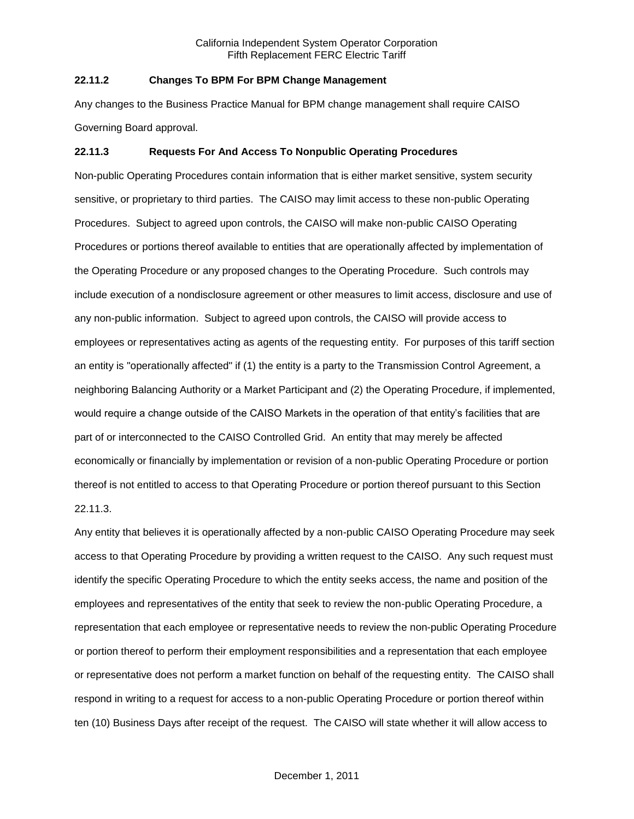### **22.11.2 Changes To BPM For BPM Change Management**

Any changes to the Business Practice Manual for BPM change management shall require CAISO Governing Board approval.

#### **22.11.3 Requests For And Access To Nonpublic Operating Procedures**

Non-public Operating Procedures contain information that is either market sensitive, system security sensitive, or proprietary to third parties. The CAISO may limit access to these non-public Operating Procedures. Subject to agreed upon controls, the CAISO will make non-public CAISO Operating Procedures or portions thereof available to entities that are operationally affected by implementation of the Operating Procedure or any proposed changes to the Operating Procedure. Such controls may include execution of a nondisclosure agreement or other measures to limit access, disclosure and use of any non-public information. Subject to agreed upon controls, the CAISO will provide access to employees or representatives acting as agents of the requesting entity. For purposes of this tariff section an entity is "operationally affected" if (1) the entity is a party to the Transmission Control Agreement, a neighboring Balancing Authority or a Market Participant and (2) the Operating Procedure, if implemented, would require a change outside of the CAISO Markets in the operation of that entity's facilities that are part of or interconnected to the CAISO Controlled Grid. An entity that may merely be affected economically or financially by implementation or revision of a non-public Operating Procedure or portion thereof is not entitled to access to that Operating Procedure or portion thereof pursuant to this Section 22.11.3.

Any entity that believes it is operationally affected by a non-public CAISO Operating Procedure may seek access to that Operating Procedure by providing a written request to the CAISO. Any such request must identify the specific Operating Procedure to which the entity seeks access, the name and position of the employees and representatives of the entity that seek to review the non-public Operating Procedure, a representation that each employee or representative needs to review the non-public Operating Procedure or portion thereof to perform their employment responsibilities and a representation that each employee or representative does not perform a market function on behalf of the requesting entity. The CAISO shall respond in writing to a request for access to a non-public Operating Procedure or portion thereof within ten (10) Business Days after receipt of the request. The CAISO will state whether it will allow access to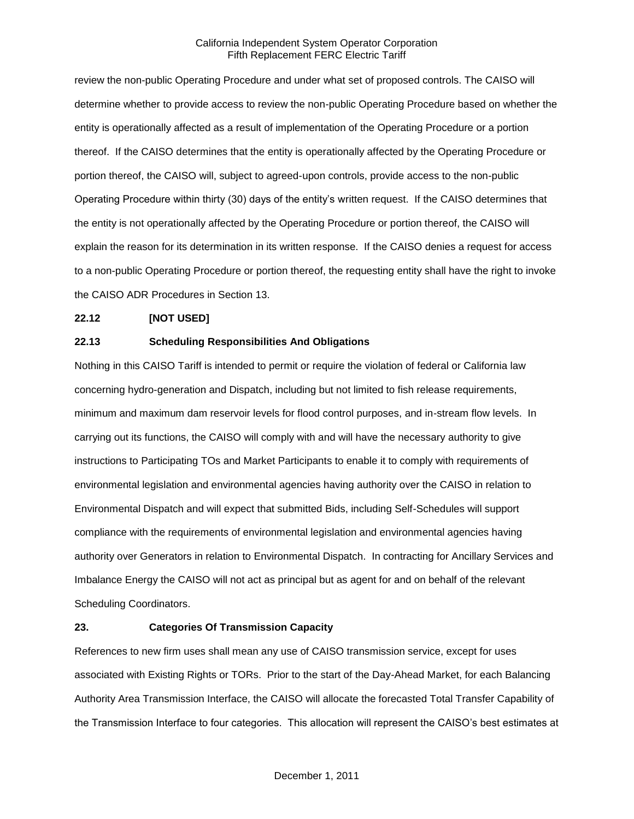review the non-public Operating Procedure and under what set of proposed controls. The CAISO will determine whether to provide access to review the non-public Operating Procedure based on whether the entity is operationally affected as a result of implementation of the Operating Procedure or a portion thereof. If the CAISO determines that the entity is operationally affected by the Operating Procedure or portion thereof, the CAISO will, subject to agreed-upon controls, provide access to the non-public Operating Procedure within thirty (30) days of the entity's written request. If the CAISO determines that the entity is not operationally affected by the Operating Procedure or portion thereof, the CAISO will explain the reason for its determination in its written response. If the CAISO denies a request for access to a non-public Operating Procedure or portion thereof, the requesting entity shall have the right to invoke the CAISO ADR Procedures in Section 13.

# **22.12 [NOT USED]**

## **22.13 Scheduling Responsibilities And Obligations**

Nothing in this CAISO Tariff is intended to permit or require the violation of federal or California law concerning hydro-generation and Dispatch, including but not limited to fish release requirements, minimum and maximum dam reservoir levels for flood control purposes, and in-stream flow levels. In carrying out its functions, the CAISO will comply with and will have the necessary authority to give instructions to Participating TOs and Market Participants to enable it to comply with requirements of environmental legislation and environmental agencies having authority over the CAISO in relation to Environmental Dispatch and will expect that submitted Bids, including Self-Schedules will support compliance with the requirements of environmental legislation and environmental agencies having authority over Generators in relation to Environmental Dispatch. In contracting for Ancillary Services and Imbalance Energy the CAISO will not act as principal but as agent for and on behalf of the relevant Scheduling Coordinators.

## **23. Categories Of Transmission Capacity**

References to new firm uses shall mean any use of CAISO transmission service, except for uses associated with Existing Rights or TORs. Prior to the start of the Day-Ahead Market, for each Balancing Authority Area Transmission Interface, the CAISO will allocate the forecasted Total Transfer Capability of the Transmission Interface to four categories. This allocation will represent the CAISO's best estimates at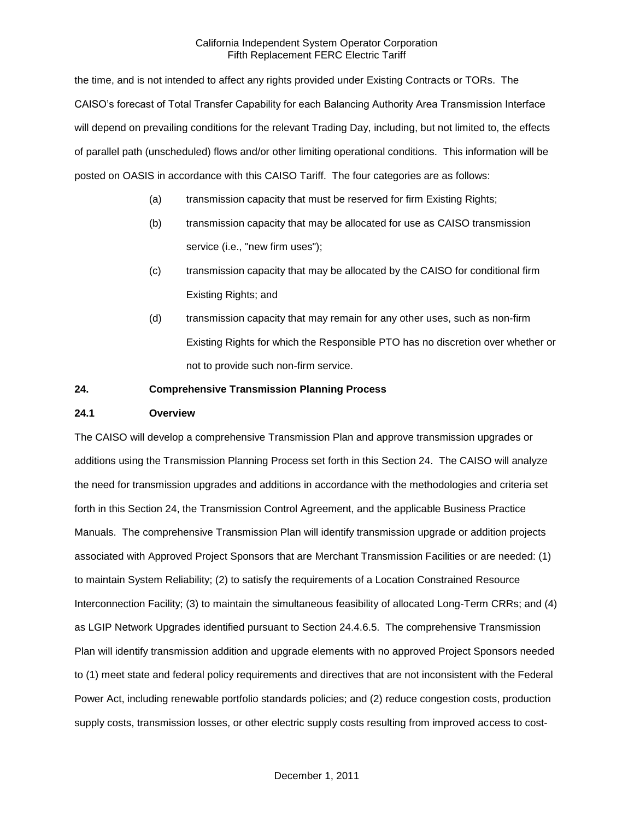the time, and is not intended to affect any rights provided under Existing Contracts or TORs. The CAISO's forecast of Total Transfer Capability for each Balancing Authority Area Transmission Interface will depend on prevailing conditions for the relevant Trading Day, including, but not limited to, the effects of parallel path (unscheduled) flows and/or other limiting operational conditions. This information will be posted on OASIS in accordance with this CAISO Tariff. The four categories are as follows:

- (a) transmission capacity that must be reserved for firm Existing Rights;
- (b) transmission capacity that may be allocated for use as CAISO transmission service (i.e., "new firm uses");
- (c) transmission capacity that may be allocated by the CAISO for conditional firm Existing Rights; and
- (d) transmission capacity that may remain for any other uses, such as non-firm Existing Rights for which the Responsible PTO has no discretion over whether or not to provide such non-firm service.

### **24. Comprehensive Transmission Planning Process**

### **24.1 Overview**

The CAISO will develop a comprehensive Transmission Plan and approve transmission upgrades or additions using the Transmission Planning Process set forth in this Section 24. The CAISO will analyze the need for transmission upgrades and additions in accordance with the methodologies and criteria set forth in this Section 24, the Transmission Control Agreement, and the applicable Business Practice Manuals. The comprehensive Transmission Plan will identify transmission upgrade or addition projects associated with Approved Project Sponsors that are Merchant Transmission Facilities or are needed: (1) to maintain System Reliability; (2) to satisfy the requirements of a Location Constrained Resource Interconnection Facility; (3) to maintain the simultaneous feasibility of allocated Long-Term CRRs; and (4) as LGIP Network Upgrades identified pursuant to Section 24.4.6.5. The comprehensive Transmission Plan will identify transmission addition and upgrade elements with no approved Project Sponsors needed to (1) meet state and federal policy requirements and directives that are not inconsistent with the Federal Power Act, including renewable portfolio standards policies; and (2) reduce congestion costs, production supply costs, transmission losses, or other electric supply costs resulting from improved access to cost-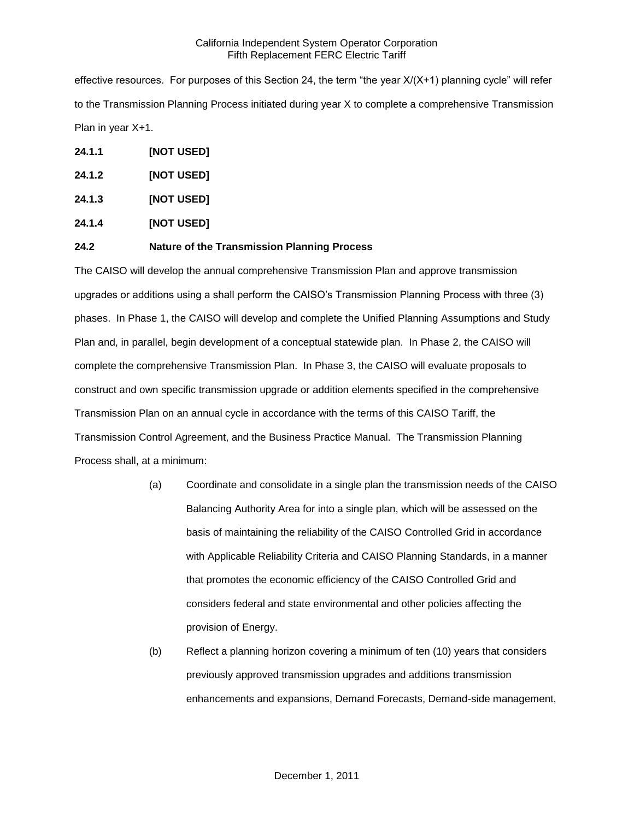effective resources. For purposes of this Section 24, the term "the year X/(X+1) planning cycle" will refer to the Transmission Planning Process initiated during year X to complete a comprehensive Transmission Plan in year X+1.

- **24.1.1 [NOT USED]**
- **24.1.2 [NOT USED]**
- **24.1.3 [NOT USED]**
- **24.1.4 [NOT USED]**

## **24.2 Nature of the Transmission Planning Process**

The CAISO will develop the annual comprehensive Transmission Plan and approve transmission upgrades or additions using a shall perform the CAISO's Transmission Planning Process with three (3) phases. In Phase 1, the CAISO will develop and complete the Unified Planning Assumptions and Study Plan and, in parallel, begin development of a conceptual statewide plan. In Phase 2, the CAISO will complete the comprehensive Transmission Plan. In Phase 3, the CAISO will evaluate proposals to construct and own specific transmission upgrade or addition elements specified in the comprehensive Transmission Plan on an annual cycle in accordance with the terms of this CAISO Tariff, the Transmission Control Agreement, and the Business Practice Manual. The Transmission Planning Process shall, at a minimum:

- (a) Coordinate and consolidate in a single plan the transmission needs of the CAISO Balancing Authority Area for into a single plan, which will be assessed on the basis of maintaining the reliability of the CAISO Controlled Grid in accordance with Applicable Reliability Criteria and CAISO Planning Standards, in a manner that promotes the economic efficiency of the CAISO Controlled Grid and considers federal and state environmental and other policies affecting the provision of Energy.
- (b) Reflect a planning horizon covering a minimum of ten (10) years that considers previously approved transmission upgrades and additions transmission enhancements and expansions, Demand Forecasts, Demand-side management,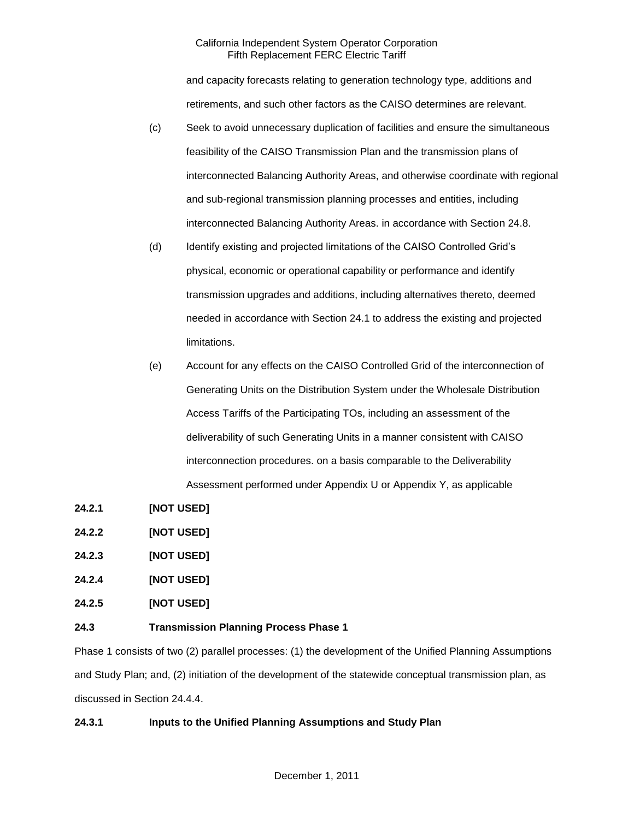and capacity forecasts relating to generation technology type, additions and retirements, and such other factors as the CAISO determines are relevant.

- (c) Seek to avoid unnecessary duplication of facilities and ensure the simultaneous feasibility of the CAISO Transmission Plan and the transmission plans of interconnected Balancing Authority Areas, and otherwise coordinate with regional and sub-regional transmission planning processes and entities, including interconnected Balancing Authority Areas. in accordance with Section 24.8.
- (d) Identify existing and projected limitations of the CAISO Controlled Grid's physical, economic or operational capability or performance and identify transmission upgrades and additions, including alternatives thereto, deemed needed in accordance with Section 24.1 to address the existing and projected limitations.
- (e) Account for any effects on the CAISO Controlled Grid of the interconnection of Generating Units on the Distribution System under the Wholesale Distribution Access Tariffs of the Participating TOs, including an assessment of the deliverability of such Generating Units in a manner consistent with CAISO interconnection procedures. on a basis comparable to the Deliverability Assessment performed under Appendix U or Appendix Y, as applicable
- **24.2.1 [NOT USED]**
- **24.2.2 [NOT USED]**
- **24.2.3 [NOT USED]**
- **24.2.4 [NOT USED]**
- **24.2.5 [NOT USED]**

## **24.3 Transmission Planning Process Phase 1**

Phase 1 consists of two (2) parallel processes: (1) the development of the Unified Planning Assumptions and Study Plan; and, (2) initiation of the development of the statewide conceptual transmission plan, as discussed in Section 24.4.4.

## **24.3.1 Inputs to the Unified Planning Assumptions and Study Plan**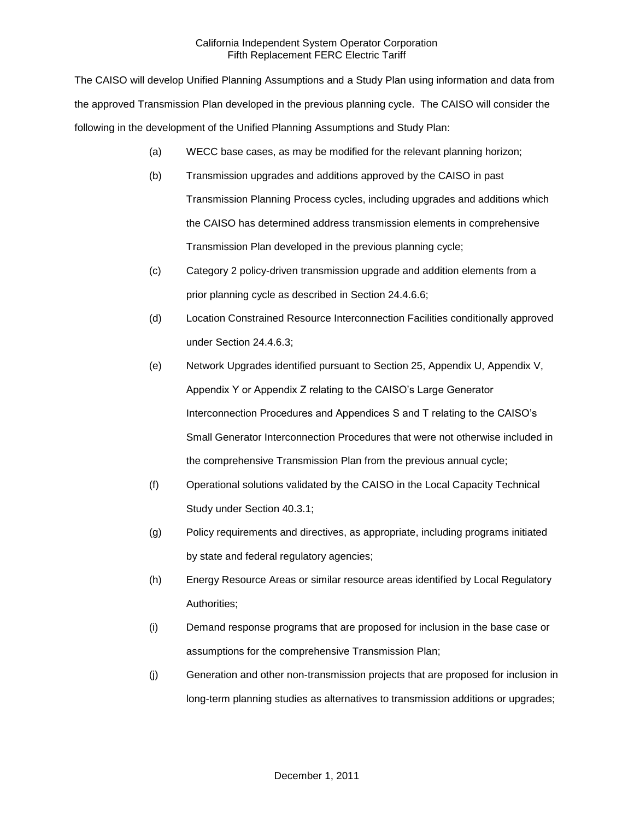The CAISO will develop Unified Planning Assumptions and a Study Plan using information and data from the approved Transmission Plan developed in the previous planning cycle. The CAISO will consider the following in the development of the Unified Planning Assumptions and Study Plan:

- (a) WECC base cases, as may be modified for the relevant planning horizon;
- (b) Transmission upgrades and additions approved by the CAISO in past Transmission Planning Process cycles, including upgrades and additions which the CAISO has determined address transmission elements in comprehensive Transmission Plan developed in the previous planning cycle;
- (c) Category 2 policy-driven transmission upgrade and addition elements from a prior planning cycle as described in Section 24.4.6.6;
- (d) Location Constrained Resource Interconnection Facilities conditionally approved under Section 24.4.6.3;
- (e) Network Upgrades identified pursuant to Section 25, Appendix U, Appendix V, Appendix Y or Appendix Z relating to the CAISO's Large Generator Interconnection Procedures and Appendices S and T relating to the CAISO's Small Generator Interconnection Procedures that were not otherwise included in the comprehensive Transmission Plan from the previous annual cycle;
- (f) Operational solutions validated by the CAISO in the Local Capacity Technical Study under Section 40.3.1;
- (g) Policy requirements and directives, as appropriate, including programs initiated by state and federal regulatory agencies;
- (h) Energy Resource Areas or similar resource areas identified by Local Regulatory Authorities;
- (i) Demand response programs that are proposed for inclusion in the base case or assumptions for the comprehensive Transmission Plan;
- (j) Generation and other non-transmission projects that are proposed for inclusion in long-term planning studies as alternatives to transmission additions or upgrades;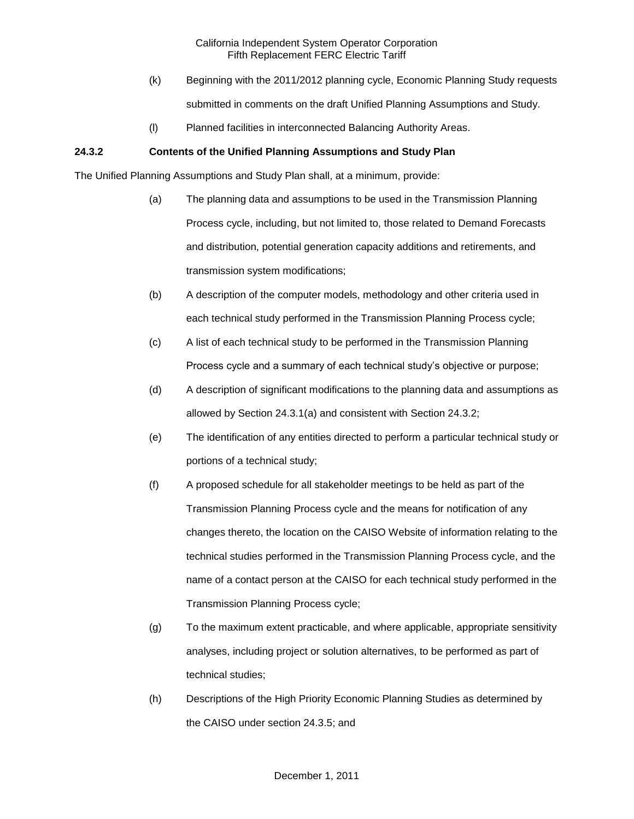- (k) Beginning with the 2011/2012 planning cycle, Economic Planning Study requests submitted in comments on the draft Unified Planning Assumptions and Study.
- (l) Planned facilities in interconnected Balancing Authority Areas.

# **24.3.2 Contents of the Unified Planning Assumptions and Study Plan**

The Unified Planning Assumptions and Study Plan shall, at a minimum, provide:

- (a) The planning data and assumptions to be used in the Transmission Planning Process cycle, including, but not limited to, those related to Demand Forecasts and distribution, potential generation capacity additions and retirements, and transmission system modifications;
- (b) A description of the computer models, methodology and other criteria used in each technical study performed in the Transmission Planning Process cycle;
- (c) A list of each technical study to be performed in the Transmission Planning Process cycle and a summary of each technical study's objective or purpose;
- (d) A description of significant modifications to the planning data and assumptions as allowed by Section 24.3.1(a) and consistent with Section 24.3.2;
- (e) The identification of any entities directed to perform a particular technical study or portions of a technical study;
- (f) A proposed schedule for all stakeholder meetings to be held as part of the Transmission Planning Process cycle and the means for notification of any changes thereto, the location on the CAISO Website of information relating to the technical studies performed in the Transmission Planning Process cycle, and the name of a contact person at the CAISO for each technical study performed in the Transmission Planning Process cycle;
- (g) To the maximum extent practicable, and where applicable, appropriate sensitivity analyses, including project or solution alternatives, to be performed as part of technical studies;
- (h) Descriptions of the High Priority Economic Planning Studies as determined by the CAISO under section 24.3.5; and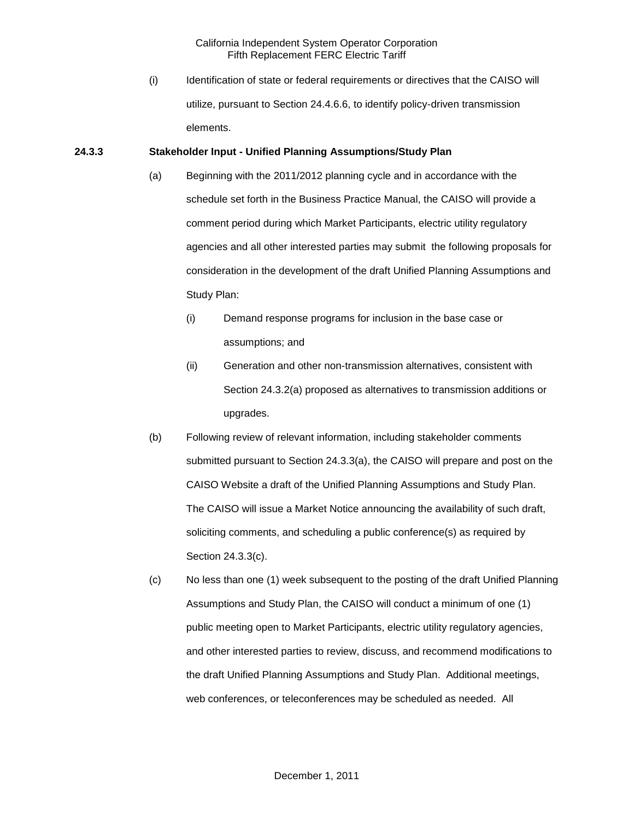(i) Identification of state or federal requirements or directives that the CAISO will utilize, pursuant to Section 24.4.6.6, to identify policy-driven transmission elements.

#### **24.3.3 Stakeholder Input - Unified Planning Assumptions/Study Plan**

- (a) Beginning with the 2011/2012 planning cycle and in accordance with the schedule set forth in the Business Practice Manual, the CAISO will provide a comment period during which Market Participants, electric utility regulatory agencies and all other interested parties may submit the following proposals for consideration in the development of the draft Unified Planning Assumptions and Study Plan:
	- (i) Demand response programs for inclusion in the base case or assumptions; and
	- (ii) Generation and other non-transmission alternatives, consistent with Section 24.3.2(a) proposed as alternatives to transmission additions or upgrades.
- (b) Following review of relevant information, including stakeholder comments submitted pursuant to Section 24.3.3(a), the CAISO will prepare and post on the CAISO Website a draft of the Unified Planning Assumptions and Study Plan. The CAISO will issue a Market Notice announcing the availability of such draft, soliciting comments, and scheduling a public conference(s) as required by Section 24.3.3(c).
- (c) No less than one (1) week subsequent to the posting of the draft Unified Planning Assumptions and Study Plan, the CAISO will conduct a minimum of one (1) public meeting open to Market Participants, electric utility regulatory agencies, and other interested parties to review, discuss, and recommend modifications to the draft Unified Planning Assumptions and Study Plan. Additional meetings, web conferences, or teleconferences may be scheduled as needed. All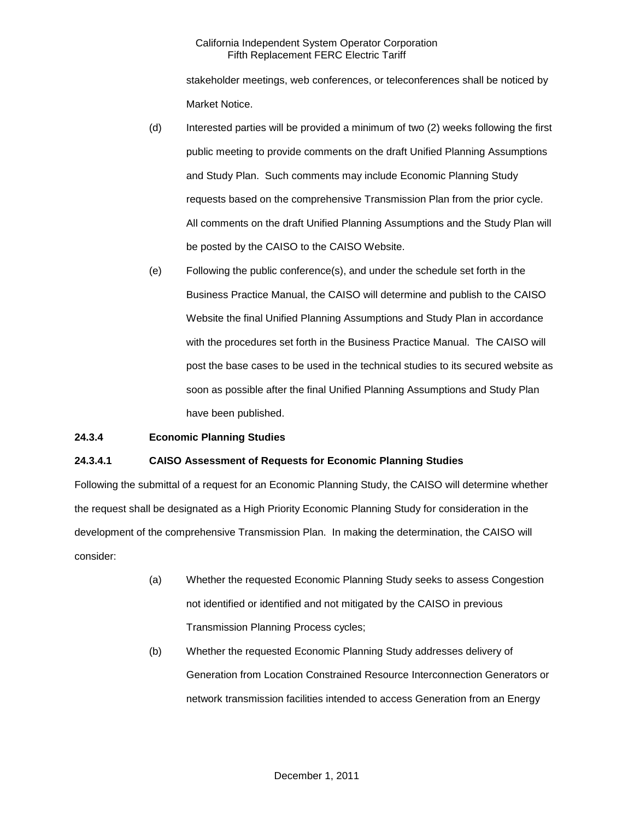stakeholder meetings, web conferences, or teleconferences shall be noticed by Market Notice.

- (d) Interested parties will be provided a minimum of two (2) weeks following the first public meeting to provide comments on the draft Unified Planning Assumptions and Study Plan. Such comments may include Economic Planning Study requests based on the comprehensive Transmission Plan from the prior cycle. All comments on the draft Unified Planning Assumptions and the Study Plan will be posted by the CAISO to the CAISO Website.
- (e) Following the public conference(s), and under the schedule set forth in the Business Practice Manual, the CAISO will determine and publish to the CAISO Website the final Unified Planning Assumptions and Study Plan in accordance with the procedures set forth in the Business Practice Manual. The CAISO will post the base cases to be used in the technical studies to its secured website as soon as possible after the final Unified Planning Assumptions and Study Plan have been published.

## **24.3.4 Economic Planning Studies**

### **24.3.4.1 CAISO Assessment of Requests for Economic Planning Studies**

Following the submittal of a request for an Economic Planning Study, the CAISO will determine whether the request shall be designated as a High Priority Economic Planning Study for consideration in the development of the comprehensive Transmission Plan. In making the determination, the CAISO will consider:

- (a) Whether the requested Economic Planning Study seeks to assess Congestion not identified or identified and not mitigated by the CAISO in previous Transmission Planning Process cycles;
- (b) Whether the requested Economic Planning Study addresses delivery of Generation from Location Constrained Resource Interconnection Generators or network transmission facilities intended to access Generation from an Energy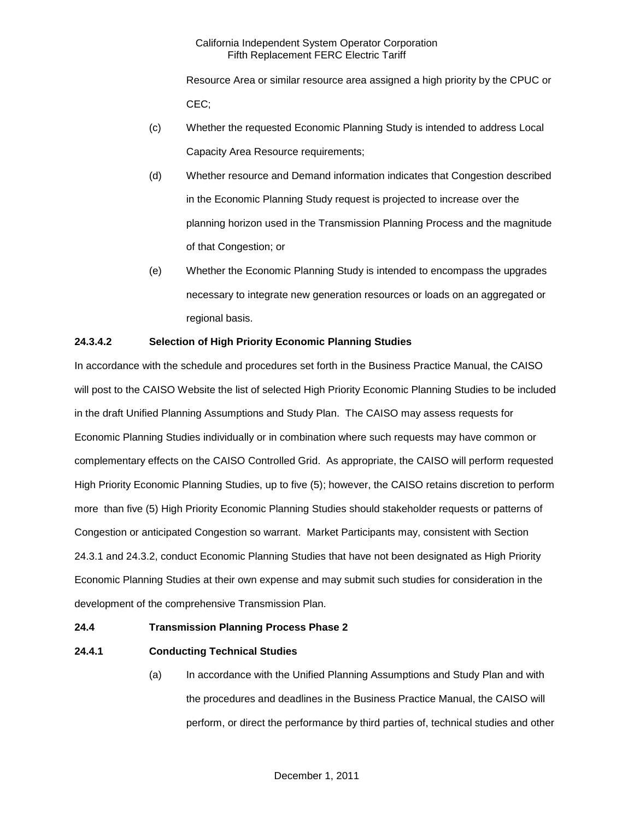Resource Area or similar resource area assigned a high priority by the CPUC or CEC;

- (c) Whether the requested Economic Planning Study is intended to address Local Capacity Area Resource requirements;
- (d) Whether resource and Demand information indicates that Congestion described in the Economic Planning Study request is projected to increase over the planning horizon used in the Transmission Planning Process and the magnitude of that Congestion; or
- (e) Whether the Economic Planning Study is intended to encompass the upgrades necessary to integrate new generation resources or loads on an aggregated or regional basis.

## **24.3.4.2 Selection of High Priority Economic Planning Studies**

In accordance with the schedule and procedures set forth in the Business Practice Manual, the CAISO will post to the CAISO Website the list of selected High Priority Economic Planning Studies to be included in the draft Unified Planning Assumptions and Study Plan. The CAISO may assess requests for Economic Planning Studies individually or in combination where such requests may have common or complementary effects on the CAISO Controlled Grid. As appropriate, the CAISO will perform requested High Priority Economic Planning Studies, up to five (5); however, the CAISO retains discretion to perform more than five (5) High Priority Economic Planning Studies should stakeholder requests or patterns of Congestion or anticipated Congestion so warrant. Market Participants may, consistent with Section 24.3.1 and 24.3.2, conduct Economic Planning Studies that have not been designated as High Priority Economic Planning Studies at their own expense and may submit such studies for consideration in the development of the comprehensive Transmission Plan.

### **24.4 Transmission Planning Process Phase 2**

## **24.4.1 Conducting Technical Studies**

(a) In accordance with the Unified Planning Assumptions and Study Plan and with the procedures and deadlines in the Business Practice Manual, the CAISO will perform, or direct the performance by third parties of, technical studies and other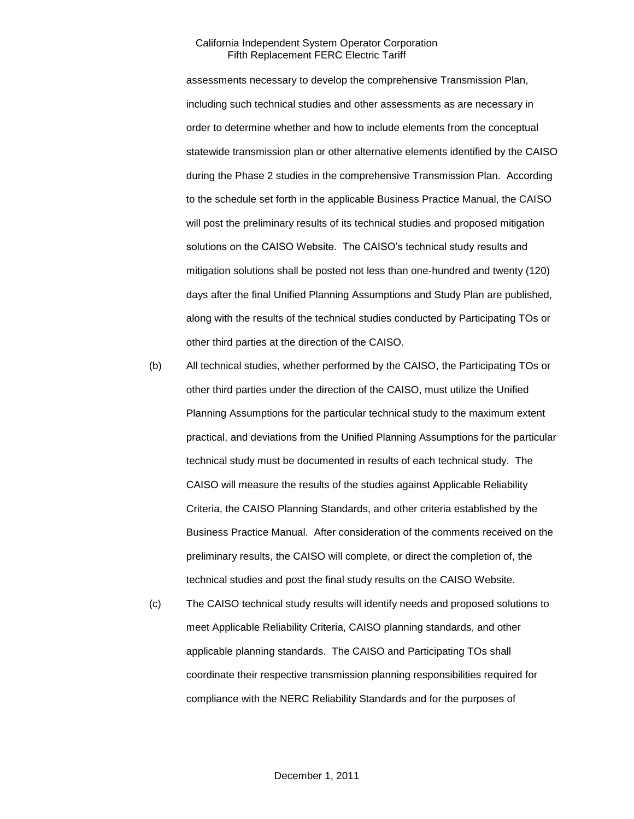assessments necessary to develop the comprehensive Transmission Plan, including such technical studies and other assessments as are necessary in order to determine whether and how to include elements from the conceptual statewide transmission plan or other alternative elements identified by the CAISO during the Phase 2 studies in the comprehensive Transmission Plan. According to the schedule set forth in the applicable Business Practice Manual, the CAISO will post the preliminary results of its technical studies and proposed mitigation solutions on the CAISO Website. The CAISO's technical study results and mitigation solutions shall be posted not less than one-hundred and twenty (120) days after the final Unified Planning Assumptions and Study Plan are published, along with the results of the technical studies conducted by Participating TOs or other third parties at the direction of the CAISO.

- (b) All technical studies, whether performed by the CAISO, the Participating TOs or other third parties under the direction of the CAISO, must utilize the Unified Planning Assumptions for the particular technical study to the maximum extent practical, and deviations from the Unified Planning Assumptions for the particular technical study must be documented in results of each technical study. The CAISO will measure the results of the studies against Applicable Reliability Criteria, the CAISO Planning Standards, and other criteria established by the Business Practice Manual. After consideration of the comments received on the preliminary results, the CAISO will complete, or direct the completion of, the technical studies and post the final study results on the CAISO Website.
- (c) The CAISO technical study results will identify needs and proposed solutions to meet Applicable Reliability Criteria, CAISO planning standards, and other applicable planning standards. The CAISO and Participating TOs shall coordinate their respective transmission planning responsibilities required for compliance with the NERC Reliability Standards and for the purposes of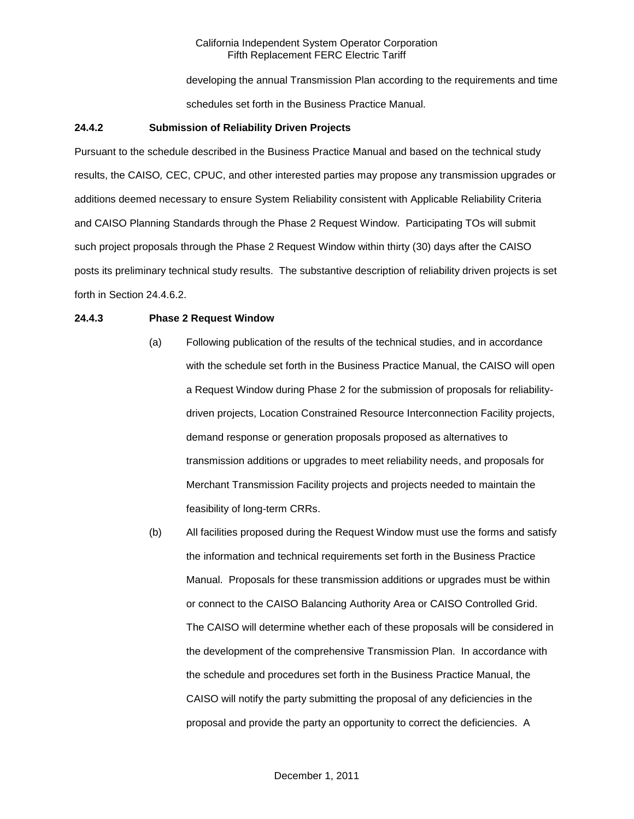developing the annual Transmission Plan according to the requirements and time schedules set forth in the Business Practice Manual.

### **24.4.2 Submission of Reliability Driven Projects**

Pursuant to the schedule described in the Business Practice Manual and based on the technical study results, the CAISO*,* CEC, CPUC, and other interested parties may propose any transmission upgrades or additions deemed necessary to ensure System Reliability consistent with Applicable Reliability Criteria and CAISO Planning Standards through the Phase 2 Request Window. Participating TOs will submit such project proposals through the Phase 2 Request Window within thirty (30) days after the CAISO posts its preliminary technical study results. The substantive description of reliability driven projects is set forth in Section 24.4.6.2.

## **24.4.3 Phase 2 Request Window**

- (a) Following publication of the results of the technical studies, and in accordance with the schedule set forth in the Business Practice Manual, the CAISO will open a Request Window during Phase 2 for the submission of proposals for reliabilitydriven projects, Location Constrained Resource Interconnection Facility projects, demand response or generation proposals proposed as alternatives to transmission additions or upgrades to meet reliability needs, and proposals for Merchant Transmission Facility projects and projects needed to maintain the feasibility of long-term CRRs.
- (b) All facilities proposed during the Request Window must use the forms and satisfy the information and technical requirements set forth in the Business Practice Manual. Proposals for these transmission additions or upgrades must be within or connect to the CAISO Balancing Authority Area or CAISO Controlled Grid. The CAISO will determine whether each of these proposals will be considered in the development of the comprehensive Transmission Plan. In accordance with the schedule and procedures set forth in the Business Practice Manual, the CAISO will notify the party submitting the proposal of any deficiencies in the proposal and provide the party an opportunity to correct the deficiencies. A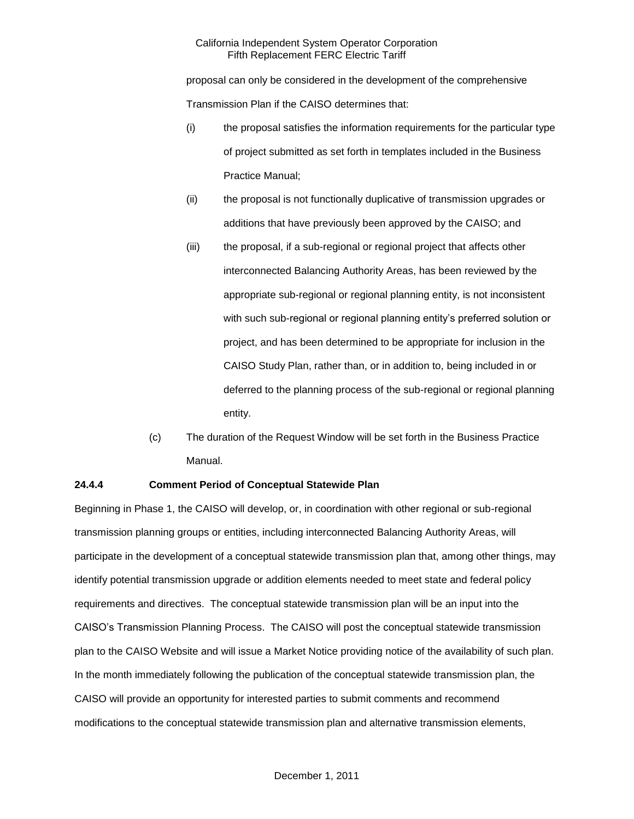proposal can only be considered in the development of the comprehensive Transmission Plan if the CAISO determines that:

- (i) the proposal satisfies the information requirements for the particular type of project submitted as set forth in templates included in the Business Practice Manual;
- (ii) the proposal is not functionally duplicative of transmission upgrades or additions that have previously been approved by the CAISO; and
- (iii) the proposal, if a sub-regional or regional project that affects other interconnected Balancing Authority Areas, has been reviewed by the appropriate sub-regional or regional planning entity, is not inconsistent with such sub-regional or regional planning entity's preferred solution or project, and has been determined to be appropriate for inclusion in the CAISO Study Plan, rather than, or in addition to, being included in or deferred to the planning process of the sub-regional or regional planning entity.
- (c) The duration of the Request Window will be set forth in the Business Practice Manual.

## **24.4.4 Comment Period of Conceptual Statewide Plan**

Beginning in Phase 1, the CAISO will develop, or, in coordination with other regional or sub-regional transmission planning groups or entities, including interconnected Balancing Authority Areas, will participate in the development of a conceptual statewide transmission plan that, among other things, may identify potential transmission upgrade or addition elements needed to meet state and federal policy requirements and directives. The conceptual statewide transmission plan will be an input into the CAISO's Transmission Planning Process. The CAISO will post the conceptual statewide transmission plan to the CAISO Website and will issue a Market Notice providing notice of the availability of such plan. In the month immediately following the publication of the conceptual statewide transmission plan, the CAISO will provide an opportunity for interested parties to submit comments and recommend modifications to the conceptual statewide transmission plan and alternative transmission elements,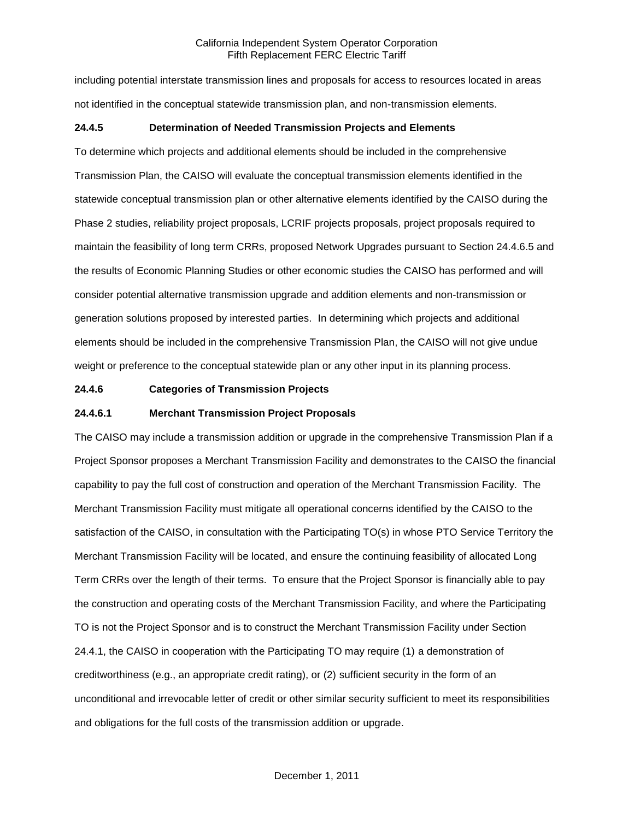including potential interstate transmission lines and proposals for access to resources located in areas not identified in the conceptual statewide transmission plan, and non-transmission elements.

## **24.4.5 Determination of Needed Transmission Projects and Elements**

To determine which projects and additional elements should be included in the comprehensive Transmission Plan, the CAISO will evaluate the conceptual transmission elements identified in the statewide conceptual transmission plan or other alternative elements identified by the CAISO during the Phase 2 studies, reliability project proposals, LCRIF projects proposals, project proposals required to maintain the feasibility of long term CRRs, proposed Network Upgrades pursuant to Section 24.4.6.5 and the results of Economic Planning Studies or other economic studies the CAISO has performed and will consider potential alternative transmission upgrade and addition elements and non-transmission or generation solutions proposed by interested parties. In determining which projects and additional elements should be included in the comprehensive Transmission Plan, the CAISO will not give undue weight or preference to the conceptual statewide plan or any other input in its planning process.

## **24.4.6 Categories of Transmission Projects**

## **24.4.6.1 Merchant Transmission Project Proposals**

The CAISO may include a transmission addition or upgrade in the comprehensive Transmission Plan if a Project Sponsor proposes a Merchant Transmission Facility and demonstrates to the CAISO the financial capability to pay the full cost of construction and operation of the Merchant Transmission Facility. The Merchant Transmission Facility must mitigate all operational concerns identified by the CAISO to the satisfaction of the CAISO, in consultation with the Participating TO(s) in whose PTO Service Territory the Merchant Transmission Facility will be located, and ensure the continuing feasibility of allocated Long Term CRRs over the length of their terms. To ensure that the Project Sponsor is financially able to pay the construction and operating costs of the Merchant Transmission Facility, and where the Participating TO is not the Project Sponsor and is to construct the Merchant Transmission Facility under Section 24.4.1, the CAISO in cooperation with the Participating TO may require (1) a demonstration of creditworthiness (e.g., an appropriate credit rating), or (2) sufficient security in the form of an unconditional and irrevocable letter of credit or other similar security sufficient to meet its responsibilities and obligations for the full costs of the transmission addition or upgrade.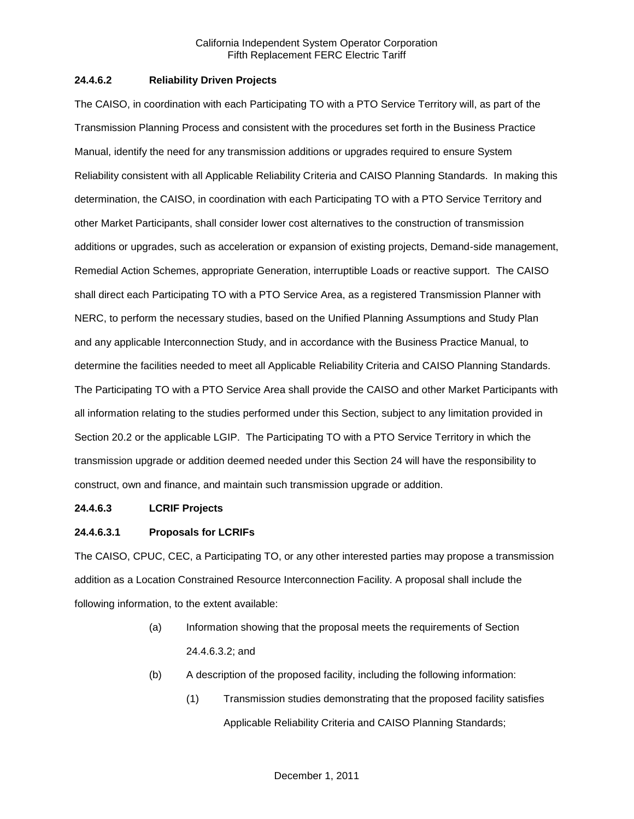## **24.4.6.2 Reliability Driven Projects**

The CAISO, in coordination with each Participating TO with a PTO Service Territory will, as part of the Transmission Planning Process and consistent with the procedures set forth in the Business Practice Manual, identify the need for any transmission additions or upgrades required to ensure System Reliability consistent with all Applicable Reliability Criteria and CAISO Planning Standards. In making this determination, the CAISO, in coordination with each Participating TO with a PTO Service Territory and other Market Participants, shall consider lower cost alternatives to the construction of transmission additions or upgrades, such as acceleration or expansion of existing projects, Demand-side management, Remedial Action Schemes, appropriate Generation, interruptible Loads or reactive support. The CAISO shall direct each Participating TO with a PTO Service Area, as a registered Transmission Planner with NERC, to perform the necessary studies, based on the Unified Planning Assumptions and Study Plan and any applicable Interconnection Study, and in accordance with the Business Practice Manual, to determine the facilities needed to meet all Applicable Reliability Criteria and CAISO Planning Standards. The Participating TO with a PTO Service Area shall provide the CAISO and other Market Participants with all information relating to the studies performed under this Section, subject to any limitation provided in Section 20.2 or the applicable LGIP. The Participating TO with a PTO Service Territory in which the transmission upgrade or addition deemed needed under this Section 24 will have the responsibility to construct, own and finance, and maintain such transmission upgrade or addition.

### **24.4.6.3 LCRIF Projects**

## **24.4.6.3.1 Proposals for LCRIFs**

The CAISO, CPUC, CEC, a Participating TO, or any other interested parties may propose a transmission addition as a Location Constrained Resource Interconnection Facility. A proposal shall include the following information, to the extent available:

- (a) Information showing that the proposal meets the requirements of Section 24.4.6.3.2; and
- (b) A description of the proposed facility, including the following information:
	- (1) Transmission studies demonstrating that the proposed facility satisfies Applicable Reliability Criteria and CAISO Planning Standards;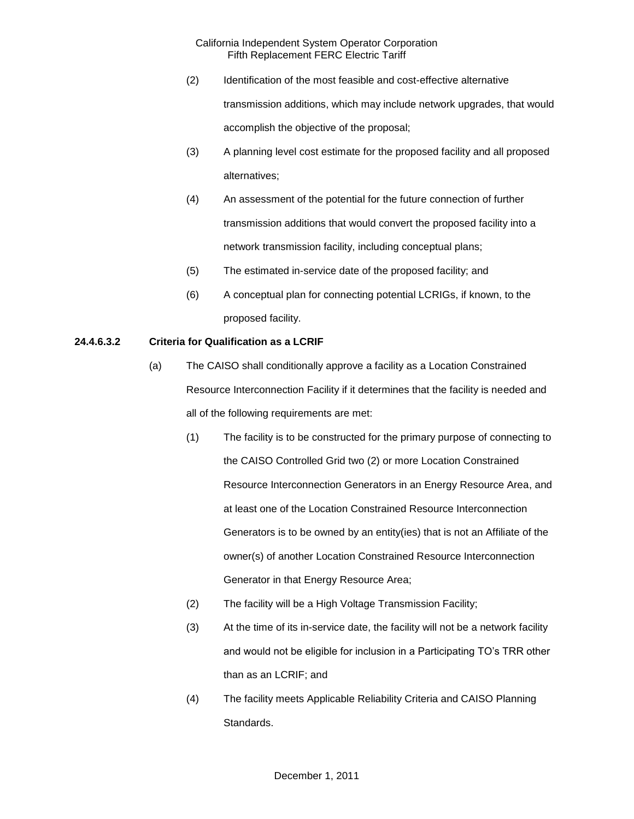- (2) Identification of the most feasible and cost-effective alternative transmission additions, which may include network upgrades, that would accomplish the objective of the proposal;
- (3) A planning level cost estimate for the proposed facility and all proposed alternatives;
- (4) An assessment of the potential for the future connection of further transmission additions that would convert the proposed facility into a network transmission facility, including conceptual plans;
- (5) The estimated in-service date of the proposed facility; and
- (6) A conceptual plan for connecting potential LCRIGs, if known, to the proposed facility.

## **24.4.6.3.2 Criteria for Qualification as a LCRIF**

- (a) The CAISO shall conditionally approve a facility as a Location Constrained Resource Interconnection Facility if it determines that the facility is needed and all of the following requirements are met:
	- (1) The facility is to be constructed for the primary purpose of connecting to the CAISO Controlled Grid two (2) or more Location Constrained Resource Interconnection Generators in an Energy Resource Area, and at least one of the Location Constrained Resource Interconnection Generators is to be owned by an entity(ies) that is not an Affiliate of the owner(s) of another Location Constrained Resource Interconnection Generator in that Energy Resource Area;
	- (2) The facility will be a High Voltage Transmission Facility;
	- (3) At the time of its in-service date, the facility will not be a network facility and would not be eligible for inclusion in a Participating TO's TRR other than as an LCRIF; and
	- (4) The facility meets Applicable Reliability Criteria and CAISO Planning Standards.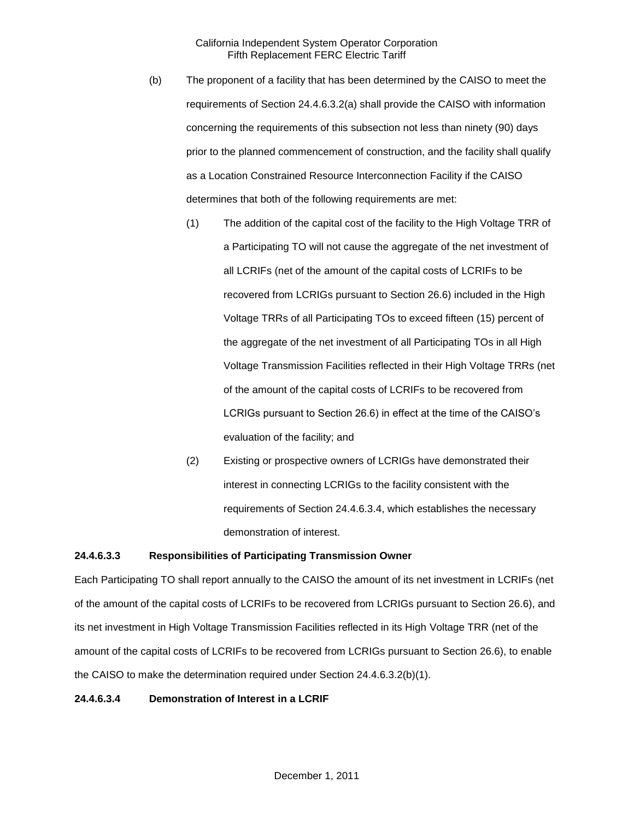- (b) The proponent of a facility that has been determined by the CAISO to meet the requirements of Section 24.4.6.3.2(a) shall provide the CAISO with information concerning the requirements of this subsection not less than ninety (90) days prior to the planned commencement of construction, and the facility shall qualify as a Location Constrained Resource Interconnection Facility if the CAISO determines that both of the following requirements are met:
	- (1) The addition of the capital cost of the facility to the High Voltage TRR of a Participating TO will not cause the aggregate of the net investment of all LCRIFs (net of the amount of the capital costs of LCRIFs to be recovered from LCRIGs pursuant to Section 26.6) included in the High Voltage TRRs of all Participating TOs to exceed fifteen (15) percent of the aggregate of the net investment of all Participating TOs in all High Voltage Transmission Facilities reflected in their High Voltage TRRs (net of the amount of the capital costs of LCRIFs to be recovered from LCRIGs pursuant to Section 26.6) in effect at the time of the CAISO's evaluation of the facility; and
	- (2) Existing or prospective owners of LCRIGs have demonstrated their interest in connecting LCRIGs to the facility consistent with the requirements of Section 24.4.6.3.4, which establishes the necessary demonstration of interest.

#### **24.4.6.3.3 Responsibilities of Participating Transmission Owner**

Each Participating TO shall report annually to the CAISO the amount of its net investment in LCRIFs (net of the amount of the capital costs of LCRIFs to be recovered from LCRIGs pursuant to Section 26.6), and its net investment in High Voltage Transmission Facilities reflected in its High Voltage TRR (net of the amount of the capital costs of LCRIFs to be recovered from LCRIGs pursuant to Section 26.6), to enable the CAISO to make the determination required under Section 24.4.6.3.2(b)(1).

#### **24.4.6.3.4 Demonstration of Interest in a LCRIF**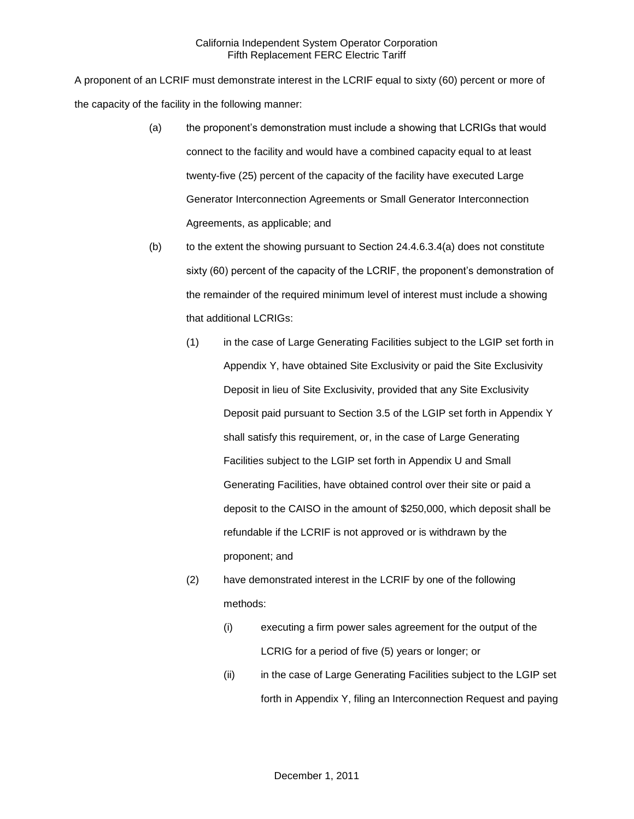A proponent of an LCRIF must demonstrate interest in the LCRIF equal to sixty (60) percent or more of the capacity of the facility in the following manner:

- (a) the proponent's demonstration must include a showing that LCRIGs that would connect to the facility and would have a combined capacity equal to at least twenty-five (25) percent of the capacity of the facility have executed Large Generator Interconnection Agreements or Small Generator Interconnection Agreements, as applicable; and
- $(b)$  to the extent the showing pursuant to Section 24.4.6.3.4(a) does not constitute sixty (60) percent of the capacity of the LCRIF, the proponent's demonstration of the remainder of the required minimum level of interest must include a showing that additional LCRIGs:
	- (1) in the case of Large Generating Facilities subject to the LGIP set forth in Appendix Y, have obtained Site Exclusivity or paid the Site Exclusivity Deposit in lieu of Site Exclusivity, provided that any Site Exclusivity Deposit paid pursuant to Section 3.5 of the LGIP set forth in Appendix Y shall satisfy this requirement, or, in the case of Large Generating Facilities subject to the LGIP set forth in Appendix U and Small Generating Facilities, have obtained control over their site or paid a deposit to the CAISO in the amount of \$250,000, which deposit shall be refundable if the LCRIF is not approved or is withdrawn by the proponent; and
	- (2) have demonstrated interest in the LCRIF by one of the following methods:
		- (i) executing a firm power sales agreement for the output of the LCRIG for a period of five (5) years or longer; or
		- (ii) in the case of Large Generating Facilities subject to the LGIP set forth in Appendix Y, filing an Interconnection Request and paying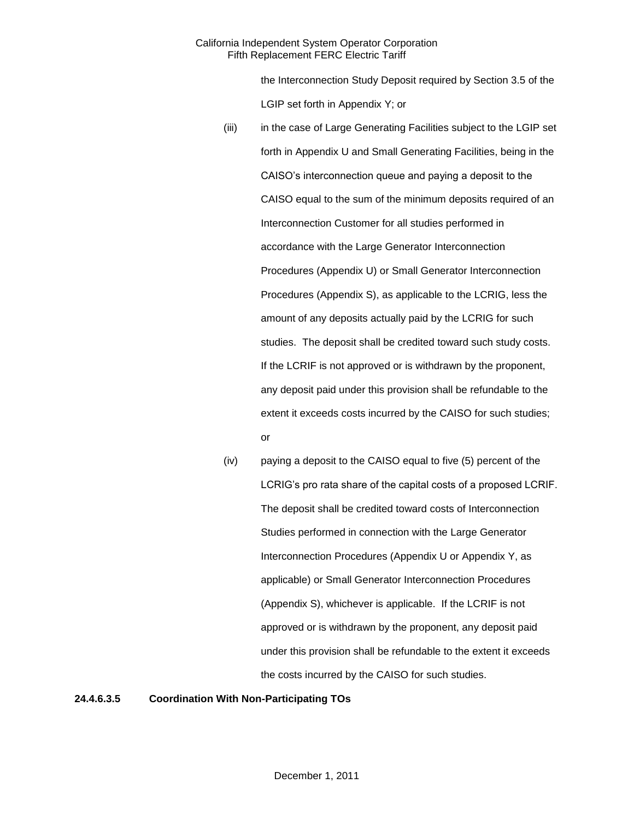the Interconnection Study Deposit required by Section 3.5 of the LGIP set forth in Appendix Y; or

- (iii) in the case of Large Generating Facilities subject to the LGIP set forth in Appendix U and Small Generating Facilities, being in the CAISO's interconnection queue and paying a deposit to the CAISO equal to the sum of the minimum deposits required of an Interconnection Customer for all studies performed in accordance with the Large Generator Interconnection Procedures (Appendix U) or Small Generator Interconnection Procedures (Appendix S), as applicable to the LCRIG, less the amount of any deposits actually paid by the LCRIG for such studies. The deposit shall be credited toward such study costs. If the LCRIF is not approved or is withdrawn by the proponent, any deposit paid under this provision shall be refundable to the extent it exceeds costs incurred by the CAISO for such studies; or
- (iv) paying a deposit to the CAISO equal to five (5) percent of the LCRIG's pro rata share of the capital costs of a proposed LCRIF. The deposit shall be credited toward costs of Interconnection Studies performed in connection with the Large Generator Interconnection Procedures (Appendix U or Appendix Y, as applicable) or Small Generator Interconnection Procedures (Appendix S), whichever is applicable. If the LCRIF is not approved or is withdrawn by the proponent, any deposit paid under this provision shall be refundable to the extent it exceeds the costs incurred by the CAISO for such studies.

**24.4.6.3.5 Coordination With Non-Participating TOs**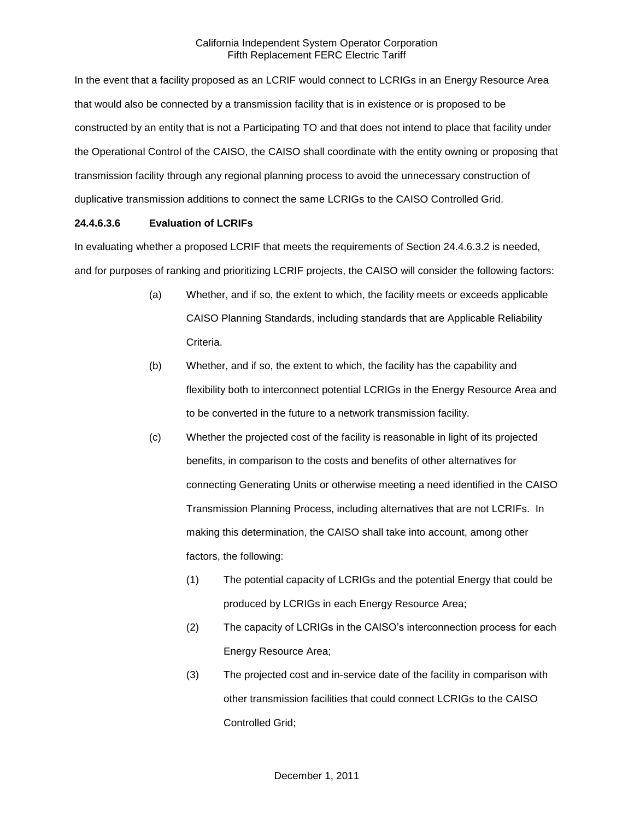In the event that a facility proposed as an LCRIF would connect to LCRIGs in an Energy Resource Area that would also be connected by a transmission facility that is in existence or is proposed to be constructed by an entity that is not a Participating TO and that does not intend to place that facility under the Operational Control of the CAISO, the CAISO shall coordinate with the entity owning or proposing that transmission facility through any regional planning process to avoid the unnecessary construction of duplicative transmission additions to connect the same LCRIGs to the CAISO Controlled Grid.

# **24.4.6.3.6 Evaluation of LCRIFs**

In evaluating whether a proposed LCRIF that meets the requirements of Section 24.4.6.3.2 is needed, and for purposes of ranking and prioritizing LCRIF projects, the CAISO will consider the following factors:

- (a) Whether, and if so, the extent to which, the facility meets or exceeds applicable CAISO Planning Standards, including standards that are Applicable Reliability Criteria.
- (b) Whether, and if so, the extent to which, the facility has the capability and flexibility both to interconnect potential LCRIGs in the Energy Resource Area and to be converted in the future to a network transmission facility.
- (c) Whether the projected cost of the facility is reasonable in light of its projected benefits, in comparison to the costs and benefits of other alternatives for connecting Generating Units or otherwise meeting a need identified in the CAISO Transmission Planning Process, including alternatives that are not LCRIFs. In making this determination, the CAISO shall take into account, among other factors, the following:
	- (1) The potential capacity of LCRIGs and the potential Energy that could be produced by LCRIGs in each Energy Resource Area;
	- (2) The capacity of LCRIGs in the CAISO's interconnection process for each Energy Resource Area;
	- (3) The projected cost and in-service date of the facility in comparison with other transmission facilities that could connect LCRIGs to the CAISO Controlled Grid;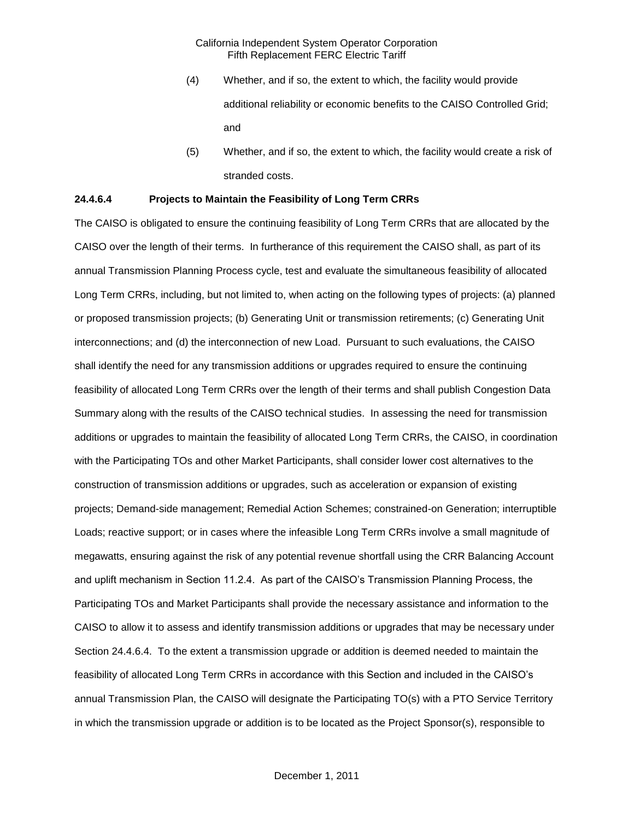- (4) Whether, and if so, the extent to which, the facility would provide additional reliability or economic benefits to the CAISO Controlled Grid; and
- (5) Whether, and if so, the extent to which, the facility would create a risk of stranded costs.

#### **24.4.6.4 Projects to Maintain the Feasibility of Long Term CRRs**

The CAISO is obligated to ensure the continuing feasibility of Long Term CRRs that are allocated by the CAISO over the length of their terms. In furtherance of this requirement the CAISO shall, as part of its annual Transmission Planning Process cycle, test and evaluate the simultaneous feasibility of allocated Long Term CRRs, including, but not limited to, when acting on the following types of projects: (a) planned or proposed transmission projects; (b) Generating Unit or transmission retirements; (c) Generating Unit interconnections; and (d) the interconnection of new Load. Pursuant to such evaluations, the CAISO shall identify the need for any transmission additions or upgrades required to ensure the continuing feasibility of allocated Long Term CRRs over the length of their terms and shall publish Congestion Data Summary along with the results of the CAISO technical studies. In assessing the need for transmission additions or upgrades to maintain the feasibility of allocated Long Term CRRs, the CAISO, in coordination with the Participating TOs and other Market Participants, shall consider lower cost alternatives to the construction of transmission additions or upgrades, such as acceleration or expansion of existing projects; Demand-side management; Remedial Action Schemes; constrained-on Generation; interruptible Loads; reactive support; or in cases where the infeasible Long Term CRRs involve a small magnitude of megawatts, ensuring against the risk of any potential revenue shortfall using the CRR Balancing Account and uplift mechanism in Section 11.2.4. As part of the CAISO's Transmission Planning Process, the Participating TOs and Market Participants shall provide the necessary assistance and information to the CAISO to allow it to assess and identify transmission additions or upgrades that may be necessary under Section 24.4.6.4. To the extent a transmission upgrade or addition is deemed needed to maintain the feasibility of allocated Long Term CRRs in accordance with this Section and included in the CAISO's annual Transmission Plan, the CAISO will designate the Participating TO(s) with a PTO Service Territory in which the transmission upgrade or addition is to be located as the Project Sponsor(s), responsible to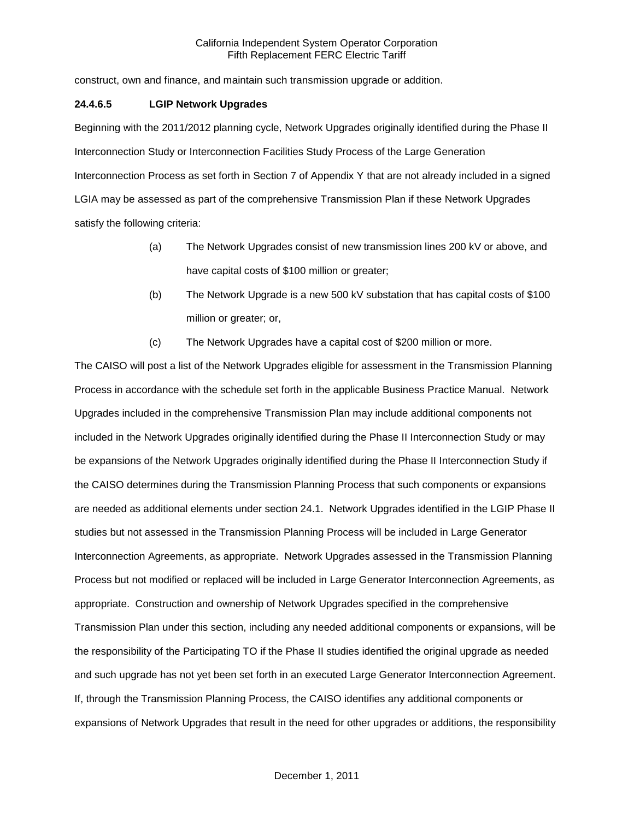construct, own and finance, and maintain such transmission upgrade or addition.

### **24.4.6.5 LGIP Network Upgrades**

Beginning with the 2011/2012 planning cycle, Network Upgrades originally identified during the Phase II Interconnection Study or Interconnection Facilities Study Process of the Large Generation Interconnection Process as set forth in Section 7 of Appendix Y that are not already included in a signed LGIA may be assessed as part of the comprehensive Transmission Plan if these Network Upgrades satisfy the following criteria:

- (a) The Network Upgrades consist of new transmission lines 200 kV or above, and have capital costs of \$100 million or greater;
- (b) The Network Upgrade is a new 500 kV substation that has capital costs of \$100 million or greater; or,
- (c) The Network Upgrades have a capital cost of \$200 million or more.

The CAISO will post a list of the Network Upgrades eligible for assessment in the Transmission Planning Process in accordance with the schedule set forth in the applicable Business Practice Manual. Network Upgrades included in the comprehensive Transmission Plan may include additional components not included in the Network Upgrades originally identified during the Phase II Interconnection Study or may be expansions of the Network Upgrades originally identified during the Phase II Interconnection Study if the CAISO determines during the Transmission Planning Process that such components or expansions are needed as additional elements under section 24.1. Network Upgrades identified in the LGIP Phase II studies but not assessed in the Transmission Planning Process will be included in Large Generator Interconnection Agreements, as appropriate. Network Upgrades assessed in the Transmission Planning Process but not modified or replaced will be included in Large Generator Interconnection Agreements, as appropriate. Construction and ownership of Network Upgrades specified in the comprehensive Transmission Plan under this section, including any needed additional components or expansions, will be the responsibility of the Participating TO if the Phase II studies identified the original upgrade as needed and such upgrade has not yet been set forth in an executed Large Generator Interconnection Agreement. If, through the Transmission Planning Process, the CAISO identifies any additional components or expansions of Network Upgrades that result in the need for other upgrades or additions, the responsibility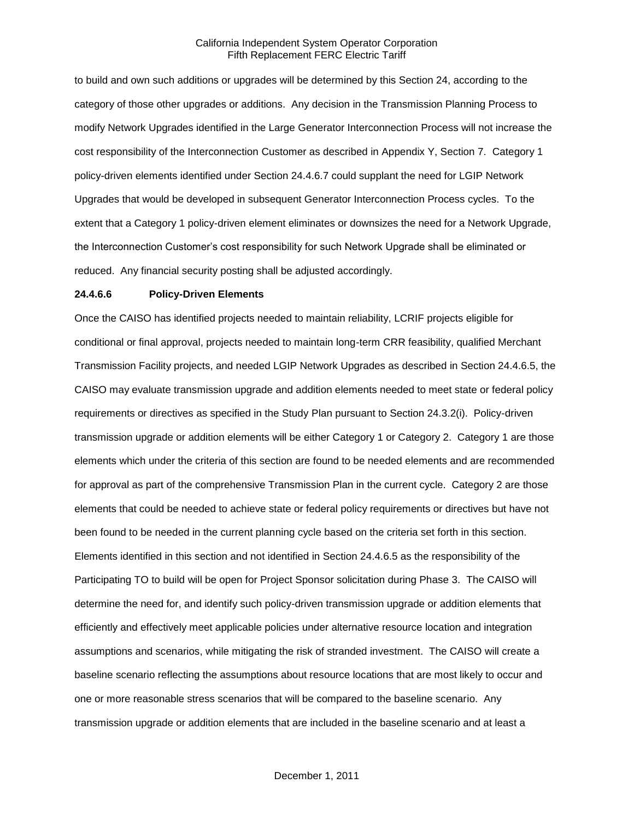to build and own such additions or upgrades will be determined by this Section 24, according to the category of those other upgrades or additions. Any decision in the Transmission Planning Process to modify Network Upgrades identified in the Large Generator Interconnection Process will not increase the cost responsibility of the Interconnection Customer as described in Appendix Y, Section 7. Category 1 policy-driven elements identified under Section 24.4.6.7 could supplant the need for LGIP Network Upgrades that would be developed in subsequent Generator Interconnection Process cycles. To the extent that a Category 1 policy-driven element eliminates or downsizes the need for a Network Upgrade, the Interconnection Customer's cost responsibility for such Network Upgrade shall be eliminated or reduced. Any financial security posting shall be adjusted accordingly.

#### **24.4.6.6 Policy-Driven Elements**

Once the CAISO has identified projects needed to maintain reliability, LCRIF projects eligible for conditional or final approval, projects needed to maintain long-term CRR feasibility, qualified Merchant Transmission Facility projects, and needed LGIP Network Upgrades as described in Section 24.4.6.5, the CAISO may evaluate transmission upgrade and addition elements needed to meet state or federal policy requirements or directives as specified in the Study Plan pursuant to Section 24.3.2(i). Policy-driven transmission upgrade or addition elements will be either Category 1 or Category 2. Category 1 are those elements which under the criteria of this section are found to be needed elements and are recommended for approval as part of the comprehensive Transmission Plan in the current cycle. Category 2 are those elements that could be needed to achieve state or federal policy requirements or directives but have not been found to be needed in the current planning cycle based on the criteria set forth in this section. Elements identified in this section and not identified in Section 24.4.6.5 as the responsibility of the Participating TO to build will be open for Project Sponsor solicitation during Phase 3. The CAISO will determine the need for, and identify such policy-driven transmission upgrade or addition elements that efficiently and effectively meet applicable policies under alternative resource location and integration assumptions and scenarios, while mitigating the risk of stranded investment. The CAISO will create a baseline scenario reflecting the assumptions about resource locations that are most likely to occur and one or more reasonable stress scenarios that will be compared to the baseline scenario. Any transmission upgrade or addition elements that are included in the baseline scenario and at least a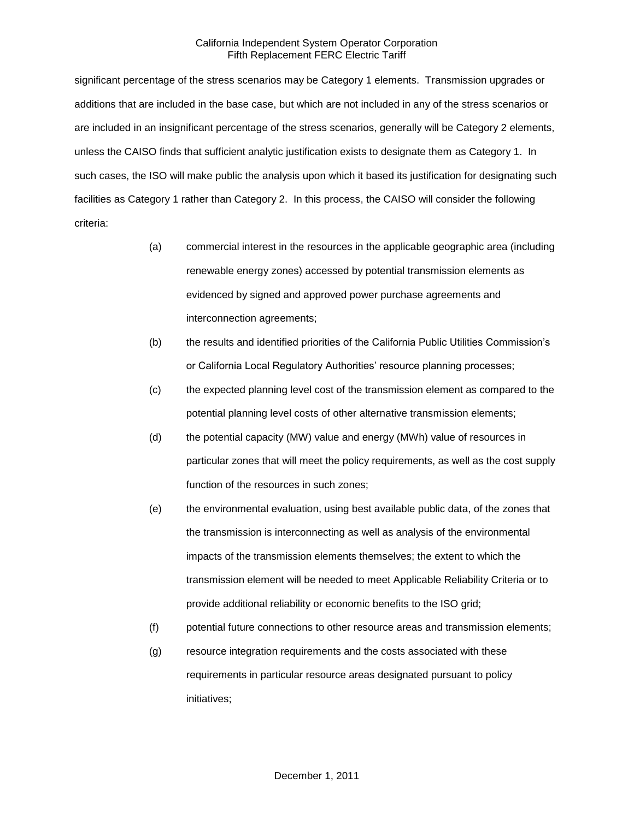significant percentage of the stress scenarios may be Category 1 elements. Transmission upgrades or additions that are included in the base case, but which are not included in any of the stress scenarios or are included in an insignificant percentage of the stress scenarios, generally will be Category 2 elements, unless the CAISO finds that sufficient analytic justification exists to designate them as Category 1. In such cases, the ISO will make public the analysis upon which it based its justification for designating such facilities as Category 1 rather than Category 2. In this process, the CAISO will consider the following criteria:

- (a) commercial interest in the resources in the applicable geographic area (including renewable energy zones) accessed by potential transmission elements as evidenced by signed and approved power purchase agreements and interconnection agreements;
- (b) the results and identified priorities of the California Public Utilities Commission's or California Local Regulatory Authorities' resource planning processes;
- (c) the expected planning level cost of the transmission element as compared to the potential planning level costs of other alternative transmission elements;
- (d) the potential capacity (MW) value and energy (MWh) value of resources in particular zones that will meet the policy requirements, as well as the cost supply function of the resources in such zones;
- (e) the environmental evaluation, using best available public data, of the zones that the transmission is interconnecting as well as analysis of the environmental impacts of the transmission elements themselves; the extent to which the transmission element will be needed to meet Applicable Reliability Criteria or to provide additional reliability or economic benefits to the ISO grid;
- (f) potential future connections to other resource areas and transmission elements;
- (g) resource integration requirements and the costs associated with these requirements in particular resource areas designated pursuant to policy initiatives;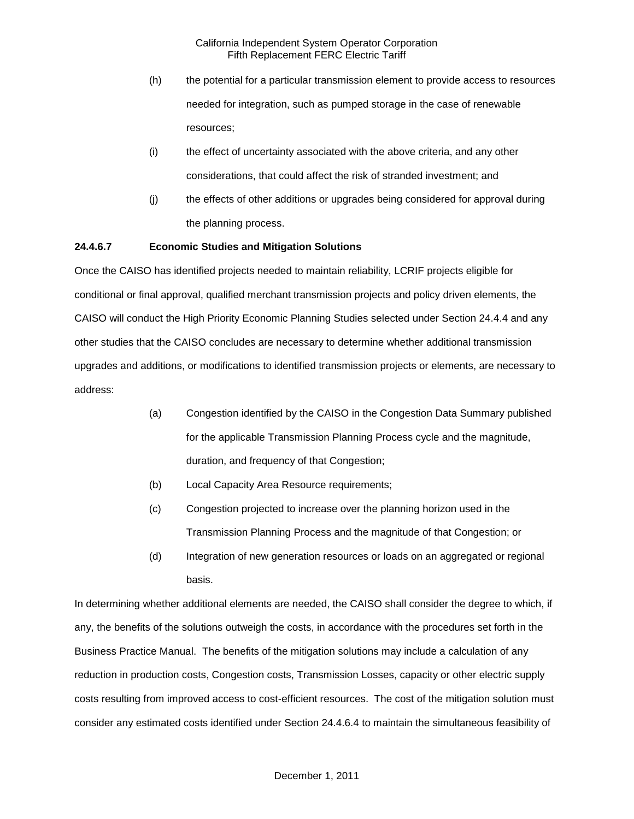- (h) the potential for a particular transmission element to provide access to resources needed for integration, such as pumped storage in the case of renewable resources;
- (i) the effect of uncertainty associated with the above criteria, and any other considerations, that could affect the risk of stranded investment; and
- (j) the effects of other additions or upgrades being considered for approval during the planning process.

#### **24.4.6.7 Economic Studies and Mitigation Solutions**

Once the CAISO has identified projects needed to maintain reliability, LCRIF projects eligible for conditional or final approval, qualified merchant transmission projects and policy driven elements, the CAISO will conduct the High Priority Economic Planning Studies selected under Section 24.4.4 and any other studies that the CAISO concludes are necessary to determine whether additional transmission upgrades and additions, or modifications to identified transmission projects or elements, are necessary to address:

- (a) Congestion identified by the CAISO in the Congestion Data Summary published for the applicable Transmission Planning Process cycle and the magnitude, duration, and frequency of that Congestion;
- (b) Local Capacity Area Resource requirements;
- (c) Congestion projected to increase over the planning horizon used in the Transmission Planning Process and the magnitude of that Congestion; or
- (d) Integration of new generation resources or loads on an aggregated or regional basis.

In determining whether additional elements are needed, the CAISO shall consider the degree to which, if any, the benefits of the solutions outweigh the costs, in accordance with the procedures set forth in the Business Practice Manual. The benefits of the mitigation solutions may include a calculation of any reduction in production costs, Congestion costs, Transmission Losses, capacity or other electric supply costs resulting from improved access to cost-efficient resources. The cost of the mitigation solution must consider any estimated costs identified under Section 24.4.6.4 to maintain the simultaneous feasibility of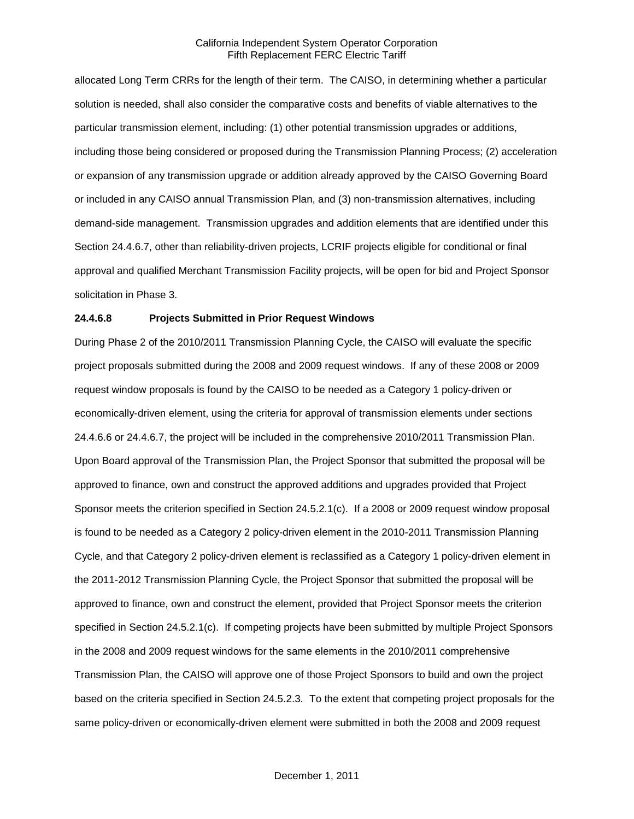allocated Long Term CRRs for the length of their term. The CAISO, in determining whether a particular solution is needed, shall also consider the comparative costs and benefits of viable alternatives to the particular transmission element, including: (1) other potential transmission upgrades or additions, including those being considered or proposed during the Transmission Planning Process; (2) acceleration or expansion of any transmission upgrade or addition already approved by the CAISO Governing Board or included in any CAISO annual Transmission Plan, and (3) non-transmission alternatives, including demand-side management. Transmission upgrades and addition elements that are identified under this Section 24.4.6.7, other than reliability-driven projects, LCRIF projects eligible for conditional or final approval and qualified Merchant Transmission Facility projects, will be open for bid and Project Sponsor solicitation in Phase 3.

#### **24.4.6.8 Projects Submitted in Prior Request Windows**

During Phase 2 of the 2010/2011 Transmission Planning Cycle, the CAISO will evaluate the specific project proposals submitted during the 2008 and 2009 request windows. If any of these 2008 or 2009 request window proposals is found by the CAISO to be needed as a Category 1 policy-driven or economically-driven element, using the criteria for approval of transmission elements under sections 24.4.6.6 or 24.4.6.7, the project will be included in the comprehensive 2010/2011 Transmission Plan. Upon Board approval of the Transmission Plan, the Project Sponsor that submitted the proposal will be approved to finance, own and construct the approved additions and upgrades provided that Project Sponsor meets the criterion specified in Section 24.5.2.1(c). If a 2008 or 2009 request window proposal is found to be needed as a Category 2 policy-driven element in the 2010-2011 Transmission Planning Cycle, and that Category 2 policy-driven element is reclassified as a Category 1 policy-driven element in the 2011-2012 Transmission Planning Cycle, the Project Sponsor that submitted the proposal will be approved to finance, own and construct the element, provided that Project Sponsor meets the criterion specified in Section 24.5.2.1(c). If competing projects have been submitted by multiple Project Sponsors in the 2008 and 2009 request windows for the same elements in the 2010/2011 comprehensive Transmission Plan, the CAISO will approve one of those Project Sponsors to build and own the project based on the criteria specified in Section 24.5.2.3. To the extent that competing project proposals for the same policy-driven or economically-driven element were submitted in both the 2008 and 2009 request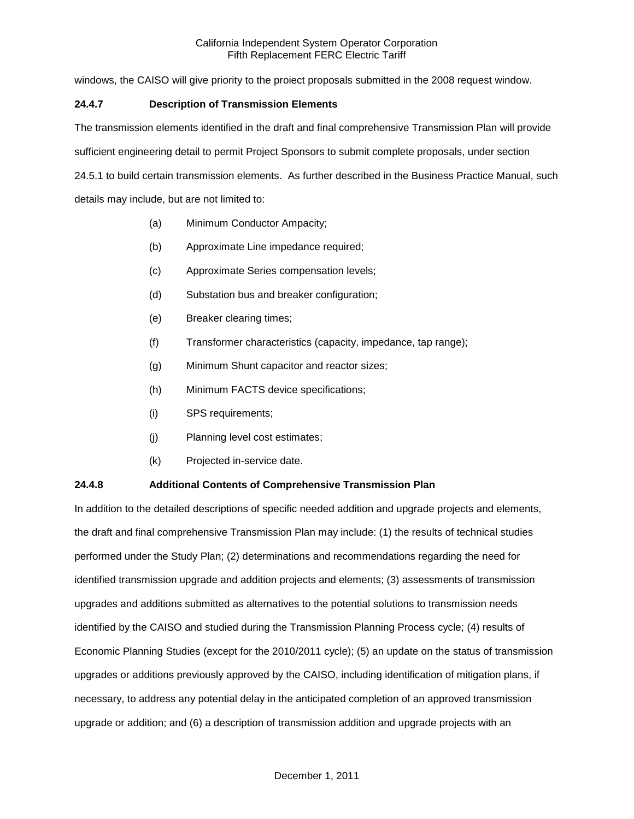windows, the CAISO will give priority to the proiect proposals submitted in the 2008 request window.

### **24.4.7 Description of Transmission Elements**

The transmission elements identified in the draft and final comprehensive Transmission Plan will provide

sufficient engineering detail to permit Project Sponsors to submit complete proposals, under section

24.5.1 to build certain transmission elements. As further described in the Business Practice Manual, such details may include, but are not limited to:

- (a) Minimum Conductor Ampacity;
- (b) Approximate Line impedance required;
- (c) Approximate Series compensation levels;
- (d) Substation bus and breaker configuration;
- (e) Breaker clearing times;
- (f) Transformer characteristics (capacity, impedance, tap range);
- (g) Minimum Shunt capacitor and reactor sizes;
- (h) Minimum FACTS device specifications;
- (i) SPS requirements;
- (j) Planning level cost estimates;
- (k) Projected in-service date.

#### **24.4.8 Additional Contents of Comprehensive Transmission Plan**

In addition to the detailed descriptions of specific needed addition and upgrade projects and elements, the draft and final comprehensive Transmission Plan may include: (1) the results of technical studies performed under the Study Plan; (2) determinations and recommendations regarding the need for identified transmission upgrade and addition projects and elements; (3) assessments of transmission upgrades and additions submitted as alternatives to the potential solutions to transmission needs identified by the CAISO and studied during the Transmission Planning Process cycle; (4) results of Economic Planning Studies (except for the 2010/2011 cycle); (5) an update on the status of transmission upgrades or additions previously approved by the CAISO, including identification of mitigation plans, if necessary, to address any potential delay in the anticipated completion of an approved transmission upgrade or addition; and (6) a description of transmission addition and upgrade projects with an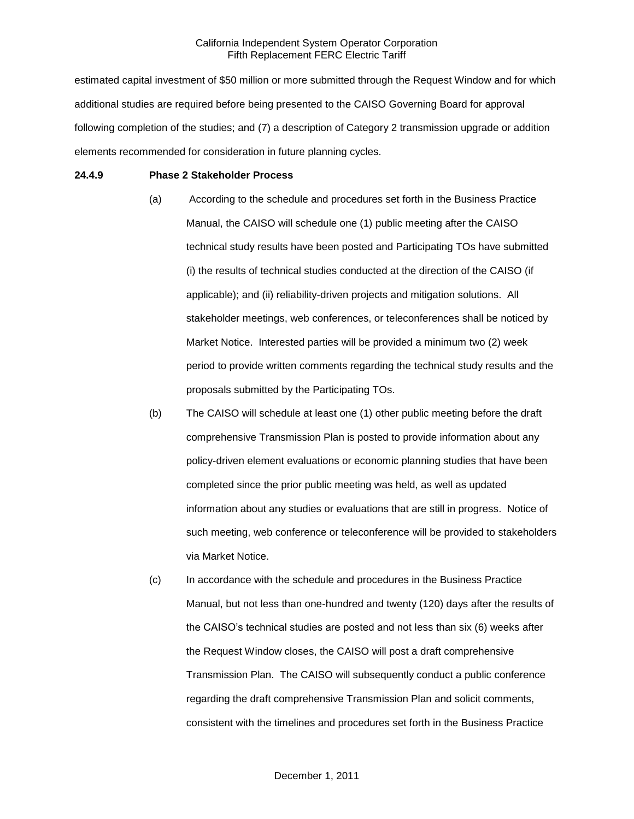estimated capital investment of \$50 million or more submitted through the Request Window and for which additional studies are required before being presented to the CAISO Governing Board for approval following completion of the studies; and (7) a description of Category 2 transmission upgrade or addition elements recommended for consideration in future planning cycles.

#### **24.4.9 Phase 2 Stakeholder Process**

- (a) According to the schedule and procedures set forth in the Business Practice Manual, the CAISO will schedule one (1) public meeting after the CAISO technical study results have been posted and Participating TOs have submitted (i) the results of technical studies conducted at the direction of the CAISO (if applicable); and (ii) reliability-driven projects and mitigation solutions. All stakeholder meetings, web conferences, or teleconferences shall be noticed by Market Notice. Interested parties will be provided a minimum two (2) week period to provide written comments regarding the technical study results and the proposals submitted by the Participating TOs.
- (b) The CAISO will schedule at least one (1) other public meeting before the draft comprehensive Transmission Plan is posted to provide information about any policy-driven element evaluations or economic planning studies that have been completed since the prior public meeting was held, as well as updated information about any studies or evaluations that are still in progress. Notice of such meeting, web conference or teleconference will be provided to stakeholders via Market Notice.
- (c) In accordance with the schedule and procedures in the Business Practice Manual, but not less than one-hundred and twenty (120) days after the results of the CAISO's technical studies are posted and not less than six (6) weeks after the Request Window closes, the CAISO will post a draft comprehensive Transmission Plan. The CAISO will subsequently conduct a public conference regarding the draft comprehensive Transmission Plan and solicit comments, consistent with the timelines and procedures set forth in the Business Practice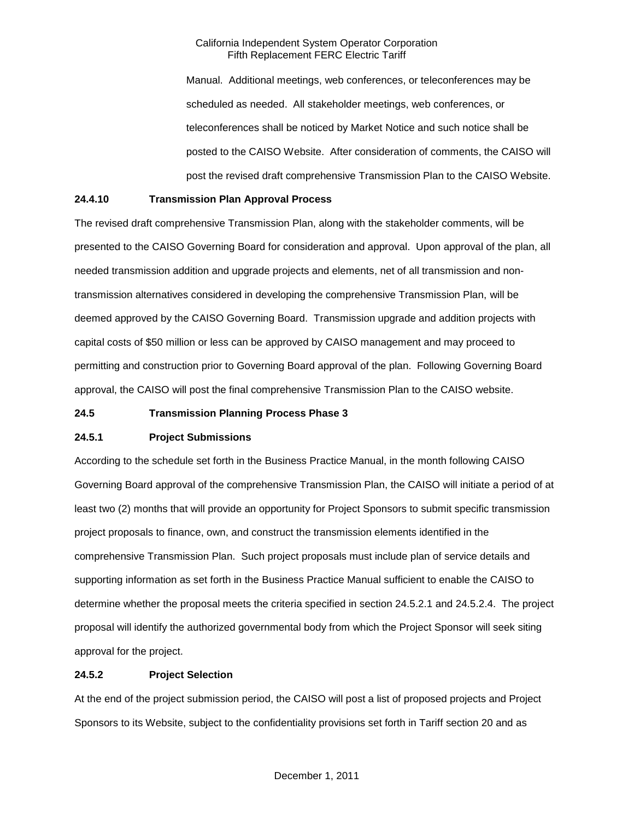Manual. Additional meetings, web conferences, or teleconferences may be scheduled as needed. All stakeholder meetings, web conferences, or teleconferences shall be noticed by Market Notice and such notice shall be posted to the CAISO Website. After consideration of comments, the CAISO will post the revised draft comprehensive Transmission Plan to the CAISO Website.

### **24.4.10 Transmission Plan Approval Process**

The revised draft comprehensive Transmission Plan, along with the stakeholder comments, will be presented to the CAISO Governing Board for consideration and approval. Upon approval of the plan, all needed transmission addition and upgrade projects and elements, net of all transmission and nontransmission alternatives considered in developing the comprehensive Transmission Plan, will be deemed approved by the CAISO Governing Board. Transmission upgrade and addition projects with capital costs of \$50 million or less can be approved by CAISO management and may proceed to permitting and construction prior to Governing Board approval of the plan. Following Governing Board approval, the CAISO will post the final comprehensive Transmission Plan to the CAISO website.

#### **24.5 Transmission Planning Process Phase 3**

#### **24.5.1 Project Submissions**

According to the schedule set forth in the Business Practice Manual, in the month following CAISO Governing Board approval of the comprehensive Transmission Plan, the CAISO will initiate a period of at least two (2) months that will provide an opportunity for Project Sponsors to submit specific transmission project proposals to finance, own, and construct the transmission elements identified in the comprehensive Transmission Plan. Such project proposals must include plan of service details and supporting information as set forth in the Business Practice Manual sufficient to enable the CAISO to determine whether the proposal meets the criteria specified in section 24.5.2.1 and 24.5.2.4. The project proposal will identify the authorized governmental body from which the Project Sponsor will seek siting approval for the project.

### **24.5.2 Project Selection**

At the end of the project submission period, the CAISO will post a list of proposed projects and Project Sponsors to its Website, subject to the confidentiality provisions set forth in Tariff section 20 and as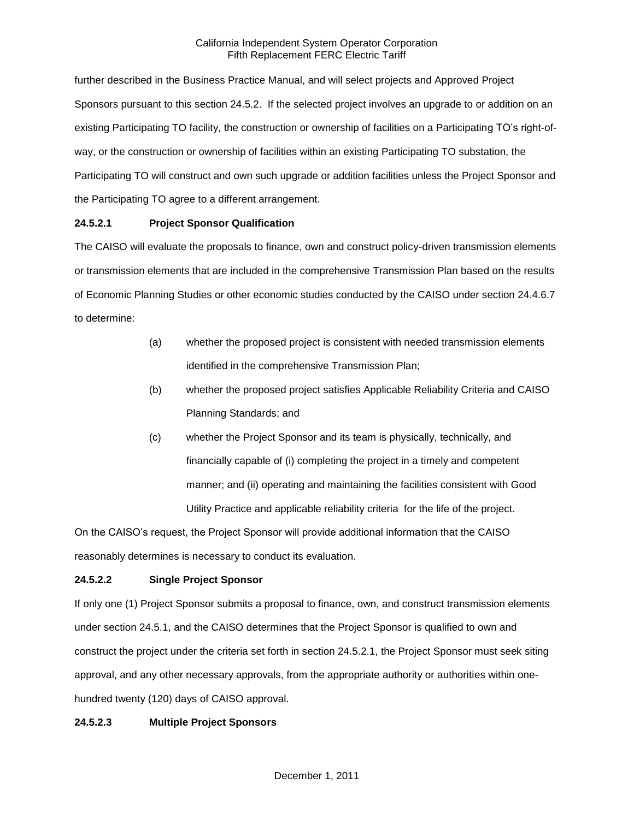further described in the Business Practice Manual, and will select projects and Approved Project Sponsors pursuant to this section 24.5.2. If the selected project involves an upgrade to or addition on an existing Participating TO facility, the construction or ownership of facilities on a Participating TO's right-ofway, or the construction or ownership of facilities within an existing Participating TO substation, the Participating TO will construct and own such upgrade or addition facilities unless the Project Sponsor and the Participating TO agree to a different arrangement.

# **24.5.2.1 Project Sponsor Qualification**

The CAISO will evaluate the proposals to finance, own and construct policy-driven transmission elements or transmission elements that are included in the comprehensive Transmission Plan based on the results of Economic Planning Studies or other economic studies conducted by the CAISO under section 24.4.6.7 to determine:

- (a) whether the proposed project is consistent with needed transmission elements identified in the comprehensive Transmission Plan;
- (b) whether the proposed project satisfies Applicable Reliability Criteria and CAISO Planning Standards; and
- (c) whether the Project Sponsor and its team is physically, technically, and financially capable of (i) completing the project in a timely and competent manner; and (ii) operating and maintaining the facilities consistent with Good Utility Practice and applicable reliability criteria for the life of the project.

On the CAISO's request, the Project Sponsor will provide additional information that the CAISO reasonably determines is necessary to conduct its evaluation.

# **24.5.2.2 Single Project Sponsor**

If only one (1) Project Sponsor submits a proposal to finance, own, and construct transmission elements under section 24.5.1, and the CAISO determines that the Project Sponsor is qualified to own and construct the project under the criteria set forth in section 24.5.2.1, the Project Sponsor must seek siting approval, and any other necessary approvals, from the appropriate authority or authorities within onehundred twenty (120) days of CAISO approval.

# **24.5.2.3 Multiple Project Sponsors**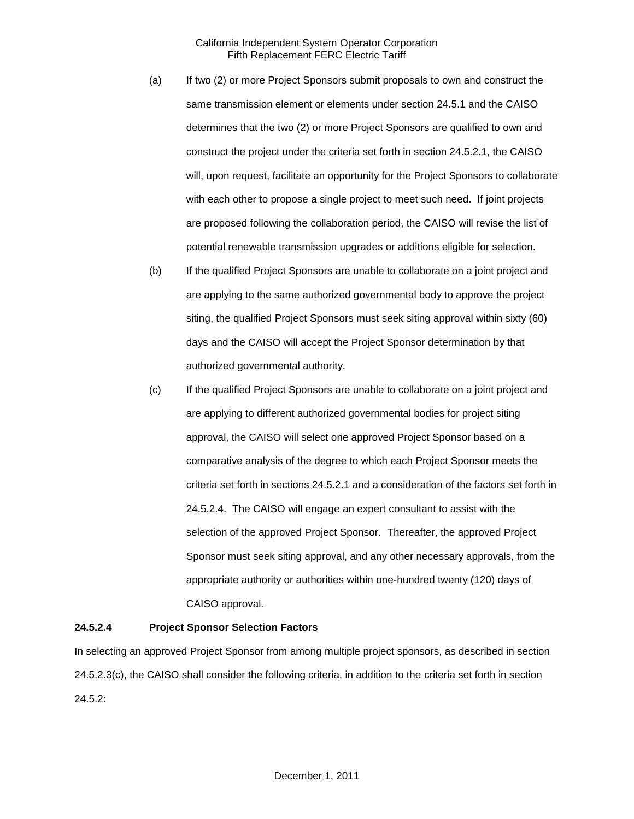- (a) If two (2) or more Project Sponsors submit proposals to own and construct the same transmission element or elements under section 24.5.1 and the CAISO determines that the two (2) or more Project Sponsors are qualified to own and construct the project under the criteria set forth in section 24.5.2.1, the CAISO will, upon request, facilitate an opportunity for the Project Sponsors to collaborate with each other to propose a single project to meet such need. If joint projects are proposed following the collaboration period, the CAISO will revise the list of potential renewable transmission upgrades or additions eligible for selection.
- (b) If the qualified Project Sponsors are unable to collaborate on a joint project and are applying to the same authorized governmental body to approve the project siting, the qualified Project Sponsors must seek siting approval within sixty (60) days and the CAISO will accept the Project Sponsor determination by that authorized governmental authority.
- (c) If the qualified Project Sponsors are unable to collaborate on a joint project and are applying to different authorized governmental bodies for project siting approval, the CAISO will select one approved Project Sponsor based on a comparative analysis of the degree to which each Project Sponsor meets the criteria set forth in sections 24.5.2.1 and a consideration of the factors set forth in 24.5.2.4. The CAISO will engage an expert consultant to assist with the selection of the approved Project Sponsor. Thereafter, the approved Project Sponsor must seek siting approval, and any other necessary approvals, from the appropriate authority or authorities within one-hundred twenty (120) days of CAISO approval.

#### **24.5.2.4 Project Sponsor Selection Factors**

In selecting an approved Project Sponsor from among multiple project sponsors, as described in section 24.5.2.3(c), the CAISO shall consider the following criteria, in addition to the criteria set forth in section 24.5.2: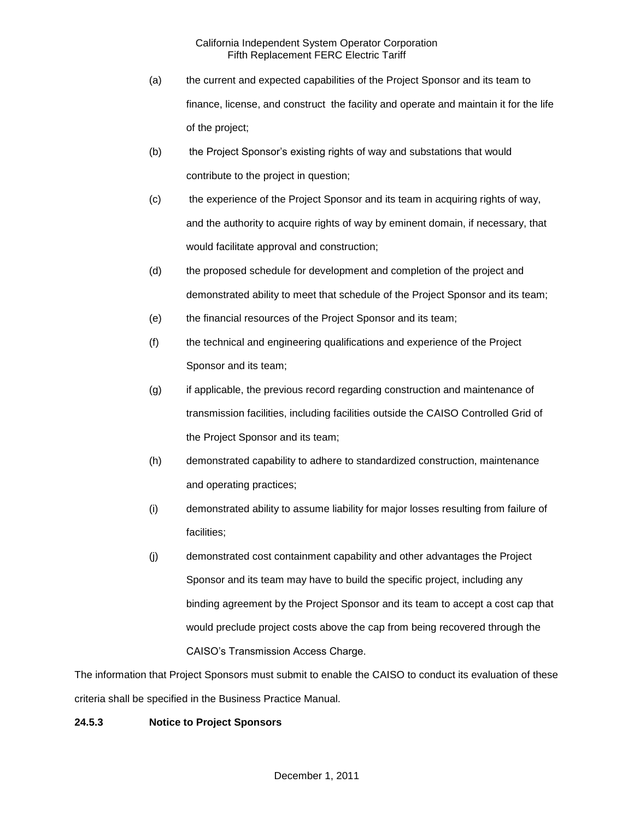- (a) the current and expected capabilities of the Project Sponsor and its team to finance, license, and construct the facility and operate and maintain it for the life of the project;
- (b) the Project Sponsor's existing rights of way and substations that would contribute to the project in question;
- (c) the experience of the Project Sponsor and its team in acquiring rights of way, and the authority to acquire rights of way by eminent domain, if necessary, that would facilitate approval and construction;
- (d) the proposed schedule for development and completion of the project and demonstrated ability to meet that schedule of the Project Sponsor and its team;
- (e) the financial resources of the Project Sponsor and its team;
- (f) the technical and engineering qualifications and experience of the Project Sponsor and its team;
- (g) if applicable, the previous record regarding construction and maintenance of transmission facilities, including facilities outside the CAISO Controlled Grid of the Project Sponsor and its team;
- (h) demonstrated capability to adhere to standardized construction, maintenance and operating practices;
- (i) demonstrated ability to assume liability for major losses resulting from failure of facilities;
- (j) demonstrated cost containment capability and other advantages the Project Sponsor and its team may have to build the specific project, including any binding agreement by the Project Sponsor and its team to accept a cost cap that would preclude project costs above the cap from being recovered through the CAISO's Transmission Access Charge.

The information that Project Sponsors must submit to enable the CAISO to conduct its evaluation of these criteria shall be specified in the Business Practice Manual.

# **24.5.3 Notice to Project Sponsors**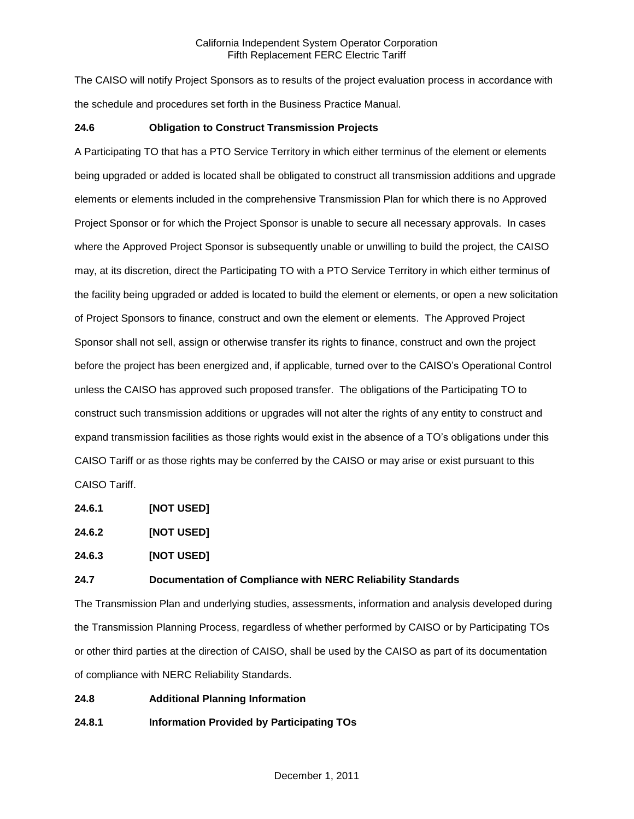The CAISO will notify Project Sponsors as to results of the project evaluation process in accordance with the schedule and procedures set forth in the Business Practice Manual.

### **24.6 Obligation to Construct Transmission Projects**

A Participating TO that has a PTO Service Territory in which either terminus of the element or elements being upgraded or added is located shall be obligated to construct all transmission additions and upgrade elements or elements included in the comprehensive Transmission Plan for which there is no Approved Project Sponsor or for which the Project Sponsor is unable to secure all necessary approvals. In cases where the Approved Project Sponsor is subsequently unable or unwilling to build the project, the CAISO may, at its discretion, direct the Participating TO with a PTO Service Territory in which either terminus of the facility being upgraded or added is located to build the element or elements, or open a new solicitation of Project Sponsors to finance, construct and own the element or elements. The Approved Project Sponsor shall not sell, assign or otherwise transfer its rights to finance, construct and own the project before the project has been energized and, if applicable, turned over to the CAISO's Operational Control unless the CAISO has approved such proposed transfer. The obligations of the Participating TO to construct such transmission additions or upgrades will not alter the rights of any entity to construct and expand transmission facilities as those rights would exist in the absence of a TO's obligations under this CAISO Tariff or as those rights may be conferred by the CAISO or may arise or exist pursuant to this CAISO Tariff.

**24.6.1 [NOT USED]**

**24.6.2 [NOT USED]**

**24.6.3 [NOT USED]**

#### **24.7 Documentation of Compliance with NERC Reliability Standards**

The Transmission Plan and underlying studies, assessments, information and analysis developed during the Transmission Planning Process, regardless of whether performed by CAISO or by Participating TOs or other third parties at the direction of CAISO, shall be used by the CAISO as part of its documentation of compliance with NERC Reliability Standards.

**24.8 Additional Planning Information**

**24.8.1 Information Provided by Participating TOs**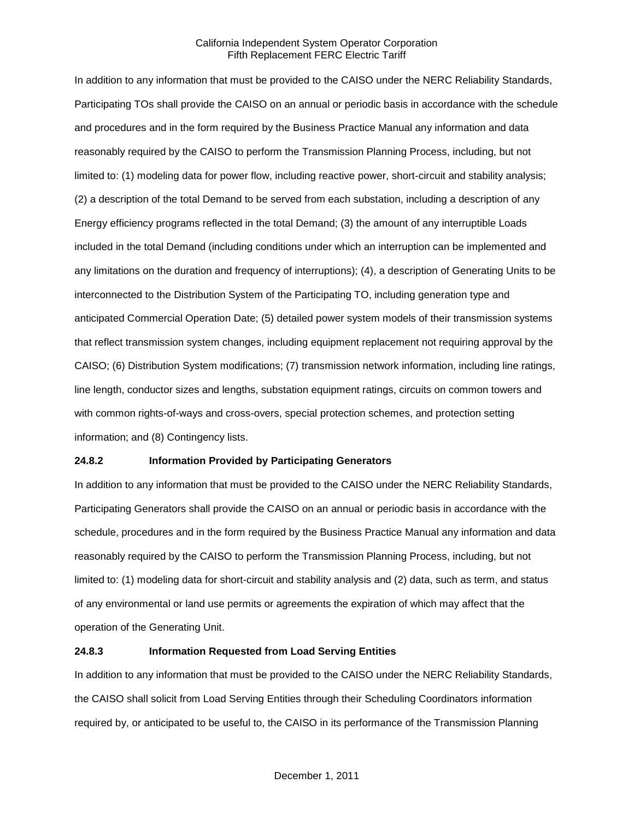In addition to any information that must be provided to the CAISO under the NERC Reliability Standards, Participating TOs shall provide the CAISO on an annual or periodic basis in accordance with the schedule and procedures and in the form required by the Business Practice Manual any information and data reasonably required by the CAISO to perform the Transmission Planning Process, including, but not limited to: (1) modeling data for power flow, including reactive power, short-circuit and stability analysis; (2) a description of the total Demand to be served from each substation, including a description of any Energy efficiency programs reflected in the total Demand; (3) the amount of any interruptible Loads included in the total Demand (including conditions under which an interruption can be implemented and any limitations on the duration and frequency of interruptions); (4), a description of Generating Units to be interconnected to the Distribution System of the Participating TO, including generation type and anticipated Commercial Operation Date; (5) detailed power system models of their transmission systems that reflect transmission system changes, including equipment replacement not requiring approval by the CAISO; (6) Distribution System modifications; (7) transmission network information, including line ratings, line length, conductor sizes and lengths, substation equipment ratings, circuits on common towers and with common rights-of-ways and cross-overs, special protection schemes, and protection setting information; and (8) Contingency lists.

#### **24.8.2 Information Provided by Participating Generators**

In addition to any information that must be provided to the CAISO under the NERC Reliability Standards, Participating Generators shall provide the CAISO on an annual or periodic basis in accordance with the schedule, procedures and in the form required by the Business Practice Manual any information and data reasonably required by the CAISO to perform the Transmission Planning Process, including, but not limited to: (1) modeling data for short-circuit and stability analysis and (2) data, such as term, and status of any environmental or land use permits or agreements the expiration of which may affect that the operation of the Generating Unit.

### **24.8.3 Information Requested from Load Serving Entities**

In addition to any information that must be provided to the CAISO under the NERC Reliability Standards, the CAISO shall solicit from Load Serving Entities through their Scheduling Coordinators information required by, or anticipated to be useful to, the CAISO in its performance of the Transmission Planning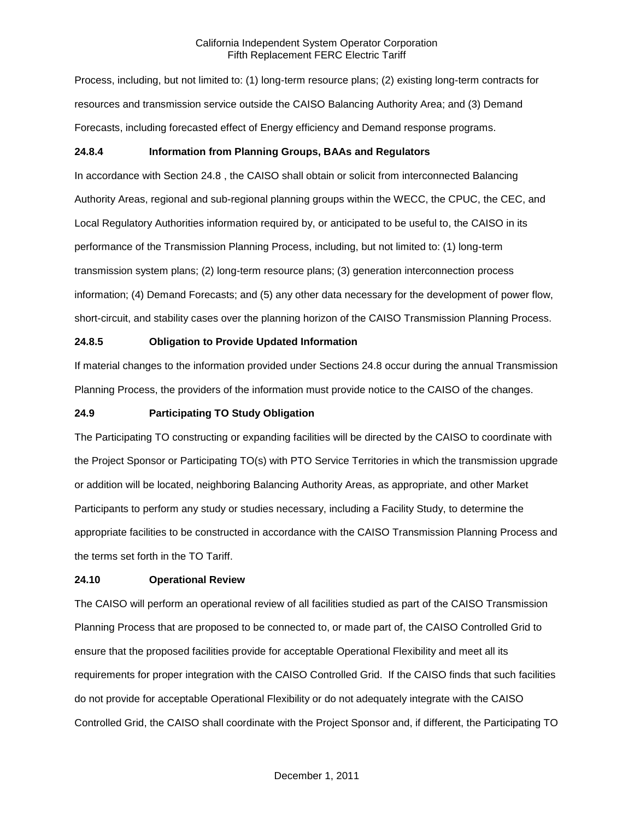Process, including, but not limited to: (1) long-term resource plans; (2) existing long-term contracts for resources and transmission service outside the CAISO Balancing Authority Area; and (3) Demand Forecasts, including forecasted effect of Energy efficiency and Demand response programs.

### **24.8.4 Information from Planning Groups, BAAs and Regulators**

In accordance with Section 24.8 , the CAISO shall obtain or solicit from interconnected Balancing Authority Areas, regional and sub-regional planning groups within the WECC, the CPUC, the CEC, and Local Regulatory Authorities information required by, or anticipated to be useful to, the CAISO in its performance of the Transmission Planning Process, including, but not limited to: (1) long-term transmission system plans; (2) long-term resource plans; (3) generation interconnection process information; (4) Demand Forecasts; and (5) any other data necessary for the development of power flow, short-circuit, and stability cases over the planning horizon of the CAISO Transmission Planning Process.

# **24.8.5 Obligation to Provide Updated Information**

If material changes to the information provided under Sections 24.8 occur during the annual Transmission Planning Process, the providers of the information must provide notice to the CAISO of the changes.

### **24.9 Participating TO Study Obligation**

The Participating TO constructing or expanding facilities will be directed by the CAISO to coordinate with the Project Sponsor or Participating TO(s) with PTO Service Territories in which the transmission upgrade or addition will be located, neighboring Balancing Authority Areas, as appropriate, and other Market Participants to perform any study or studies necessary, including a Facility Study, to determine the appropriate facilities to be constructed in accordance with the CAISO Transmission Planning Process and the terms set forth in the TO Tariff.

#### **24.10 Operational Review**

The CAISO will perform an operational review of all facilities studied as part of the CAISO Transmission Planning Process that are proposed to be connected to, or made part of, the CAISO Controlled Grid to ensure that the proposed facilities provide for acceptable Operational Flexibility and meet all its requirements for proper integration with the CAISO Controlled Grid. If the CAISO finds that such facilities do not provide for acceptable Operational Flexibility or do not adequately integrate with the CAISO Controlled Grid, the CAISO shall coordinate with the Project Sponsor and, if different, the Participating TO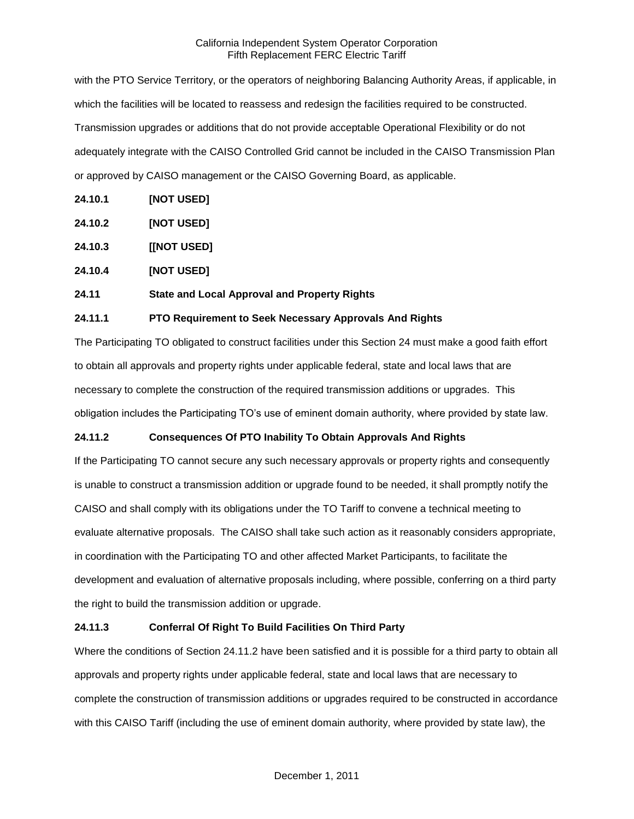with the PTO Service Territory, or the operators of neighboring Balancing Authority Areas, if applicable, in which the facilities will be located to reassess and redesign the facilities required to be constructed. Transmission upgrades or additions that do not provide acceptable Operational Flexibility or do not adequately integrate with the CAISO Controlled Grid cannot be included in the CAISO Transmission Plan or approved by CAISO management or the CAISO Governing Board, as applicable.

- **24.10.1 [NOT USED]**
- **24.10.2 [NOT USED]**
- **24.10.3 [[NOT USED]**
- **24.10.4 [NOT USED]**

# **24.11 State and Local Approval and Property Rights**

# **24.11.1 PTO Requirement to Seek Necessary Approvals And Rights**

The Participating TO obligated to construct facilities under this Section 24 must make a good faith effort to obtain all approvals and property rights under applicable federal, state and local laws that are necessary to complete the construction of the required transmission additions or upgrades. This obligation includes the Participating TO's use of eminent domain authority, where provided by state law.

# **24.11.2 Consequences Of PTO Inability To Obtain Approvals And Rights**

If the Participating TO cannot secure any such necessary approvals or property rights and consequently is unable to construct a transmission addition or upgrade found to be needed, it shall promptly notify the CAISO and shall comply with its obligations under the TO Tariff to convene a technical meeting to evaluate alternative proposals. The CAISO shall take such action as it reasonably considers appropriate, in coordination with the Participating TO and other affected Market Participants, to facilitate the development and evaluation of alternative proposals including, where possible, conferring on a third party the right to build the transmission addition or upgrade.

# **24.11.3 Conferral Of Right To Build Facilities On Third Party**

Where the conditions of Section 24.11.2 have been satisfied and it is possible for a third party to obtain all approvals and property rights under applicable federal, state and local laws that are necessary to complete the construction of transmission additions or upgrades required to be constructed in accordance with this CAISO Tariff (including the use of eminent domain authority, where provided by state law), the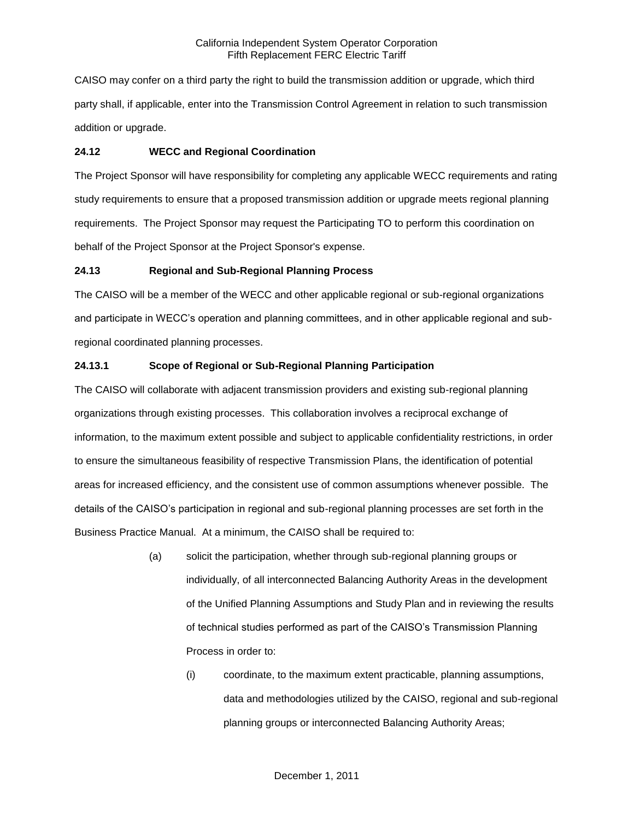CAISO may confer on a third party the right to build the transmission addition or upgrade, which third party shall, if applicable, enter into the Transmission Control Agreement in relation to such transmission addition or upgrade.

# **24.12 WECC and Regional Coordination**

The Project Sponsor will have responsibility for completing any applicable WECC requirements and rating study requirements to ensure that a proposed transmission addition or upgrade meets regional planning requirements. The Project Sponsor may request the Participating TO to perform this coordination on behalf of the Project Sponsor at the Project Sponsor's expense.

# **24.13 Regional and Sub-Regional Planning Process**

The CAISO will be a member of the WECC and other applicable regional or sub-regional organizations and participate in WECC's operation and planning committees, and in other applicable regional and subregional coordinated planning processes.

# **24.13.1 Scope of Regional or Sub-Regional Planning Participation**

The CAISO will collaborate with adjacent transmission providers and existing sub-regional planning organizations through existing processes. This collaboration involves a reciprocal exchange of information, to the maximum extent possible and subject to applicable confidentiality restrictions, in order to ensure the simultaneous feasibility of respective Transmission Plans, the identification of potential areas for increased efficiency, and the consistent use of common assumptions whenever possible. The details of the CAISO's participation in regional and sub-regional planning processes are set forth in the Business Practice Manual. At a minimum, the CAISO shall be required to:

- (a) solicit the participation, whether through sub-regional planning groups or individually, of all interconnected Balancing Authority Areas in the development of the Unified Planning Assumptions and Study Plan and in reviewing the results of technical studies performed as part of the CAISO's Transmission Planning Process in order to:
	- (i) coordinate, to the maximum extent practicable, planning assumptions, data and methodologies utilized by the CAISO, regional and sub-regional planning groups or interconnected Balancing Authority Areas;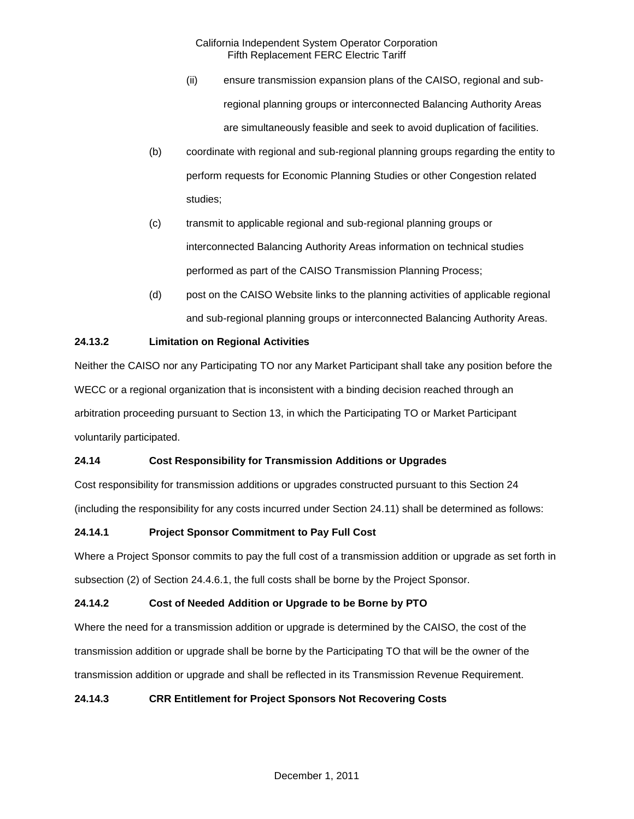- (ii) ensure transmission expansion plans of the CAISO, regional and subregional planning groups or interconnected Balancing Authority Areas are simultaneously feasible and seek to avoid duplication of facilities.
- (b) coordinate with regional and sub-regional planning groups regarding the entity to perform requests for Economic Planning Studies or other Congestion related studies;
- (c) transmit to applicable regional and sub-regional planning groups or interconnected Balancing Authority Areas information on technical studies performed as part of the CAISO Transmission Planning Process;
- (d) post on the CAISO Website links to the planning activities of applicable regional and sub-regional planning groups or interconnected Balancing Authority Areas.

# **24.13.2 Limitation on Regional Activities**

Neither the CAISO nor any Participating TO nor any Market Participant shall take any position before the WECC or a regional organization that is inconsistent with a binding decision reached through an arbitration proceeding pursuant to Section 13, in which the Participating TO or Market Participant voluntarily participated.

# **24.14 Cost Responsibility for Transmission Additions or Upgrades**

Cost responsibility for transmission additions or upgrades constructed pursuant to this Section 24 (including the responsibility for any costs incurred under Section 24.11) shall be determined as follows:

# **24.14.1 Project Sponsor Commitment to Pay Full Cost**

Where a Project Sponsor commits to pay the full cost of a transmission addition or upgrade as set forth in subsection (2) of Section 24.4.6.1, the full costs shall be borne by the Project Sponsor.

# **24.14.2 Cost of Needed Addition or Upgrade to be Borne by PTO**

Where the need for a transmission addition or upgrade is determined by the CAISO, the cost of the transmission addition or upgrade shall be borne by the Participating TO that will be the owner of the transmission addition or upgrade and shall be reflected in its Transmission Revenue Requirement.

# **24.14.3 CRR Entitlement for Project Sponsors Not Recovering Costs**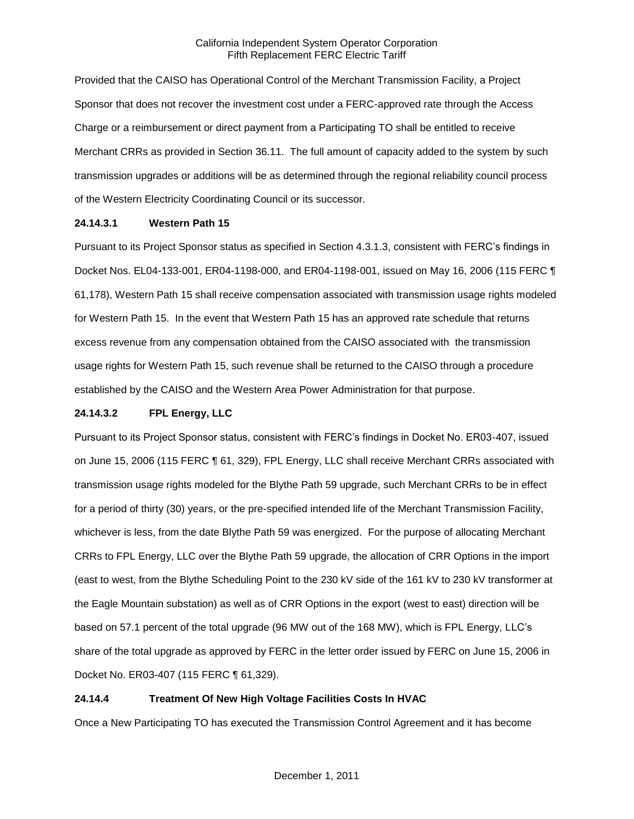Provided that the CAISO has Operational Control of the Merchant Transmission Facility, a Project Sponsor that does not recover the investment cost under a FERC-approved rate through the Access Charge or a reimbursement or direct payment from a Participating TO shall be entitled to receive Merchant CRRs as provided in Section 36.11. The full amount of capacity added to the system by such transmission upgrades or additions will be as determined through the regional reliability council process of the Western Electricity Coordinating Council or its successor.

### **24.14.3.1 Western Path 15**

Pursuant to its Project Sponsor status as specified in Section 4.3.1.3, consistent with FERC's findings in Docket Nos. EL04-133-001, ER04-1198-000, and ER04-1198-001, issued on May 16, 2006 (115 FERC ¶ 61,178), Western Path 15 shall receive compensation associated with transmission usage rights modeled for Western Path 15. In the event that Western Path 15 has an approved rate schedule that returns excess revenue from any compensation obtained from the CAISO associated with the transmission usage rights for Western Path 15, such revenue shall be returned to the CAISO through a procedure established by the CAISO and the Western Area Power Administration for that purpose.

### **24.14.3.2 FPL Energy, LLC**

Pursuant to its Project Sponsor status, consistent with FERC's findings in Docket No. ER03-407, issued on June 15, 2006 (115 FERC ¶ 61, 329), FPL Energy, LLC shall receive Merchant CRRs associated with transmission usage rights modeled for the Blythe Path 59 upgrade, such Merchant CRRs to be in effect for a period of thirty (30) years, or the pre-specified intended life of the Merchant Transmission Facility, whichever is less, from the date Blythe Path 59 was energized. For the purpose of allocating Merchant CRRs to FPL Energy, LLC over the Blythe Path 59 upgrade, the allocation of CRR Options in the import (east to west, from the Blythe Scheduling Point to the 230 kV side of the 161 kV to 230 kV transformer at the Eagle Mountain substation) as well as of CRR Options in the export (west to east) direction will be based on 57.1 percent of the total upgrade (96 MW out of the 168 MW), which is FPL Energy, LLC's share of the total upgrade as approved by FERC in the letter order issued by FERC on June 15, 2006 in Docket No. ER03-407 (115 FERC ¶ 61,329).

# **24.14.4 Treatment Of New High Voltage Facilities Costs In HVAC**

Once a New Participating TO has executed the Transmission Control Agreement and it has become